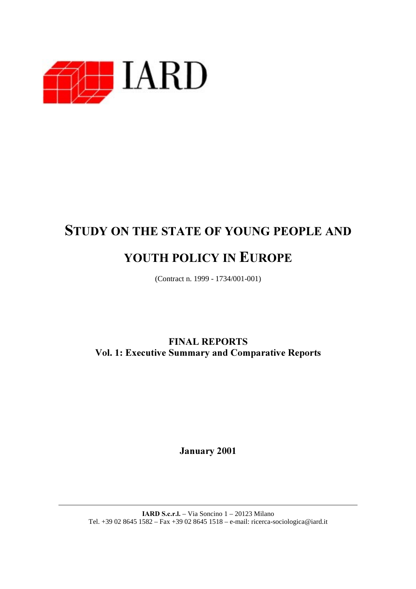

# STUDY ON THE STATE OF YOUNG PEOPLE AND

# YOUTH POLICY IN EUROPE

(Contract n. 1999 - 1734/001-001)

**FINAL REPORTS** Vol. 1: Executive Summary and Comparative Reports

January 2001

**IARD S.c.r.l.** – Via Soncino  $1 - 20123$  Milano Tel. +39 02 8645 1582 – Fax +39 02 8645 1518 – e-mail: ricerca-sociologica@iard.it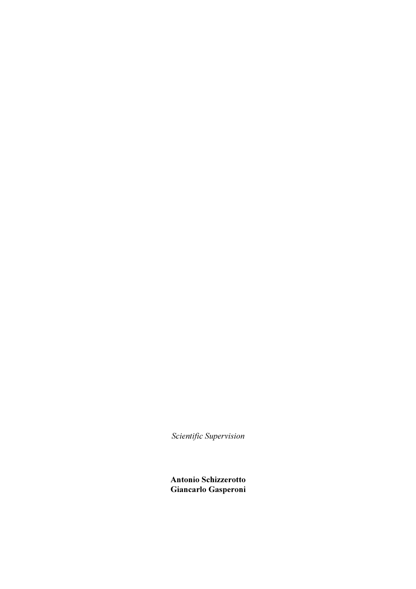$S$ *cientific Supervision* 

Antonio Schizzerotto Giancarlo Gasperoni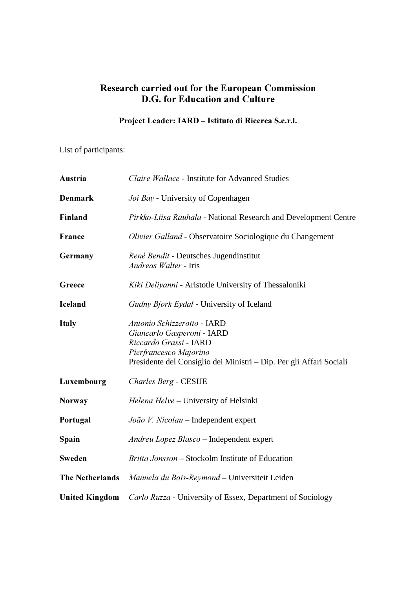### Research carried out for the European Commission D.G. for Education and Culture

### Project Leader: IARD - Istituto di Ricerca S.c.r.l.

List of participants:

| Austria                | Claire Wallace - Institute for Advanced Studies                                                                                                                                      |
|------------------------|--------------------------------------------------------------------------------------------------------------------------------------------------------------------------------------|
| <b>Denmark</b>         | Joi Bay - University of Copenhagen                                                                                                                                                   |
| Finland                | Pirkko-Liisa Rauhala - National Research and Development Centre                                                                                                                      |
| France                 | Olivier Galland - Observatoire Sociologique du Changement                                                                                                                            |
| Germany                | René Bendit - Deutsches Jugendinstitut<br>Andreas Walter - Iris                                                                                                                      |
| Greece                 | Kiki Deliyanni - Aristotle University of Thessaloniki                                                                                                                                |
| <b>Iceland</b>         | Gudny Bjork Eydal - University of Iceland                                                                                                                                            |
| <b>Italy</b>           | Antonio Schizzerotto - IARD<br>Giancarlo Gasperoni - IARD<br>Riccardo Grassi - IARD<br>Pierfrancesco Majorino<br>Presidente del Consiglio dei Ministri – Dip. Per gli Affari Sociali |
| Luxembourg             | Charles Berg - CESIJE                                                                                                                                                                |
| <b>Norway</b>          | Helena Helve - University of Helsinki                                                                                                                                                |
| Portugal               | João V. Nicolau - Independent expert                                                                                                                                                 |
| Spain                  | Andreu Lopez Blasco - Independent expert                                                                                                                                             |
| Sweden                 | Britta Jonsson - Stockolm Institute of Education                                                                                                                                     |
| <b>The Netherlands</b> | Manuela du Bois-Reymond - Universiteit Leiden                                                                                                                                        |
| <b>United Kingdom</b>  | Carlo Ruzza - University of Essex, Department of Sociology                                                                                                                           |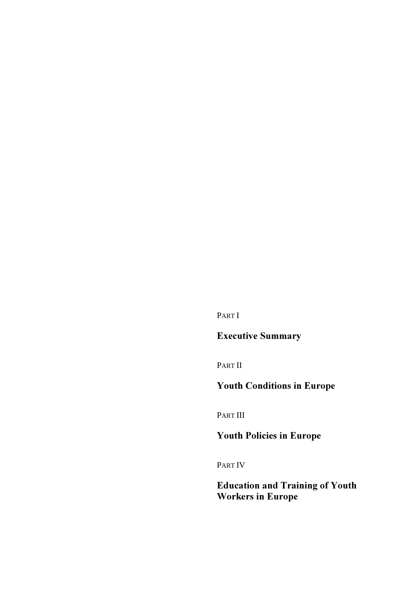PART I

# **Executive Summary**

PART II

# Youth Conditions in Europe

PART III

# Youth Policies in Europe

PART IV

### Education and Training of Youth Workers in Europe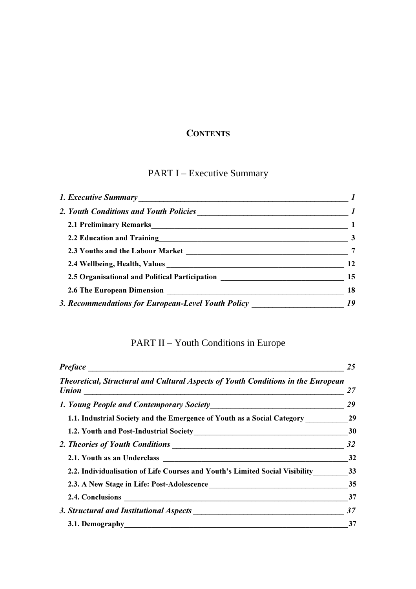### **CONTENTS**

# PART I – Executive Summary

| 2.1 Preliminary Remarks 1 and 2.1 Preliminary Remarks 1                              |                         |
|--------------------------------------------------------------------------------------|-------------------------|
|                                                                                      | $\overline{\mathbf{3}}$ |
|                                                                                      |                         |
|                                                                                      | 12                      |
| 2.5 Organisational and Political Participation __________________________________ 15 |                         |
|                                                                                      | 18                      |
| 3. Recommendations for European-Level Youth Policy ______________________________ 19 |                         |

# PART II – Youth Conditions in Europe

| <b>Preface</b>                                                                          |    |
|-----------------------------------------------------------------------------------------|----|
| <b>Theoretical, Structural and Cultural Aspects of Youth Conditions in the European</b> | 27 |
|                                                                                         | 29 |
| 1.1. Industrial Society and the Emergence of Youth as a Social Category 29              |    |
|                                                                                         | 30 |
|                                                                                         | 32 |
|                                                                                         | 32 |
| 2.2. Individualisation of Life Courses and Youth's Limited Social Visibility 33         |    |
|                                                                                         | 35 |
|                                                                                         | 37 |
|                                                                                         | 37 |
| 3.1. Demography                                                                         | 37 |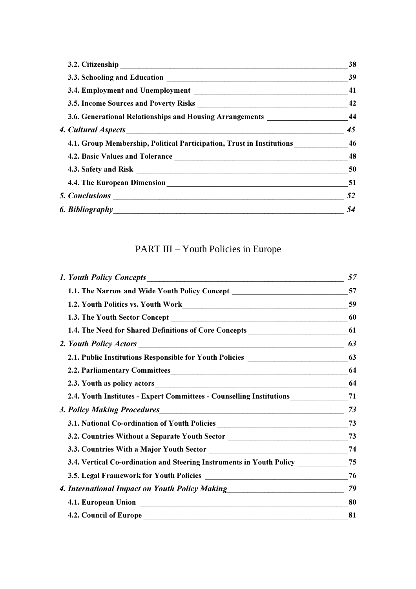|                                                                                       | 38 |
|---------------------------------------------------------------------------------------|----|
|                                                                                       | 39 |
|                                                                                       | 41 |
|                                                                                       | 42 |
| 3.6. Generational Relationships and Housing Arrangements ______________________44     |    |
|                                                                                       | 45 |
| 4.1. Group Membership, Political Participation, Trust in Institutions ____________ 46 |    |
|                                                                                       | 48 |
|                                                                                       | 50 |
|                                                                                       | 51 |
|                                                                                       | 52 |
|                                                                                       | 54 |

# PART III – Youth Policies in Europe

|                                                                                     | 57 |
|-------------------------------------------------------------------------------------|----|
| 1.1. The Narrow and Wide Youth Policy Concept _________________________________57   |    |
| 1.2. Youth Politics vs. Youth Work<br>59                                            |    |
|                                                                                     |    |
|                                                                                     |    |
|                                                                                     |    |
| 2.1. Public Institutions Responsible for Youth Policies _________________________63 |    |
|                                                                                     |    |
|                                                                                     |    |
| 2.4. Youth Institutes - Expert Committees - Counselling Institutions_____________71 |    |
| 3. Policy Making Procedures                                                         | 73 |
| 3.1. National Co-ordination of Youth Policies __________________________________73  |    |
| 3.2. Countries Without a Separate Youth Sector _________________________________73  |    |
|                                                                                     |    |
| 3.4. Vertical Co-ordination and Steering Instruments in Youth Policy ___________75  |    |
|                                                                                     |    |
| 4. International Impact on Youth Policy Making__________________________________    | 79 |
|                                                                                     | 80 |
|                                                                                     | 81 |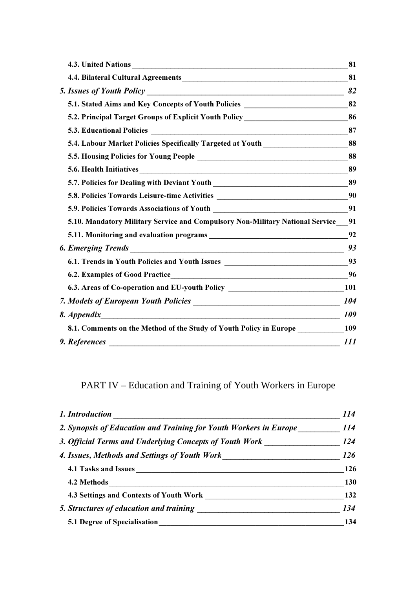|                                                                                      | 81         |
|--------------------------------------------------------------------------------------|------------|
|                                                                                      |            |
|                                                                                      | 82         |
| 5.1. Stated Aims and Key Concepts of Youth Policies _____________________________82  |            |
| 5.2. Principal Target Groups of Explicit Youth Policy___________________________86   |            |
|                                                                                      |            |
| 5.4. Labour Market Policies Specifically Targeted at Youth ______________________88  |            |
|                                                                                      |            |
|                                                                                      |            |
|                                                                                      |            |
| 5.8. Policies Towards Leisure-time Activities ___________________________________90  |            |
|                                                                                      |            |
| 5.10. Mandatory Military Service and Compulsory Non-Military National Service_01     |            |
|                                                                                      |            |
|                                                                                      | 93         |
|                                                                                      |            |
|                                                                                      | 96         |
| 6.3. Areas of Co-operation and EU-youth Policy __________________________________101 |            |
|                                                                                      |            |
| $\overline{\phantom{a}109}$<br>8. Appendix                                           |            |
| 8.1. Comments on the Method of the Study of Youth Policy in Europe ___________109    |            |
| 9. References                                                                        | <i>111</i> |
|                                                                                      |            |

# PART IV – Education and Training of Youth Workers in Europe

| 1. Introduction                                                   | 114        |
|-------------------------------------------------------------------|------------|
| 2. Synopsis of Education and Training for Youth Workers in Europe | 114        |
| 3. Official Terms and Underlying Concepts of Youth Work           | <b>124</b> |
| 4. Issues, Methods and Settings of Youth Work                     |            |
| 4.1 Tasks and Issues                                              | 126        |
| 4.2 Methods                                                       | 130        |
| 4.3 Settings and Contexts of Youth Work                           | 132        |
| 5. Structures of education and training                           | 134        |
| <b>5.1 Degree of Specialisation</b>                               | 134        |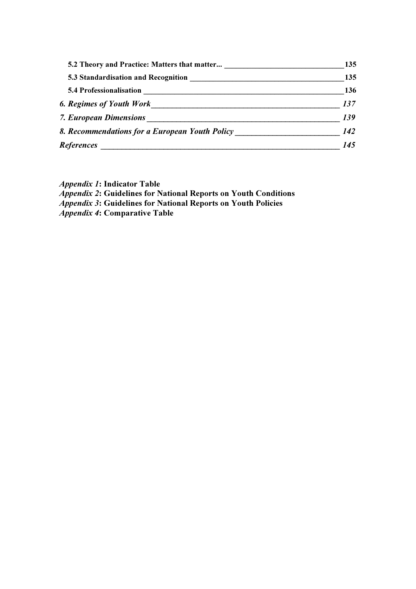| 5.2 Theory and Practice: Matters that matter   | 135 |
|------------------------------------------------|-----|
|                                                | 135 |
| <b>5.4 Professionalisation</b>                 | 136 |
| <b>6. Regimes of Youth Work</b>                | 137 |
| <b>7. European Dimensions</b>                  | 139 |
| 8. Recommendations for a European Youth Policy | 142 |
| References                                     | 145 |

*Appendix 1*: Indicator Table

Appendix 2: Guidelines for National Reports on Youth Conditions

Appendix 3: Guidelines for National Reports on Youth Policies

*Appendix 4*: Comparative Table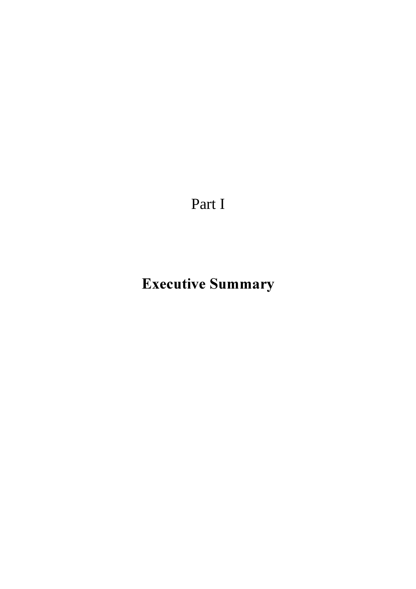Part I

# Executive Summary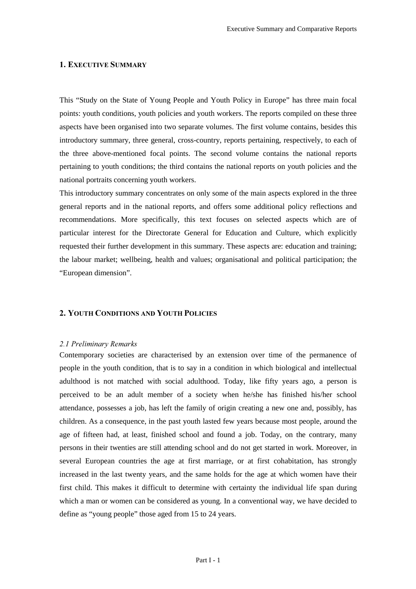#### 1. EXECUTIVE SUMMARY

This "Study on the State of Young People and Youth Policy in Europe" has three main focal points: youth conditions, youth policies and youth workers. The reports compiled on these three aspects have been organised into two separate volumes. The first volume contains, besides this introductory summary, three general, cross-country, reports pertaining, respectively, to each of the three above-mentioned focal points. The second volume contains the national reports pertaining to youth conditions; the third contains the national reports on youth policies and the national portraits concerning youth workers.

This introductory summary concentrates on only some of the main aspects explored in the three general reports and in the national reports, and offers some additional policy reflections and recommendations. More specifically, this text focuses on selected aspects which are of particular interest for the Directorate General for Education and Culture, which explicitly requested their further development in this summary. These aspects are: education and training; the labour market; wellbeing, health and values; organisational and political participation; the "European dimension".

#### 2. YOUTH CONDITIONS AND YOUTH POLICIES

#### 2.1 Preliminary Remarks

Contemporary societies are characterised by an extension over time of the permanence of people in the youth condition, that is to say in a condition in which biological and intellectual adulthood is not matched with social adulthood. Today, like fifty years ago, a person is perceived to be an adult member of a society when he/she has finished his/her school attendance, possesses a job, has left the family of origin creating a new one and, possibly, has children. As a consequence, in the past youth lasted few years because most people, around the age of fifteen had, at least, finished school and found a job. Today, on the contrary, many persons in their twenties are still attending school and do not get started in work. Moreover, in several European countries the age at first marriage, or at first cohabitation, has strongly increased in the last twenty years, and the same holds for the age at which women have their first child. This makes it difficult to determine with certainty the individual life span during which a man or women can be considered as young. In a conventional way, we have decided to define as "young people" those aged from 15 to 24 years.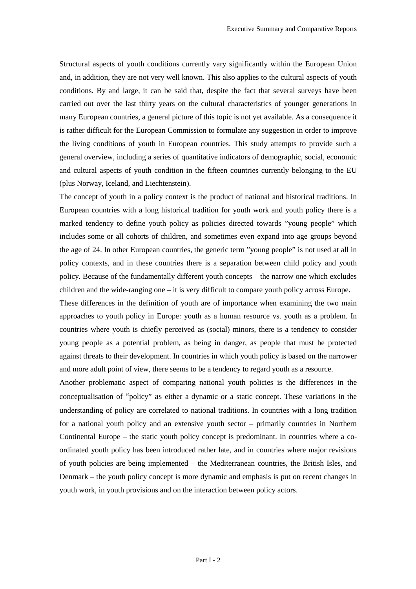Structural aspects of youth conditions currently vary significantly within the European Union and, in addition, they are not very well known. This also applies to the cultural aspects of youth conditions. By and large, it can be said that, despite the fact that several surveys have been carried out over the last thirty years on the cultural characteristics of younger generations in many European countries, a general picture of this topic is not yet available. As a consequence it is rather difficult for the European Commission to formulate any suggestion in order to improve the living conditions of youth in European countries. This study attempts to provide such a general overview, including a series of quantitative indicators of demographic, social, economic and cultural aspects of youth condition in the fifteen countries currently belonging to the EU (plus Norway, Iceland, and Liechtenstein).

The concept of youth in a policy context is the product of national and historical traditions. In European countries with a long historical tradition for youth work and youth policy there is a marked tendency to define youth policy as policies directed towards "young people" which includes some or all cohorts of children, and sometimes even expand into age groups beyond the age of 24. In other European countries, the generic term "young people" is not used at all in policy contexts, and in these countries there is a separation between child policy and youth policy. Because of the fundamentally different youth concepts – the narrow one which excludes children and the wide-ranging one – it is very difficult to compare youth policy across Europe.

These differences in the definition of youth are of importance when examining the two main approaches to youth policy in Europe: youth as a human resource vs. youth as a problem. In countries where youth is chiefly perceived as (social) minors, there is a tendency to consider young people as a potential problem, as being in danger, as people that must be protected against threats to their development. In countries in which youth policy is based on the narrower and more adult point of view, there seems to be a tendency to regard youth as a resource.

Another problematic aspect of comparing national youth policies is the differences in the conceptualisation of "policy" as either a dynamic or a static concept. These variations in the understanding of policy are correlated to national traditions. In countries with a long tradition for a national youth policy and an extensive youth sector – primarily countries in Northern Continental Europe – the static youth policy concept is predominant. In countries where a coordinated youth policy has been introduced rather late, and in countries where major revisions of youth policies are being implemented – the Mediterranean countries, the British Isles, and Denmark – the youth policy concept is more dynamic and emphasis is put on recent changes in youth work, in youth provisions and on the interaction between policy actors.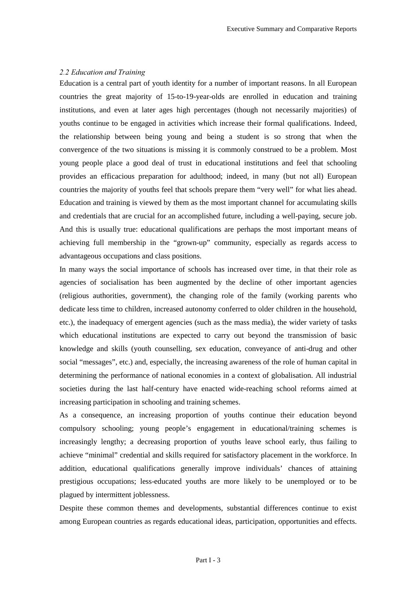#### *<i>(A) C.2 Education and Training*

Education is a central part of youth identity for a number of important reasons. In all European countries the great majority of 15-to-19-year-olds are enrolled in education and training institutions, and even at later ages high percentages (though not necessarily majorities) of youths continue to be engaged in activities which increase their formal qualifications. Indeed, the relationship between being young and being a student is so strong that when the convergence of the two situations is missing it is commonly construed to be a problem. Most young people place a good deal of trust in educational institutions and feel that schooling provides an efficacious preparation for adulthood; indeed, in many (but not all) European countries the majority of youths feel that schools prepare them "very well" for what lies ahead. Education and training is viewed by them as the most important channel for accumulating skills and credentials that are crucial for an accomplished future, including a well-paying, secure job. And this is usually true: educational qualifications are perhaps the most important means of achieving full membership in the "grown-up" community, especially as regards access to advantageous occupations and class positions.

In many ways the social importance of schools has increased over time, in that their role as agencies of socialisation has been augmented by the decline of other important agencies (religious authorities, government), the changing role of the family (working parents who dedicate less time to children, increased autonomy conferred to older children in the household, etc.), the inadequacy of emergent agencies (such as the mass media), the wider variety of tasks which educational institutions are expected to carry out beyond the transmission of basic knowledge and skills (youth counselling, sex education, conveyance of anti-drug and other social "messages", etc.) and, especially, the increasing awareness of the role of human capital in determining the performance of national economies in a context of globalisation. All industrial societies during the last half-century have enacted wide-reaching school reforms aimed at increasing participation in schooling and training schemes.

As a consequence, an increasing proportion of youths continue their education beyond compulsory schooling; young people's engagement in educational/training schemes is increasingly lengthy; a decreasing proportion of youths leave school early, thus failing to achieve "minimal" credential and skills required for satisfactory placement in the workforce. In addition, educational qualifications generally improve individuals' chances of attaining prestigious occupations; less-educated youths are more likely to be unemployed or to be plagued by intermittent joblessness.

Despite these common themes and developments, substantial differences continue to exist among European countries as regards educational ideas, participation, opportunities and effects.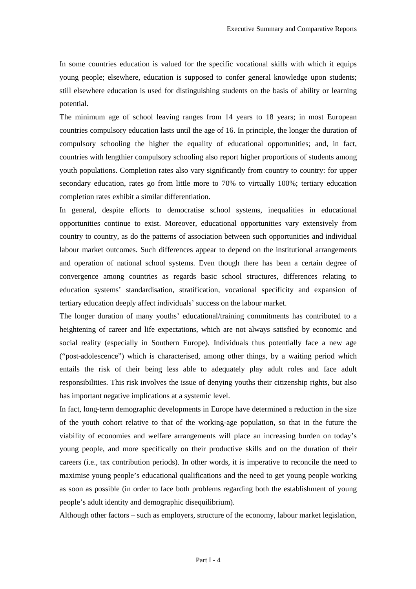In some countries education is valued for the specific vocational skills with which it equips young people; elsewhere, education is supposed to confer general knowledge upon students; still elsewhere education is used for distinguishing students on the basis of ability or learning potential.

The minimum age of school leaving ranges from 14 years to 18 years; in most European countries compulsory education lasts until the age of 16. In principle, the longer the duration of compulsory schooling the higher the equality of educational opportunities; and, in fact, countries with lengthier compulsory schooling also report higher proportions of students among youth populations. Completion rates also vary significantly from country to country: for upper secondary education, rates go from little more to 70% to virtually 100%; tertiary education completion rates exhibit a similar differentiation.

In general, despite efforts to democratise school systems, inequalities in educational opportunities continue to exist. Moreover, educational opportunities vary extensively from country to country, as do the patterns of association between such opportunities and individual labour market outcomes. Such differences appear to depend on the institutional arrangements and operation of national school systems. Even though there has been a certain degree of convergence among countries as regards basic school structures, differences relating to education systems' standardisation, stratification, vocational specificity and expansion of tertiary education deeply affect individuals' success on the labour market.

The longer duration of many youths' educational/training commitments has contributed to a heightening of career and life expectations, which are not always satisfied by economic and social reality (especially in Southern Europe). Individuals thus potentially face a new age ("post-adolescence") which is characterised, among other things, by a waiting period which entails the risk of their being less able to adequately play adult roles and face adult responsibilities. This risk involves the issue of denying youths their citizenship rights, but also has important negative implications at a systemic level.

In fact, long-term demographic developments in Europe have determined a reduction in the size of the youth cohort relative to that of the working-age population, so that in the future the viability of economies and welfare arrangements will place an increasing burden on today's young people, and more specifically on their productive skills and on the duration of their careers (i.e., tax contribution periods). In other words, it is imperative to reconcile the need to maximise young people's educational qualifications and the need to get young people working as soon as possible (in order to face both problems regarding both the establishment of young people's adult identity and demographic disequilibrium).

Although other factors – such as employers, structure of the economy, labour market legislation,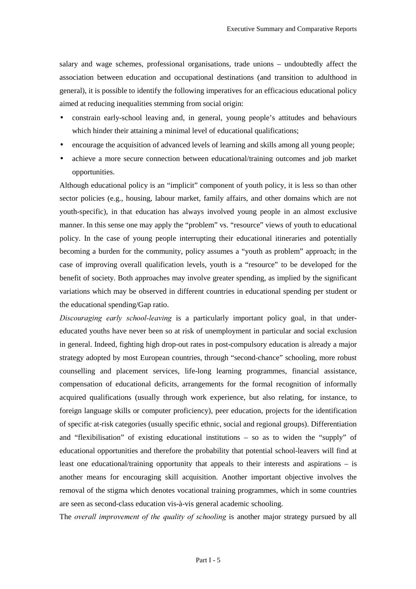salary and wage schemes, professional organisations, trade unions – undoubtedly affect the association between education and occupational destinations (and transition to adulthood in general), it is possible to identify the following imperatives for an efficacious educational policy aimed at reducing inequalities stemming from social origin:

- constrain early-school leaving and, in general, young people's attitudes and behaviours which hinder their attaining a minimal level of educational qualifications;
- encourage the acquisition of advanced levels of learning and skills among all young people;
- achieve a more secure connection between educational/training outcomes and job market opportunities.

Although educational policy is an "implicit" component of youth policy, it is less so than other sector policies (e.g., housing, labour market, family affairs, and other domains which are not youth-specific), in that education has always involved young people in an almost exclusive manner. In this sense one may apply the "problem" vs. "resource" views of youth to educational policy. In the case of young people interrupting their educational itineraries and potentially becoming a burden for the community, policy assumes a "youth as problem" approach; in the case of improving overall qualification levels, youth is a "resource" to be developed for the benefit of society. Both approaches may involve greater spending, as implied by the significant variations which may be observed in different countries in educational spending per student or the educational spending/Gap ratio.

*Discouraging early school-leaving* is a particularly important policy goal, in that undereducated youths have never been so at risk of unemployment in particular and social exclusion in general. Indeed, fighting high drop-out rates in post-compulsory education is already a major strategy adopted by most European countries, through "second-chance" schooling, more robust counselling and placement services, life-long learning programmes, financial assistance, compensation of educational deficits, arrangements for the formal recognition of informally acquired qualifications (usually through work experience, but also relating, for instance, to foreign language skills or computer proficiency), peer education, projects for the identification of specific at-risk categories (usually specific ethnic, social and regional groups). Differentiation and "flexibilisation" of existing educational institutions – so as to widen the "supply" of educational opportunities and therefore the probability that potential school-leavers will find at least one educational/training opportunity that appeals to their interests and aspirations – is another means for encouraging skill acquisition. Another important objective involves the removal of the stigma which denotes vocational training programmes, which in some countries are seen as second-class education vis-à-vis general academic schooling.

The *overall improvement of the quality of schooling* is another major strategy pursued by all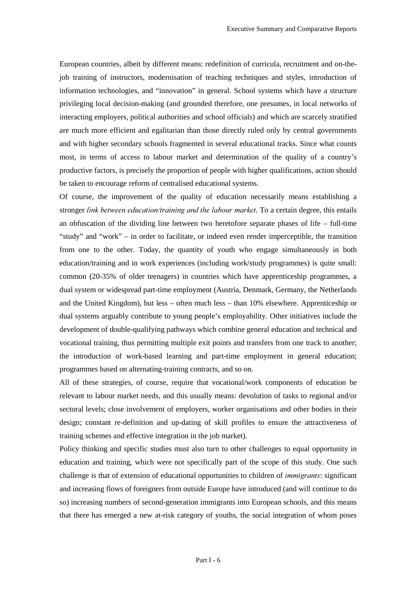European countries, albeit by different means: redefinition of curricula, recruitment and on-thejob training of instructors, modernisation of teaching techniques and styles, introduction of information technologies, and "innovation" in general. School systems which have a structure privileging local decision-making (and grounded therefore, one presumes, in local networks of interacting employers, political authorities and school officials) and which are scarcely stratified are much more efficient and egalitarian than those directly ruled only by central governments and with higher secondary schools fragmented in several educational tracks. Since what counts most, in terms of access to labour market and determination of the quality of a country's productive factors, is precisely the proportion of people with higher qualifications, action should be taken to encourage reform of centralised educational systems.

Of course, the improvement of the quality of education necessarily means establishing a stronger *link between education/training and the labour market*. To a certain degree, this entails an obfuscation of the dividing line between two heretofore separate phases of life – full-time "study" and "work" – in order to facilitate, or indeed even render imperceptible, the transition from one to the other. Today, the quantity of youth who engage simultaneously in both education/training and in work experiences (including work/study programmes) is quite small: common (20-35% of older teenagers) in countries which have apprenticeship programmes, a dual system or widespread part-time employment (Austria, Denmark, Germany, the Netherlands and the United Kingdom), but less – often much less – than 10% elsewhere. Apprenticeship or dual systems arguably contribute to young people's employability. Other initiatives include the development of double-qualifying pathways which combine general education and technical and vocational training, thus permitting multiple exit points and transfers from one track to another; the introduction of work-based learning and part-time employment in general education; programmes based on alternating-training contracts, and so on.

All of these strategies, of course, require that vocational/work components of education be relevant to labour market needs, and this usually means: devolution of tasks to regional and/or sectoral levels; close involvement of employers, worker organisations and other bodies in their design; constant re-definition and up-dating of skill profiles to ensure the attractiveness of training schemes and effective integration in the job market).

Policy thinking and specific studies must also turn to other challenges to equal opportunity in education and training, which were not specifically part of the scope of this study. One such challenge is that of extension of educational opportunities to children of *immigrants*: significant and increasing flows of foreigners from outside Europe have introduced (and will continue to do so) increasing numbers of second-generation immigrants into European schools, and this means that there has emerged a new at-risk category of youths, the social integration of whom poses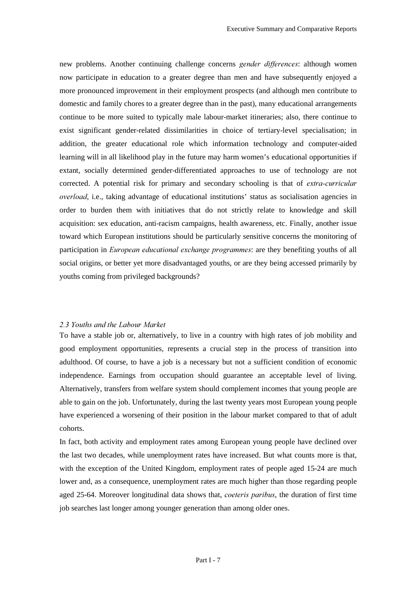new problems. Another continuing challenge concerns *gender differences*: although women now participate in education to a greater degree than men and have subsequently enjoyed a more pronounced improvement in their employment prospects (and although men contribute to domestic and family chores to a greater degree than in the past), many educational arrangements continue to be more suited to typically male labour-market itineraries; also, there continue to exist significant gender-related dissimilarities in choice of tertiary-level specialisation; in addition, the greater educational role which information technology and computer-aided learning will in all likelihood play in the future may harm women's educational opportunities if extant, socially determined gender-differentiated approaches to use of technology are not corrected. A potential risk for primary and secondary schooling is that of *extra-curricular overload*, i.e., taking advantage of educational institutions' status as socialisation agencies in order to burden them with initiatives that do not strictly relate to knowledge and skill acquisition: sex education, anti-racism campaigns, health awareness, etc. Finally, another issue toward which European institutions should be particularly sensitive concerns the monitoring of participation in *European educational exchange programmes*: are they benefiting youths of all social origins, or better yet more disadvantaged youths, or are they being accessed primarily by youths coming from privileged backgrounds?

#### 2.3 Youths and the Labour Market

To have a stable job or, alternatively, to live in a country with high rates of job mobility and good employment opportunities, represents a crucial step in the process of transition into adulthood. Of course, to have a job is a necessary but not a sufficient condition of economic independence. Earnings from occupation should guarantee an acceptable level of living. Alternatively, transfers from welfare system should complement incomes that young people are able to gain on the job. Unfortunately, during the last twenty years most European young people have experienced a worsening of their position in the labour market compared to that of adult cohorts.

In fact, both activity and employment rates among European young people have declined over the last two decades, while unemployment rates have increased. But what counts more is that, with the exception of the United Kingdom, employment rates of people aged 15-24 are much lower and, as a consequence, unemployment rates are much higher than those regarding people aged 25-64. Moreover longitudinal data shows that, *coeteris paribus*, the duration of first time job searches last longer among younger generation than among older ones.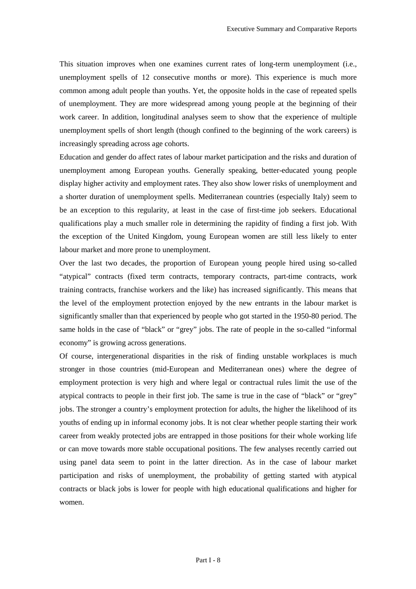This situation improves when one examines current rates of long-term unemployment (i.e., unemployment spells of 12 consecutive months or more). This experience is much more common among adult people than youths. Yet, the opposite holds in the case of repeated spells of unemployment. They are more widespread among young people at the beginning of their work career. In addition, longitudinal analyses seem to show that the experience of multiple unemployment spells of short length (though confined to the beginning of the work careers) is increasingly spreading across age cohorts.

Education and gender do affect rates of labour market participation and the risks and duration of unemployment among European youths. Generally speaking, better-educated young people display higher activity and employment rates. They also show lower risks of unemployment and a shorter duration of unemployment spells. Mediterranean countries (especially Italy) seem to be an exception to this regularity, at least in the case of first-time job seekers. Educational qualifications play a much smaller role in determining the rapidity of finding a first job. With the exception of the United Kingdom, young European women are still less likely to enter labour market and more prone to unemployment.

Over the last two decades, the proportion of European young people hired using so-called "atypical" contracts (fixed term contracts, temporary contracts, part-time contracts, work training contracts, franchise workers and the like) has increased significantly. This means that the level of the employment protection enjoyed by the new entrants in the labour market is significantly smaller than that experienced by people who got started in the 1950-80 period. The same holds in the case of "black" or "grey" jobs. The rate of people in the so-called "informal economy" is growing across generations.

Of course, intergenerational disparities in the risk of finding unstable workplaces is much stronger in those countries (mid-European and Mediterranean ones) where the degree of employment protection is very high and where legal or contractual rules limit the use of the atypical contracts to people in their first job. The same is true in the case of "black" or "grey" jobs. The stronger a country's employment protection for adults, the higher the likelihood of its youths of ending up in informal economy jobs. It is not clear whether people starting their work career from weakly protected jobs are entrapped in those positions for their whole working life or can move towards more stable occupational positions. The few analyses recently carried out using panel data seem to point in the latter direction. As in the case of labour market participation and risks of unemployment, the probability of getting started with atypical contracts or black jobs is lower for people with high educational qualifications and higher for women.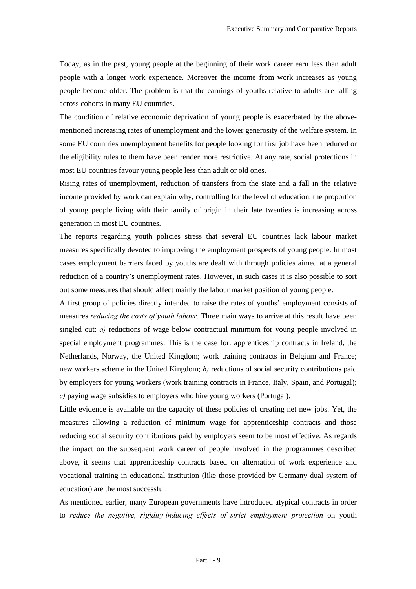Today, as in the past, young people at the beginning of their work career earn less than adult people with a longer work experience. Moreover the income from work increases as young people become older. The problem is that the earnings of youths relative to adults are falling across cohorts in many EU countries.

The condition of relative economic deprivation of young people is exacerbated by the abovementioned increasing rates of unemployment and the lower generosity of the welfare system. In some EU countries unemployment benefits for people looking for first job have been reduced or the eligibility rules to them have been render more restrictive. At any rate, social protections in most EU countries favour young people less than adult or old ones.

Rising rates of unemployment, reduction of transfers from the state and a fall in the relative income provided by work can explain why, controlling for the level of education, the proportion of young people living with their family of origin in their late twenties is increasing across generation in most EU countries.

The reports regarding youth policies stress that several EU countries lack labour market measures specifically devoted to improving the employment prospects of young people. In most cases employment barriers faced by youths are dealt with through policies aimed at a general reduction of a country's unemployment rates. However, in such cases it is also possible to sort out some measures that should affect mainly the labour market position of young people.

A first group of policies directly intended to raise the rates of youths' employment consists of measures *reducing the costs of youth labour*. Three main ways to arrive at this result have been singled out:  $a$ ) reductions of wage below contractual minimum for young people involved in special employment programmes. This is the case for: apprenticeship contracts in Ireland, the Netherlands, Norway, the United Kingdom; work training contracts in Belgium and France; new workers scheme in the United Kingdom; *b*) reductions of social security contributions paid by employers for young workers (work training contracts in France, Italy, Spain, and Portugal); *c*) paying wage subsidies to employers who hire young workers (Portugal).

Little evidence is available on the capacity of these policies of creating net new jobs. Yet, the measures allowing a reduction of minimum wage for apprenticeship contracts and those reducing social security contributions paid by employers seem to be most effective. As regards the impact on the subsequent work career of people involved in the programmes described above, it seems that apprenticeship contracts based on alternation of work experience and vocational training in educational institution (like those provided by Germany dual system of education) are the most successful.

As mentioned earlier, many European governments have introduced atypical contracts in order to *reduce the negative, rigidity-inducing effects of strict employment protection* on youth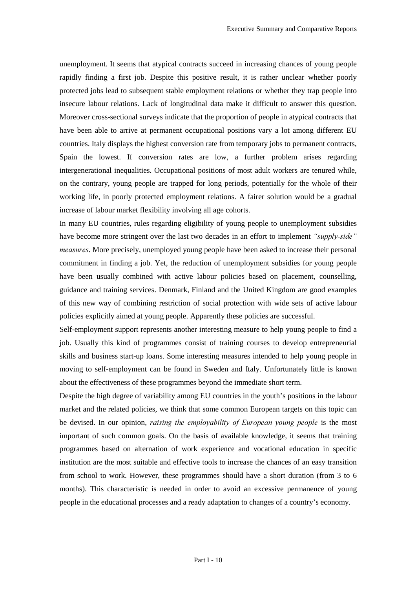unemployment. It seems that atypical contracts succeed in increasing chances of young people rapidly finding a first job. Despite this positive result, it is rather unclear whether poorly protected jobs lead to subsequent stable employment relations or whether they trap people into insecure labour relations. Lack of longitudinal data make it difficult to answer this question. Moreover cross-sectional surveys indicate that the proportion of people in atypical contracts that have been able to arrive at permanent occupational positions vary a lot among different EU countries. Italy displays the highest conversion rate from temporary jobs to permanent contracts, Spain the lowest. If conversion rates are low, a further problem arises regarding intergenerational inequalities. Occupational positions of most adult workers are tenured while, on the contrary, young people are trapped for long periods, potentially for the whole of their working life, in poorly protected employment relations. A fairer solution would be a gradual increase of labour market flexibility involving all age cohorts.

In many EU countries, rules regarding eligibility of young people to unemployment subsidies have become more stringent over the last two decades in an effort to implement *"supply-side" Measures*. More precisely, unemployed young people have been asked to increase their personal commitment in finding a job. Yet, the reduction of unemployment subsidies for young people have been usually combined with active labour policies based on placement, counselling, guidance and training services. Denmark, Finland and the United Kingdom are good examples of this new way of combining restriction of social protection with wide sets of active labour policies explicitly aimed at young people. Apparently these policies are successful.

Self-employment support represents another interesting measure to help young people to find a job. Usually this kind of programmes consist of training courses to develop entrepreneurial skills and business start-up loans. Some interesting measures intended to help young people in moving to self-employment can be found in Sweden and Italy. Unfortunately little is known about the effectiveness of these programmes beyond the immediate short term.

Despite the high degree of variability among EU countries in the youth's positions in the labour market and the related policies, we think that some common European targets on this topic can be devised. In our opinion, *raising the employability of European young people* is the most important of such common goals. On the basis of available knowledge, it seems that training programmes based on alternation of work experience and vocational education in specific institution are the most suitable and effective tools to increase the chances of an easy transition from school to work. However, these programmes should have a short duration (from 3 to 6 months). This characteristic is needed in order to avoid an excessive permanence of young people in the educational processes and a ready adaptation to changes of a country's economy.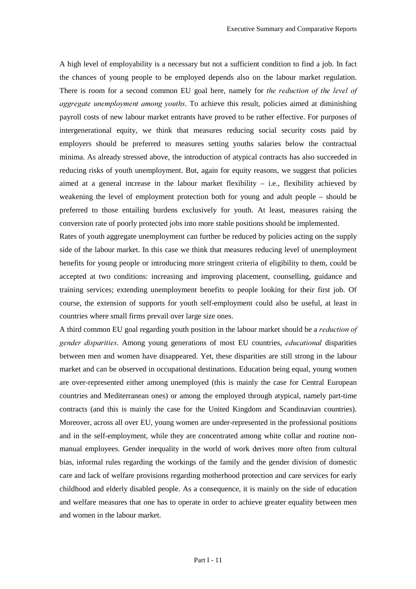A high level of employability is a necessary but not a sufficient condition to find a job. In fact the chances of young people to be employed depends also on the labour market regulation. There is room for a second common EU goal here, namely for *the reduction of the level of aggregate unemployment among youths*. To achieve this result, policies aimed at diminishing payroll costs of new labour market entrants have proved to be rather effective. For purposes of intergenerational equity, we think that measures reducing social security costs paid by employers should be preferred to measures setting youths salaries below the contractual minima. As already stressed above, the introduction of atypical contracts has also succeeded in reducing risks of youth unemployment. But, again for equity reasons, we suggest that policies aimed at a general increase in the labour market flexibility – i.e., flexibility achieved by weakening the level of employment protection both for young and adult people – should be preferred to those entailing burdens exclusively for youth. At least, measures raising the conversion rate of poorly protected jobs into more stable positions should be implemented.

Rates of youth aggregate unemployment can further be reduced by policies acting on the supply side of the labour market. In this case we think that measures reducing level of unemployment benefits for young people or introducing more stringent criteria of eligibility to them, could be accepted at two conditions: increasing and improving placement, counselling, guidance and training services; extending unemployment benefits to people looking for their first job. Of course, the extension of supports for youth self-employment could also be useful, at least in countries where small firms prevail over large size ones.

A third common EU goal regarding youth position in the labour market should be a *reduction of gender disparities.* Among young generations of most EU countries, *educational* disparities between men and women have disappeared. Yet, these disparities are still strong in the labour market and can be observed in occupational destinations. Education being equal, young women are over-represented either among unemployed (this is mainly the case for Central European countries and Mediterranean ones) or among the employed through atypical, namely part-time contracts (and this is mainly the case for the United Kingdom and Scandinavian countries). Moreover, across all over EU, young women are under-represented in the professional positions and in the self-employment, while they are concentrated among white collar and routine nonmanual employees. Gender inequality in the world of work derives more often from cultural bias, informal rules regarding the workings of the family and the gender division of domestic care and lack of welfare provisions regarding motherhood protection and care services for early childhood and elderly disabled people. As a consequence, it is mainly on the side of education and welfare measures that one has to operate in order to achieve greater equality between men and women in the labour market.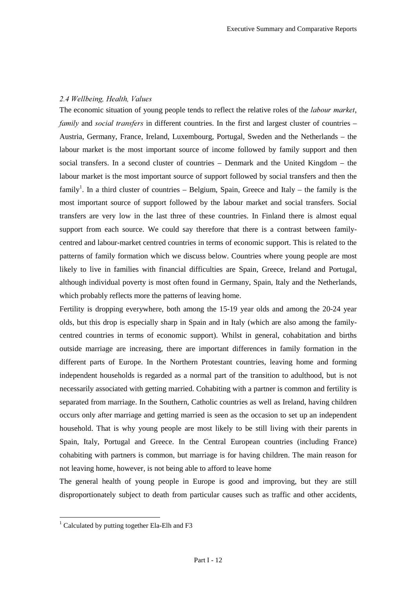#### 2.4 Wellbeing, Health, Values

The economic situation of young people tends to reflect the relative roles of the *labour market*, *family* and *social transfers* in different countries. In the first and largest cluster of countries – Austria, Germany, France, Ireland, Luxembourg, Portugal, Sweden and the Netherlands – the labour market is the most important source of income followed by family support and then social transfers. In a second cluster of countries – Denmark and the United Kingdom – the labour market is the most important source of support followed by social transfers and then the family<sup>1</sup>. In a third cluster of countries – Belgium, Spain, Greece and Italy – the family is the most important source of support followed by the labour market and social transfers. Social transfers are very low in the last three of these countries. In Finland there is almost equal support from each source. We could say therefore that there is a contrast between familycentred and labour-market centred countries in terms of economic support. This is related to the patterns of family formation which we discuss below. Countries where young people are most likely to live in families with financial difficulties are Spain, Greece, Ireland and Portugal, although individual poverty is most often found in Germany, Spain, Italy and the Netherlands, which probably reflects more the patterns of leaving home.

Fertility is dropping everywhere, both among the 15-19 year olds and among the 20-24 year olds, but this drop is especially sharp in Spain and in Italy (which are also among the familycentred countries in terms of economic support). Whilst in general, cohabitation and births outside marriage are increasing, there are important differences in family formation in the different parts of Europe. In the Northern Protestant countries, leaving home and forming independent households is regarded as a normal part of the transition to adulthood, but is not necessarily associated with getting married. Cohabiting with a partner is common and fertility is separated from marriage. In the Southern, Catholic countries as well as Ireland, having children occurs only after marriage and getting married is seen as the occasion to set up an independent household. That is why young people are most likely to be still living with their parents in Spain, Italy, Portugal and Greece. In the Central European countries (including France) cohabiting with partners is common, but marriage is for having children. The main reason for not leaving home, however, is not being able to afford to leave home

The general health of young people in Europe is good and improving, but they are still disproportionately subject to death from particular causes such as traffic and other accidents,

 $\overline{a}$ 

<sup>&</sup>lt;sup>1</sup> Calculated by putting together Ela-Elh and F3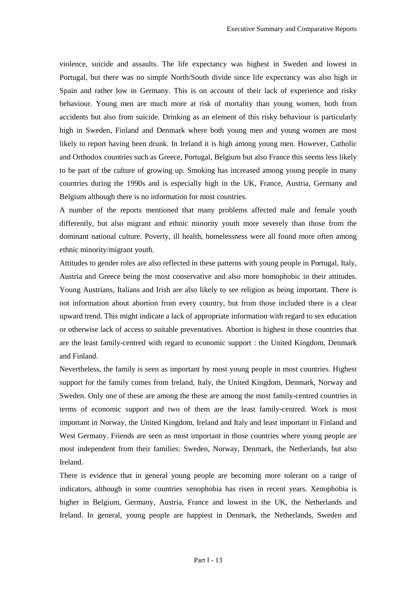violence, suicide and assaults. The life expectancy was highest in Sweden and lowest in Portugal, but there was no simple North/South divide since life expectancy was also high in Spain and rather low in Germany. This is on account of their lack of experience and risky behaviour. Young men are much more at risk of mortality than young women, both from accidents but also from suicide. Drinking as an element of this risky behaviour is particularly high in Sweden, Finland and Denmark where both young men and young women are most likely to report having been drunk. In Ireland it is high among young men. However, Catholic and Orthodox countries such as Greece, Portugal, Belgium but also France this seems less likely to be part of the culture of growing up. Smoking has increased among young people in many countries during the 1990s and is especially high in the UK, France, Austria, Germany and Belgium although there is no information for most countries.

A number of the reports mentioned that many problems affected male and female youth differently, but also migrant and ethnic minority youth more severely than those from the dominant national culture. Poverty, ill health, homelessness were all found more often among ethnic minority/migrant youth.

Attitudes to gender roles are also reflected in these patterns with young people in Portugal, Italy, Austria and Greece being the most conservative and also more homophobic in their attitudes. Young Austrians, Italians and Irish are also likely to see religion as being important. There is not information about abortion from every country, but from those included there is a clear upward trend. This might indicate a lack of appropriate information with regard to sex education or otherwise lack of access to suitable preventatives. Abortion is highest in those countries that are the least family-centred with regard to economic support : the United Kingdom, Denmark and Finland.

Nevertheless, the family is seen as important by most young people in most countries. Highest support for the family comes from Ireland, Italy, the United Kingdom, Denmark, Norway and Sweden. Only one of these are among the these are among the most family-centred countries in terms of economic support and two of them are the least family-centred. Work is most important in Norway, the United Kingdom, Ireland and Italy and least important in Finland and West Germany. Friends are seen as most important in those countries where young people are most independent from their families: Sweden, Norway, Denmark, the Netherlands, but also Ireland.

There is evidence that in general young people are becoming more tolerant on a range of indicators, although in some countries xenophobia has risen in recent years. Xenophobia is higher in Belgium, Germany, Austria, France and lowest in the UK, the Netherlands and Ireland. In general, young people are happiest in Denmark, the Netherlands, Sweden and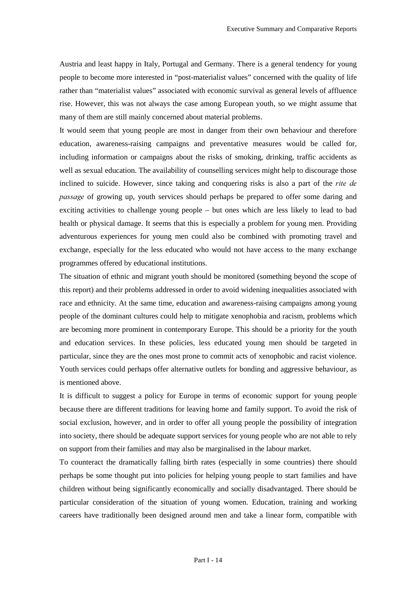Austria and least happy in Italy, Portugal and Germany. There is a general tendency for young people to become more interested in "post-materialist values" concerned with the quality of life rather than "materialist values" associated with economic survival as general levels of affluence rise. However, this was not always the case among European youth, so we might assume that many of them are still mainly concerned about material problems.

It would seem that young people are most in danger from their own behaviour and therefore education, awareness-raising campaigns and preventative measures would be called for, including information or campaigns about the risks of smoking, drinking, traffic accidents as well as sexual education. The availability of counselling services might help to discourage those inclined to suicide. However, since taking and conquering risks is also a part of the *rite de passage* of growing up, youth services should perhaps be prepared to offer some daring and exciting activities to challenge young people – but ones which are less likely to lead to bad health or physical damage. It seems that this is especially a problem for young men. Providing adventurous experiences for young men could also be combined with promoting travel and exchange, especially for the less educated who would not have access to the many exchange programmes offered by educational institutions.

The situation of ethnic and migrant youth should be monitored (something beyond the scope of this report) and their problems addressed in order to avoid widening inequalities associated with race and ethnicity. At the same time, education and awareness-raising campaigns among young people of the dominant cultures could help to mitigate xenophobia and racism, problems which are becoming more prominent in contemporary Europe. This should be a priority for the youth and education services. In these policies, less educated young men should be targeted in particular, since they are the ones most prone to commit acts of xenophobic and racist violence. Youth services could perhaps offer alternative outlets for bonding and aggressive behaviour, as is mentioned above.

It is difficult to suggest a policy for Europe in terms of economic support for young people because there are different traditions for leaving home and family support. To avoid the risk of social exclusion, however, and in order to offer all young people the possibility of integration into society, there should be adequate support services for young people who are not able to rely on support from their families and may also be marginalised in the labour market.

To counteract the dramatically falling birth rates (especially in some countries) there should perhaps be some thought put into policies for helping young people to start families and have children without being significantly economically and socially disadvantaged. There should be particular consideration of the situation of young women. Education, training and working careers have traditionally been designed around men and take a linear form, compatible with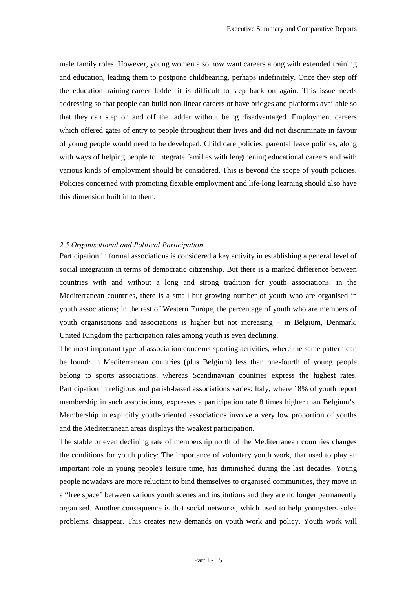male family roles. However, young women also now want careers along with extended training and education, leading them to postpone childbearing, perhaps indefinitely. Once they step off the education-training-career ladder it is difficult to step back on again. This issue needs addressing so that people can build non-linear careers or have bridges and platforms available so that they can step on and off the ladder without being disadvantaged. Employment careers which offered gates of entry to people throughout their lives and did not discriminate in favour of young people would need to be developed. Child care policies, parental leave policies, along with ways of helping people to integrate families with lengthening educational careers and with various kinds of employment should be considered. This is beyond the scope of youth policies. Policies concerned with promoting flexible employment and life-long learning should also have this dimension built in to them.

#### 2.5 Organisational and Political Participation

Participation in formal associations is considered a key activity in establishing a general level of social integration in terms of democratic citizenship. But there is a marked difference between countries with and without a long and strong tradition for youth associations: in the Mediterranean countries, there is a small but growing number of youth who are organised in youth associations; in the rest of Western Europe, the percentage of youth who are members of youth organisations and associations is higher but not increasing – in Belgium, Denmark, United Kingdom the participation rates among youth is even declining.

The most important type of association concerns sporting activities, where the same pattern can be found: in Mediterranean countries (plus Belgium) less than one-fourth of young people belong to sports associations, whereas Scandinavian countries express the highest rates. Participation in religious and parish-based associations varies: Italy, where 18% of youth report membership in such associations, expresses a participation rate 8 times higher than Belgium's. Membership in explicitly youth-oriented associations involve a very low proportion of youths and the Mediterranean areas displays the weakest participation.

The stable or even declining rate of membership north of the Mediterranean countries changes the conditions for youth policy: The importance of voluntary youth work, that used to play an important role in young people's leisure time, has diminished during the last decades. Young people nowadays are more reluctant to bind themselves to organised communities, they move in a "free space" between various youth scenes and institutions and they are no longer permanently organised. Another consequence is that social networks, which used to help youngsters solve problems, disappear. This creates new demands on youth work and policy. Youth work will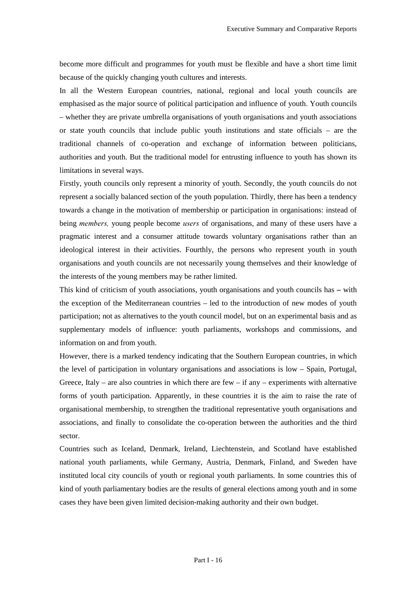become more difficult and programmes for youth must be flexible and have a short time limit because of the quickly changing youth cultures and interests.

In all the Western European countries, national, regional and local youth councils are emphasised as the major source of political participation and influence of youth. Youth councils – whether they are private umbrella organisations of youth organisations and youth associations or state youth councils that include public youth institutions and state officials – are the traditional channels of co-operation and exchange of information between politicians, authorities and youth. But the traditional model for entrusting influence to youth has shown its limitations in several ways.

Firstly, youth councils only represent a minority of youth. Secondly, the youth councils do not represent a socially balanced section of the youth population. Thirdly, there has been a tendency towards a change in the motivation of membership or participation in organisations: instead of being *members*, young people become *users* of organisations, and many of these users have a pragmatic interest and a consumer attitude towards voluntary organisations rather than an ideological interest in their activities. Fourthly, the persons who represent youth in youth organisations and youth councils are not necessarily young themselves and their knowledge of the interests of the young members may be rather limited.

This kind of criticism of youth associations, youth organisations and youth councils has  $-\text{with}$ the exception of the Mediterranean countries – led to the introduction of new modes of youth participation; not as alternatives to the youth council model, but on an experimental basis and as supplementary models of influence: youth parliaments, workshops and commissions, and information on and from youth.

However, there is a marked tendency indicating that the Southern European countries, in which the level of participation in voluntary organisations and associations is low – Spain, Portugal, Greece, Italy – are also countries in which there are few – if any – experiments with alternative forms of youth participation. Apparently, in these countries it is the aim to raise the rate of organisational membership, to strengthen the traditional representative youth organisations and associations, and finally to consolidate the co-operation between the authorities and the third sector.

Countries such as Iceland, Denmark, Ireland, Liechtenstein, and Scotland have established national youth parliaments, while Germany, Austria, Denmark, Finland, and Sweden have instituted local city councils of youth or regional youth parliaments. In some countries this of kind of youth parliamentary bodies are the results of general elections among youth and in some cases they have been given limited decision-making authority and their own budget.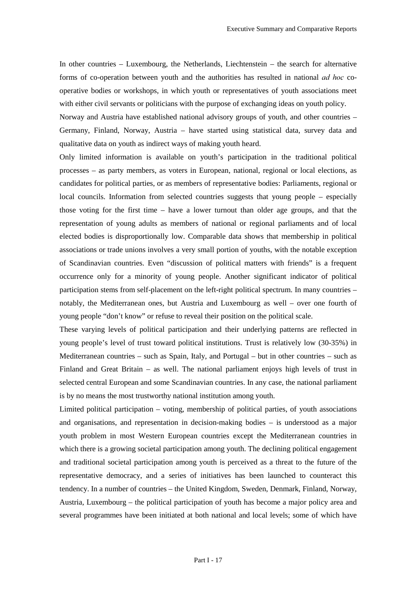In other countries – Luxembourg, the Netherlands, Liechtenstein – the search for alternative forms of co-operation between youth and the authorities has resulted in national *ad hoc* cooperative bodies or workshops, in which youth or representatives of youth associations meet with either civil servants or politicians with the purpose of exchanging ideas on youth policy.

Norway and Austria have established national advisory groups of youth, and other countries – Germany, Finland, Norway, Austria – have started using statistical data, survey data and qualitative data on youth as indirect ways of making youth heard.

Only limited information is available on youth's participation in the traditional political processes – as party members, as voters in European, national, regional or local elections, as candidates for political parties, or as members of representative bodies: Parliaments, regional or local councils. Information from selected countries suggests that young people – especially those voting for the first time – have a lower turnout than older age groups, and that the representation of young adults as members of national or regional parliaments and of local elected bodies is disproportionally low. Comparable data shows that membership in political associations or trade unions involves a very small portion of youths, with the notable exception of Scandinavian countries. Even "discussion of political matters with friends" is a frequent occurrence only for a minority of young people. Another significant indicator of political participation stems from self-placement on the left-right political spectrum. In many countries – notably, the Mediterranean ones, but Austria and Luxembourg as well – over one fourth of young people "don't know" or refuse to reveal their position on the political scale.

These varying levels of political participation and their underlying patterns are reflected in young people's level of trust toward political institutions. Trust is relatively low (30-35%) in Mediterranean countries – such as Spain, Italy, and Portugal – but in other countries – such as Finland and Great Britain – as well. The national parliament enjoys high levels of trust in selected central European and some Scandinavian countries. In any case, the national parliament is by no means the most trustworthy national institution among youth.

Limited political participation – voting, membership of political parties, of youth associations and organisations, and representation in decision-making bodies – is understood as a major youth problem in most Western European countries except the Mediterranean countries in which there is a growing societal participation among youth. The declining political engagement and traditional societal participation among youth is perceived as a threat to the future of the representative democracy, and a series of initiatives has been launched to counteract this tendency. In a number of countries – the United Kingdom, Sweden, Denmark, Finland, Norway, Austria, Luxembourg – the political participation of youth has become a major policy area and several programmes have been initiated at both national and local levels; some of which have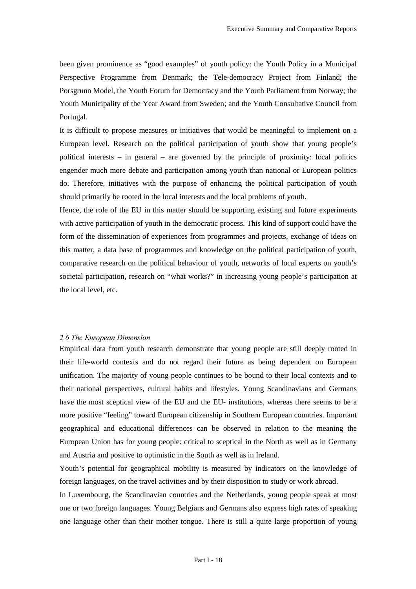been given prominence as "good examples" of youth policy: the Youth Policy in a Municipal Perspective Programme from Denmark; the Tele-democracy Project from Finland; the Porsgrunn Model, the Youth Forum for Democracy and the Youth Parliament from Norway; the Youth Municipality of the Year Award from Sweden; and the Youth Consultative Council from Portugal.

It is difficult to propose measures or initiatives that would be meaningful to implement on a European level. Research on the political participation of youth show that young people's political interests – in general – are governed by the principle of proximity: local politics engender much more debate and participation among youth than national or European politics do. Therefore, initiatives with the purpose of enhancing the political participation of youth should primarily be rooted in the local interests and the local problems of youth.

Hence, the role of the EU in this matter should be supporting existing and future experiments with active participation of youth in the democratic process. This kind of support could have the form of the dissemination of experiences from programmes and projects, exchange of ideas on this matter, a data base of programmes and knowledge on the political participation of youth, comparative research on the political behaviour of youth, networks of local experts on youth's societal participation, research on "what works?" in increasing young people's participation at the local level, etc.

#### 2.6 The European Dimension

Empirical data from youth research demonstrate that young people are still deeply rooted in their life-world contexts and do not regard their future as being dependent on European unification. The majority of young people continues to be bound to their local contexts and to their national perspectives, cultural habits and lifestyles. Young Scandinavians and Germans have the most sceptical view of the EU and the EU- institutions, whereas there seems to be a more positive "feeling" toward European citizenship in Southern European countries. Important geographical and educational differences can be observed in relation to the meaning the European Union has for young people: critical to sceptical in the North as well as in Germany and Austria and positive to optimistic in the South as well as in Ireland.

Youth's potential for geographical mobility is measured by indicators on the knowledge of foreign languages, on the travel activities and by their disposition to study or work abroad.

In Luxembourg, the Scandinavian countries and the Netherlands, young people speak at most one or two foreign languages. Young Belgians and Germans also express high rates of speaking one language other than their mother tongue. There is still a quite large proportion of young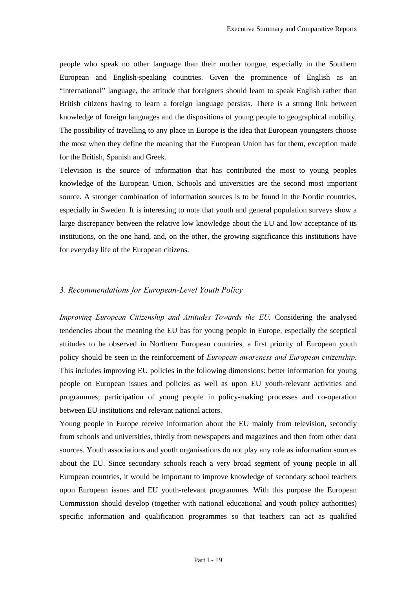people who speak no other language than their mother tongue, especially in the Southern European and English-speaking countries. Given the prominence of English as an "international" language, the attitude that foreigners should learn to speak English rather than British citizens having to learn a foreign language persists. There is a strong link between knowledge of foreign languages and the dispositions of young people to geographical mobility. The possibility of travelling to any place in Europe is the idea that European youngsters choose the most when they define the meaning that the European Union has for them, exception made for the British, Spanish and Greek.

Television is the source of information that has contributed the most to young peoples knowledge of the European Union. Schools and universities are the second most important source. A stronger combination of information sources is to be found in the Nordic countries, especially in Sweden. It is interesting to note that youth and general population surveys show a large discrepancy between the relative low knowledge about the EU and low acceptance of its institutions, on the one hand, and, on the other, the growing significance this institutions have for everyday life of the European citizens.

#### *3. Recommendations for European-Level Youth Policy*

*Improving European Citizenship and Attitudes Towards the EU.* Considering the analysed tendencies about the meaning the EU has for young people in Europe, especially the sceptical attitudes to be observed in Northern European countries, a first priority of European youth policy should be seen in the reinforcement of *European awareness and European citizenship*. This includes improving EU policies in the following dimensions: better information for young people on European issues and policies as well as upon EU youth-relevant activities and programmes; participation of young people in policy-making processes and co-operation between EU institutions and relevant national actors.

Young people in Europe receive information about the EU mainly from television, secondly from schools and universities, thirdly from newspapers and magazines and then from other data sources. Youth associations and youth organisations do not play any role as information sources about the EU. Since secondary schools reach a very broad segment of young people in all European countries, it would be important to improve knowledge of secondary school teachers upon European issues and EU youth-relevant programmes. With this purpose the European Commission should develop (together with national educational and youth policy authorities) specific information and qualification programmes so that teachers can act as qualified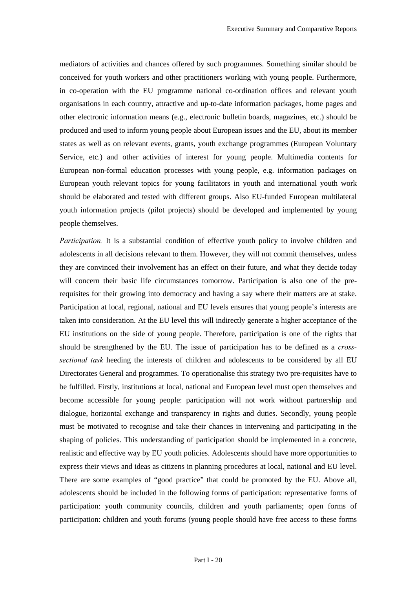mediators of activities and chances offered by such programmes. Something similar should be conceived for youth workers and other practitioners working with young people. Furthermore, in co-operation with the EU programme national co-ordination offices and relevant youth organisations in each country, attractive and up-to-date information packages, home pages and other electronic information means (e.g., electronic bulletin boards, magazines, etc.) should be produced and used to inform young people about European issues and the EU, about its member states as well as on relevant events, grants, youth exchange programmes (European Voluntary Service, etc.) and other activities of interest for young people. Multimedia contents for European non-formal education processes with young people, e.g. information packages on European youth relevant topics for young facilitators in youth and international youth work should be elaborated and tested with different groups. Also EU-funded European multilateral youth information projects (pilot projects) should be developed and implemented by young people themselves.

*Participation*. It is a substantial condition of effective youth policy to involve children and adolescents in all decisions relevant to them. However, they will not commit themselves, unless they are convinced their involvement has an effect on their future, and what they decide today will concern their basic life circumstances tomorrow. Participation is also one of the prerequisites for their growing into democracy and having a say where their matters are at stake. Participation at local, regional, national and EU levels ensures that young people's interests are taken into consideration. At the EU level this will indirectly generate a higher acceptance of the EU institutions on the side of young people. Therefore, participation is one of the rights that should be strengthened by the EU. The issue of participation has to be defined as a *crosssectional task* heeding the interests of children and adolescents to be considered by all EU Directorates General and programmes. To operationalise this strategy two pre-requisites have to be fulfilled. Firstly, institutions at local, national and European level must open themselves and become accessible for young people: participation will not work without partnership and dialogue, horizontal exchange and transparency in rights and duties. Secondly, young people must be motivated to recognise and take their chances in intervening and participating in the shaping of policies. This understanding of participation should be implemented in a concrete, realistic and effective way by EU youth policies. Adolescents should have more opportunities to express their views and ideas as citizens in planning procedures at local, national and EU level. There are some examples of "good practice" that could be promoted by the EU. Above all, adolescents should be included in the following forms of participation: representative forms of participation: youth community councils, children and youth parliaments; open forms of participation: children and youth forums (young people should have free access to these forms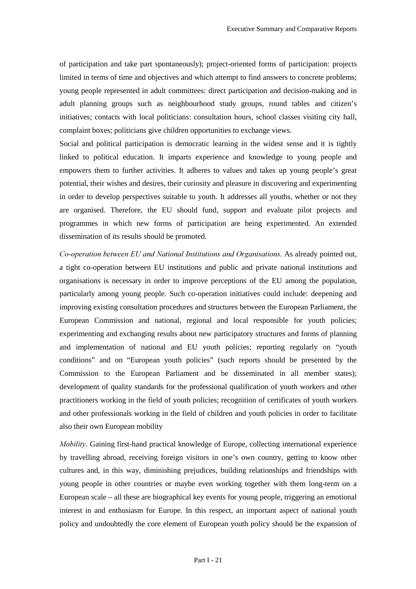of participation and take part spontaneously); project-oriented forms of participation: projects limited in terms of time and objectives and which attempt to find answers to concrete problems; young people represented in adult committees: direct participation and decision-making and in adult planning groups such as neighbourhood study groups, round tables and citizen's initiatives; contacts with local politicians: consultation hours, school classes visiting city hall, complaint boxes; politicians give children opportunities to exchange views.

Social and political participation is democratic learning in the widest sense and it is tightly linked to political education. It imparts experience and knowledge to young people and empowers them to further activities. It adheres to values and takes up young people's great potential, their wishes and desires, their curiosity and pleasure in discovering and experimenting in order to develop perspectives suitable to youth. It addresses all youths, whether or not they are organised. Therefore, the EU should fund, support and evaluate pilot projects and programmes in which new forms of participation are being experimented. An extended dissemination of its results should be promoted.

*Co-operation between EU and National Institutions and Organisations.* As already pointed out, a tight co-operation between EU institutions and public and private national institutions and organisations is necessary in order to improve perceptions of the EU among the population, particularly among young people. Such co-operation initiatives could include: deepening and improving existing consultation procedures and structures between the European Parliament, the European Commission and national, regional and local responsible for youth policies; experimenting and exchanging results about new participatory structures and forms of planning and implementation of national and EU youth policies; reporting regularly on "youth conditions" and on "European youth policies" (such reports should be presented by the Commission to the European Parliament and be disseminated in all member states); development of quality standards for the professional qualification of youth workers and other practitioners working in the field of youth policies; recognition of certificates of youth workers and other professionals working in the field of children and youth policies in order to facilitate also their own European mobility

*Mobility*. Gaining first-hand practical knowledge of Europe, collecting international experience by travelling abroad, receiving foreign visitors in one's own country, getting to know other cultures and, in this way, diminishing prejudices, building relationships and friendships with young people in other countries or maybe even working together with them long-term on a European scale – all these are biographical key events for young people, triggering an emotional interest in and enthusiasm for Europe. In this respect, an important aspect of national youth policy and undoubtedly the core element of European youth policy should be the expansion of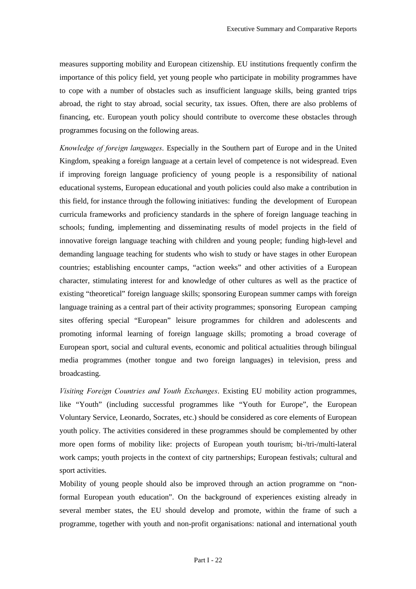measures supporting mobility and European citizenship. EU institutions frequently confirm the importance of this policy field, yet young people who participate in mobility programmes have to cope with a number of obstacles such as insufficient language skills, being granted trips abroad, the right to stay abroad, social security, tax issues. Often, there are also problems of financing, etc. European youth policy should contribute to overcome these obstacles through programmes focusing on the following areas.

*Knowledge of foreign languages.* Especially in the Southern part of Europe and in the United Kingdom, speaking a foreign language at a certain level of competence is not widespread. Even if improving foreign language proficiency of young people is a responsibility of national educational systems, European educational and youth policies could also make a contribution in this field, for instance through the following initiatives: funding the development of European curricula frameworks and proficiency standards in the sphere of foreign language teaching in schools; funding, implementing and disseminating results of model projects in the field of innovative foreign language teaching with children and young people; funding high-level and demanding language teaching for students who wish to study or have stages in other European countries; establishing encounter camps, "action weeks" and other activities of a European character, stimulating interest for and knowledge of other cultures as well as the practice of existing "theoretical" foreign language skills; sponsoring European summer camps with foreign language training as a central part of their activity programmes; sponsoring European camping sites offering special "European" leisure programmes for children and adolescents and promoting informal learning of foreign language skills; promoting a broad coverage of European sport, social and cultural events, economic and political actualities through bilingual media programmes (mother tongue and two foreign languages) in television, press and broadcasting.

*Visiting Foreign Countries and Youth Exchanges.* Existing EU mobility action programmes, like "Youth" (including successful programmes like "Youth for Europe", the European Voluntary Service, Leonardo, Socrates, etc.) should be considered as core elements of European youth policy. The activities considered in these programmes should be complemented by other more open forms of mobility like: projects of European youth tourism; bi-/tri-/multi-lateral work camps; youth projects in the context of city partnerships; European festivals; cultural and sport activities.

Mobility of young people should also be improved through an action programme on "nonformal European youth education". On the background of experiences existing already in several member states, the EU should develop and promote, within the frame of such a programme, together with youth and non-profit organisations: national and international youth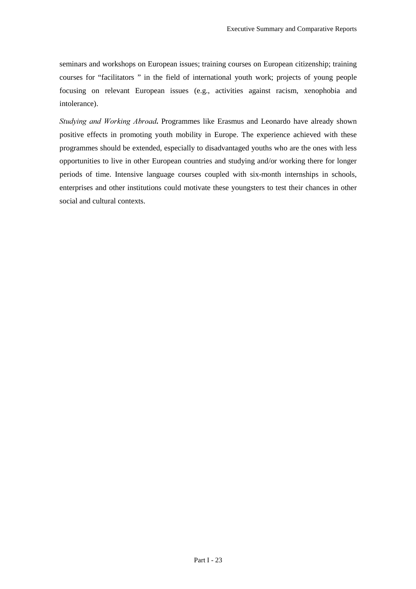seminars and workshops on European issues; training courses on European citizenship; training courses for "facilitators " in the field of international youth work; projects of young people focusing on relevant European issues (e.g., activities against racism, xenophobia and intolerance).

*Studying and Working Abroad*. Programmes like Erasmus and Leonardo have already shown positive effects in promoting youth mobility in Europe. The experience achieved with these programmes should be extended, especially to disadvantaged youths who are the ones with less opportunities to live in other European countries and studying and/or working there for longer periods of time. Intensive language courses coupled with six-month internships in schools, enterprises and other institutions could motivate these youngsters to test their chances in other social and cultural contexts.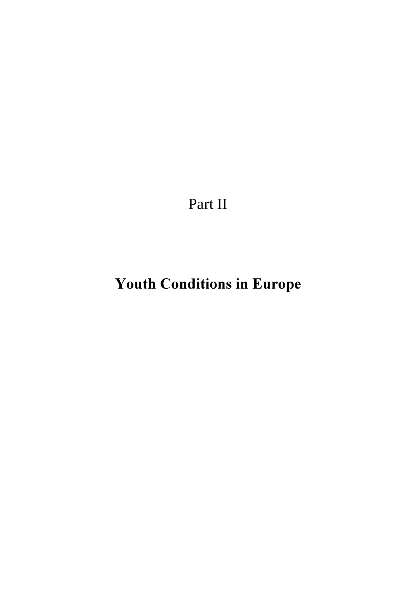Part II

# Youth Conditions in Europe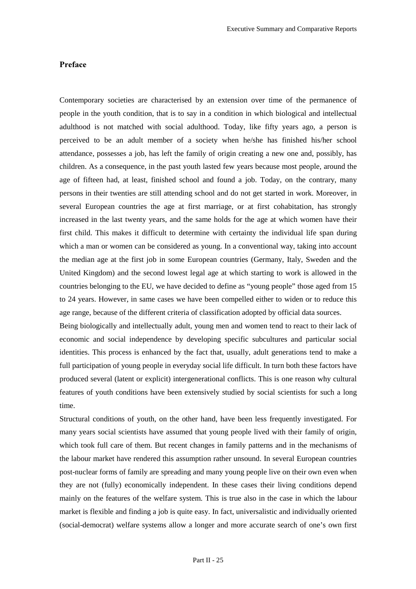#### Preface

Contemporary societies are characterised by an extension over time of the permanence of people in the youth condition, that is to say in a condition in which biological and intellectual adulthood is not matched with social adulthood. Today, like fifty years ago, a person is perceived to be an adult member of a society when he/she has finished his/her school attendance, possesses a job, has left the family of origin creating a new one and, possibly, has children. As a consequence, in the past youth lasted few years because most people, around the age of fifteen had, at least, finished school and found a job. Today, on the contrary, many persons in their twenties are still attending school and do not get started in work. Moreover, in several European countries the age at first marriage, or at first cohabitation, has strongly increased in the last twenty years, and the same holds for the age at which women have their first child. This makes it difficult to determine with certainty the individual life span during which a man or women can be considered as young. In a conventional way, taking into account the median age at the first job in some European countries (Germany, Italy, Sweden and the United Kingdom) and the second lowest legal age at which starting to work is allowed in the countries belonging to the EU, we have decided to define as "young people" those aged from 15 to 24 years. However, in same cases we have been compelled either to widen or to reduce this age range, because of the different criteria of classification adopted by official data sources.

Being biologically and intellectually adult, young men and women tend to react to their lack of economic and social independence by developing specific subcultures and particular social identities. This process is enhanced by the fact that, usually, adult generations tend to make a full participation of young people in everyday social life difficult. In turn both these factors have produced several (latent or explicit) intergenerational conflicts. This is one reason why cultural features of youth conditions have been extensively studied by social scientists for such a long time.

Structural conditions of youth, on the other hand, have been less frequently investigated. For many years social scientists have assumed that young people lived with their family of origin, which took full care of them. But recent changes in family patterns and in the mechanisms of the labour market have rendered this assumption rather unsound. In several European countries post-nuclear forms of family are spreading and many young people live on their own even when they are not (fully) economically independent. In these cases their living conditions depend mainly on the features of the welfare system. This is true also in the case in which the labour market is flexible and finding a job is quite easy. In fact, universalistic and individually oriented (social-democrat) welfare systems allow a longer and more accurate search of one's own first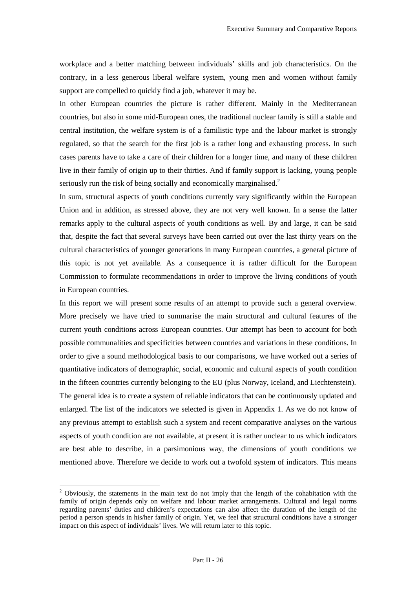workplace and a better matching between individuals' skills and job characteristics. On the contrary, in a less generous liberal welfare system, young men and women without family support are compelled to quickly find a job, whatever it may be.

In other European countries the picture is rather different. Mainly in the Mediterranean countries, but also in some mid-European ones, the traditional nuclear family is still a stable and central institution, the welfare system is of a familistic type and the labour market is strongly regulated, so that the search for the first job is a rather long and exhausting process. In such cases parents have to take a care of their children for a longer time, and many of these children live in their family of origin up to their thirties. And if family support is lacking, young people seriously run the risk of being socially and economically marginalised.<sup>2</sup>

In sum, structural aspects of youth conditions currently vary significantly within the European Union and in addition, as stressed above, they are not very well known. In a sense the latter remarks apply to the cultural aspects of youth conditions as well. By and large, it can be said that, despite the fact that several surveys have been carried out over the last thirty years on the cultural characteristics of younger generations in many European countries, a general picture of this topic is not yet available. As a consequence it is rather difficult for the European Commission to formulate recommendations in order to improve the living conditions of youth in European countries.

In this report we will present some results of an attempt to provide such a general overview. More precisely we have tried to summarise the main structural and cultural features of the current youth conditions across European countries. Our attempt has been to account for both possible communalities and specificities between countries and variations in these conditions. In order to give a sound methodological basis to our comparisons, we have worked out a series of quantitative indicators of demographic, social, economic and cultural aspects of youth condition in the fifteen countries currently belonging to the EU (plus Norway, Iceland, and Liechtenstein). The general idea is to create a system of reliable indicators that can be continuously updated and enlarged. The list of the indicators we selected is given in Appendix 1. As we do not know of any previous attempt to establish such a system and recent comparative analyses on the various aspects of youth condition are not available, at present it is rather unclear to us which indicators are best able to describe, in a parsimonious way, the dimensions of youth conditions we mentioned above. Therefore we decide to work out a twofold system of indicators. This means

 $\overline{a}$ 

 $2$  Obviously, the statements in the main text do not imply that the length of the cohabitation with the family of origin depends only on welfare and labour market arrangements. Cultural and legal norms regarding parents' duties and children's expectations can also affect the duration of the length of the period a person spends in his/her family of origin. Yet, we feel that structural conditions have a stronger impact on this aspect of individuals' lives. We will return later to this topic.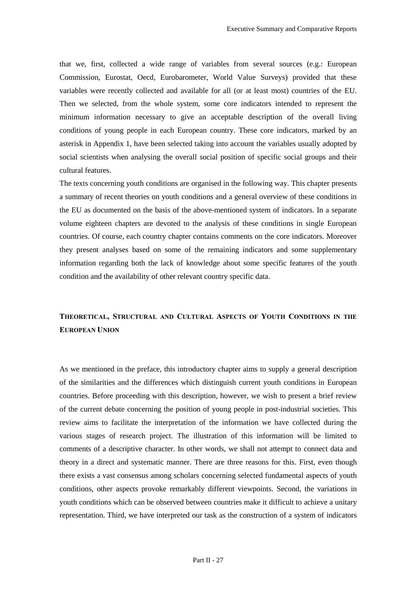that we, first, collected a wide range of variables from several sources (e.g.: European Commission, Eurostat, Oecd, Eurobarometer, World Value Surveys) provided that these variables were recently collected and available for all (or at least most) countries of the EU. Then we selected, from the whole system, some core indicators intended to represent the minimum information necessary to give an acceptable description of the overall living conditions of young people in each European country. These core indicators, marked by an asterisk in Appendix 1, have been selected taking into account the variables usually adopted by social scientists when analysing the overall social position of specific social groups and their cultural features.

The texts concerning youth conditions are organised in the following way. This chapter presents a summary of recent theories on youth conditions and a general overview of these conditions in the EU as documented on the basis of the above-mentioned system of indicators. In a separate volume eighteen chapters are devoted to the analysis of these conditions in single European countries. Of course, each country chapter contains comments on the core indicators. Moreover they present analyses based on some of the remaining indicators and some supplementary information regarding both the lack of knowledge about some specific features of the youth condition and the availability of other relevant country specific data.

### THEORETICAL, STRUCTURAL AND CULTURAL ASPECTS OF YOUTH CONDITIONS IN THE **EUROPEAN UNION**

As we mentioned in the preface, this introductory chapter aims to supply a general description of the similarities and the differences which distinguish current youth conditions in European countries. Before proceeding with this description, however, we wish to present a brief review of the current debate concerning the position of young people in post-industrial societies. This review aims to facilitate the interpretation of the information we have collected during the various stages of research project. The illustration of this information will be limited to comments of a descriptive character. In other words, we shall not attempt to connect data and theory in a direct and systematic manner. There are three reasons for this. First, even though there exists a vast consensus among scholars concerning selected fundamental aspects of youth conditions, other aspects provoke remarkably different viewpoints. Second, the variations in youth conditions which can be observed between countries make it difficult to achieve a unitary representation. Third, we have interpreted our task as the construction of a system of indicators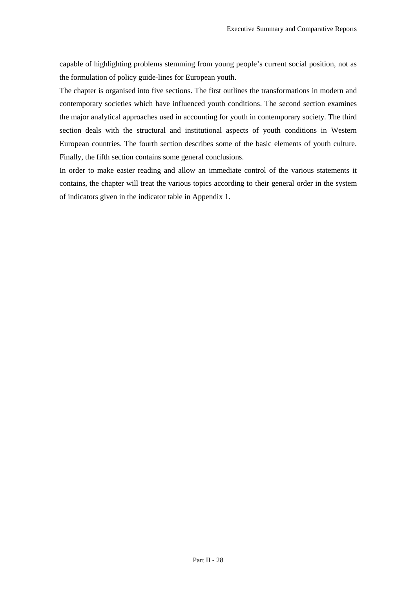capable of highlighting problems stemming from young people's current social position, not as the formulation of policy guide-lines for European youth.

The chapter is organised into five sections. The first outlines the transformations in modern and contemporary societies which have influenced youth conditions. The second section examines the major analytical approaches used in accounting for youth in contemporary society. The third section deals with the structural and institutional aspects of youth conditions in Western European countries. The fourth section describes some of the basic elements of youth culture. Finally, the fifth section contains some general conclusions.

In order to make easier reading and allow an immediate control of the various statements it contains, the chapter will treat the various topics according to their general order in the system of indicators given in the indicator table in Appendix 1.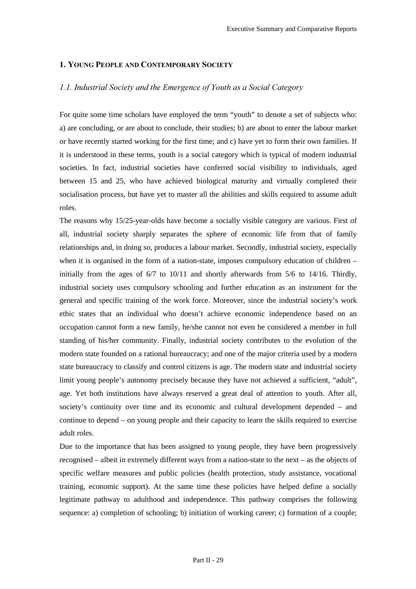### 1. YOUNG PEOPLE AND CONTEMPORARY SOCIETY

# *1.1. Industrial Society and the Emergence of Youth as a Social Category*

For quite some time scholars have employed the term "youth" to denote a set of subjects who: a) are concluding, or are about to conclude, their studies; b) are about to enter the labour market or have recently started working for the first time; and c) have yet to form their own families. If it is understood in these terms, youth is a social category which is typical of modern industrial societies. In fact, industrial societies have conferred social visibility to individuals, aged between 15 and 25, who have achieved biological maturity and virtually completed their socialisation process, but have yet to master all the abilities and skills required to assume adult roles.

The reasons why 15/25-year-olds have become a socially visible category are various. First of all, industrial society sharply separates the sphere of economic life from that of family relationships and, in doing so, produces a labour market. Secondly, industrial society, especially when it is organised in the form of a nation-state, imposes compulsory education of children – initially from the ages of  $6/7$  to  $10/11$  and shortly afterwards from  $5/6$  to  $14/16$ . Thirdly, industrial society uses compulsory schooling and further education as an instrument for the general and specific training of the work force. Moreover, since the industrial society's work ethic states that an individual who doesn't achieve economic independence based on an occupation cannot form a new family, he/she cannot not even be considered a member in full standing of his/her community. Finally, industrial society contributes to the evolution of the modern state founded on a rational bureaucracy; and one of the major criteria used by a modern state bureaucracy to classify and control citizens is age. The modern state and industrial society limit young people's autonomy precisely because they have not achieved a sufficient, "adult", age. Yet both institutions have always reserved a great deal of attention to youth. After all, society's continuity over time and its economic and cultural development depended – and continue to depend – on young people and their capacity to learn the skills required to exercise adult roles.

Due to the importance that has been assigned to young people, they have been progressively recognised – albeit in extremely different ways from a nation-state to the next – as the objects of specific welfare measures and public policies (health protection, study assistance, vocational training, economic support). At the same time these policies have helped define a socially legitimate pathway to adulthood and independence. This pathway comprises the following sequence: a) completion of schooling; b) initiation of working career; c) formation of a couple;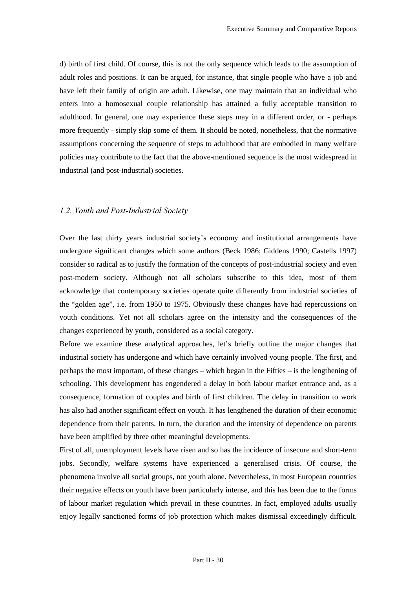d) birth of first child. Of course, this is not the only sequence which leads to the assumption of adult roles and positions. It can be argued, for instance, that single people who have a job and have left their family of origin are adult. Likewise, one may maintain that an individual who enters into a homosexual couple relationship has attained a fully acceptable transition to adulthood. In general, one may experience these steps may in a different order, or - perhaps more frequently - simply skip some of them. It should be noted, nonetheless, that the normative assumptions concerning the sequence of steps to adulthood that are embodied in many welfare policies may contribute to the fact that the above-mentioned sequence is the most widespread in industrial (and post-industrial) societies.

#### *1.2. Youth and Post-Industrial Society*

Over the last thirty years industrial society's economy and institutional arrangements have undergone significant changes which some authors (Beck 1986; Giddens 1990; Castells 1997) consider so radical as to justify the formation of the concepts of post-industrial society and even post-modern society. Although not all scholars subscribe to this idea, most of them acknowledge that contemporary societies operate quite differently from industrial societies of the "golden age", i.e. from 1950 to 1975. Obviously these changes have had repercussions on youth conditions. Yet not all scholars agree on the intensity and the consequences of the changes experienced by youth, considered as a social category.

Before we examine these analytical approaches, let's briefly outline the major changes that industrial society has undergone and which have certainly involved young people. The first, and perhaps the most important, of these changes – which began in the Fifties – is the lengthening of schooling. This development has engendered a delay in both labour market entrance and, as a consequence, formation of couples and birth of first children. The delay in transition to work has also had another significant effect on youth. It has lengthened the duration of their economic dependence from their parents. In turn, the duration and the intensity of dependence on parents have been amplified by three other meaningful developments.

First of all, unemployment levels have risen and so has the incidence of insecure and short-term jobs. Secondly, welfare systems have experienced a generalised crisis. Of course, the phenomena involve all social groups, not youth alone. Nevertheless, in most European countries their negative effects on youth have been particularly intense, and this has been due to the forms of labour market regulation which prevail in these countries. In fact, employed adults usually enjoy legally sanctioned forms of job protection which makes dismissal exceedingly difficult.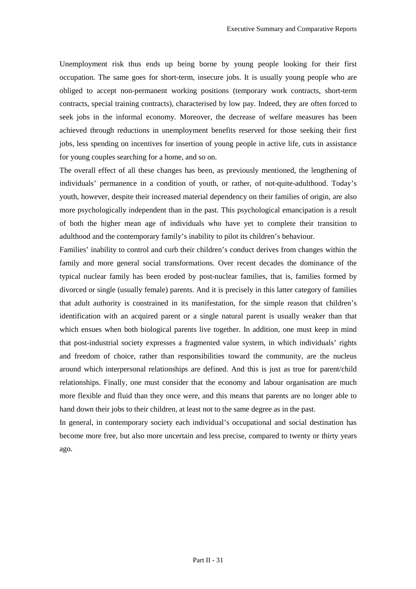Unemployment risk thus ends up being borne by young people looking for their first occupation. The same goes for short-term, insecure jobs. It is usually young people who are obliged to accept non-permanent working positions (temporary work contracts, short-term contracts, special training contracts), characterised by low pay. Indeed, they are often forced to seek jobs in the informal economy. Moreover, the decrease of welfare measures has been achieved through reductions in unemployment benefits reserved for those seeking their first jobs, less spending on incentives for insertion of young people in active life, cuts in assistance for young couples searching for a home, and so on.

The overall effect of all these changes has been, as previously mentioned, the lengthening of individuals' permanence in a condition of youth, or rather, of not-quite-adulthood. Today's youth, however, despite their increased material dependency on their families of origin, are also more psychologically independent than in the past. This psychological emancipation is a result of both the higher mean age of individuals who have yet to complete their transition to adulthood and the contemporary family's inability to pilot its children's behaviour.

Families' inability to control and curb their children's conduct derives from changes within the family and more general social transformations. Over recent decades the dominance of the typical nuclear family has been eroded by post-nuclear families, that is, families formed by divorced or single (usually female) parents. And it is precisely in this latter category of families that adult authority is constrained in its manifestation, for the simple reason that children's identification with an acquired parent or a single natural parent is usually weaker than that which ensues when both biological parents live together. In addition, one must keep in mind that post-industrial society expresses a fragmented value system, in which individuals' rights and freedom of choice, rather than responsibilities toward the community, are the nucleus around which interpersonal relationships are defined. And this is just as true for parent/child relationships. Finally, one must consider that the economy and labour organisation are much more flexible and fluid than they once were, and this means that parents are no longer able to hand down their jobs to their children, at least not to the same degree as in the past.

In general, in contemporary society each individual's occupational and social destination has become more free, but also more uncertain and less precise, compared to twenty or thirty years ago.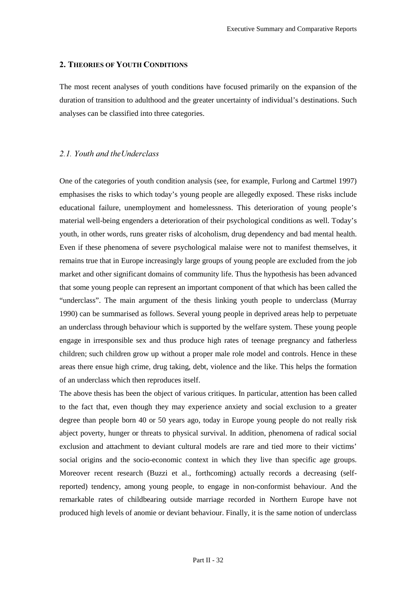### 2. THEORIES OF YOUTH CONDITIONS

The most recent analyses of youth conditions have focused primarily on the expansion of the duration of transition to adulthood and the greater uncertainty of individual's destinations. Such analyses can be classified into three categories.

### 2.1. Youth and the Underclass

One of the categories of youth condition analysis (see, for example, Furlong and Cartmel 1997) emphasises the risks to which today's young people are allegedly exposed. These risks include educational failure, unemployment and homelessness. This deterioration of young people's material well-being engenders a deterioration of their psychological conditions as well. Today's youth, in other words, runs greater risks of alcoholism, drug dependency and bad mental health. Even if these phenomena of severe psychological malaise were not to manifest themselves, it remains true that in Europe increasingly large groups of young people are excluded from the job market and other significant domains of community life. Thus the hypothesis has been advanced that some young people can represent an important component of that which has been called the "underclass". The main argument of the thesis linking youth people to underclass (Murray 1990) can be summarised as follows. Several young people in deprived areas help to perpetuate an underclass through behaviour which is supported by the welfare system. These young people engage in irresponsible sex and thus produce high rates of teenage pregnancy and fatherless children; such children grow up without a proper male role model and controls. Hence in these areas there ensue high crime, drug taking, debt, violence and the like. This helps the formation of an underclass which then reproduces itself.

The above thesis has been the object of various critiques. In particular, attention has been called to the fact that, even though they may experience anxiety and social exclusion to a greater degree than people born 40 or 50 years ago, today in Europe young people do not really risk abject poverty, hunger or threats to physical survival. In addition, phenomena of radical social exclusion and attachment to deviant cultural models are rare and tied more to their victims' social origins and the socio-economic context in which they live than specific age groups. Moreover recent research (Buzzi et al., forthcoming) actually records a decreasing (selfreported) tendency, among young people, to engage in non-conformist behaviour. And the remarkable rates of childbearing outside marriage recorded in Northern Europe have not produced high levels of anomie or deviant behaviour. Finally, it is the same notion of underclass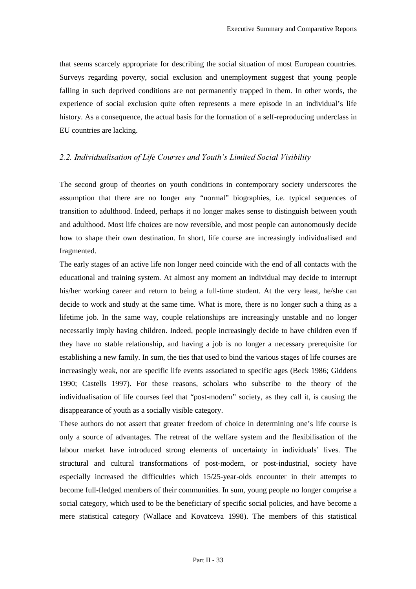that seems scarcely appropriate for describing the social situation of most European countries. Surveys regarding poverty, social exclusion and unemployment suggest that young people falling in such deprived conditions are not permanently trapped in them. In other words, the experience of social exclusion quite often represents a mere episode in an individual's life history. As a consequence, the actual basis for the formation of a self-reproducing underclass in EU countries are lacking.

# 2.2. Individualisation of Life Courses and Youth's Limited Social Visibility

The second group of theories on youth conditions in contemporary society underscores the assumption that there are no longer any "normal" biographies, i.e. typical sequences of transition to adulthood. Indeed, perhaps it no longer makes sense to distinguish between youth and adulthood. Most life choices are now reversible, and most people can autonomously decide how to shape their own destination. In short, life course are increasingly individualised and fragmented.

The early stages of an active life non longer need coincide with the end of all contacts with the educational and training system. At almost any moment an individual may decide to interrupt his/her working career and return to being a full-time student. At the very least, he/she can decide to work and study at the same time. What is more, there is no longer such a thing as a lifetime job. In the same way, couple relationships are increasingly unstable and no longer necessarily imply having children. Indeed, people increasingly decide to have children even if they have no stable relationship, and having a job is no longer a necessary prerequisite for establishing a new family. In sum, the ties that used to bind the various stages of life courses are increasingly weak, nor are specific life events associated to specific ages (Beck 1986; Giddens 1990; Castells 1997). For these reasons, scholars who subscribe to the theory of the individualisation of life courses feel that "post-modern" society, as they call it, is causing the disappearance of youth as a socially visible category.

These authors do not assert that greater freedom of choice in determining one's life course is only a source of advantages. The retreat of the welfare system and the flexibilisation of the labour market have introduced strong elements of uncertainty in individuals' lives. The structural and cultural transformations of post-modern, or post-industrial, society have especially increased the difficulties which 15/25-year-olds encounter in their attempts to become full-fledged members of their communities. In sum, young people no longer comprise a social category, which used to be the beneficiary of specific social policies, and have become a mere statistical category (Wallace and Kovatceva 1998). The members of this statistical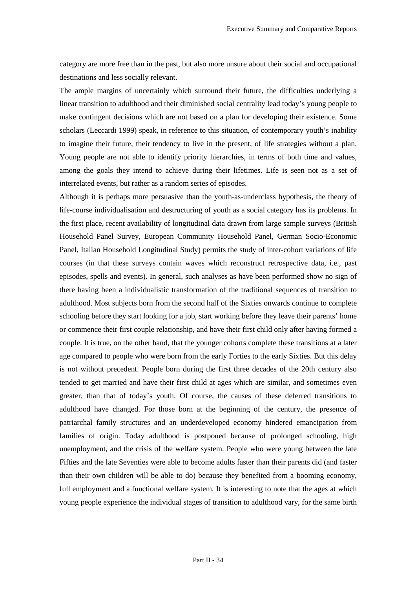category are more free than in the past, but also more unsure about their social and occupational destinations and less socially relevant.

The ample margins of uncertainly which surround their future, the difficulties underlying a linear transition to adulthood and their diminished social centrality lead today's young people to make contingent decisions which are not based on a plan for developing their existence. Some scholars (Leccardi 1999) speak, in reference to this situation, of contemporary youth's inability to imagine their future, their tendency to live in the present, of life strategies without a plan. Young people are not able to identify priority hierarchies, in terms of both time and values, among the goals they intend to achieve during their lifetimes. Life is seen not as a set of interrelated events, but rather as a random series of episodes.

Although it is perhaps more persuasive than the youth-as-underclass hypothesis, the theory of life-course individualisation and destructuring of youth as a social category has its problems. In the first place, recent availability of longitudinal data drawn from large sample surveys (British Household Panel Survey, European Community Household Panel, German Socio-Economic Panel, Italian Household Longitudinal Study) permits the study of inter-cohort variations of life courses (in that these surveys contain waves which reconstruct retrospective data, i.e., past episodes, spells and events). In general, such analyses as have been performed show no sign of there having been a individualistic transformation of the traditional sequences of transition to adulthood. Most subjects born from the second half of the Sixties onwards continue to complete schooling before they start looking for a job, start working before they leave their parents' home or commence their first couple relationship, and have their first child only after having formed a couple. It is true, on the other hand, that the younger cohorts complete these transitions at a later age compared to people who were born from the early Forties to the early Sixties. But this delay is not without precedent. People born during the first three decades of the 20th century also tended to get married and have their first child at ages which are similar, and sometimes even greater, than that of today's youth. Of course, the causes of these deferred transitions to adulthood have changed. For those born at the beginning of the century, the presence of patriarchal family structures and an underdeveloped economy hindered emancipation from families of origin. Today adulthood is postponed because of prolonged schooling, high unemployment, and the crisis of the welfare system. People who were young between the late Fifties and the late Seventies were able to become adults faster than their parents did (and faster than their own children will be able to do) because they benefited from a booming economy, full employment and a functional welfare system. It is interesting to note that the ages at which young people experience the individual stages of transition to adulthood vary, for the same birth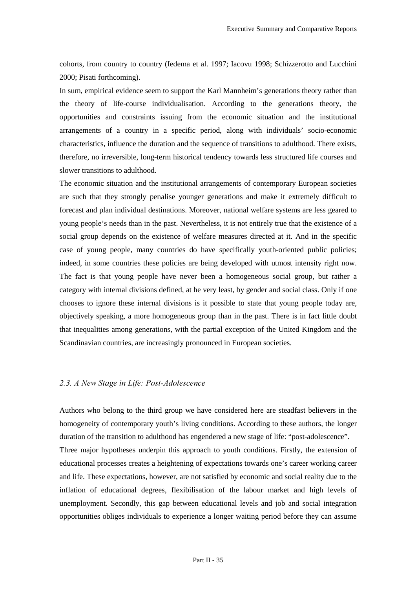cohorts, from country to country (Iedema et al. 1997; Iacovu 1998; Schizzerotto and Lucchini 2000; Pisati forthcoming).

In sum, empirical evidence seem to support the Karl Mannheim's generations theory rather than the theory of life-course individualisation. According to the generations theory, the opportunities and constraints issuing from the economic situation and the institutional arrangements of a country in a specific period, along with individuals' socio-economic characteristics, influence the duration and the sequence of transitions to adulthood. There exists, therefore, no irreversible, long-term historical tendency towards less structured life courses and slower transitions to adulthood.

The economic situation and the institutional arrangements of contemporary European societies are such that they strongly penalise younger generations and make it extremely difficult to forecast and plan individual destinations. Moreover, national welfare systems are less geared to young people's needs than in the past. Nevertheless, it is not entirely true that the existence of a social group depends on the existence of welfare measures directed at it. And in the specific case of young people, many countries do have specifically youth-oriented public policies; indeed, in some countries these policies are being developed with utmost intensity right now. The fact is that young people have never been a homogeneous social group, but rather a category with internal divisions defined, at he very least, by gender and social class. Only if one chooses to ignore these internal divisions is it possible to state that young people today are, objectively speaking, a more homogeneous group than in the past. There is in fact little doubt that inequalities among generations, with the partial exception of the United Kingdom and the Scandinavian countries, are increasingly pronounced in European societies.

# 2.3. A New Stage in Life: Post-Adolescence

Authors who belong to the third group we have considered here are steadfast believers in the homogeneity of contemporary youth's living conditions. According to these authors, the longer duration of the transition to adulthood has engendered a new stage of life: "post-adolescence". Three major hypotheses underpin this approach to youth conditions. Firstly, the extension of educational processes creates a heightening of expectations towards one's career working career and life. These expectations, however, are not satisfied by economic and social reality due to the inflation of educational degrees, flexibilisation of the labour market and high levels of unemployment. Secondly, this gap between educational levels and job and social integration opportunities obliges individuals to experience a longer waiting period before they can assume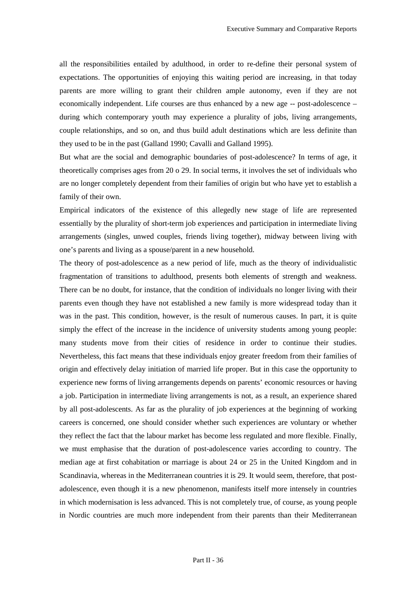all the responsibilities entailed by adulthood, in order to re-define their personal system of expectations. The opportunities of enjoying this waiting period are increasing, in that today parents are more willing to grant their children ample autonomy, even if they are not economically independent. Life courses are thus enhanced by a new age -- post-adolescence – during which contemporary youth may experience a plurality of jobs, living arrangements, couple relationships, and so on, and thus build adult destinations which are less definite than they used to be in the past (Galland 1990; Cavalli and Galland 1995).

But what are the social and demographic boundaries of post-adolescence? In terms of age, it theoretically comprises ages from 20 o 29. In social terms, it involves the set of individuals who are no longer completely dependent from their families of origin but who have yet to establish a family of their own.

Empirical indicators of the existence of this allegedly new stage of life are represented essentially by the plurality of short-term job experiences and participation in intermediate living arrangements (singles, unwed couples, friends living together), midway between living with one's parents and living as a spouse/parent in a new household.

The theory of post-adolescence as a new period of life, much as the theory of individualistic fragmentation of transitions to adulthood, presents both elements of strength and weakness. There can be no doubt, for instance, that the condition of individuals no longer living with their parents even though they have not established a new family is more widespread today than it was in the past. This condition, however, is the result of numerous causes. In part, it is quite simply the effect of the increase in the incidence of university students among young people: many students move from their cities of residence in order to continue their studies. Nevertheless, this fact means that these individuals enjoy greater freedom from their families of origin and effectively delay initiation of married life proper. But in this case the opportunity to experience new forms of living arrangements depends on parents' economic resources or having a job. Participation in intermediate living arrangements is not, as a result, an experience shared by all post-adolescents. As far as the plurality of job experiences at the beginning of working careers is concerned, one should consider whether such experiences are voluntary or whether they reflect the fact that the labour market has become less regulated and more flexible. Finally, we must emphasise that the duration of post-adolescence varies according to country. The median age at first cohabitation or marriage is about 24 or 25 in the United Kingdom and in Scandinavia, whereas in the Mediterranean countries it is 29. It would seem, therefore, that postadolescence, even though it is a new phenomenon, manifests itself more intensely in countries in which modernisation is less advanced. This is not completely true, of course, as young people in Nordic countries are much more independent from their parents than their Mediterranean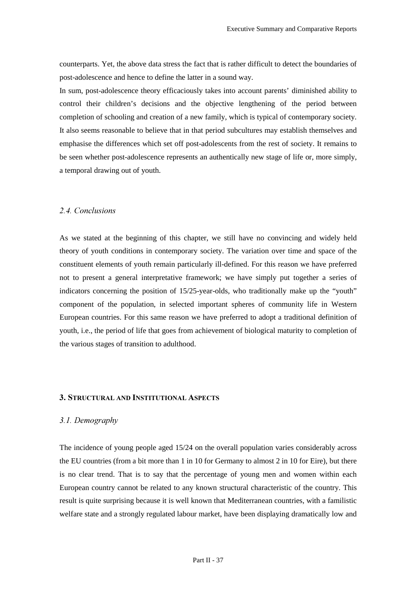counterparts. Yet, the above data stress the fact that is rather difficult to detect the boundaries of post-adolescence and hence to define the latter in a sound way.

In sum, post-adolescence theory efficaciously takes into account parents' diminished ability to control their children's decisions and the objective lengthening of the period between completion of schooling and creation of a new family, which is typical of contemporary society. It also seems reasonable to believe that in that period subcultures may establish themselves and emphasise the differences which set off post-adolescents from the rest of society. It remains to be seen whether post-adolescence represents an authentically new stage of life or, more simply, a temporal drawing out of youth.

#### 2.4. Conclusions

As we stated at the beginning of this chapter, we still have no convincing and widely held theory of youth conditions in contemporary society. The variation over time and space of the constituent elements of youth remain particularly ill-defined. For this reason we have preferred not to present a general interpretative framework; we have simply put together a series of indicators concerning the position of 15/25-year-olds, who traditionally make up the "youth" component of the population, in selected important spheres of community life in Western European countries. For this same reason we have preferred to adopt a traditional definition of youth, i.e., the period of life that goes from achievement of biological maturity to completion of the various stages of transition to adulthood.

### **3. STRUCTURAL AND INSTITUTIONAL ASPECTS**

### 3.1. Demography

The incidence of young people aged 15/24 on the overall population varies considerably across the EU countries (from a bit more than 1 in 10 for Germany to almost 2 in 10 for Eire), but there is no clear trend. That is to say that the percentage of young men and women within each European country cannot be related to any known structural characteristic of the country. This result is quite surprising because it is well known that Mediterranean countries, with a familistic welfare state and a strongly regulated labour market, have been displaying dramatically low and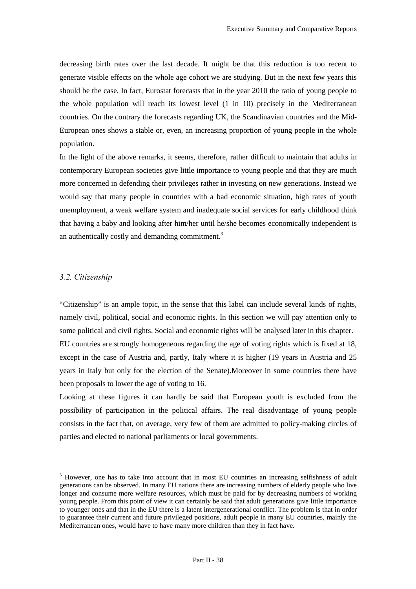decreasing birth rates over the last decade. It might be that this reduction is too recent to generate visible effects on the whole age cohort we are studying. But in the next few years this should be the case. In fact, Eurostat forecasts that in the year 2010 the ratio of young people to the whole population will reach its lowest level (1 in 10) precisely in the Mediterranean countries. On the contrary the forecasts regarding UK, the Scandinavian countries and the Mid-European ones shows a stable or, even, an increasing proportion of young people in the whole population.

In the light of the above remarks, it seems, therefore, rather difficult to maintain that adults in contemporary European societies give little importance to young people and that they are much more concerned in defending their privileges rather in investing on new generations. Instead we would say that many people in countries with a bad economic situation, high rates of youth unemployment, a weak welfare system and inadequate social services for early childhood think that having a baby and looking after him/her until he/she becomes economically independent is an authentically costly and demanding commitment.<sup>3</sup>

### 3.2. Citizenship

 $\overline{a}$ 

"Citizenship" is an ample topic, in the sense that this label can include several kinds of rights, namely civil, political, social and economic rights. In this section we will pay attention only to some political and civil rights. Social and economic rights will be analysed later in this chapter. EU countries are strongly homogeneous regarding the age of voting rights which is fixed at 18, except in the case of Austria and, partly, Italy where it is higher (19 years in Austria and 25 years in Italy but only for the election of the Senate).Moreover in some countries there have been proposals to lower the age of voting to 16.

Looking at these figures it can hardly be said that European youth is excluded from the possibility of participation in the political affairs. The real disadvantage of young people consists in the fact that, on average, very few of them are admitted to policy-making circles of parties and elected to national parliaments or local governments.

<sup>&</sup>lt;sup>3</sup> However, one has to take into account that in most EU countries an increasing selfishness of adult generations can be observed. In many EU nations there are increasing numbers of elderly people who live longer and consume more welfare resources, which must be paid for by decreasing numbers of working young people. From this point of view it can certainly be said that adult generations give little importance to younger ones and that in the EU there is a latent intergenerational conflict. The problem is that in order to guarantee their current and future privileged positions, adult people in many EU countries, mainly the Mediterranean ones, would have to have many more children than they in fact have.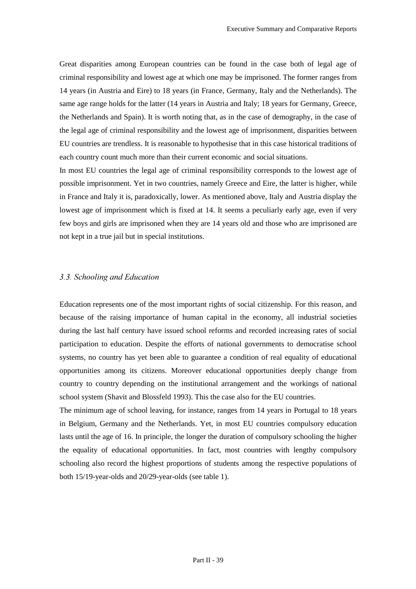Great disparities among European countries can be found in the case both of legal age of criminal responsibility and lowest age at which one may be imprisoned. The former ranges from 14 years (in Austria and Eire) to 18 years (in France, Germany, Italy and the Netherlands). The same age range holds for the latter (14 years in Austria and Italy; 18 years for Germany, Greece, the Netherlands and Spain). It is worth noting that, as in the case of demography, in the case of the legal age of criminal responsibility and the lowest age of imprisonment, disparities between EU countries are trendless. It is reasonable to hypothesise that in this case historical traditions of each country count much more than their current economic and social situations.

In most EU countries the legal age of criminal responsibility corresponds to the lowest age of possible imprisonment. Yet in two countries, namely Greece and Eire, the latter is higher, while in France and Italy it is, paradoxically, lower. As mentioned above, Italy and Austria display the lowest age of imprisonment which is fixed at 14. It seems a peculiarly early age, even if very few boys and girls are imprisoned when they are 14 years old and those who are imprisoned are not kept in a true jail but in special institutions.

#### *<i>6f*. *6.8<i>fChooling and Education*

Education represents one of the most important rights of social citizenship. For this reason, and because of the raising importance of human capital in the economy, all industrial societies during the last half century have issued school reforms and recorded increasing rates of social participation to education. Despite the efforts of national governments to democratise school systems, no country has yet been able to guarantee a condition of real equality of educational opportunities among its citizens. Moreover educational opportunities deeply change from country to country depending on the institutional arrangement and the workings of national school system (Shavit and Blossfeld 1993). This the case also for the EU countries.

The minimum age of school leaving, for instance, ranges from 14 years in Portugal to 18 years in Belgium, Germany and the Netherlands. Yet, in most EU countries compulsory education lasts until the age of 16. In principle, the longer the duration of compulsory schooling the higher the equality of educational opportunities. In fact, most countries with lengthy compulsory schooling also record the highest proportions of students among the respective populations of both 15/19-year-olds and 20/29-year-olds (see table 1).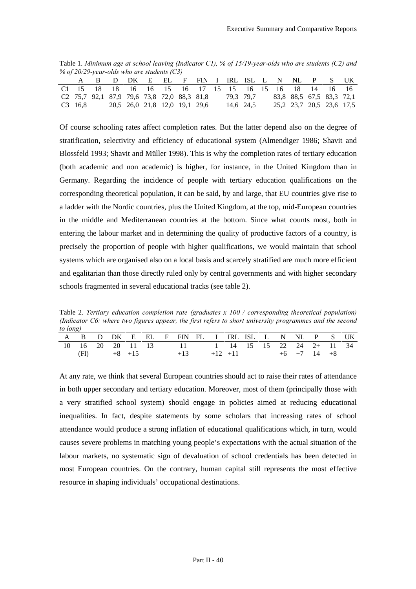Table 1. *Minimum age at school leaving (Indicator C1), % of 15/19-year-olds who are students (C2) and* % of 20/29-year-olds who are students (C3)

| $\sim$ 0.0 $\mu$ 20.22 year of the model of the statements (CD) |  |  |                               |                                                        |           |  |  |                          |                          |
|-----------------------------------------------------------------|--|--|-------------------------------|--------------------------------------------------------|-----------|--|--|--------------------------|--------------------------|
|                                                                 |  |  |                               | A B D DK E EL F FIN I IRLISLL N NL P S UK              |           |  |  |                          |                          |
|                                                                 |  |  |                               | C1 15 18 18 16 16 15 16 17 15 15 16 15 16 18 14 16 16  |           |  |  |                          |                          |
|                                                                 |  |  |                               | C <sub>2</sub> 75,7 92,1 87,9 79,6 73,8 72,0 88,3 81,8 | 79.3 79.7 |  |  | 83,8 88,5 67,5 83,3 72,1 |                          |
| C <sub>3</sub> 16.8                                             |  |  | 20.5 26.0 21.8 12.0 19.1 29.6 |                                                        | 14.6 24.5 |  |  |                          | 25.2 23.7 20.5 23.6 17.5 |

Of course schooling rates affect completion rates. But the latter depend also on the degree of stratification, selectivity and efficiency of educational system (Almendiger 1986; Shavit and Blossfeld 1993; Shavit and Müller 1998). This is why the completion rates of tertiary education (both academic and non academic) is higher, for instance, in the United Kingdom than in Germany. Regarding the incidence of people with tertiary education qualifications on the corresponding theoretical population, it can be said, by and large, that EU countries give rise to a ladder with the Nordic countries, plus the United Kingdom, at the top, mid-European countries in the middle and Mediterranean countries at the bottom. Since what counts most, both in entering the labour market and in determining the quality of productive factors of a country, is precisely the proportion of people with higher qualifications, we would maintain that school systems which are organised also on a local basis and scarcely stratified are much more efficient and egalitarian than those directly ruled only by central governments and with higher secondary schools fragmented in several educational tracks (see table 2).

Table 2. *Tertiary education completion rate (graduates x 100 / corresponding theoretical population) (Indicator C6: where two figures appear, the first refers to short university programmes and the second to long*)

| $\sim$ $\sim$ $\sim$ |  |            |  |                                                 |  |  |  |                                 |  |  |
|----------------------|--|------------|--|-------------------------------------------------|--|--|--|---------------------------------|--|--|
|                      |  |            |  | A B D DK E EL F FIN FL I IRLISL L N NL P S UK   |  |  |  |                                 |  |  |
|                      |  |            |  | 10 16 20 20 11 13 11 11 14 15 15 22 24 2+ 11 34 |  |  |  |                                 |  |  |
|                      |  | $+8$ $+15$ |  | $+13$                                           |  |  |  | $+12$ $+11$ $+6$ $+7$ $14$ $+8$ |  |  |

At any rate, we think that several European countries should act to raise their rates of attendance in both upper secondary and tertiary education. Moreover, most of them (principally those with a very stratified school system) should engage in policies aimed at reducing educational inequalities. In fact, despite statements by some scholars that increasing rates of school attendance would produce a strong inflation of educational qualifications which, in turn, would causes severe problems in matching young people's expectations with the actual situation of the labour markets, no systematic sign of devaluation of school credentials has been detected in most European countries. On the contrary, human capital still represents the most effective resource in shaping individuals' occupational destinations.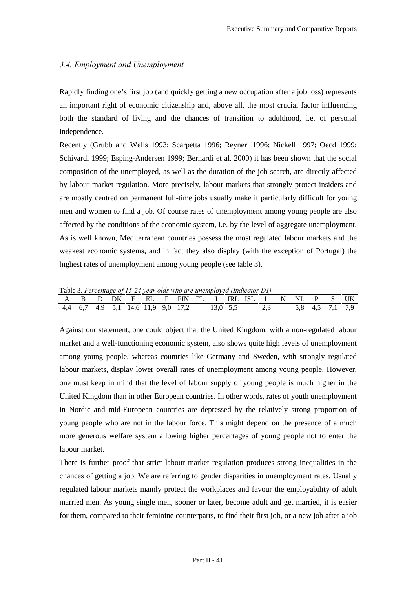### 3.4. Employment and Unemployment

Rapidly finding one's first job (and quickly getting a new occupation after a job loss) represents an important right of economic citizenship and, above all, the most crucial factor influencing both the standard of living and the chances of transition to adulthood, i.e. of personal independence.

Recently (Grubb and Wells 1993; Scarpetta 1996; Reyneri 1996; Nickell 1997; Oecd 1999; Schivardi 1999; Esping-Andersen 1999; Bernardi et al. 2000) it has been shown that the social composition of the unemployed, as well as the duration of the job search, are directly affected by labour market regulation. More precisely, labour markets that strongly protect insiders and are mostly centred on permanent full-time jobs usually make it particularly difficult for young men and women to find a job. Of course rates of unemployment among young people are also affected by the conditions of the economic system, i.e. by the level of aggregate unemployment. As is well known, Mediterranean countries possess the most regulated labour markets and the weakest economic systems, and in fact they also display (with the exception of Portugal) the highest rates of unemployment among young people (see table 3).

Table 3. Percentage of 15-24 year olds who are unemployed (Indicator D1)

| A B D DK E EL F FIN FL I IRLISL L N NL P S UK<br>4,4 6,7 4,9 5,1 14,6 11,9 9,0 17,2 13,0 5,5 2,3 5,8 4,5 7,1 7,9 |  |  |  |  |  |  |
|------------------------------------------------------------------------------------------------------------------|--|--|--|--|--|--|
|                                                                                                                  |  |  |  |  |  |  |
|                                                                                                                  |  |  |  |  |  |  |

Against our statement, one could object that the United Kingdom, with a non-regulated labour market and a well-functioning economic system, also shows quite high levels of unemployment among young people, whereas countries like Germany and Sweden, with strongly regulated labour markets, display lower overall rates of unemployment among young people. However, one must keep in mind that the level of labour supply of young people is much higher in the United Kingdom than in other European countries. In other words, rates of youth unemployment in Nordic and mid-European countries are depressed by the relatively strong proportion of young people who are not in the labour force. This might depend on the presence of a much more generous welfare system allowing higher percentages of young people not to enter the labour market.

There is further proof that strict labour market regulation produces strong inequalities in the chances of getting a job. We are referring to gender disparities in unemployment rates. Usually regulated labour markets mainly protect the workplaces and favour the employability of adult married men. As young single men, sooner or later, become adult and get married, it is easier for them, compared to their feminine counterparts, to find their first job, or a new job after a job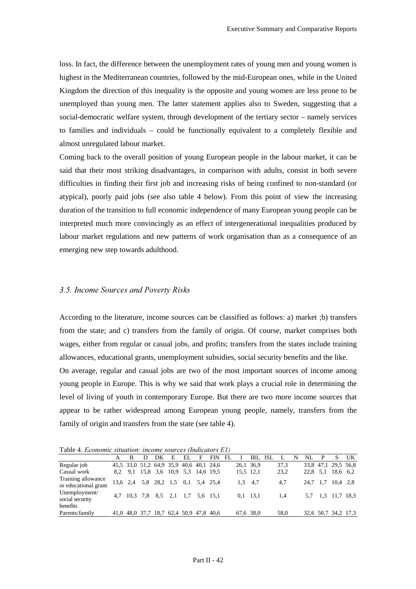loss. In fact, the difference between the unemployment rates of young men and young women is highest in the Mediterranean countries, followed by the mid-European ones, while in the United Kingdom the direction of this inequality is the opposite and young women are less prone to be unemployed than young men. The latter statement applies also to Sweden, suggesting that a social-democratic welfare system, through development of the tertiary sector – namely services to families and individuals – could be functionally equivalent to a completely flexible and almost unregulated labour market.

Coming back to the overall position of young European people in the labour market, it can be said that their most striking disadvantages, in comparison with adults, consist in both severe difficulties in finding their first job and increasing risks of being confined to non-standard (or atypical), poorly paid jobs (see also table 4 below). From this point of view the increasing duration of the transition to full economic independence of many European young people can be interpreted much more convincingly as an effect of intergenerational inequalities produced by labour market regulations and new patterns of work organisation than as a consequence of an emerging new step towards adulthood.

### *3.5. Income Sources and Poverty Risks*

According to the literature, income sources can be classified as follows: a) market ;b) transfers from the state; and c) transfers from the family of origin. Of course, market comprises both wages, either from regular or casual jobs, and profits; transfers from the states include training allowances, educational grants, unemployment subsidies, social security benefits and the like. On average, regular and casual jobs are two of the most important sources of income among young people in Europe. This is why we said that work plays a crucial role in determining the level of living of youth in contemporary Europe. But there are two more income sources that appear to be rather widespread among European young people, namely, transfers from the family of origin and transfers from the state (see table 4).

Table 4. *Economic situation: income sources (Indicators E1)* 

| TWOTE IT DEVILONING SHINNINGII, MACONIC SOM COSTINGHOMOTS DI A |  |                                     |   |     |   |                                         |     |            |      |   |          |   |                     |    |
|----------------------------------------------------------------|--|-------------------------------------|---|-----|---|-----------------------------------------|-----|------------|------|---|----------|---|---------------------|----|
|                                                                |  | DK                                  | E | EL. | F | <b>FIN</b>                              | FL. | IRL ISL    | L    | N | NL       | P |                     | UK |
| Regular job                                                    |  |                                     |   |     |   | 45,5 33,0 51,2 64,9 35,9 40,6 40,1 24,6 |     | 26,1 36,9  | 37.3 |   |          |   | 33,8 47,1 29,5 56,8 |    |
| Casual work                                                    |  | 8,2 9,1 15,8 3,6 10,9 5,3 14,6 19,5 |   |     |   |                                         |     | 15.5 12.1  | 23,2 |   | 22,8 5,1 |   | 18,6 6.2            |    |
| Training allowance<br>or educational grant                     |  | 13,6 2,4 5,8 28,2 1,5 0,1 5,4 25,4  |   |     |   |                                         |     | $1,3$ 4.7  | 4,7  |   | 24,7 1,7 |   | $10.4$ 2.8          |    |
| Unemployment/<br>social security                               |  | 4,7 10,3 7,8 8,5 2,1 1,7 5,6 15,1   |   |     |   |                                         |     | $0,1$ 13,1 | 1.4  |   |          |   | 5,7 1,3 11,7 18,3   |    |
| benefits                                                       |  |                                     |   |     |   |                                         |     |            |      |   |          |   |                     |    |
| Parents/family                                                 |  |                                     |   |     |   | 41,0 48,0 37,7 18,7 62,4 50,9 47,8 40,6 |     | 67,6 38,0  | 58,0 |   |          |   | 32,6 50,7 34,2 17,3 |    |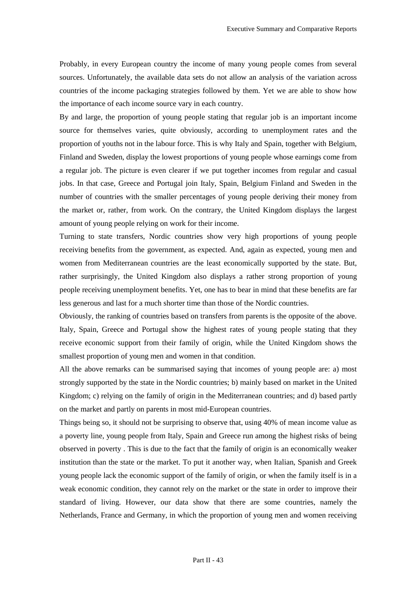Probably, in every European country the income of many young people comes from several sources. Unfortunately, the available data sets do not allow an analysis of the variation across countries of the income packaging strategies followed by them. Yet we are able to show how the importance of each income source vary in each country.

By and large, the proportion of young people stating that regular job is an important income source for themselves varies, quite obviously, according to unemployment rates and the proportion of youths not in the labour force. This is why Italy and Spain, together with Belgium, Finland and Sweden, display the lowest proportions of young people whose earnings come from a regular job. The picture is even clearer if we put together incomes from regular and casual jobs. In that case, Greece and Portugal join Italy, Spain, Belgium Finland and Sweden in the number of countries with the smaller percentages of young people deriving their money from the market or, rather, from work. On the contrary, the United Kingdom displays the largest amount of young people relying on work for their income.

Turning to state transfers, Nordic countries show very high proportions of young people receiving benefits from the government, as expected. And, again as expected, young men and women from Mediterranean countries are the least economically supported by the state. But, rather surprisingly, the United Kingdom also displays a rather strong proportion of young people receiving unemployment benefits. Yet, one has to bear in mind that these benefits are far less generous and last for a much shorter time than those of the Nordic countries.

Obviously, the ranking of countries based on transfers from parents is the opposite of the above. Italy, Spain, Greece and Portugal show the highest rates of young people stating that they receive economic support from their family of origin, while the United Kingdom shows the smallest proportion of young men and women in that condition.

All the above remarks can be summarised saying that incomes of young people are: a) most strongly supported by the state in the Nordic countries; b) mainly based on market in the United Kingdom; c) relying on the family of origin in the Mediterranean countries; and d) based partly on the market and partly on parents in most mid-European countries.

Things being so, it should not be surprising to observe that, using 40% of mean income value as a poverty line, young people from Italy, Spain and Greece run among the highest risks of being observed in poverty . This is due to the fact that the family of origin is an economically weaker institution than the state or the market. To put it another way, when Italian, Spanish and Greek young people lack the economic support of the family of origin, or when the family itself is in a weak economic condition, they cannot rely on the market or the state in order to improve their standard of living. However, our data show that there are some countries, namely the Netherlands, France and Germany, in which the proportion of young men and women receiving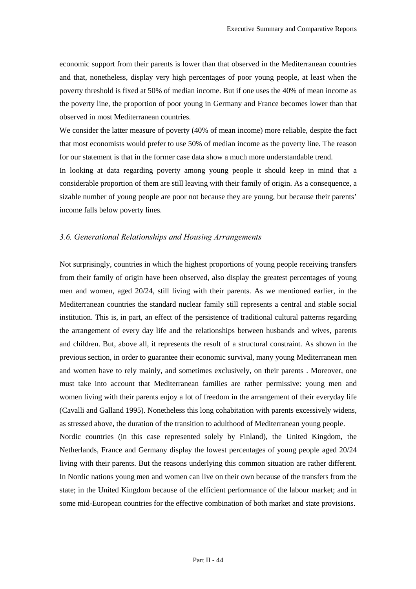economic support from their parents is lower than that observed in the Mediterranean countries and that, nonetheless, display very high percentages of poor young people, at least when the poverty threshold is fixed at 50% of median income. But if one uses the 40% of mean income as the poverty line, the proportion of poor young in Germany and France becomes lower than that observed in most Mediterranean countries.

We consider the latter measure of poverty (40% of mean income) more reliable, despite the fact that most economists would prefer to use 50% of median income as the poverty line. The reason for our statement is that in the former case data show a much more understandable trend.

In looking at data regarding poverty among young people it should keep in mind that a considerable proportion of them are still leaving with their family of origin. As a consequence, a sizable number of young people are poor not because they are young, but because their parents' income falls below poverty lines.

# 3.6. Generational Relationships and Housing Arrangements

Not surprisingly, countries in which the highest proportions of young people receiving transfers from their family of origin have been observed, also display the greatest percentages of young men and women, aged 20/24, still living with their parents. As we mentioned earlier, in the Mediterranean countries the standard nuclear family still represents a central and stable social institution. This is, in part, an effect of the persistence of traditional cultural patterns regarding the arrangement of every day life and the relationships between husbands and wives, parents and children. But, above all, it represents the result of a structural constraint. As shown in the previous section, in order to guarantee their economic survival, many young Mediterranean men and women have to rely mainly, and sometimes exclusively, on their parents . Moreover, one must take into account that Mediterranean families are rather permissive: young men and women living with their parents enjoy a lot of freedom in the arrangement of their everyday life (Cavalli and Galland 1995). Nonetheless this long cohabitation with parents excessively widens, as stressed above, the duration of the transition to adulthood of Mediterranean young people.

Nordic countries (in this case represented solely by Finland), the United Kingdom, the Netherlands, France and Germany display the lowest percentages of young people aged 20/24 living with their parents. But the reasons underlying this common situation are rather different. In Nordic nations young men and women can live on their own because of the transfers from the state; in the United Kingdom because of the efficient performance of the labour market; and in some mid-European countries for the effective combination of both market and state provisions.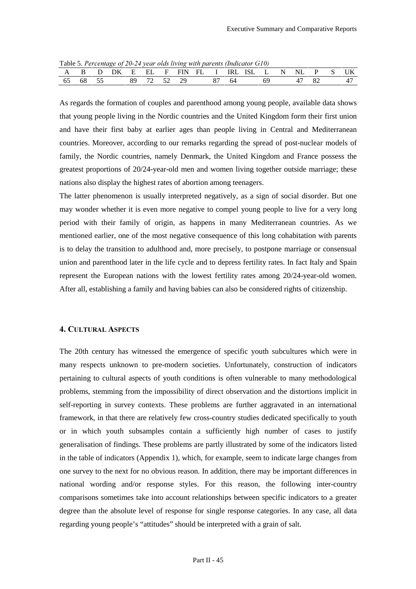|  | Table 5.1 creening by 20-24 year blus living with purents (final alor GT0) |  |  |  |  |  |          |  |    |
|--|----------------------------------------------------------------------------|--|--|--|--|--|----------|--|----|
|  | A B D DK E EL F FIN FL I IRLISL L N NL P S UK                              |  |  |  |  |  |          |  |    |
|  | 65 68 55 89 72 52 29 87 64                                                 |  |  |  |  |  | 69 47 82 |  | 47 |

Table 5. *Percentage of 20-24 year olds living with parents (Indicator G10)* 

As regards the formation of couples and parenthood among young people, available data shows that young people living in the Nordic countries and the United Kingdom form their first union and have their first baby at earlier ages than people living in Central and Mediterranean countries. Moreover, according to our remarks regarding the spread of post-nuclear models of family, the Nordic countries, namely Denmark, the United Kingdom and France possess the greatest proportions of 20/24-year-old men and women living together outside marriage; these nations also display the highest rates of abortion among teenagers.

The latter phenomenon is usually interpreted negatively, as a sign of social disorder. But one may wonder whether it is even more negative to compel young people to live for a very long period with their family of origin, as happens in many Mediterranean countries. As we mentioned earlier, one of the most negative consequence of this long cohabitation with parents is to delay the transition to adulthood and, more precisely, to postpone marriage or consensual union and parenthood later in the life cycle and to depress fertility rates. In fact Italy and Spain represent the European nations with the lowest fertility rates among 20/24-year-old women. After all, establishing a family and having babies can also be considered rights of citizenship.

#### 4. CULTURAL ASPECTS

The 20th century has witnessed the emergence of specific youth subcultures which were in many respects unknown to pre-modern societies. Unfortunately, construction of indicators pertaining to cultural aspects of youth conditions is often vulnerable to many methodological problems, stemming from the impossibility of direct observation and the distortions implicit in self-reporting in survey contexts. These problems are further aggravated in an international framework, in that there are relatively few cross-country studies dedicated specifically to youth or in which youth subsamples contain a sufficiently high number of cases to justify generalisation of findings. These problems are partly illustrated by some of the indicators listed in the table of indicators (Appendix 1), which, for example, seem to indicate large changes from one survey to the next for no obvious reason. In addition, there may be important differences in national wording and/or response styles. For this reason, the following inter-country comparisons sometimes take into account relationships between specific indicators to a greater degree than the absolute level of response for single response categories. In any case, all data regarding young people's "attitudes" should be interpreted with a grain of salt.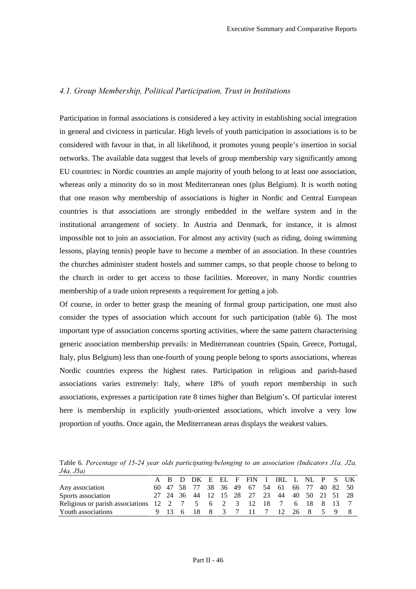# 4.1. Group Membership, Political Participation, Trust in Institutions

Participation in formal associations is considered a key activity in establishing social integration in general and civicness in particular. High levels of youth participation in associations is to be considered with favour in that, in all likelihood, it promotes young people's insertion in social networks. The available data suggest that levels of group membership vary significantly among EU countries: in Nordic countries an ample majority of youth belong to at least one association, whereas only a minority do so in most Mediterranean ones (plus Belgium). It is worth noting that one reason why membership of associations is higher in Nordic and Central European countries is that associations are strongly embedded in the welfare system and in the institutional arrangement of society. In Austria and Denmark, for instance, it is almost impossible not to join an association. For almost any activity (such as riding, doing swimming lessons, playing tennis) people have to become a member of an association. In these countries the churches administer student hostels and summer camps, so that people choose to belong to the church in order to get access to those facilities. Moreover, in many Nordic countries membership of a trade union represents a requirement for getting a job.

Of course, in order to better grasp the meaning of formal group participation, one must also consider the types of association which account for such participation (table 6). The most important type of association concerns sporting activities, where the same pattern characterising generic association membership prevails: in Mediterranean countries (Spain, Greece, Portugal, Italy, plus Belgium) less than one-fourth of young people belong to sports associations, whereas Nordic countries express the highest rates. Participation in religious and parish-based associations varies extremely: Italy, where 18% of youth report membership in such associations, expresses a participation rate 8 times higher than Belgium's. Of particular interest here is membership in explicitly youth-oriented associations, which involve a very low proportion of youths. Once again, the Mediterranean areas displays the weakest values.

Table 6. Percentage of 15-24 year olds participating/belonging to an association (Indicators J1a, J2a, *J<sub>4a</sub>*, *J<sub>5a</sub>*)

|                                                                     |  |  |  |  | A B D DK E EL F FIN I IRL L NL P S UK        |  |  |  |
|---------------------------------------------------------------------|--|--|--|--|----------------------------------------------|--|--|--|
| Any association                                                     |  |  |  |  | 60 47 58 77 38 36 49 67 54 61 66 77 40 82 50 |  |  |  |
| Sports association                                                  |  |  |  |  | 27 24 36 44 12 15 28 27 23 44 40 50 21 51 28 |  |  |  |
| Religious or parish associations 12 2 7 5 6 2 3 12 18 7 6 18 8 13 7 |  |  |  |  |                                              |  |  |  |
| 9 13 6 18 8 3 7 11 7 12 26 8 5 9 8<br>Youth associations            |  |  |  |  |                                              |  |  |  |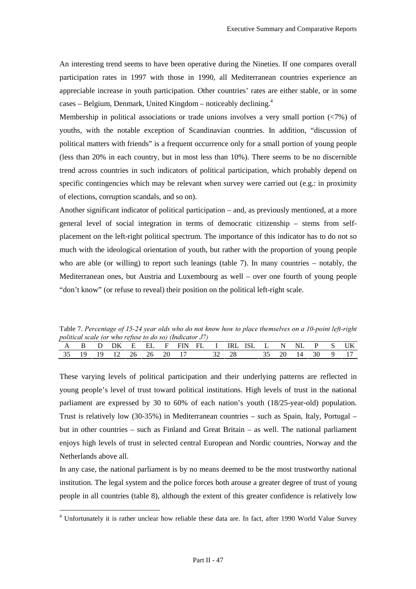An interesting trend seems to have been operative during the Nineties. If one compares overall participation rates in 1997 with those in 1990, all Mediterranean countries experience an appreciable increase in youth participation. Other countries' rates are either stable, or in some cases – Belgium, Denmark, United Kingdom – noticeably declining.<sup>4</sup>

Membership in political associations or trade unions involves a very small portion  $\langle \langle 7\% \rangle$  of youths, with the notable exception of Scandinavian countries. In addition, "discussion of political matters with friends" is a frequent occurrence only for a small portion of young people (less than 20% in each country, but in most less than 10%). There seems to be no discernible trend across countries in such indicators of political participation, which probably depend on specific contingencies which may be relevant when survey were carried out (e.g.: in proximity of elections, corruption scandals, and so on).

Another significant indicator of political participation – and, as previously mentioned, at a more general level of social integration in terms of democratic citizenship – stems from selfplacement on the left-right political spectrum. The importance of this indicator has to do not so much with the ideological orientation of youth, but rather with the proportion of young people who are able (or willing) to report such leanings (table 7). In many countries – notably, the Mediterranean ones, but Austria and Luxembourg as well – over one fourth of young people "don't know" (or refuse to reveal) their position on the political left-right scale.

Table 7. Percentage of 15-24 year olds who do not know how to place themselves on a 10-point left-right *Spolitical scale (or who refuse to do so) (Indicator J7)* 

|  | ponnent penne for hind reprise to the boy farrowed to re- |  |  |  |  |  |  |                                                |
|--|-----------------------------------------------------------|--|--|--|--|--|--|------------------------------------------------|
|  |                                                           |  |  |  |  |  |  | A B D DK E EL F FIN FL I IRLISL L N NL P S UK  |
|  |                                                           |  |  |  |  |  |  | 35 19 19 12 26 26 20 17 32 28 35 20 14 30 9 17 |

These varying levels of political participation and their underlying patterns are reflected in young people's level of trust toward political institutions. High levels of trust in the national parliament are expressed by 30 to 60% of each nation's youth (18/25-year-old) population. Trust is relatively low (30-35%) in Mediterranean countries – such as Spain, Italy, Portugal – but in other countries – such as Finland and Great Britain – as well. The national parliament enjoys high levels of trust in selected central European and Nordic countries, Norway and the Netherlands above all.

In any case, the national parliament is by no means deemed to be the most trustworthy national institution. The legal system and the police forces both arouse a greater degree of trust of young people in all countries (table 8), although the extent of this greater confidence is relatively low

 4 Unfortunately it is rather unclear how reliable these data are. In fact, after 1990 World Value Survey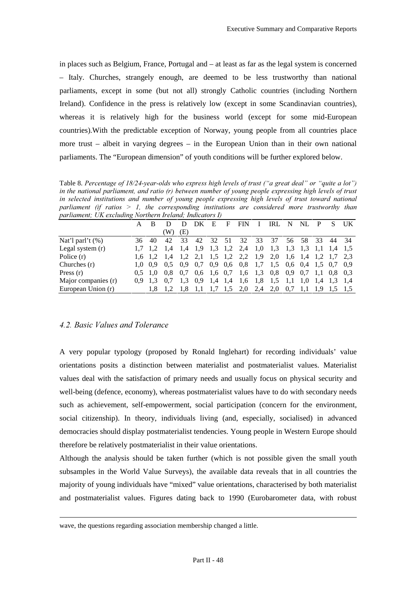in places such as Belgium, France, Portugal and – at least as far as the legal system is concerned – Italy. Churches, strangely enough, are deemed to be less trustworthy than national parliaments, except in some (but not all) strongly Catholic countries (including Northern Ireland). Confidence in the press is relatively low (except in some Scandinavian countries). whereas it is relatively high for the business world (except for some mid-European countries).With the predictable exception of Norway, young people from all countries place more trust – albeit in varying degrees – in the European Union than in their own national parliaments. The "European dimension" of youth conditions will be further explored below.

Table 8. Percentage of 18/24-vear-olds who express high levels of trust ("a great deal" or "auite a lot") *in the national parliament, and ratio (r) between number of young people expressing high levels of trust* in selected institutions and number of young people expressing high levels of trust toward national parliament (if ratios  $> 1$ , the corresponding institutions are considered more trustworthy than *parliament; UK excluding Northern Ireland; Indicators I)* 

|                     | A |                 |         |      | ÐК   | E             | F    | <b>FIN</b>                  |     | IRL | N              | NI.                                           | P   |               | UK.  |
|---------------------|---|-----------------|---------|------|------|---------------|------|-----------------------------|-----|-----|----------------|-----------------------------------------------|-----|---------------|------|
|                     |   |                 | W)      | (E)  |      |               |      |                             |     |     |                |                                               |     |               |      |
| Nat'l parl't $(\%)$ |   | 36 40           | 42      | 33   | 42   | 32            | - 51 | 32                          | -33 | 37  | 56             | - 58                                          | -33 | 44            | - 34 |
| Legal system $(r)$  |   | $1.7 \quad 1.2$ | 1.4 1.4 |      | -1.9 | 1.3           | 1,2  | 2.4                         | 1,0 | 1.3 | 1.3            | 1.3                                           |     | 1.1 1.4 1.5   |      |
| Police $(r)$        |   | $1.6 \quad 1.2$ |         |      |      |               |      | 1.4 1.2 2.1 1.5 1.2 2.2 1.9 |     | 2,0 |                | $1,6$ 1.4 1.2                                 |     | 1.7 2.3       |      |
| Churches $(r)$      |   | $1.0 \quad 0.9$ | 0.5     | 0.9  | 0.7  | $0.9\quad0.6$ |      | 0.8                         | 1,7 | 1.5 |                | $0.6 \quad 0.4 \quad 1.5 \quad 0.7 \quad 0.9$ |     |               |      |
| Press $(r)$         |   | $0.5 \quad 1.0$ | 0.8     | 0.7  |      | $0.6$ 1.6 0.7 |      | 1,6                         | 1.3 | 0.8 | $0.9\quad 0.7$ |                                               |     | $1,1$ 0.8 0.3 |      |
| Major companies (r) |   | $0.9$ 1.3       | 0.7     | 1.3  | 0.9  | -1.4          | -1,4 | 1,6                         | 1,8 | 1.5 | -1,1           | -1.0                                          |     | 1.4 1.3 1.4   |      |
| European Union (r)  |   | 1.8             |         | -1.8 |      |               | 1,5  | 2.0                         | 2,4 | 2,0 | 0.7            | -1.1                                          |     | 1.9 1.5 1.5   |      |

### 4.2. Basic Values and Tolerance

A very popular typology (proposed by Ronald Inglehart) for recording individuals' value orientations posits a distinction between materialist and postmaterialist values. Materialist values deal with the satisfaction of primary needs and usually focus on physical security and well-being (defence, economy), whereas postmaterialist values have to do with secondary needs such as achievement, self-empowerment, social participation (concern for the environment, social citizenship). In theory, individuals living (and, especially, socialised) in advanced democracies should display postmaterialist tendencies. Young people in Western Europe should therefore be relatively postmaterialist in their value orientations.

Although the analysis should be taken further (which is not possible given the small youth subsamples in the World Value Surveys), the available data reveals that in all countries the majority of young individuals have "mixed" value orientations, characterised by both materialist and postmaterialist values. Figures dating back to 1990 (Eurobarometer data, with robust

wave, the questions regarding association membership changed a little.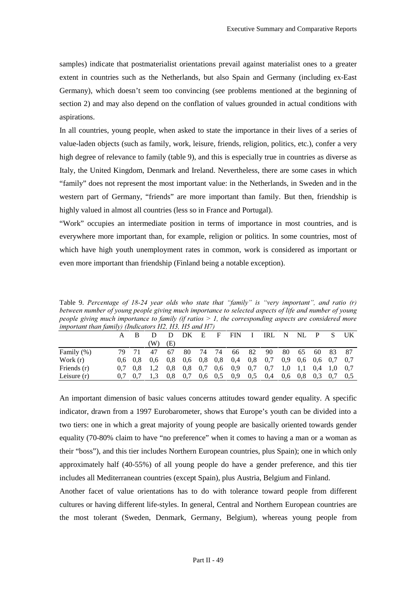samples) indicate that postmaterialist orientations prevail against materialist ones to a greater extent in countries such as the Netherlands, but also Spain and Germany (including ex-East Germany), which doesn't seem too convincing (see problems mentioned at the beginning of section 2) and may also depend on the conflation of values grounded in actual conditions with aspirations.

In all countries, young people, when asked to state the importance in their lives of a series of value-laden objects (such as family, work, leisure, friends, religion, politics, etc.), confer a very high degree of relevance to family (table 9), and this is especially true in countries as diverse as Italy, the United Kingdom, Denmark and Ireland. Nevertheless, there are some cases in which "family" does not represent the most important value: in the Netherlands, in Sweden and in the western part of Germany, "friends" are more important than family. But then, friendship is highly valued in almost all countries (less so in France and Portugal).

"Work" occupies an intermediate position in terms of importance in most countries, and is everywhere more important than, for example, religion or politics. In some countries, most of which have high youth unemployment rates in common, work is considered as important or even more important than friendship (Finland being a notable exception).

Table 9. Percentage of 18-24 year olds who state that "family" is "very important", and ratio (r) between number of young people giving much importance to selected aspects of life and number of young *Deople giving much importance to family (if ratios > 1, the corresponding aspects are considered more l* important than family) (Indicators H2, H3, H5 and H7).

|               | A   | <sub>B</sub>    |               | D   | DK.             | E             | $F_{\perp}$ | <b>FIN</b>      | $\mathbf{I}$ | IRL N NL |                 |                                  |       | P S | UK. |
|---------------|-----|-----------------|---------------|-----|-----------------|---------------|-------------|-----------------|--------------|----------|-----------------|----------------------------------|-------|-----|-----|
|               |     |                 | W)            | (E) |                 |               |             |                 |              |          |                 |                                  |       |     |     |
| Family (%)    |     | 71              | 47            | 67  | 80              | 74            | - 74        | 66              | 82           | 90       |                 | 80 65                            | 60 83 |     | -87 |
| Work $(r)$    |     | $0.6 \quad 0.8$ | $0.6^{\circ}$ | 0.8 | $0.6 \quad 0.8$ |               | 0.8         | 0,4             | 0.8          | 0,7      |                 | $0.9\quad 0.6\quad 0.6\quad 0.7$ |       |     | 0.7 |
| Friends (r)   | 0.7 | 0.8             |               | 0.8 | 0.8             | 0,7           |             | $0.6 \quad 0.9$ | 0,7          | 0.7      | 1,0             | $1,1$ 0,4 1,0                    |       |     | 0.7 |
| Leisure $(r)$ | 0.7 | 0.7             |               | 0.8 | 0,7             | $0.6^{\circ}$ | 0.5         | 0.9             | 0.5          | 0,4      | $0.6 \quad 0.8$ |                                  | 0.3   | 0,7 | 0.5 |
|               |     |                 |               |     |                 |               |             |                 |              |          |                 |                                  |       |     |     |

An important dimension of basic values concerns attitudes toward gender equality. A specific indicator, drawn from a 1997 Eurobarometer, shows that Europe's youth can be divided into a two tiers: one in which a great majority of young people are basically oriented towards gender equality (70-80% claim to have "no preference" when it comes to having a man or a woman as their "boss"), and this tier includes Northern European countries, plus Spain); one in which only approximately half (40-55%) of all young people do have a gender preference, and this tier includes all Mediterranean countries (except Spain), plus Austria, Belgium and Finland.

Another facet of value orientations has to do with tolerance toward people from different cultures or having different life-styles. In general, Central and Northern European countries are the most tolerant (Sweden, Denmark, Germany, Belgium), whereas young people from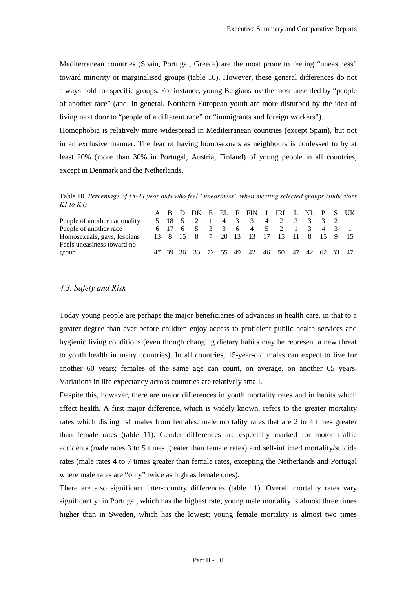Mediterranean countries (Spain, Portugal, Greece) are the most prone to feeling "uneasiness" toward minority or marginalised groups (table 10). However, these general differences do not always hold for specific groups. For instance, young Belgians are the most unsettled by "people of another race" (and, in general, Northern European youth are more disturbed by the idea of living next door to "people of a different race" or "immigrants and foreign workers").

Homophobia is relatively more widespread in Mediterranean countries (except Spain), but not in an exclusive manner. The fear of having homosexuals as neighbours is confessed to by at least 20% (more than 30% in Portugal, Austria, Finland) of young people in all countries, except in Denmark and the Netherlands.

Table 10. Percentage of 15-24 year olds who feel "uneasiness" when meeting selected groups (Indicators *K1* to *K4*)

|                               |  |  |  |  | A B D DK E EL F FIN I IRL L NL P S UK        |  |  |  |
|-------------------------------|--|--|--|--|----------------------------------------------|--|--|--|
| People of another nationality |  |  |  |  | 5 18 5 2 1 4 3 3 4 2 3 3 3 2 1               |  |  |  |
| People of another race        |  |  |  |  | 6 17 6 5 3 3 6 4 5 2 1 3 4 3 1               |  |  |  |
| Homosexuals, gays, lesbians   |  |  |  |  | 13 8 15 8 7 20 13 13 17 15 11 8 15 9 15      |  |  |  |
| Feels uneasiness toward no    |  |  |  |  |                                              |  |  |  |
| group                         |  |  |  |  | 47 39 36 33 72 55 49 42 46 50 47 42 62 33 47 |  |  |  |

### *4.3. Safety and Risk*

Today young people are perhaps the major beneficiaries of advances in health care, in that to a greater degree than ever before children enjoy access to proficient public health services and hygienic living conditions (even though changing dietary habits may be represent a new threat to youth health in many countries). In all countries, 15-year-old males can expect to live for another 60 years; females of the same age can count, on average, on another 65 years. Variations in life expectancy across countries are relatively small.

Despite this, however, there are major differences in youth mortality rates and in habits which affect health. A first major difference, which is widely known, refers to the greater mortality rates which distinguish males from females: male mortality rates that are 2 to 4 times greater than female rates (table 11). Gender differences are especially marked for motor traffic accidents (male rates 3 to 5 times greater than female rates) and self-inflicted mortality/suicide rates (male rates 4 to 7 times greater than female rates, excepting the Netherlands and Portugal where male rates are "only" twice as high as female ones).

There are also significant inter-country differences (table 11). Overall mortality rates vary significantly: in Portugal, which has the highest rate, young male mortality is almost three times higher than in Sweden, which has the lowest; young female mortality is almost two times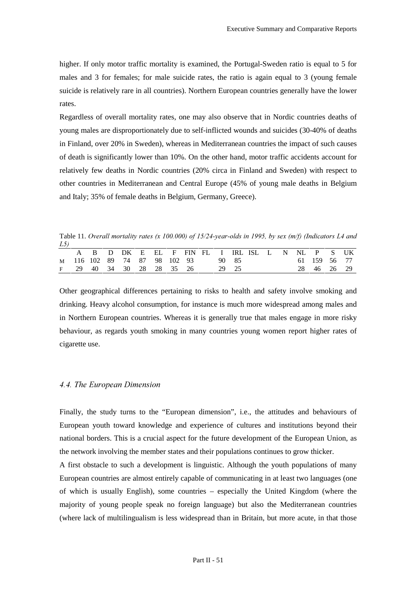higher. If only motor traffic mortality is examined, the Portugal-Sweden ratio is equal to 5 for males and 3 for females; for male suicide rates, the ratio is again equal to 3 (young female suicide is relatively rare in all countries). Northern European countries generally have the lower rates.

Regardless of overall mortality rates, one may also observe that in Nordic countries deaths of young males are disproportionately due to self-inflicted wounds and suicides (30-40% of deaths in Finland, over 20% in Sweden), whereas in Mediterranean countries the impact of such causes of death is significantly lower than 10%. On the other hand, motor traffic accidents account for relatively few deaths in Nordic countries (20% circa in Finland and Sweden) with respect to other countries in Mediterranean and Central Europe (45% of young male deaths in Belgium and Italy; 35% of female deaths in Belgium, Germany, Greece).

Table 11. *Overall mortality rates (x 100.000) of 15/24-year-olds in 1995, by sex (m/f) (Indicators L4 and* 

| L5 |  |                                               |  |  |       |       |  |  |             |              |
|----|--|-----------------------------------------------|--|--|-------|-------|--|--|-------------|--------------|
|    |  | A B D DK E EL F FIN FL I IRLISL L N NL P S UK |  |  |       |       |  |  |             |              |
|    |  | M 116 102 89 74 87 98 102 93                  |  |  | 90 85 |       |  |  |             | 61 159 56 77 |
|    |  | F 29 40 34 30 28 28 35 26                     |  |  |       | 29 25 |  |  | 28 46 26 29 |              |

Other geographical differences pertaining to risks to health and safety involve smoking and drinking. Heavy alcohol consumption, for instance is much more widespread among males and in Northern European countries. Whereas it is generally true that males engage in more risky behaviour, as regards youth smoking in many countries young women report higher rates of cigarette use.

#### *4.4. The European Dimension*

Finally, the study turns to the "European dimension", i.e., the attitudes and behaviours of European youth toward knowledge and experience of cultures and institutions beyond their national borders. This is a crucial aspect for the future development of the European Union, as the network involving the member states and their populations continues to grow thicker.

A first obstacle to such a development is linguistic. Although the youth populations of many European countries are almost entirely capable of communicating in at least two languages (one of which is usually English), some countries – especially the United Kingdom (where the majority of young people speak no foreign language) but also the Mediterranean countries (where lack of multilingualism is less widespread than in Britain, but more acute, in that those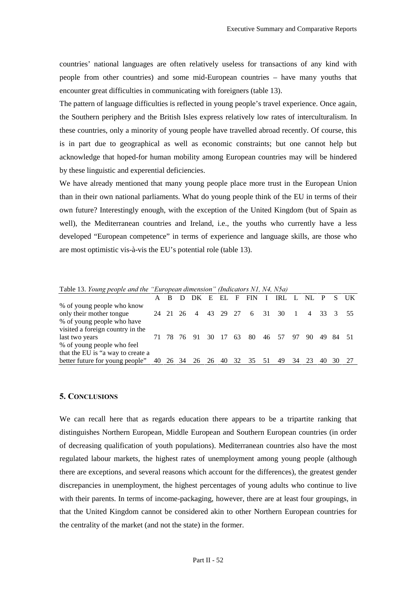countries' national languages are often relatively useless for transactions of any kind with people from other countries) and some mid-European countries – have many youths that encounter great difficulties in communicating with foreigners (table 13).

The pattern of language difficulties is reflected in young people's travel experience. Once again, the Southern periphery and the British Isles express relatively low rates of interculturalism. In these countries, only a minority of young people have travelled abroad recently. Of course, this is in part due to geographical as well as economic constraints; but one cannot help but acknowledge that hoped-for human mobility among European countries may will be hindered by these linguistic and experential deficiencies.

We have already mentioned that many young people place more trust in the European Union than in their own national parliaments. What do young people think of the EU in terms of their own future? Interestingly enough, with the exception of the United Kingdom (but of Spain as well), the Mediterranean countries and Ireland, i.e., the youths who currently have a less developed "European competence" in terms of experience and language skills, are those who are most optimistic vis-à-vis the EU's potential role (table 13).

| Tuble 15. Tomig people and the European anneholding (Thateators 111, 111, 115a) |          |                |       |     |                            |           |          |        |          |      |
|---------------------------------------------------------------------------------|----------|----------------|-------|-----|----------------------------|-----------|----------|--------|----------|------|
|                                                                                 | A B      |                |       |     | DK E EL F FINI             | IRL LNL P |          |        |          | S UK |
| % of young people who know                                                      |          |                |       |     |                            |           |          |        |          |      |
| only their mother tongue                                                        | 24 21 26 | $\overline{4}$ |       |     | 43 29 27 6 31 30           |           | $\sim$ 1 | 4 33 3 |          |      |
| % of young people who have                                                      |          |                |       |     |                            |           |          |        |          |      |
| visited a foreign country in the                                                |          |                |       |     |                            |           |          |        |          |      |
| last two years                                                                  |          | 71 78 76 91    | 30 17 | -63 | 80                         | 46 57 97  |          | 90.    | 49 84 51 |      |
| % of young people who feel                                                      |          |                |       |     |                            |           |          |        |          |      |
| that the EU is "a way to create a                                               |          |                |       |     |                            |           |          |        |          |      |
| better future for young people"                                                 |          |                |       |     | 40 26 34 26 26 40 32 35 51 | 49        |          | 34 23  | 40       |      |

Table 13. *Young people and the "European dimension" (Indicators N1, N4, N5a)* 

### **5. CONCLUSIONS**

We can recall here that as regards education there appears to be a tripartite ranking that distinguishes Northern European, Middle European and Southern European countries (in order of decreasing qualification of youth populations). Mediterranean countries also have the most regulated labour markets, the highest rates of unemployment among young people (although there are exceptions, and several reasons which account for the differences), the greatest gender discrepancies in unemployment, the highest percentages of young adults who continue to live with their parents. In terms of income-packaging, however, there are at least four groupings, in that the United Kingdom cannot be considered akin to other Northern European countries for the centrality of the market (and not the state) in the former.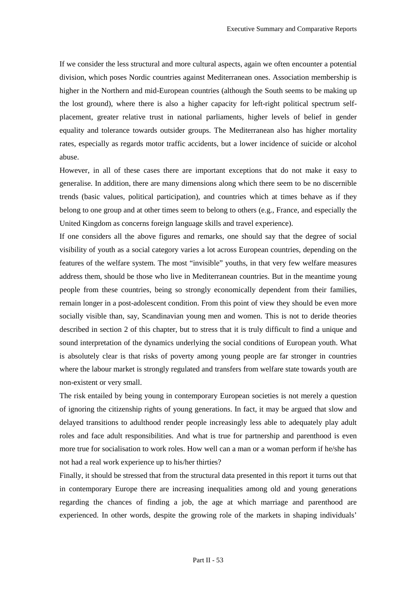If we consider the less structural and more cultural aspects, again we often encounter a potential division, which poses Nordic countries against Mediterranean ones. Association membership is higher in the Northern and mid-European countries (although the South seems to be making up the lost ground), where there is also a higher capacity for left-right political spectrum selfplacement, greater relative trust in national parliaments, higher levels of belief in gender equality and tolerance towards outsider groups. The Mediterranean also has higher mortality rates, especially as regards motor traffic accidents, but a lower incidence of suicide or alcohol abuse.

However, in all of these cases there are important exceptions that do not make it easy to generalise. In addition, there are many dimensions along which there seem to be no discernible trends (basic values, political participation), and countries which at times behave as if they belong to one group and at other times seem to belong to others (e.g., France, and especially the United Kingdom as concerns foreign language skills and travel experience).

If one considers all the above figures and remarks, one should say that the degree of social visibility of youth as a social category varies a lot across European countries, depending on the features of the welfare system. The most "invisible" youths, in that very few welfare measures address them, should be those who live in Mediterranean countries. But in the meantime young people from these countries, being so strongly economically dependent from their families, remain longer in a post-adolescent condition. From this point of view they should be even more socially visible than, say, Scandinavian young men and women. This is not to deride theories described in section 2 of this chapter, but to stress that it is truly difficult to find a unique and sound interpretation of the dynamics underlying the social conditions of European youth. What is absolutely clear is that risks of poverty among young people are far stronger in countries where the labour market is strongly regulated and transfers from welfare state towards youth are non-existent or very small.

The risk entailed by being young in contemporary European societies is not merely a question of ignoring the citizenship rights of young generations. In fact, it may be argued that slow and delayed transitions to adulthood render people increasingly less able to adequately play adult roles and face adult responsibilities. And what is true for partnership and parenthood is even more true for socialisation to work roles. How well can a man or a woman perform if he/she has not had a real work experience up to his/her thirties?

Finally, it should be stressed that from the structural data presented in this report it turns out that in contemporary Europe there are increasing inequalities among old and young generations regarding the chances of finding a job, the age at which marriage and parenthood are experienced. In other words, despite the growing role of the markets in shaping individuals'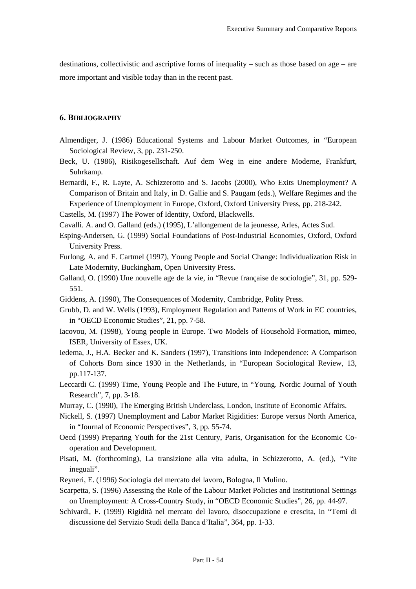destinations, collectivistic and ascriptive forms of inequality – such as those based on age – are more important and visible today than in the recent past.

### 6. BIBLIOGRAPHY

- Almendiger, J. (1986) Educational Systems and Labour Market Outcomes, in "European Sociological Review, 3, pp. 231-250.
- Beck, U. (1986), Risikogesellschaft. Auf dem Weg in eine andere Moderne, Frankfurt, Suhrkamp.

Bernardi, F., R. Layte, A. Schizzerotto and S. Jacobs (2000), Who Exits Unemployment? A Comparison of Britain and Italy, in D. Gallie and S. Paugam (eds.), Welfare Regimes and the Experience of Unemployment in Europe, Oxford, Oxford University Press, pp. 218-242.

- Castells, M. (1997) The Power of Identity, Oxford, Blackwells.
- Cavalli. A. and O. Galland (eds.) (1995), L'allongement de la jeunesse, Arles, Actes Sud.
- Esping-Andersen, G. (1999) Social Foundations of Post-Industrial Economies, Oxford, Oxford University Press.
- Furlong, A. and F. Cartmel (1997), Young People and Social Change: Individualization Risk in Late Modernity, Buckingham, Open University Press.
- Galland, O. (1990) Une nouvelle age de la vie, in "Revue française de sociologie", 31, pp. 529- 551.
- Giddens, A. (1990), The Consequences of Modernity, Cambridge, Polity Press.
- Grubb, D. and W. Wells (1993), Employment Regulation and Patterns of Work in EC countries, in "OECD Economic Studies", 21, pp. 7-58.
- Iacovou, M. (1998), Young people in Europe. Two Models of Household Formation, mimeo, ISER, University of Essex, UK.
- Iedema, J., H.A. Becker and K. Sanders (1997), Transitions into Independence: A Comparison of Cohorts Born since 1930 in the Netherlands, in "European Sociological Review, 13, pp.117-137.
- Leccardi C. (1999) Time, Young People and The Future, in "Young. Nordic Journal of Youth Research", 7, pp. 3-18.
- Murray, C. (1990), The Emerging British Underclass, London, Institute of Economic Affairs.
- Nickell, S. (1997) Unemployment and Labor Market Rigidities: Europe versus North America, in "Journal of Economic Perspectives", 3, pp. 55-74.
- Oecd (1999) Preparing Youth for the 21st Century, Paris, Organisation for the Economic Cooperation and Development.
- Pisati, M. (forthcoming), La transizione alla vita adulta, in Schizzerotto, A. (ed.), "Vite ineguali".
- Reyneri, E. (1996) Sociologia del mercato del lavoro, Bologna, Il Mulino.
- Scarpetta, S. (1996) Assessing the Role of the Labour Market Policies and Institutional Settings on Unemployment: A Cross-Country Study, in "OECD Economic Studies", 26, pp. 44-97.
- Schivardi, F. (1999) Rigidità nel mercato del lavoro, disoccupazione e crescita, in "Temi di discussione del Servizio Studi della Banca d'Italia", 364, pp. 1-33.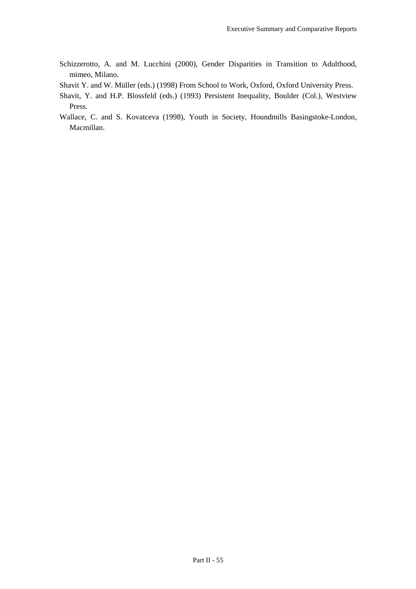- Schizzerotto, A. and M. Lucchini (2000), Gender Disparities in Transition to Adulthood, mimeo, Milano.
- Shavit Y. and W. Müller (eds.) (1998) From School to Work, Oxford, Oxford University Press.
- Shavit, Y. and H.P. Blossfeld (eds.) (1993) Persistent Inequality, Boulder (Col.), Westview Press.
- Wallace, C. and S. Kovatceva (1998), Youth in Society, Houndmills Basingstoke-London, Macmillan.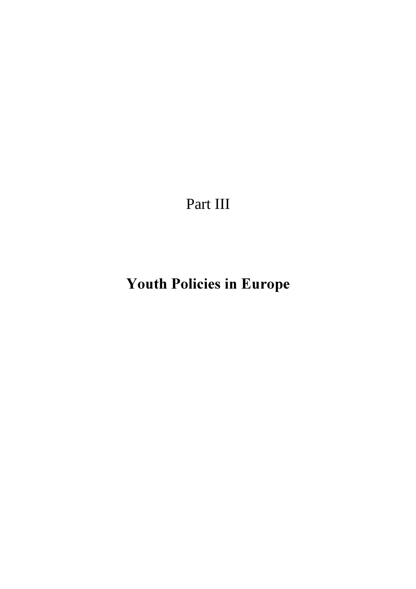Part III

Youth Policies in Europe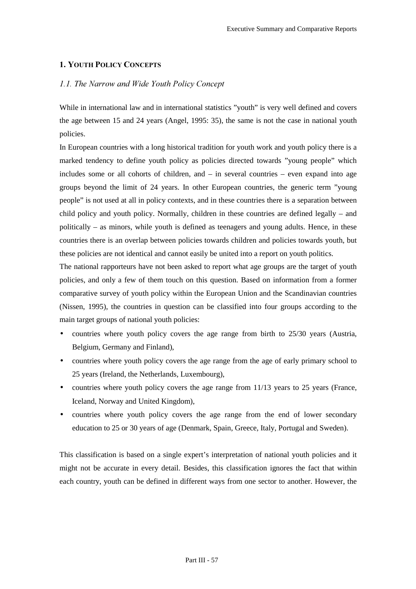### 1. YOUTH POLICY CONCEPTS

### *<i>1.1.* The Narrow and Wide Youth Policy Concept

While in international law and in international statistics "youth" is very well defined and covers the age between 15 and 24 years (Angel, 1995: 35), the same is not the case in national youth policies.

In European countries with a long historical tradition for youth work and youth policy there is a marked tendency to define youth policy as policies directed towards "young people" which includes some or all cohorts of children, and – in several countries – even expand into age groups beyond the limit of 24 years. In other European countries, the generic term "young people" is not used at all in policy contexts, and in these countries there is a separation between child policy and youth policy. Normally, children in these countries are defined legally – and politically – as minors, while youth is defined as teenagers and young adults. Hence, in these countries there is an overlap between policies towards children and policies towards youth, but these policies are not identical and cannot easily be united into a report on youth politics.

The national rapporteurs have not been asked to report what age groups are the target of youth policies, and only a few of them touch on this question. Based on information from a former comparative survey of youth policy within the European Union and the Scandinavian countries (Nissen, 1995), the countries in question can be classified into four groups according to the main target groups of national youth policies:

- countries where youth policy covers the age range from birth to 25/30 years (Austria, Belgium, Germany and Finland),
- countries where youth policy covers the age range from the age of early primary school to 25 years (Ireland, the Netherlands, Luxembourg),
- countries where youth policy covers the age range from  $11/13$  years to 25 years (France, Iceland, Norway and United Kingdom),
- countries where youth policy covers the age range from the end of lower secondary education to 25 or 30 years of age (Denmark, Spain, Greece, Italy, Portugal and Sweden).

This classification is based on a single expert's interpretation of national youth policies and it might not be accurate in every detail. Besides, this classification ignores the fact that within each country, youth can be defined in different ways from one sector to another. However, the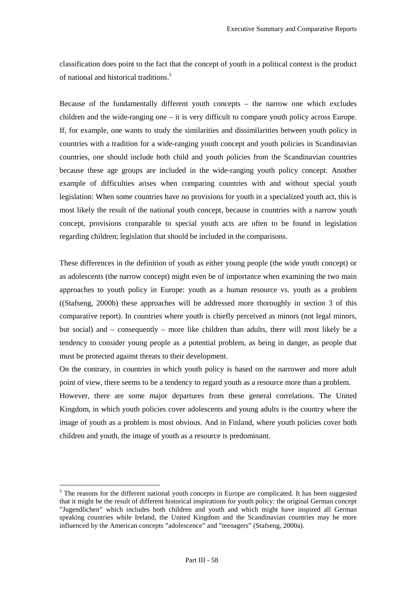classification does point to the fact that the concept of youth in a political context is the product of national and historical traditions.5

Because of the fundamentally different youth concepts – the narrow one which excludes children and the wide-ranging one – it is very difficult to compare youth policy across Europe. If, for example, one wants to study the similarities and dissimilarities between youth policy in countries with a tradition for a wide-ranging youth concept and youth policies in Scandinavian countries, one should include both child and youth policies from the Scandinavian countries because these age groups are included in the wide-ranging youth policy concept. Another example of difficulties arises when comparing countries with and without special youth legislation: When some countries have no provisions for youth in a specialized youth act, this is most likely the result of the national youth concept, because in countries with a narrow youth concept, provisions comparable to special youth acts are often to be found in legislation regarding children; legislation that should be included in the comparisons.

These differences in the definition of youth as either young people (the wide youth concept) or as adolescents (the narrow concept) might even be of importance when examining the two main approaches to youth policy in Europe: youth as a human resource vs. youth as a problem ((Stafseng, 2000b) these approaches will be addressed more thoroughly in section 3 of this comparative report). In countries where youth is chiefly perceived as minors (not legal minors, but social) and – consequently – more like children than adults, there will most likely be a tendency to consider young people as a potential problem, as being in danger, as people that must be protected against threats to their development.

On the contrary, in countries in which youth policy is based on the narrower and more adult point of view, there seems to be a tendency to regard youth as a resource more than a problem.

However, there are some major departures from these general correlations. The United Kingdom, in which youth policies cover adolescents and young adults is the country where the image of youth as a problem is most obvious. And in Finland, where youth policies cover both children and youth, the image of youth as a resource is predominant.

 $\overline{a}$ 

<sup>&</sup>lt;sup>5</sup> The reasons for the different national youth concepts in Europe are complicated. It has been suggested that it might be the result of different historical inspirations for youth policy: the original German concept "Jugendlichen" which includes both children and youth and which might have inspired all German speaking countries while Ireland, the United Kingdom and the Scandinavian countries may be more influenced by the American concepts "adolescence" and "teenagers" (Stafseng, 2000a).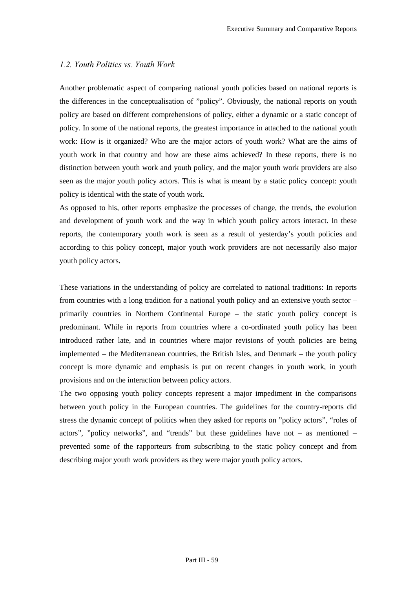### *1.2. Youth Politics vs. Youth Work*

Another problematic aspect of comparing national youth policies based on national reports is the differences in the conceptualisation of "policy". Obviously, the national reports on youth policy are based on different comprehensions of policy, either a dynamic or a static concept of policy. In some of the national reports, the greatest importance in attached to the national youth work: How is it organized? Who are the major actors of youth work? What are the aims of youth work in that country and how are these aims achieved? In these reports, there is no distinction between youth work and youth policy, and the major youth work providers are also seen as the major youth policy actors. This is what is meant by a static policy concept: youth policy is identical with the state of youth work.

As opposed to his, other reports emphasize the processes of change, the trends, the evolution and development of youth work and the way in which youth policy actors interact. In these reports, the contemporary youth work is seen as a result of yesterday's youth policies and according to this policy concept, major youth work providers are not necessarily also major youth policy actors.

These variations in the understanding of policy are correlated to national traditions: In reports from countries with a long tradition for a national youth policy and an extensive youth sector – primarily countries in Northern Continental Europe – the static youth policy concept is predominant. While in reports from countries where a co-ordinated youth policy has been introduced rather late, and in countries where major revisions of youth policies are being implemented – the Mediterranean countries, the British Isles, and Denmark – the youth policy concept is more dynamic and emphasis is put on recent changes in youth work, in youth provisions and on the interaction between policy actors.

The two opposing youth policy concepts represent a major impediment in the comparisons between youth policy in the European countries. The guidelines for the country-reports did stress the dynamic concept of politics when they asked for reports on "policy actors", "roles of actors", "policy networks", and "trends" but these guidelines have not – as mentioned – prevented some of the rapporteurs from subscribing to the static policy concept and from describing major youth work providers as they were major youth policy actors.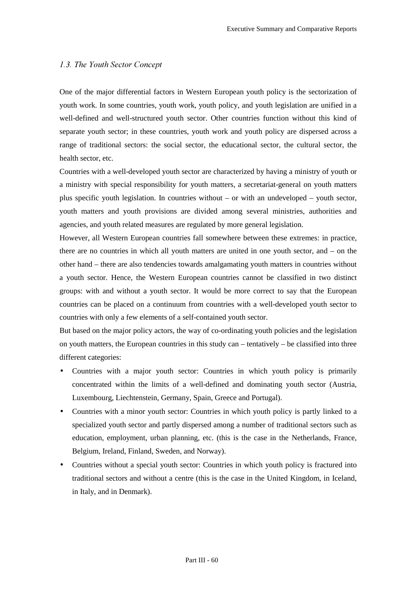### 1.3. The Youth Sector Concept

One of the major differential factors in Western European youth policy is the sectorization of youth work. In some countries, youth work, youth policy, and youth legislation are unified in a well-defined and well-structured youth sector. Other countries function without this kind of separate youth sector; in these countries, youth work and youth policy are dispersed across a range of traditional sectors: the social sector, the educational sector, the cultural sector, the health sector, etc.

Countries with a well-developed youth sector are characterized by having a ministry of youth or a ministry with special responsibility for youth matters, a secretariat-general on youth matters plus specific youth legislation. In countries without – or with an undeveloped – youth sector, youth matters and youth provisions are divided among several ministries, authorities and agencies, and youth related measures are regulated by more general legislation.

However, all Western European countries fall somewhere between these extremes: in practice, there are no countries in which all youth matters are united in one youth sector, and – on the other hand – there are also tendencies towards amalgamating youth matters in countries without a youth sector. Hence, the Western European countries cannot be classified in two distinct groups: with and without a youth sector. It would be more correct to say that the European countries can be placed on a continuum from countries with a well-developed youth sector to countries with only a few elements of a self-contained youth sector.

But based on the major policy actors, the way of co-ordinating youth policies and the legislation on youth matters, the European countries in this study can – tentatively – be classified into three different categories:

- Countries with a major youth sector: Countries in which youth policy is primarily concentrated within the limits of a well-defined and dominating youth sector (Austria, Luxembourg, Liechtenstein, Germany, Spain, Greece and Portugal).
- Countries with a minor youth sector: Countries in which youth policy is partly linked to a specialized youth sector and partly dispersed among a number of traditional sectors such as education, employment, urban planning, etc. (this is the case in the Netherlands, France, Belgium, Ireland, Finland, Sweden, and Norway).
- Countries without a special youth sector: Countries in which youth policy is fractured into traditional sectors and without a centre (this is the case in the United Kingdom, in Iceland, in Italy, and in Denmark).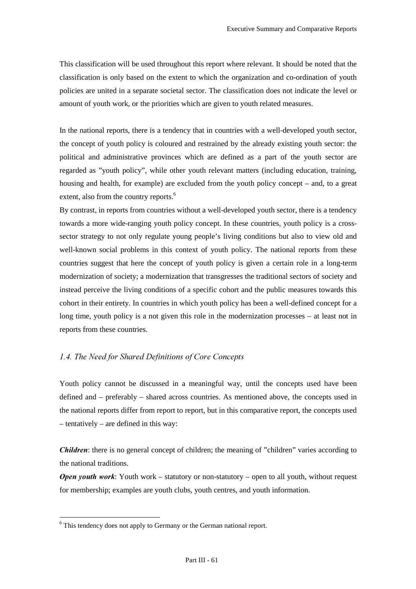This classification will be used throughout this report where relevant. It should be noted that the classification is only based on the extent to which the organization and co-ordination of youth policies are united in a separate societal sector. The classification does not indicate the level or amount of youth work, or the priorities which are given to youth related measures.

In the national reports, there is a tendency that in countries with a well-developed youth sector, the concept of youth policy is coloured and restrained by the already existing youth sector: the political and administrative provinces which are defined as a part of the youth sector are regarded as "youth policy", while other youth relevant matters (including education, training, housing and health, for example) are excluded from the youth policy concept – and, to a great extent, also from the country reports.<sup>6</sup>

By contrast, in reports from countries without a well-developed youth sector, there is a tendency towards a more wide-ranging youth policy concept. In these countries, youth policy is a crosssector strategy to not only regulate young people's living conditions but also to view old and well-known social problems in this context of youth policy. The national reports from these countries suggest that here the concept of youth policy is given a certain role in a long-term modernization of society; a modernization that transgresses the traditional sectors of society and instead perceive the living conditions of a specific cohort and the public measures towards this cohort in their entirety. In countries in which youth policy has been a well-defined concept for a long time, youth policy is a not given this role in the modernization processes – at least not in reports from these countries.

### *<i>1.4.* The Need for Shared Definitions of Core Concepts

Youth policy cannot be discussed in a meaningful way, until the concepts used have been defined and – preferably – shared across countries. As mentioned above, the concepts used in the national reports differ from report to report, but in this comparative report, the concepts used – tentatively – are defined in this way:

*Children*: there is no general concept of children; the meaning of "children" varies according to the national traditions.

*Open youth work:* Youth work – statutory or non-statutory – open to all youth, without request for membership; examples are youth clubs, youth centres, and youth information.

 $\overline{a}$ 

<sup>&</sup>lt;sup>6</sup> This tendency does not apply to Germany or the German national report.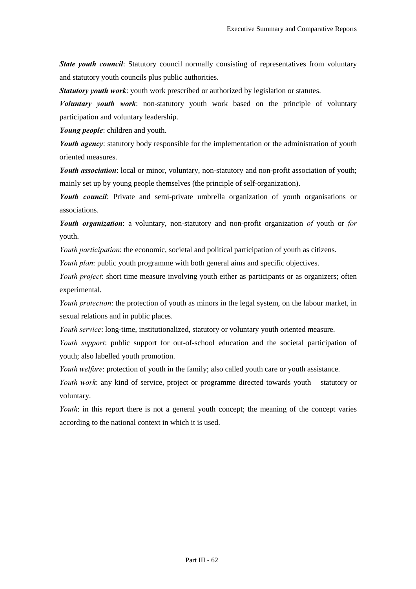*State youth council:* Statutory council normally consisting of representatives from voluntary and statutory youth councils plus public authorities.

*Statutory youth work:* youth work prescribed or authorized by legislation or statutes.

*Voluntary youth work*: non-statutory youth work based on the principle of voluntary participation and voluntary leadership.

*Young people:* children and youth.

*Youth agency*: statutory body responsible for the implementation or the administration of youth oriented measures.

**Youth association:** local or minor, voluntary, non-statutory and non-profit association of youth; mainly set up by young people themselves (the principle of self-organization).

*Youth council:* Private and semi-private umbrella organization of youth organisations or associations.

*Youth organization*: a voluntary, non-statutory and non-profit organization of youth or for youth.

*Youth participation*: the economic, societal and political participation of youth as citizens.

*Youth plan*: public youth programme with both general aims and specific objectives.

*Youth project*: short time measure involving youth either as participants or as organizers; often experimental.

*Youth protection*: the protection of youth as minors in the legal system, on the labour market, in sexual relations and in public places.

*Youth service*: long-time, institutionalized, statutory or voluntary youth oriented measure.

Youth support: public support for out-of-school education and the societal participation of youth; also labelled youth promotion.

*Youth welfare:* protection of youth in the family; also called youth care or youth assistance.

*Youth work*: any kind of service, project or programme directed towards youth – statutory or voluntary.

*Youth*: in this report there is not a general youth concept; the meaning of the concept varies according to the national context in which it is used.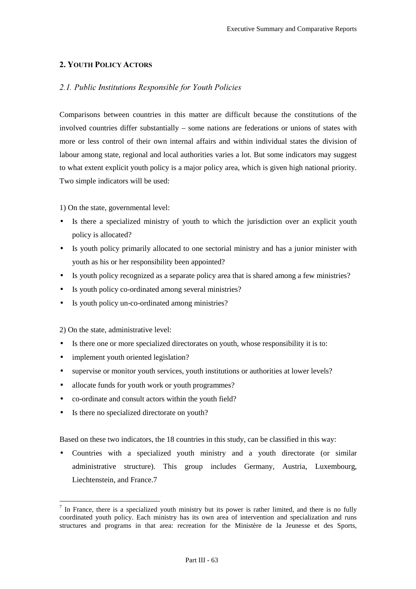# 2. YOUTH POLICY ACTORS

# 2.1. Public Institutions Responsible for Youth Policies

Comparisons between countries in this matter are difficult because the constitutions of the involved countries differ substantially – some nations are federations or unions of states with more or less control of their own internal affairs and within individual states the division of labour among state, regional and local authorities varies a lot. But some indicators may suggest to what extent explicit youth policy is a major policy area, which is given high national priority. Two simple indicators will be used:

1) On the state, governmental level:

- Is there a specialized ministry of youth to which the jurisdiction over an explicit youth policy is allocated?
- Is youth policy primarily allocated to one sectorial ministry and has a junior minister with youth as his or her responsibility been appointed?
- Is youth policy recognized as a separate policy area that is shared among a few ministries?
- Is youth policy co-ordinated among several ministries?
- Is youth policy un-co-ordinated among ministries?

2) On the state, administrative level:

 $\overline{a}$ 

- Is there one or more specialized directorates on youth, whose responsibility it is to:
- implement youth oriented legislation?
- supervise or monitor youth services, youth institutions or authorities at lower levels?
- allocate funds for youth work or youth programmes?
- co-ordinate and consult actors within the youth field?
- Is there no specialized directorate on youth?

Based on these two indicators, the 18 countries in this study, can be classified in this way:

• Countries with a specialized youth ministry and a youth directorate (or similar administrative structure). This group includes Germany, Austria, Luxembourg, Liechtenstein, and France.7

 $<sup>7</sup>$  In France, there is a specialized youth ministry but its power is rather limited, and there is no fully</sup> coordinated youth policy. Each ministry has its own area of intervention and specialization and runs structures and programs in that area: recreation for the Ministère de la Jeunesse et des Sports,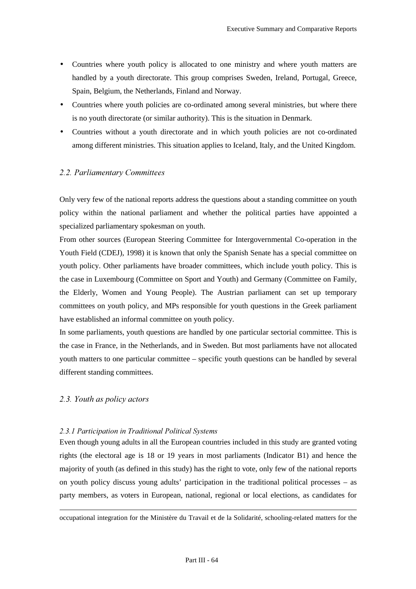- Countries where youth policy is allocated to one ministry and where youth matters are handled by a youth directorate. This group comprises Sweden, Ireland, Portugal, Greece, Spain, Belgium, the Netherlands, Finland and Norway.
- Countries where youth policies are co-ordinated among several ministries, but where there is no youth directorate (or similar authority). This is the situation in Denmark.
- Countries without a youth directorate and in which youth policies are not co-ordinated among different ministries. This situation applies to Iceland, Italy, and the United Kingdom.

# 2.2. Parliamentary Committees

Only very few of the national reports address the questions about a standing committee on youth policy within the national parliament and whether the political parties have appointed a specialized parliamentary spokesman on youth.

From other sources (European Steering Committee for Intergovernmental Co-operation in the Youth Field (CDEJ), 1998) it is known that only the Spanish Senate has a special committee on youth policy. Other parliaments have broader committees, which include youth policy. This is the case in Luxembourg (Committee on Sport and Youth) and Germany (Committee on Family, the Elderly, Women and Young People). The Austrian parliament can set up temporary committees on youth policy, and MPs responsible for youth questions in the Greek parliament have established an informal committee on youth policy.

In some parliaments, youth questions are handled by one particular sectorial committee. This is the case in France, in the Netherlands, and in Sweden. But most parliaments have not allocated youth matters to one particular committee – specific youth questions can be handled by several different standing committees.

## 2.3. Youth as policy actors

 $\overline{a}$ 

#### 2.3.1 Participation in Traditional Political Systems

Even though young adults in all the European countries included in this study are granted voting rights (the electoral age is 18 or 19 years in most parliaments (Indicator B1) and hence the majority of youth (as defined in this study) has the right to vote, only few of the national reports on youth policy discuss young adults' participation in the traditional political processes – as party members, as voters in European, national, regional or local elections, as candidates for

occupational integration for the Ministère du Travail et de la Solidarité, schooling-related matters for the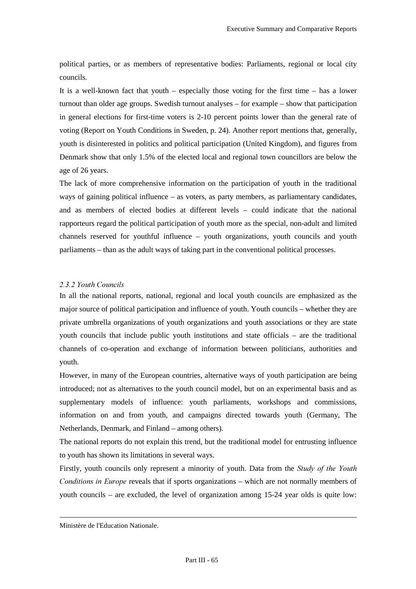political parties, or as members of representative bodies: Parliaments, regional or local city councils.

It is a well-known fact that youth – especially those voting for the first time – has a lower turnout than older age groups. Swedish turnout analyses – for example – show that participation in general elections for first-time voters is 2-10 percent points lower than the general rate of voting (Report on Youth Conditions in Sweden, p. 24). Another report mentions that, generally, youth is disinterested in politics and political participation (United Kingdom), and figures from Denmark show that only 1.5% of the elected local and regional town councillors are below the age of 26 years.

The lack of more comprehensive information on the participation of youth in the traditional ways of gaining political influence – as voters, as party members, as parliamentary candidates, and as members of elected bodies at different levels – could indicate that the national rapporteurs regard the political participation of youth more as the special, non-adult and limited channels reserved for youthful influence – youth organizations, youth councils and youth parliaments – than as the adult ways of taking part in the conventional political processes.

#### 2.3.2 Youth Councils

In all the national reports, national, regional and local youth councils are emphasized as the major source of political participation and influence of youth. Youth councils – whether they are private umbrella organizations of youth organizations and youth associations or they are state youth councils that include public youth institutions and state officials – are the traditional channels of co-operation and exchange of information between politicians, authorities and youth.

However, in many of the European countries, alternative ways of youth participation are being introduced; not as alternatives to the youth council model, but on an experimental basis and as supplementary models of influence: youth parliaments, workshops and commissions, information on and from youth, and campaigns directed towards youth (Germany, The Netherlands, Denmark, and Finland – among others).

The national reports do not explain this trend, but the traditional model for entrusting influence to youth has shown its limitations in several ways.

Firstly, youth councils only represent a minority of youth. Data from the *Study of the Youth Conditions in Europe* reveals that if sports organizations – which are not normally members of youth councils – are excluded, the level of organization among 15-24 year olds is quite low:

Ministère de l'Education Nationale.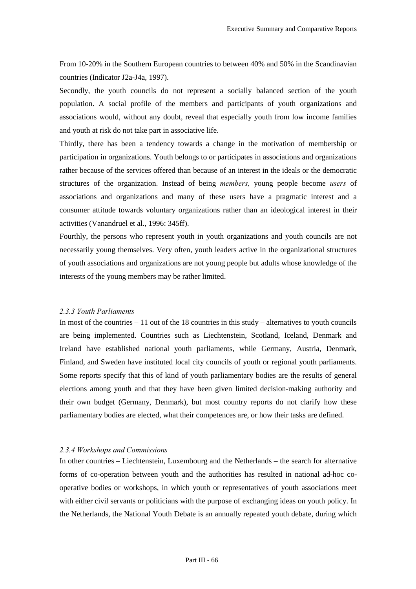From 10-20% in the Southern European countries to between 40% and 50% in the Scandinavian countries (Indicator J2a-J4a, 1997).

Secondly, the youth councils do not represent a socially balanced section of the youth population. A social profile of the members and participants of youth organizations and associations would, without any doubt, reveal that especially youth from low income families and youth at risk do not take part in associative life.

Thirdly, there has been a tendency towards a change in the motivation of membership or participation in organizations. Youth belongs to or participates in associations and organizations rather because of the services offered than because of an interest in the ideals or the democratic structures of the organization. Instead of being *members*, young people become *users* of associations and organizations and many of these users have a pragmatic interest and a consumer attitude towards voluntary organizations rather than an ideological interest in their activities (Vanandruel et al., 1996: 345ff).

Fourthly, the persons who represent youth in youth organizations and youth councils are not necessarily young themselves. Very often, youth leaders active in the organizational structures of youth associations and organizations are not young people but adults whose knowledge of the interests of the young members may be rather limited.

## 2.3.3 Youth Parliaments

In most of the countries  $-11$  out of the 18 countries in this study – alternatives to youth councils are being implemented. Countries such as Liechtenstein, Scotland, Iceland, Denmark and Ireland have established national youth parliaments, while Germany, Austria, Denmark, Finland, and Sweden have instituted local city councils of youth or regional youth parliaments. Some reports specify that this of kind of youth parliamentary bodies are the results of general elections among youth and that they have been given limited decision-making authority and their own budget (Germany, Denmark), but most country reports do not clarify how these parliamentary bodies are elected, what their competences are, or how their tasks are defined.

#### 2.3.4 Workshops and Commissions

In other countries – Liechtenstein, Luxembourg and the Netherlands – the search for alternative forms of co-operation between youth and the authorities has resulted in national ad-hoc cooperative bodies or workshops, in which youth or representatives of youth associations meet with either civil servants or politicians with the purpose of exchanging ideas on youth policy. In the Netherlands, the National Youth Debate is an annually repeated youth debate, during which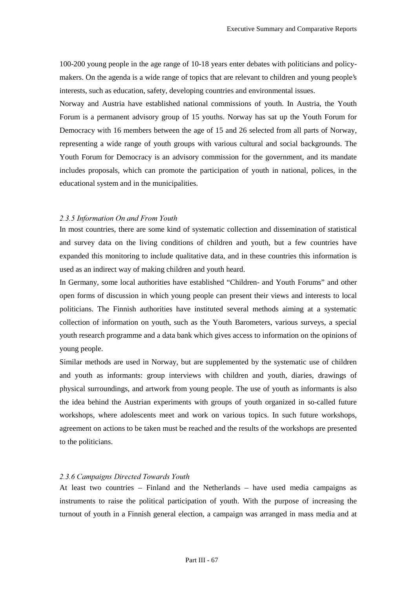100-200 young people in the age range of 10-18 years enter debates with politicians and policymakers. On the agenda is a wide range of topics that are relevant to children and young people's interests, such as education, safety, developing countries and environmental issues.

Norway and Austria have established national commissions of youth. In Austria, the Youth Forum is a permanent advisory group of 15 youths. Norway has sat up the Youth Forum for Democracy with 16 members between the age of 15 and 26 selected from all parts of Norway, representing a wide range of youth groups with various cultural and social backgrounds. The Youth Forum for Democracy is an advisory commission for the government, and its mandate includes proposals, which can promote the participation of youth in national, polices, in the educational system and in the municipalities.

#### 2.3.5 Information On and From Youth

In most countries, there are some kind of systematic collection and dissemination of statistical and survey data on the living conditions of children and youth, but a few countries have expanded this monitoring to include qualitative data, and in these countries this information is used as an indirect way of making children and youth heard.

In Germany, some local authorities have established "Children- and Youth Forums" and other open forms of discussion in which young people can present their views and interests to local politicians. The Finnish authorities have instituted several methods aiming at a systematic collection of information on youth, such as the Youth Barometers, various surveys, a special youth research programme and a data bank which gives access to information on the opinions of young people.

Similar methods are used in Norway, but are supplemented by the systematic use of children and youth as informants: group interviews with children and youth, diaries, drawings of physical surroundings, and artwork from young people. The use of youth as informants is also the idea behind the Austrian experiments with groups of youth organized in so-called future workshops, where adolescents meet and work on various topics. In such future workshops, agreement on actions to be taken must be reached and the results of the workshops are presented to the politicians.

#### 2.3.6 Campaigns Directed Towards Youth

At least two countries – Finland and the Netherlands – have used media campaigns as instruments to raise the political participation of youth. With the purpose of increasing the turnout of youth in a Finnish general election, a campaign was arranged in mass media and at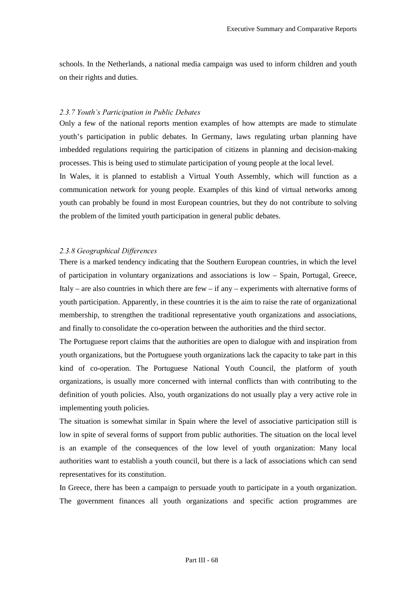schools. In the Netherlands, a national media campaign was used to inform children and youth on their rights and duties.

## 2.3.7 Youth's Participation in Public Debates

Only a few of the national reports mention examples of how attempts are made to stimulate youth's participation in public debates. In Germany, laws regulating urban planning have imbedded regulations requiring the participation of citizens in planning and decision-making processes. This is being used to stimulate participation of young people at the local level.

In Wales, it is planned to establish a Virtual Youth Assembly, which will function as a communication network for young people. Examples of this kind of virtual networks among youth can probably be found in most European countries, but they do not contribute to solving the problem of the limited youth participation in general public debates.

#### 2.3.8 Geographical Differences

There is a marked tendency indicating that the Southern European countries, in which the level of participation in voluntary organizations and associations is low – Spain, Portugal, Greece, Italy – are also countries in which there are few – if any – experiments with alternative forms of youth participation. Apparently, in these countries it is the aim to raise the rate of organizational membership, to strengthen the traditional representative youth organizations and associations, and finally to consolidate the co-operation between the authorities and the third sector.

The Portuguese report claims that the authorities are open to dialogue with and inspiration from youth organizations, but the Portuguese youth organizations lack the capacity to take part in this kind of co-operation. The Portuguese National Youth Council, the platform of youth organizations, is usually more concerned with internal conflicts than with contributing to the definition of youth policies. Also, youth organizations do not usually play a very active role in implementing youth policies.

The situation is somewhat similar in Spain where the level of associative participation still is low in spite of several forms of support from public authorities. The situation on the local level is an example of the consequences of the low level of youth organization: Many local authorities want to establish a youth council, but there is a lack of associations which can send representatives for its constitution.

In Greece, there has been a campaign to persuade youth to participate in a youth organization. The government finances all youth organizations and specific action programmes are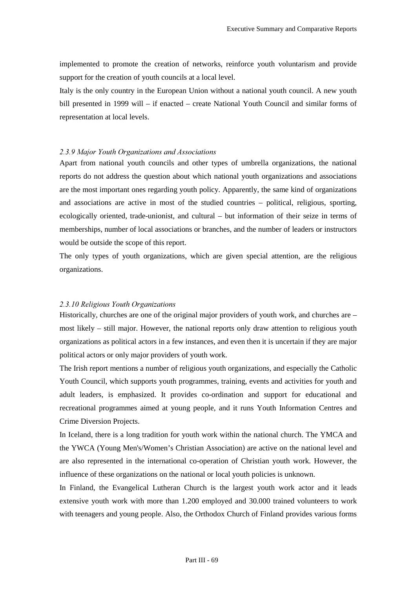implemented to promote the creation of networks, reinforce youth voluntarism and provide support for the creation of youth councils at a local level.

Italy is the only country in the European Union without a national youth council. A new youth bill presented in 1999 will – if enacted – create National Youth Council and similar forms of representation at local levels.

### 2.3.9 Major Youth Organizations and Associations

Apart from national youth councils and other types of umbrella organizations, the national reports do not address the question about which national youth organizations and associations are the most important ones regarding youth policy. Apparently, the same kind of organizations and associations are active in most of the studied countries – political, religious, sporting, ecologically oriented, trade-unionist, and cultural – but information of their seize in terms of memberships, number of local associations or branches, and the number of leaders or instructors would be outside the scope of this report.

The only types of youth organizations, which are given special attention, are the religious organizations.

## 2.3.10 Religious Youth Organizations

Historically, churches are one of the original major providers of youth work, and churches are – most likely – still major. However, the national reports only draw attention to religious youth organizations as political actors in a few instances, and even then it is uncertain if they are major political actors or only major providers of youth work.

The Irish report mentions a number of religious youth organizations, and especially the Catholic Youth Council, which supports youth programmes, training, events and activities for youth and adult leaders, is emphasized. It provides co-ordination and support for educational and recreational programmes aimed at young people, and it runs Youth Information Centres and Crime Diversion Projects.

In Iceland, there is a long tradition for youth work within the national church. The YMCA and the YWCA (Young Men's/Women's Christian Association) are active on the national level and are also represented in the international co-operation of Christian youth work. However, the influence of these organizations on the national or local youth policies is unknown.

In Finland, the Evangelical Lutheran Church is the largest youth work actor and it leads extensive youth work with more than 1.200 employed and 30.000 trained volunteers to work with teenagers and young people. Also, the Orthodox Church of Finland provides various forms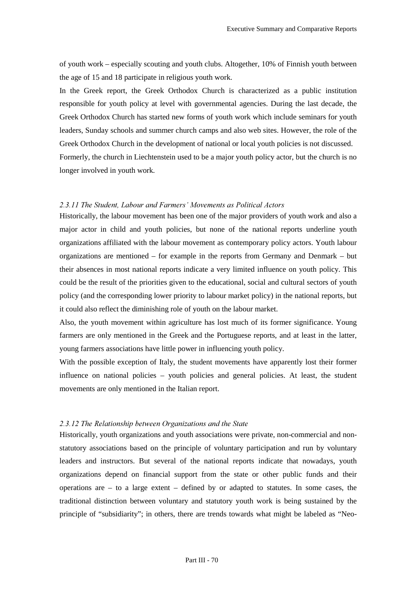of youth work – especially scouting and youth clubs. Altogether, 10% of Finnish youth between the age of 15 and 18 participate in religious youth work.

In the Greek report, the Greek Orthodox Church is characterized as a public institution responsible for youth policy at level with governmental agencies. During the last decade, the Greek Orthodox Church has started new forms of youth work which include seminars for youth leaders, Sunday schools and summer church camps and also web sites. However, the role of the Greek Orthodox Church in the development of national or local youth policies is not discussed. Formerly, the church in Liechtenstein used to be a major youth policy actor, but the church is no longer involved in youth work.

## 2.3.11 The Student, Labour and Farmers' Movements as Political Actors

Historically, the labour movement has been one of the major providers of youth work and also a major actor in child and youth policies, but none of the national reports underline youth organizations affiliated with the labour movement as contemporary policy actors. Youth labour organizations are mentioned – for example in the reports from Germany and Denmark – but their absences in most national reports indicate a very limited influence on youth policy. This could be the result of the priorities given to the educational, social and cultural sectors of youth policy (and the corresponding lower priority to labour market policy) in the national reports, but it could also reflect the diminishing role of youth on the labour market.

Also, the youth movement within agriculture has lost much of its former significance. Young farmers are only mentioned in the Greek and the Portuguese reports, and at least in the latter, young farmers associations have little power in influencing youth policy.

With the possible exception of Italy, the student movements have apparently lost their former influence on national policies – youth policies and general policies. At least, the student movements are only mentioned in the Italian report.

#### 2.3.12 The Relationship between Organizations and the State

Historically, youth organizations and youth associations were private, non-commercial and nonstatutory associations based on the principle of voluntary participation and run by voluntary leaders and instructors. But several of the national reports indicate that nowadays, youth organizations depend on financial support from the state or other public funds and their operations are – to a large extent – defined by or adapted to statutes. In some cases, the traditional distinction between voluntary and statutory youth work is being sustained by the principle of "subsidiarity"; in others, there are trends towards what might be labeled as "Neo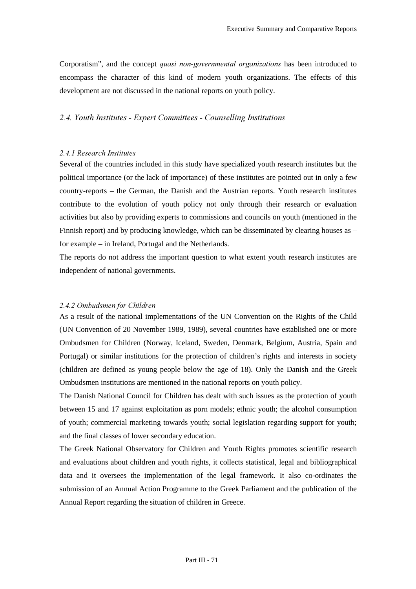Corporatism", and the concept *quasi non-governmental organizations* has been introduced to encompass the character of this kind of modern youth organizations. The effects of this development are not discussed in the national reports on youth policy.

### 2.4. Youth Institutes - Expert Committees - Counselling Institutions

#### 2.4.1 Research Institutes

Several of the countries included in this study have specialized youth research institutes but the political importance (or the lack of importance) of these institutes are pointed out in only a few country-reports – the German, the Danish and the Austrian reports. Youth research institutes contribute to the evolution of youth policy not only through their research or evaluation activities but also by providing experts to commissions and councils on youth (mentioned in the Finnish report) and by producing knowledge, which can be disseminated by clearing houses as – for example – in Ireland, Portugal and the Netherlands.

The reports do not address the important question to what extent youth research institutes are independent of national governments.

#### 2.4.2 Ombudsmen for Children

As a result of the national implementations of the UN Convention on the Rights of the Child (UN Convention of 20 November 1989, 1989), several countries have established one or more Ombudsmen for Children (Norway, Iceland, Sweden, Denmark, Belgium, Austria, Spain and Portugal) or similar institutions for the protection of children's rights and interests in society (children are defined as young people below the age of 18). Only the Danish and the Greek Ombudsmen institutions are mentioned in the national reports on youth policy.

The Danish National Council for Children has dealt with such issues as the protection of youth between 15 and 17 against exploitation as porn models; ethnic youth; the alcohol consumption of youth; commercial marketing towards youth; social legislation regarding support for youth; and the final classes of lower secondary education.

The Greek National Observatory for Children and Youth Rights promotes scientific research and evaluations about children and youth rights, it collects statistical, legal and bibliographical data and it oversees the implementation of the legal framework. It also co-ordinates the submission of an Annual Action Programme to the Greek Parliament and the publication of the Annual Report regarding the situation of children in Greece.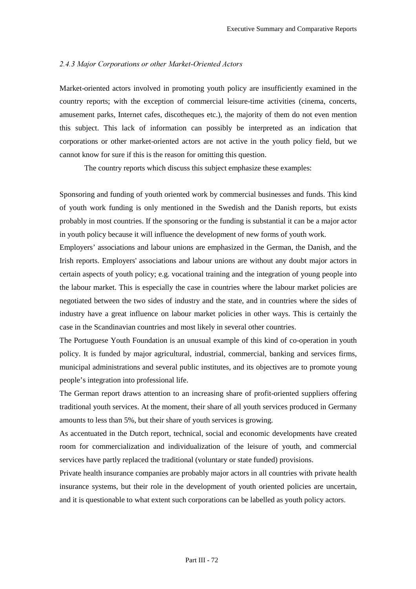#### 2.4.3 Major Corporations or other Market-Oriented Actors

Market-oriented actors involved in promoting youth policy are insufficiently examined in the country reports; with the exception of commercial leisure-time activities (cinema, concerts, amusement parks, Internet cafes, discotheques etc.), the majority of them do not even mention this subject. This lack of information can possibly be interpreted as an indication that corporations or other market-oriented actors are not active in the youth policy field, but we cannot know for sure if this is the reason for omitting this question.

The country reports which discuss this subject emphasize these examples:

Sponsoring and funding of youth oriented work by commercial businesses and funds. This kind of youth work funding is only mentioned in the Swedish and the Danish reports, but exists probably in most countries. If the sponsoring or the funding is substantial it can be a major actor in youth policy because it will influence the development of new forms of youth work.

Employers' associations and labour unions are emphasized in the German, the Danish, and the Irish reports. Employers' associations and labour unions are without any doubt major actors in certain aspects of youth policy; e.g. vocational training and the integration of young people into the labour market. This is especially the case in countries where the labour market policies are negotiated between the two sides of industry and the state, and in countries where the sides of industry have a great influence on labour market policies in other ways. This is certainly the case in the Scandinavian countries and most likely in several other countries.

The Portuguese Youth Foundation is an unusual example of this kind of co-operation in youth policy. It is funded by major agricultural, industrial, commercial, banking and services firms, municipal administrations and several public institutes, and its objectives are to promote young people's integration into professional life.

The German report draws attention to an increasing share of profit-oriented suppliers offering traditional youth services. At the moment, their share of all youth services produced in Germany amounts to less than 5%, but their share of youth services is growing.

As accentuated in the Dutch report, technical, social and economic developments have created room for commercialization and individualization of the leisure of youth, and commercial services have partly replaced the traditional (voluntary or state funded) provisions.

Private health insurance companies are probably major actors in all countries with private health insurance systems, but their role in the development of youth oriented policies are uncertain, and it is questionable to what extent such corporations can be labelled as youth policy actors.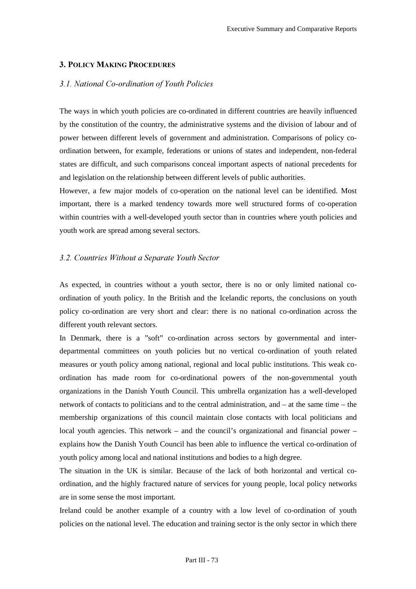## 3. POLICY MAKING PROCEDURES

## **3.1. National Co-ordination of Youth Policies**

The ways in which youth policies are co-ordinated in different countries are heavily influenced by the constitution of the country, the administrative systems and the division of labour and of power between different levels of government and administration. Comparisons of policy coordination between, for example, federations or unions of states and independent, non-federal states are difficult, and such comparisons conceal important aspects of national precedents for and legislation on the relationship between different levels of public authorities.

However, a few major models of co-operation on the national level can be identified. Most important, there is a marked tendency towards more well structured forms of co-operation within countries with a well-developed youth sector than in countries where youth policies and youth work are spread among several sectors.

### **3.2. Countries Without a Separate Youth Sector**

As expected, in countries without a youth sector, there is no or only limited national coordination of youth policy. In the British and the Icelandic reports, the conclusions on youth policy co-ordination are very short and clear: there is no national co-ordination across the different youth relevant sectors.

In Denmark, there is a "soft" co-ordination across sectors by governmental and interdepartmental committees on youth policies but no vertical co-ordination of youth related measures or youth policy among national, regional and local public institutions. This weak coordination has made room for co-ordinational powers of the non-governmental youth organizations in the Danish Youth Council. This umbrella organization has a well-developed network of contacts to politicians and to the central administration, and – at the same time – the membership organizations of this council maintain close contacts with local politicians and local youth agencies. This network – and the council's organizational and financial power – explains how the Danish Youth Council has been able to influence the vertical co-ordination of youth policy among local and national institutions and bodies to a high degree.

The situation in the UK is similar. Because of the lack of both horizontal and vertical coordination, and the highly fractured nature of services for young people, local policy networks are in some sense the most important.

Ireland could be another example of a country with a low level of co-ordination of youth policies on the national level. The education and training sector is the only sector in which there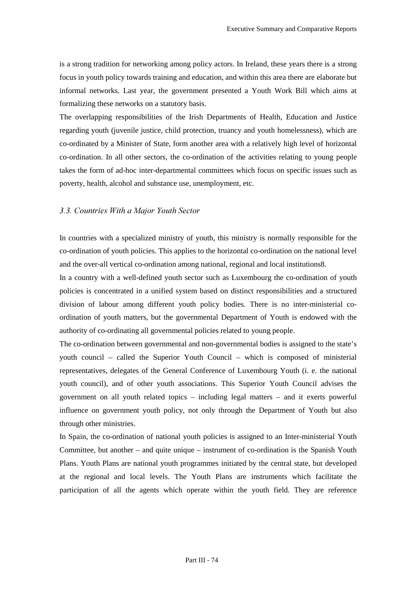is a strong tradition for networking among policy actors. In Ireland, these years there is a strong focus in youth policy towards training and education, and within this area there are elaborate but informal networks. Last year, the government presented a Youth Work Bill which aims at formalizing these networks on a statutory basis.

The overlapping responsibilities of the Irish Departments of Health, Education and Justice regarding youth (juvenile justice, child protection, truancy and youth homelessness), which are co-ordinated by a Minister of State, form another area with a relatively high level of horizontal co-ordination. In all other sectors, the co-ordination of the activities relating to young people takes the form of ad-hoc inter-departmental committees which focus on specific issues such as poverty, health, alcohol and substance use, unemployment, etc.

### *A.A. Countries With a Major Youth Sector*

In countries with a specialized ministry of youth, this ministry is normally responsible for the co-ordination of youth policies. This applies to the horizontal co-ordination on the national level and the over-all vertical co-ordination among national, regional and local institutions8.

In a country with a well-defined youth sector such as Luxembourg the co-ordination of youth policies is concentrated in a unified system based on distinct responsibilities and a structured division of labour among different youth policy bodies. There is no inter-ministerial coordination of youth matters, but the governmental Department of Youth is endowed with the authority of co-ordinating all governmental policies related to young people.

The co-ordination between governmental and non-governmental bodies is assigned to the state's youth council – called the Superior Youth Council – which is composed of ministerial representatives, delegates of the General Conference of Luxembourg Youth (i. e. the national youth council), and of other youth associations. This Superior Youth Council advises the government on all youth related topics – including legal matters – and it exerts powerful influence on government youth policy, not only through the Department of Youth but also through other ministries.

In Spain, the co-ordination of national youth policies is assigned to an Inter-ministerial Youth Committee, but another – and quite unique – instrument of co-ordination is the Spanish Youth Plans. Youth Plans are national youth programmes initiated by the central state, but developed at the regional and local levels. The Youth Plans are instruments which facilitate the participation of all the agents which operate within the youth field. They are reference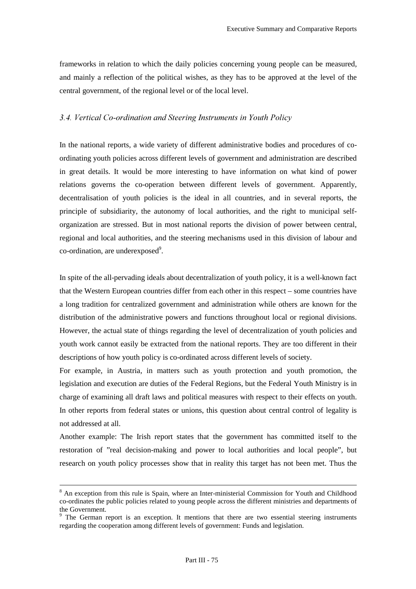frameworks in relation to which the daily policies concerning young people can be measured, and mainly a reflection of the political wishes, as they has to be approved at the level of the central government, of the regional level or of the local level.

## 3.4. Vertical Co-ordination and Steering Instruments in Youth Policy

In the national reports, a wide variety of different administrative bodies and procedures of coordinating youth policies across different levels of government and administration are described in great details. It would be more interesting to have information on what kind of power relations governs the co-operation between different levels of government. Apparently, decentralisation of youth policies is the ideal in all countries, and in several reports, the principle of subsidiarity, the autonomy of local authorities, and the right to municipal selforganization are stressed. But in most national reports the division of power between central, regional and local authorities, and the steering mechanisms used in this division of labour and co-ordination, are underexposed<sup>9</sup>.

In spite of the all-pervading ideals about decentralization of youth policy, it is a well-known fact that the Western European countries differ from each other in this respect – some countries have a long tradition for centralized government and administration while others are known for the distribution of the administrative powers and functions throughout local or regional divisions. However, the actual state of things regarding the level of decentralization of youth policies and youth work cannot easily be extracted from the national reports. They are too different in their descriptions of how youth policy is co-ordinated across different levels of society.

For example, in Austria, in matters such as youth protection and youth promotion, the legislation and execution are duties of the Federal Regions, but the Federal Youth Ministry is in charge of examining all draft laws and political measures with respect to their effects on youth. In other reports from federal states or unions, this question about central control of legality is not addressed at all.

Another example: The Irish report states that the government has committed itself to the restoration of "real decision-making and power to local authorities and local people", but research on youth policy processes show that in reality this target has not been met. Thus the

 <sup>8</sup> <sup>8</sup> An exception from this rule is Spain, where an Inter-ministerial Commission for Youth and Childhood co-ordinates the public policies related to young people across the different ministries and departments of the Government.

<sup>&</sup>lt;sup>9</sup> The German report is an exception. It mentions that there are two essential steering instruments regarding the cooperation among different levels of government: Funds and legislation.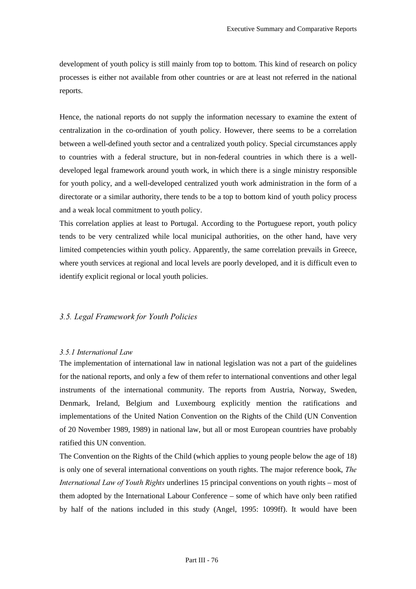development of youth policy is still mainly from top to bottom. This kind of research on policy processes is either not available from other countries or are at least not referred in the national reports.

Hence, the national reports do not supply the information necessary to examine the extent of centralization in the co-ordination of youth policy. However, there seems to be a correlation between a well-defined youth sector and a centralized youth policy. Special circumstances apply to countries with a federal structure, but in non-federal countries in which there is a welldeveloped legal framework around youth work, in which there is a single ministry responsible for youth policy, and a well-developed centralized youth work administration in the form of a directorate or a similar authority, there tends to be a top to bottom kind of youth policy process and a weak local commitment to youth policy.

This correlation applies at least to Portugal. According to the Portuguese report, youth policy tends to be very centralized while local municipal authorities, on the other hand, have very limited competencies within youth policy. Apparently, the same correlation prevails in Greece, where youth services at regional and local levels are poorly developed, and it is difficult even to identify explicit regional or local youth policies.

## **3.5. Legal Framework for Youth Policies**

## *3.5.1 International Law*

The implementation of international law in national legislation was not a part of the guidelines for the national reports, and only a few of them refer to international conventions and other legal instruments of the international community. The reports from Austria, Norway, Sweden, Denmark, Ireland, Belgium and Luxembourg explicitly mention the ratifications and implementations of the United Nation Convention on the Rights of the Child (UN Convention of 20 November 1989, 1989) in national law, but all or most European countries have probably ratified this UN convention.

The Convention on the Rights of the Child (which applies to young people below the age of 18) is only one of several international conventions on youth rights. The major reference book, *The International Law of Youth Rights* underlines 15 principal conventions on youth rights – most of them adopted by the International Labour Conference – some of which have only been ratified by half of the nations included in this study (Angel, 1995: 1099ff). It would have been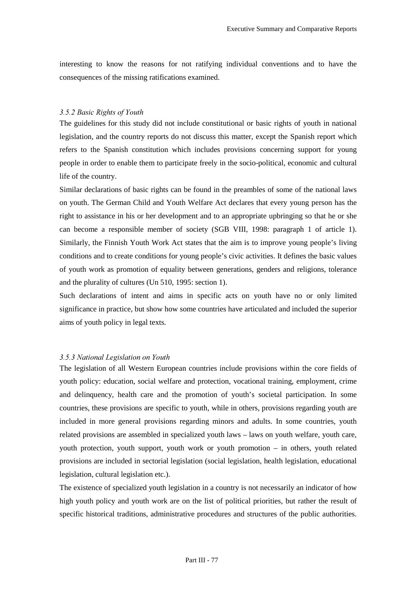interesting to know the reasons for not ratifying individual conventions and to have the consequences of the missing ratifications examined.

## 3.5.2 Basic Rights of Youth

The guidelines for this study did not include constitutional or basic rights of youth in national legislation, and the country reports do not discuss this matter, except the Spanish report which refers to the Spanish constitution which includes provisions concerning support for young people in order to enable them to participate freely in the socio-political, economic and cultural life of the country.

Similar declarations of basic rights can be found in the preambles of some of the national laws on youth. The German Child and Youth Welfare Act declares that every young person has the right to assistance in his or her development and to an appropriate upbringing so that he or she can become a responsible member of society (SGB VIII, 1998: paragraph 1 of article 1). Similarly, the Finnish Youth Work Act states that the aim is to improve young people's living conditions and to create conditions for young people's civic activities. It defines the basic values of youth work as promotion of equality between generations, genders and religions, tolerance and the plurality of cultures (Un 510, 1995: section 1).

Such declarations of intent and aims in specific acts on youth have no or only limited significance in practice, but show how some countries have articulated and included the superior aims of youth policy in legal texts.

#### **3.5.3** National Legislation on Youth

The legislation of all Western European countries include provisions within the core fields of youth policy: education, social welfare and protection, vocational training, employment, crime and delinquency, health care and the promotion of youth's societal participation. In some countries, these provisions are specific to youth, while in others, provisions regarding youth are included in more general provisions regarding minors and adults. In some countries, youth related provisions are assembled in specialized youth laws – laws on youth welfare, youth care, youth protection, youth support, youth work or youth promotion – in others, youth related provisions are included in sectorial legislation (social legislation, health legislation, educational legislation, cultural legislation etc.).

The existence of specialized youth legislation in a country is not necessarily an indicator of how high youth policy and youth work are on the list of political priorities, but rather the result of specific historical traditions, administrative procedures and structures of the public authorities.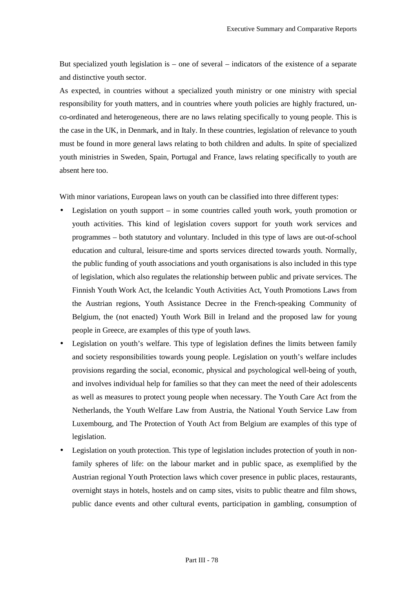But specialized youth legislation is – one of several – indicators of the existence of a separate and distinctive youth sector.

As expected, in countries without a specialized youth ministry or one ministry with special responsibility for youth matters, and in countries where youth policies are highly fractured, unco-ordinated and heterogeneous, there are no laws relating specifically to young people. This is the case in the UK, in Denmark, and in Italy. In these countries, legislation of relevance to youth must be found in more general laws relating to both children and adults. In spite of specialized youth ministries in Sweden, Spain, Portugal and France, laws relating specifically to youth are absent here too.

With minor variations, European laws on youth can be classified into three different types:

- Legislation on youth support  $-$  in some countries called youth work, youth promotion or youth activities. This kind of legislation covers support for youth work services and programmes – both statutory and voluntary. Included in this type of laws are out-of-school education and cultural, leisure-time and sports services directed towards youth. Normally, the public funding of youth associations and youth organisations is also included in this type of legislation, which also regulates the relationship between public and private services. The Finnish Youth Work Act, the Icelandic Youth Activities Act, Youth Promotions Laws from the Austrian regions, Youth Assistance Decree in the French-speaking Community of Belgium, the (not enacted) Youth Work Bill in Ireland and the proposed law for young people in Greece, are examples of this type of youth laws.
- Legislation on youth's welfare. This type of legislation defines the limits between family and society responsibilities towards young people. Legislation on youth's welfare includes provisions regarding the social, economic, physical and psychological well-being of youth, and involves individual help for families so that they can meet the need of their adolescents as well as measures to protect young people when necessary. The Youth Care Act from the Netherlands, the Youth Welfare Law from Austria, the National Youth Service Law from Luxembourg, and The Protection of Youth Act from Belgium are examples of this type of legislation.
- Legislation on youth protection. This type of legislation includes protection of youth in nonfamily spheres of life: on the labour market and in public space, as exemplified by the Austrian regional Youth Protection laws which cover presence in public places, restaurants, overnight stays in hotels, hostels and on camp sites, visits to public theatre and film shows, public dance events and other cultural events, participation in gambling, consumption of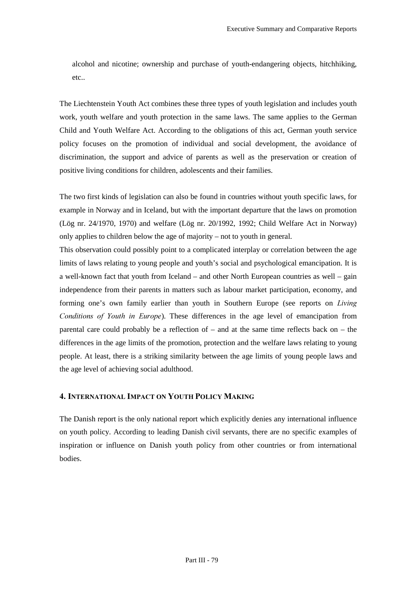alcohol and nicotine; ownership and purchase of youth-endangering objects, hitchhiking, etc..

The Liechtenstein Youth Act combines these three types of youth legislation and includes youth work, youth welfare and youth protection in the same laws. The same applies to the German Child and Youth Welfare Act. According to the obligations of this act, German youth service policy focuses on the promotion of individual and social development, the avoidance of discrimination, the support and advice of parents as well as the preservation or creation of positive living conditions for children, adolescents and their families.

The two first kinds of legislation can also be found in countries without youth specific laws, for example in Norway and in Iceland, but with the important departure that the laws on promotion (Lög nr. 24/1970, 1970) and welfare (Lög nr. 20/1992, 1992; Child Welfare Act in Norway) only applies to children below the age of majority – not to youth in general.

This observation could possibly point to a complicated interplay or correlation between the age limits of laws relating to young people and youth's social and psychological emancipation. It is a well-known fact that youth from Iceland – and other North European countries as well – gain independence from their parents in matters such as labour market participation, economy, and forming one's own family earlier than youth in Southern Europe (see reports on *Living Conditions of Youth in Europe*). These differences in the age level of emancipation from parental care could probably be a reflection of – and at the same time reflects back on – the differences in the age limits of the promotion, protection and the welfare laws relating to young people. At least, there is a striking similarity between the age limits of young people laws and the age level of achieving social adulthood.

## 4. INTERNATIONAL IMPACT ON YOUTH POLICY MAKING

The Danish report is the only national report which explicitly denies any international influence on youth policy. According to leading Danish civil servants, there are no specific examples of inspiration or influence on Danish youth policy from other countries or from international bodies.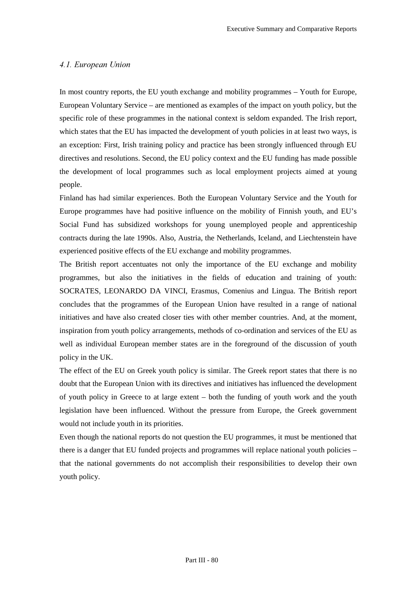## **4.1. European Union**

In most country reports, the EU youth exchange and mobility programmes – Youth for Europe, European Voluntary Service – are mentioned as examples of the impact on youth policy, but the specific role of these programmes in the national context is seldom expanded. The Irish report, which states that the EU has impacted the development of youth policies in at least two ways, is an exception: First, Irish training policy and practice has been strongly influenced through EU directives and resolutions. Second, the EU policy context and the EU funding has made possible the development of local programmes such as local employment projects aimed at young people.

Finland has had similar experiences. Both the European Voluntary Service and the Youth for Europe programmes have had positive influence on the mobility of Finnish youth, and EU's Social Fund has subsidized workshops for young unemployed people and apprenticeship contracts during the late 1990s. Also, Austria, the Netherlands, Iceland, and Liechtenstein have experienced positive effects of the EU exchange and mobility programmes.

The British report accentuates not only the importance of the EU exchange and mobility programmes, but also the initiatives in the fields of education and training of youth: SOCRATES, LEONARDO DA VINCI, Erasmus, Comenius and Lingua. The British report concludes that the programmes of the European Union have resulted in a range of national initiatives and have also created closer ties with other member countries. And, at the moment, inspiration from youth policy arrangements, methods of co-ordination and services of the EU as well as individual European member states are in the foreground of the discussion of youth policy in the UK.

The effect of the EU on Greek youth policy is similar. The Greek report states that there is no doubt that the European Union with its directives and initiatives has influenced the development of youth policy in Greece to at large extent – both the funding of youth work and the youth legislation have been influenced. Without the pressure from Europe, the Greek government would not include youth in its priorities.

Even though the national reports do not question the EU programmes, it must be mentioned that there is a danger that EU funded projects and programmes will replace national youth policies – that the national governments do not accomplish their responsibilities to develop their own youth policy.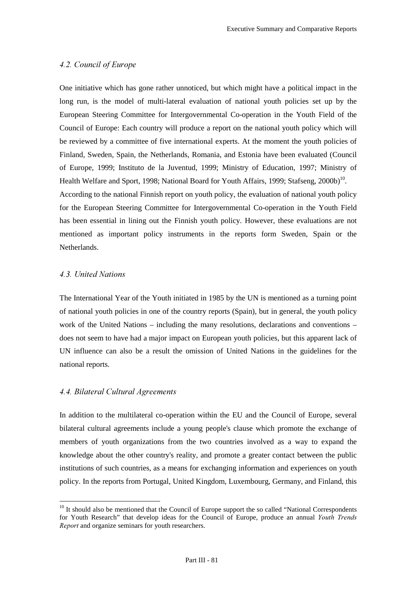# *A.2. Council of Europe*

One initiative which has gone rather unnoticed, but which might have a political impact in the long run, is the model of multi-lateral evaluation of national youth policies set up by the European Steering Committee for Intergovernmental Co-operation in the Youth Field of the Council of Europe: Each country will produce a report on the national youth policy which will be reviewed by a committee of five international experts. At the moment the youth policies of Finland, Sweden, Spain, the Netherlands, Romania, and Estonia have been evaluated (Council of Europe, 1999; Instituto de la Juventud, 1999; Ministry of Education, 1997; Ministry of Health Welfare and Sport, 1998; National Board for Youth Affairs, 1999; Stafseng,  $2000b)^{10}$ . According to the national Finnish report on youth policy, the evaluation of national youth policy for the European Steering Committee for Intergovernmental Co-operation in the Youth Field has been essential in lining out the Finnish youth policy. However, these evaluations are not mentioned as important policy instruments in the reports form Sweden, Spain or the Netherlands.

# 4.3. United Nations

 $\overline{a}$ 

The International Year of the Youth initiated in 1985 by the UN is mentioned as a turning point of national youth policies in one of the country reports (Spain), but in general, the youth policy work of the United Nations – including the many resolutions, declarations and conventions – does not seem to have had a major impact on European youth policies, but this apparent lack of UN influence can also be a result the omission of United Nations in the guidelines for the national reports.

## **4.4. Bilateral Cultural Agreements**

In addition to the multilateral co-operation within the EU and the Council of Europe, several bilateral cultural agreements include a young people's clause which promote the exchange of members of youth organizations from the two countries involved as a way to expand the knowledge about the other country's reality, and promote a greater contact between the public institutions of such countries, as a means for exchanging information and experiences on youth policy. In the reports from Portugal, United Kingdom, Luxembourg, Germany, and Finland, this

<sup>&</sup>lt;sup>10</sup> It should also be mentioned that the Council of Europe support the so called "National Correspondents for Youth Research" that develop ideas for the Council of Europe, produce an annual *Youth Trends Report* and organize seminars for youth researchers.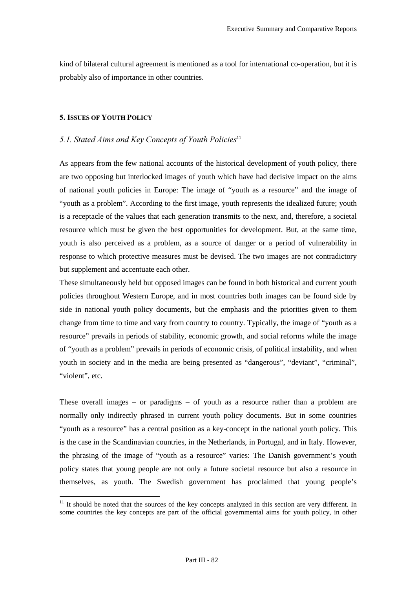kind of bilateral cultural agreement is mentioned as a tool for international co-operation, but it is probably also of importance in other countries.

### 5. ISSUES OF YOUTH POLICY

 $\overline{a}$ 

## 5.1. Stated Aims and Key Concepts of Youth Policies<sup>11</sup>

As appears from the few national accounts of the historical development of youth policy, there are two opposing but interlocked images of youth which have had decisive impact on the aims of national youth policies in Europe: The image of "youth as a resource" and the image of "youth as a problem". According to the first image, youth represents the idealized future; youth is a receptacle of the values that each generation transmits to the next, and, therefore, a societal resource which must be given the best opportunities for development. But, at the same time, youth is also perceived as a problem, as a source of danger or a period of vulnerability in response to which protective measures must be devised. The two images are not contradictory but supplement and accentuate each other.

These simultaneously held but opposed images can be found in both historical and current youth policies throughout Western Europe, and in most countries both images can be found side by side in national youth policy documents, but the emphasis and the priorities given to them change from time to time and vary from country to country. Typically, the image of "youth as a resource" prevails in periods of stability, economic growth, and social reforms while the image of "youth as a problem" prevails in periods of economic crisis, of political instability, and when youth in society and in the media are being presented as "dangerous", "deviant", "criminal", "violent", etc.

These overall images – or paradigms – of youth as a resource rather than a problem are normally only indirectly phrased in current youth policy documents. But in some countries "youth as a resource" has a central position as a key-concept in the national youth policy. This is the case in the Scandinavian countries, in the Netherlands, in Portugal, and in Italy. However, the phrasing of the image of "youth as a resource" varies: The Danish government's youth policy states that young people are not only a future societal resource but also a resource in themselves, as youth. The Swedish government has proclaimed that young people's

 $11$  It should be noted that the sources of the key concepts analyzed in this section are very different. In some countries the key concepts are part of the official governmental aims for youth policy, in other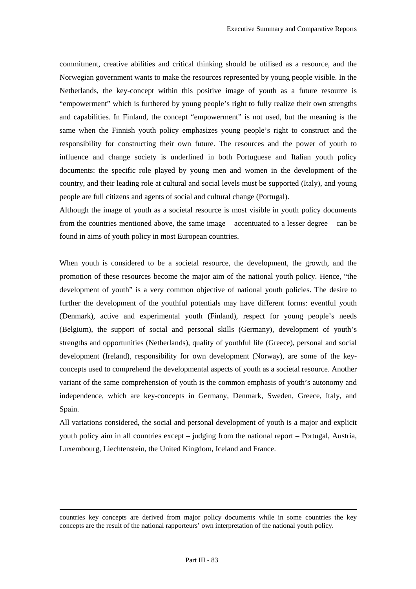commitment, creative abilities and critical thinking should be utilised as a resource, and the Norwegian government wants to make the resources represented by young people visible. In the Netherlands, the key-concept within this positive image of youth as a future resource is "empowerment" which is furthered by young people's right to fully realize their own strengths and capabilities. In Finland, the concept "empowerment" is not used, but the meaning is the same when the Finnish youth policy emphasizes young people's right to construct and the responsibility for constructing their own future. The resources and the power of youth to influence and change society is underlined in both Portuguese and Italian youth policy documents: the specific role played by young men and women in the development of the country, and their leading role at cultural and social levels must be supported (Italy), and young people are full citizens and agents of social and cultural change (Portugal).

Although the image of youth as a societal resource is most visible in youth policy documents from the countries mentioned above, the same image – accentuated to a lesser degree – can be found in aims of youth policy in most European countries.

When youth is considered to be a societal resource, the development, the growth, and the promotion of these resources become the major aim of the national youth policy. Hence, "the development of youth" is a very common objective of national youth policies. The desire to further the development of the youthful potentials may have different forms: eventful youth (Denmark), active and experimental youth (Finland), respect for young people's needs (Belgium), the support of social and personal skills (Germany), development of youth's strengths and opportunities (Netherlands), quality of youthful life (Greece), personal and social development (Ireland), responsibility for own development (Norway), are some of the keyconcepts used to comprehend the developmental aspects of youth as a societal resource. Another variant of the same comprehension of youth is the common emphasis of youth's autonomy and independence, which are key-concepts in Germany, Denmark, Sweden, Greece, Italy, and Spain.

All variations considered, the social and personal development of youth is a major and explicit youth policy aim in all countries except – judging from the national report – Portugal, Austria, Luxembourg, Liechtenstein, the United Kingdom, Iceland and France.

countries key concepts are derived from major policy documents while in some countries the key concepts are the result of the national rapporteurs' own interpretation of the national youth policy.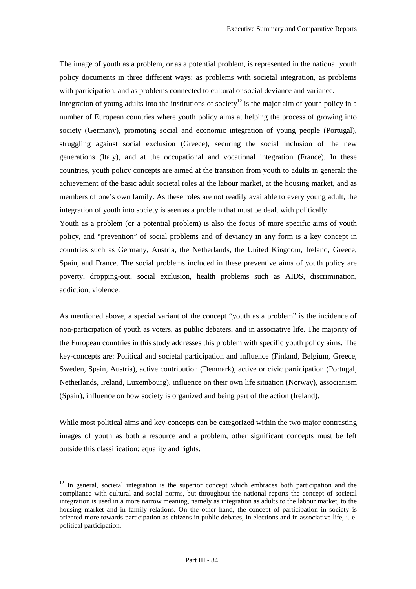The image of youth as a problem, or as a potential problem, is represented in the national youth policy documents in three different ways: as problems with societal integration, as problems with participation, and as problems connected to cultural or social deviance and variance.

Integration of young adults into the institutions of society<sup>12</sup> is the major aim of youth policy in a number of European countries where youth policy aims at helping the process of growing into society (Germany), promoting social and economic integration of young people (Portugal), struggling against social exclusion (Greece), securing the social inclusion of the new generations (Italy), and at the occupational and vocational integration (France). In these countries, youth policy concepts are aimed at the transition from youth to adults in general: the achievement of the basic adult societal roles at the labour market, at the housing market, and as members of one's own family. As these roles are not readily available to every young adult, the integration of youth into society is seen as a problem that must be dealt with politically.

Youth as a problem (or a potential problem) is also the focus of more specific aims of youth policy, and "prevention" of social problems and of deviancy in any form is a key concept in countries such as Germany, Austria, the Netherlands, the United Kingdom, Ireland, Greece, Spain, and France. The social problems included in these preventive aims of youth policy are poverty, dropping-out, social exclusion, health problems such as AIDS, discrimination, addiction, violence.

As mentioned above, a special variant of the concept "youth as a problem" is the incidence of non-participation of youth as voters, as public debaters, and in associative life. The majority of the European countries in this study addresses this problem with specific youth policy aims. The key-concepts are: Political and societal participation and influence (Finland, Belgium, Greece, Sweden, Spain, Austria), active contribution (Denmark), active or civic participation (Portugal, Netherlands, Ireland, Luxembourg), influence on their own life situation (Norway), associanism (Spain), influence on how society is organized and being part of the action (Ireland).

While most political aims and key-concepts can be categorized within the two major contrasting images of youth as both a resource and a problem, other significant concepts must be left outside this classification: equality and rights.

 $\overline{a}$ 

 $12$  In general, societal integration is the superior concept which embraces both participation and the compliance with cultural and social norms, but throughout the national reports the concept of societal integration is used in a more narrow meaning, namely as integration as adults to the labour market, to the housing market and in family relations. On the other hand, the concept of participation in society is oriented more towards participation as citizens in public debates, in elections and in associative life, i. e. political participation.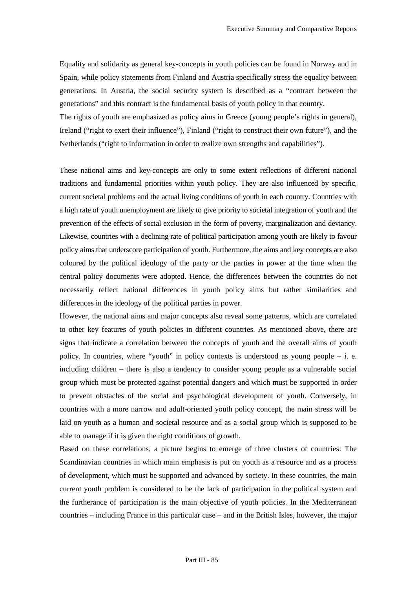Equality and solidarity as general key-concepts in youth policies can be found in Norway and in Spain, while policy statements from Finland and Austria specifically stress the equality between generations. In Austria, the social security system is described as a "contract between the generations" and this contract is the fundamental basis of youth policy in that country.

The rights of youth are emphasized as policy aims in Greece (young people's rights in general), Ireland ("right to exert their influence"), Finland ("right to construct their own future"), and the Netherlands ("right to information in order to realize own strengths and capabilities").

These national aims and key-concepts are only to some extent reflections of different national traditions and fundamental priorities within youth policy. They are also influenced by specific, current societal problems and the actual living conditions of youth in each country. Countries with a high rate of youth unemployment are likely to give priority to societal integration of youth and the prevention of the effects of social exclusion in the form of poverty, marginalization and deviancy. Likewise, countries with a declining rate of political participation among youth are likely to favour policy aims that underscore participation of youth. Furthermore, the aims and key concepts are also coloured by the political ideology of the party or the parties in power at the time when the central policy documents were adopted. Hence, the differences between the countries do not necessarily reflect national differences in youth policy aims but rather similarities and differences in the ideology of the political parties in power.

However, the national aims and major concepts also reveal some patterns, which are correlated to other key features of youth policies in different countries. As mentioned above, there are signs that indicate a correlation between the concepts of youth and the overall aims of youth policy. In countries, where "youth" in policy contexts is understood as young people – i. e. including children – there is also a tendency to consider young people as a vulnerable social group which must be protected against potential dangers and which must be supported in order to prevent obstacles of the social and psychological development of youth. Conversely, in countries with a more narrow and adult-oriented youth policy concept, the main stress will be laid on youth as a human and societal resource and as a social group which is supposed to be able to manage if it is given the right conditions of growth.

Based on these correlations, a picture begins to emerge of three clusters of countries: The Scandinavian countries in which main emphasis is put on youth as a resource and as a process of development, which must be supported and advanced by society. In these countries, the main current youth problem is considered to be the lack of participation in the political system and the furtherance of participation is the main objective of youth policies. In the Mediterranean countries – including France in this particular case – and in the British Isles, however, the major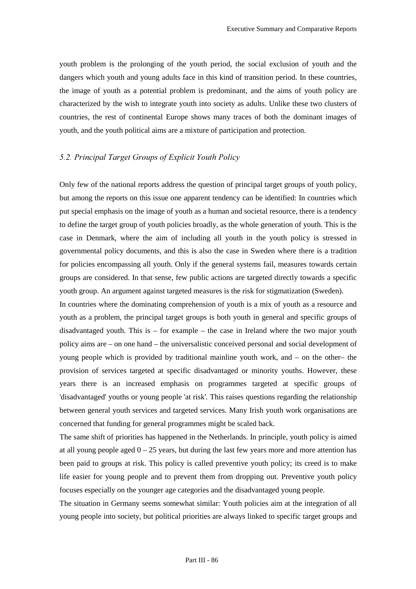youth problem is the prolonging of the youth period, the social exclusion of youth and the dangers which youth and young adults face in this kind of transition period. In these countries, the image of youth as a potential problem is predominant, and the aims of youth policy are characterized by the wish to integrate youth into society as adults. Unlike these two clusters of countries, the rest of continental Europe shows many traces of both the dominant images of youth, and the youth political aims are a mixture of participation and protection.

# **5.2. Principal Target Groups of Explicit Youth Policy**

Only few of the national reports address the question of principal target groups of youth policy, but among the reports on this issue one apparent tendency can be identified: In countries which put special emphasis on the image of youth as a human and societal resource, there is a tendency to define the target group of youth policies broadly, as the whole generation of youth. This is the case in Denmark, where the aim of including all youth in the youth policy is stressed in governmental policy documents, and this is also the case in Sweden where there is a tradition for policies encompassing all youth. Only if the general systems fail, measures towards certain groups are considered. In that sense, few public actions are targeted directly towards a specific youth group. An argument against targeted measures is the risk for stigmatization (Sweden).

In countries where the dominating comprehension of youth is a mix of youth as a resource and youth as a problem, the principal target groups is both youth in general and specific groups of disadvantaged youth. This is – for example – the case in Ireland where the two major youth policy aims are – on one hand – the universalistic conceived personal and social development of young people which is provided by traditional mainline youth work, and – on the other– the provision of services targeted at specific disadvantaged or minority youths. However, these years there is an increased emphasis on programmes targeted at specific groups of 'disadvantaged' youths or young people 'at risk'. This raises questions regarding the relationship between general youth services and targeted services. Many Irish youth work organisations are concerned that funding for general programmes might be scaled back.

The same shift of priorities has happened in the Netherlands. In principle, youth policy is aimed at all young people aged  $0 - 25$  years, but during the last few years more and more attention has been paid to groups at risk. This policy is called preventive youth policy; its creed is to make life easier for young people and to prevent them from dropping out. Preventive youth policy focuses especially on the younger age categories and the disadvantaged young people.

The situation in Germany seems somewhat similar: Youth policies aim at the integration of all young people into society, but political priorities are always linked to specific target groups and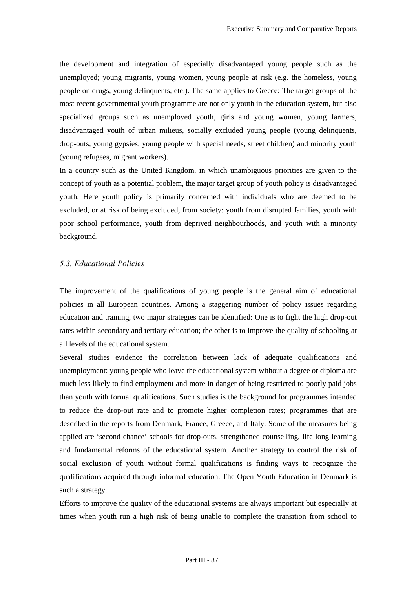the development and integration of especially disadvantaged young people such as the unemployed; young migrants, young women, young people at risk (e.g. the homeless, young people on drugs, young delinquents, etc.). The same applies to Greece: The target groups of the most recent governmental youth programme are not only youth in the education system, but also specialized groups such as unemployed youth, girls and young women, young farmers, disadvantaged youth of urban milieus, socially excluded young people (young delinquents, drop-outs, young gypsies, young people with special needs, street children) and minority youth (young refugees, migrant workers).

In a country such as the United Kingdom, in which unambiguous priorities are given to the concept of youth as a potential problem, the major target group of youth policy is disadvantaged youth. Here youth policy is primarily concerned with individuals who are deemed to be excluded, or at risk of being excluded, from society: youth from disrupted families, youth with poor school performance, youth from deprived neighbourhoods, and youth with a minority background.

## **5.3. Educational Policies**

The improvement of the qualifications of young people is the general aim of educational policies in all European countries. Among a staggering number of policy issues regarding education and training, two major strategies can be identified: One is to fight the high drop-out rates within secondary and tertiary education; the other is to improve the quality of schooling at all levels of the educational system.

Several studies evidence the correlation between lack of adequate qualifications and unemployment: young people who leave the educational system without a degree or diploma are much less likely to find employment and more in danger of being restricted to poorly paid jobs than youth with formal qualifications. Such studies is the background for programmes intended to reduce the drop-out rate and to promote higher completion rates; programmes that are described in the reports from Denmark, France, Greece, and Italy. Some of the measures being applied are 'second chance' schools for drop-outs, strengthened counselling, life long learning and fundamental reforms of the educational system. Another strategy to control the risk of social exclusion of youth without formal qualifications is finding ways to recognize the qualifications acquired through informal education. The Open Youth Education in Denmark is such a strategy.

Efforts to improve the quality of the educational systems are always important but especially at times when youth run a high risk of being unable to complete the transition from school to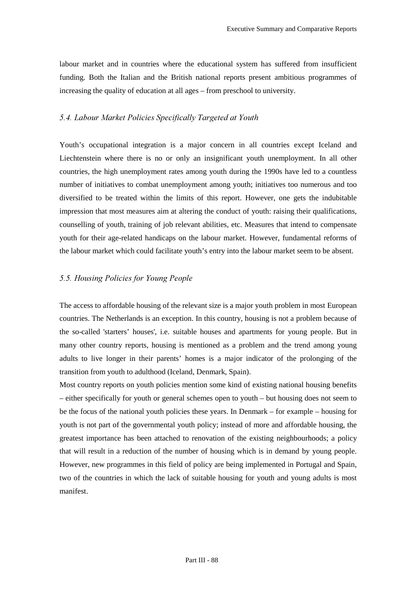labour market and in countries where the educational system has suffered from insufficient funding. Both the Italian and the British national reports present ambitious programmes of increasing the quality of education at all ages – from preschool to university.

## 5.4. Labour Market Policies Specifically Targeted at Youth

Youth's occupational integration is a major concern in all countries except Iceland and Liechtenstein where there is no or only an insignificant youth unemployment. In all other countries, the high unemployment rates among youth during the 1990s have led to a countless number of initiatives to combat unemployment among youth; initiatives too numerous and too diversified to be treated within the limits of this report. However, one gets the indubitable impression that most measures aim at altering the conduct of youth: raising their qualifications, counselling of youth, training of job relevant abilities, etc. Measures that intend to compensate youth for their age-related handicaps on the labour market. However, fundamental reforms of the labour market which could facilitate youth's entry into the labour market seem to be absent.

### **5.5. Housing Policies for Young People**

The access to affordable housing of the relevant size is a major youth problem in most European countries. The Netherlands is an exception. In this country, housing is not a problem because of the so-called 'starters' houses', i.e. suitable houses and apartments for young people. But in many other country reports, housing is mentioned as a problem and the trend among young adults to live longer in their parents' homes is a major indicator of the prolonging of the transition from youth to adulthood (Iceland, Denmark, Spain).

Most country reports on youth policies mention some kind of existing national housing benefits – either specifically for youth or general schemes open to youth – but housing does not seem to be the focus of the national youth policies these years. In Denmark – for example – housing for youth is not part of the governmental youth policy; instead of more and affordable housing, the greatest importance has been attached to renovation of the existing neighbourhoods; a policy that will result in a reduction of the number of housing which is in demand by young people. However, new programmes in this field of policy are being implemented in Portugal and Spain, two of the countries in which the lack of suitable housing for youth and young adults is most manifest.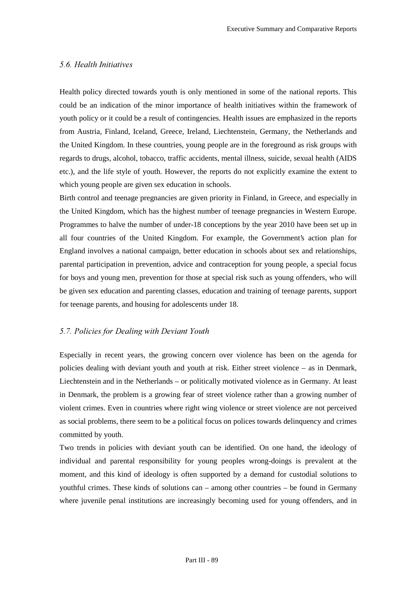## 5.6. Health Initiatives

Health policy directed towards youth is only mentioned in some of the national reports. This could be an indication of the minor importance of health initiatives within the framework of youth policy or it could be a result of contingencies. Health issues are emphasized in the reports from Austria, Finland, Iceland, Greece, Ireland, Liechtenstein, Germany, the Netherlands and the United Kingdom. In these countries, young people are in the foreground as risk groups with regards to drugs, alcohol, tobacco, traffic accidents, mental illness, suicide, sexual health (AIDS etc.), and the life style of youth. However, the reports do not explicitly examine the extent to which young people are given sex education in schools.

Birth control and teenage pregnancies are given priority in Finland, in Greece, and especially in the United Kingdom, which has the highest number of teenage pregnancies in Western Europe. Programmes to halve the number of under-18 conceptions by the year 2010 have been set up in all four countries of the United Kingdom. For example, the Government's action plan for England involves a national campaign, better education in schools about sex and relationships, parental participation in prevention, advice and contraception for young people, a special focus for boys and young men, prevention for those at special risk such as young offenders, who will be given sex education and parenting classes, education and training of teenage parents, support for teenage parents, and housing for adolescents under 18.

## *5.7. Policies for Dealing with Deviant Youth*

Especially in recent years, the growing concern over violence has been on the agenda for policies dealing with deviant youth and youth at risk. Either street violence – as in Denmark, Liechtenstein and in the Netherlands – or politically motivated violence as in Germany. At least in Denmark, the problem is a growing fear of street violence rather than a growing number of violent crimes. Even in countries where right wing violence or street violence are not perceived as social problems, there seem to be a political focus on polices towards delinquency and crimes committed by youth.

Two trends in policies with deviant youth can be identified. On one hand, the ideology of individual and parental responsibility for young peoples wrong-doings is prevalent at the moment, and this kind of ideology is often supported by a demand for custodial solutions to youthful crimes. These kinds of solutions can – among other countries – be found in Germany where juvenile penal institutions are increasingly becoming used for young offenders, and in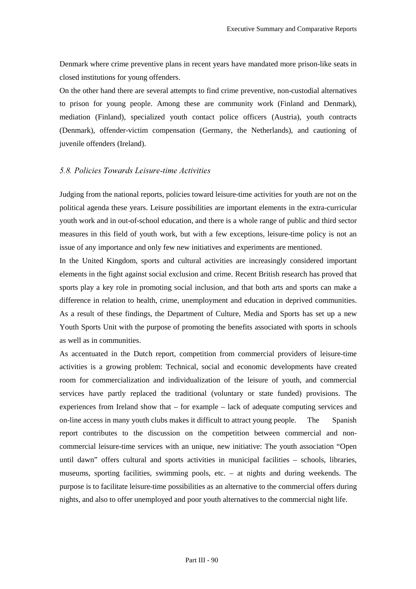Denmark where crime preventive plans in recent years have mandated more prison-like seats in closed institutions for young offenders.

On the other hand there are several attempts to find crime preventive, non-custodial alternatives to prison for young people. Among these are community work (Finland and Denmark), mediation (Finland), specialized youth contact police officers (Austria), youth contracts (Denmark), offender-victim compensation (Germany, the Netherlands), and cautioning of juvenile offenders (Ireland).

#### *5.8. Policies Towards Leisure-time Activities*

Judging from the national reports, policies toward leisure-time activities for youth are not on the political agenda these years. Leisure possibilities are important elements in the extra-curricular youth work and in out-of-school education, and there is a whole range of public and third sector measures in this field of youth work, but with a few exceptions, leisure-time policy is not an issue of any importance and only few new initiatives and experiments are mentioned.

In the United Kingdom, sports and cultural activities are increasingly considered important elements in the fight against social exclusion and crime. Recent British research has proved that sports play a key role in promoting social inclusion, and that both arts and sports can make a difference in relation to health, crime, unemployment and education in deprived communities. As a result of these findings, the Department of Culture, Media and Sports has set up a new Youth Sports Unit with the purpose of promoting the benefits associated with sports in schools as well as in communities.

As accentuated in the Dutch report, competition from commercial providers of leisure-time activities is a growing problem: Technical, social and economic developments have created room for commercialization and individualization of the leisure of youth, and commercial services have partly replaced the traditional (voluntary or state funded) provisions. The experiences from Ireland show that – for example – lack of adequate computing services and on-line access in many youth clubs makes it difficult to attract young people. The Spanish report contributes to the discussion on the competition between commercial and noncommercial leisure-time services with an unique, new initiative: The youth association "Open until dawn" offers cultural and sports activities in municipal facilities – schools, libraries, museums, sporting facilities, swimming pools, etc. – at nights and during weekends. The purpose is to facilitate leisure-time possibilities as an alternative to the commercial offers during nights, and also to offer unemployed and poor youth alternatives to the commercial night life.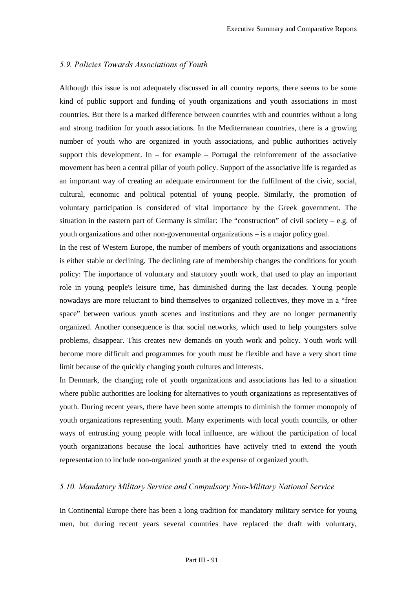## *5.9. Policies Towards Associations of Youth*

Although this issue is not adequately discussed in all country reports, there seems to be some kind of public support and funding of youth organizations and youth associations in most countries. But there is a marked difference between countries with and countries without a long and strong tradition for youth associations. In the Mediterranean countries, there is a growing number of youth who are organized in youth associations, and public authorities actively support this development. In – for example – Portugal the reinforcement of the associative movement has been a central pillar of youth policy. Support of the associative life is regarded as an important way of creating an adequate environment for the fulfilment of the civic, social, cultural, economic and political potential of young people. Similarly, the promotion of voluntary participation is considered of vital importance by the Greek government. The situation in the eastern part of Germany is similar: The "construction" of civil society – e.g. of youth organizations and other non-governmental organizations – is a major policy goal.

In the rest of Western Europe, the number of members of youth organizations and associations is either stable or declining. The declining rate of membership changes the conditions for youth policy: The importance of voluntary and statutory youth work, that used to play an important role in young people's leisure time, has diminished during the last decades. Young people nowadays are more reluctant to bind themselves to organized collectives, they move in a "free space" between various youth scenes and institutions and they are no longer permanently organized. Another consequence is that social networks, which used to help youngsters solve problems, disappear. This creates new demands on youth work and policy. Youth work will become more difficult and programmes for youth must be flexible and have a very short time limit because of the quickly changing youth cultures and interests.

In Denmark, the changing role of youth organizations and associations has led to a situation where public authorities are looking for alternatives to youth organizations as representatives of youth. During recent years, there have been some attempts to diminish the former monopoly of youth organizations representing youth. Many experiments with local youth councils, or other ways of entrusting young people with local influence, are without the participation of local youth organizations because the local authorities have actively tried to extend the youth representation to include non-organized youth at the expense of organized youth.

## 5.10. Mandatory Military Service and Compulsory Non-Military National Service

In Continental Europe there has been a long tradition for mandatory military service for young men, but during recent years several countries have replaced the draft with voluntary,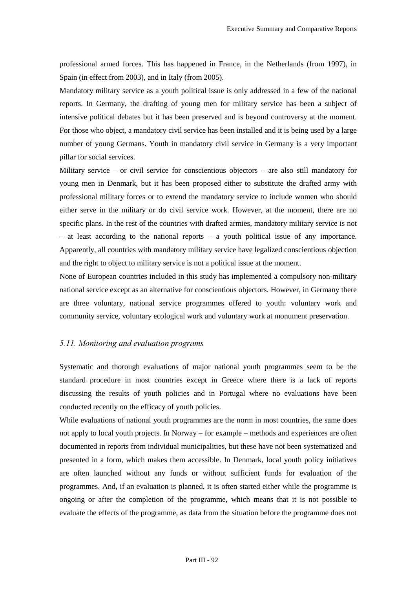professional armed forces. This has happened in France, in the Netherlands (from 1997), in Spain (in effect from 2003), and in Italy (from 2005).

Mandatory military service as a youth political issue is only addressed in a few of the national reports. In Germany, the drafting of young men for military service has been a subject of intensive political debates but it has been preserved and is beyond controversy at the moment. For those who object, a mandatory civil service has been installed and it is being used by a large number of young Germans. Youth in mandatory civil service in Germany is a very important pillar for social services.

Military service – or civil service for conscientious objectors – are also still mandatory for young men in Denmark, but it has been proposed either to substitute the drafted army with professional military forces or to extend the mandatory service to include women who should either serve in the military or do civil service work. However, at the moment, there are no specific plans. In the rest of the countries with drafted armies, mandatory military service is not – at least according to the national reports – a youth political issue of any importance. Apparently, all countries with mandatory military service have legalized conscientious objection and the right to object to military service is not a political issue at the moment.

None of European countries included in this study has implemented a compulsory non-military national service except as an alternative for conscientious objectors. However, in Germany there are three voluntary, national service programmes offered to youth: voluntary work and community service, voluntary ecological work and voluntary work at monument preservation.

#### *5.11. Monitoring and evaluation programs*

Systematic and thorough evaluations of major national youth programmes seem to be the standard procedure in most countries except in Greece where there is a lack of reports discussing the results of youth policies and in Portugal where no evaluations have been conducted recently on the efficacy of youth policies.

While evaluations of national youth programmes are the norm in most countries, the same does not apply to local youth projects. In Norway – for example – methods and experiences are often documented in reports from individual municipalities, but these have not been systematized and presented in a form, which makes them accessible. In Denmark, local youth policy initiatives are often launched without any funds or without sufficient funds for evaluation of the programmes. And, if an evaluation is planned, it is often started either while the programme is ongoing or after the completion of the programme, which means that it is not possible to evaluate the effects of the programme, as data from the situation before the programme does not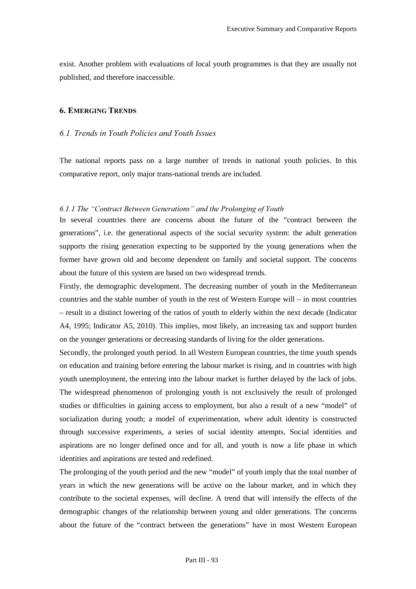exist. Another problem with evaluations of local youth programmes is that they are usually not published, and therefore inaccessible.

## **6. EMERGING TRENDS**

# *6.1. Trends in Youth Policies and Youth Issues*

The national reports pass on a large number of trends in national youth policies. In this comparative report, only major trans-national trends are included.

# 6.1.1 The "Contract Between Generations" and the Prolonging of Youth

In several countries there are concerns about the future of the "contract between the generations", i.e. the generational aspects of the social security system: the adult generation supports the rising generation expecting to be supported by the young generations when the former have grown old and become dependent on family and societal support. The concerns about the future of this system are based on two widespread trends.

Firstly, the demographic development. The decreasing number of youth in the Mediterranean countries and the stable number of youth in the rest of Western Europe will – in most countries – result in a distinct lowering of the ratios of youth to elderly within the next decade (Indicator A4, 1995; Indicator A5, 2010). This implies, most likely, an increasing tax and support burden on the younger generations or decreasing standards of living for the older generations.

Secondly, the prolonged youth period. In all Western European countries, the time youth spends on education and training before entering the labour market is rising, and in countries with high youth unemployment, the entering into the labour market is further delayed by the lack of jobs. The widespread phenomenon of prolonging youth is not exclusively the result of prolonged studies or difficulties in gaining access to employment, but also a result of a new "model" of socialization during youth; a model of experimentation, where adult identity is constructed through successive experiments, a series of social identity attempts. Social identities and aspirations are no longer defined once and for all, and youth is now a life phase in which identities and aspirations are tested and redefined.

The prolonging of the youth period and the new "model" of youth imply that the total number of years in which the new generations will be active on the labour market, and in which they contribute to the societal expenses, will decline. A trend that will intensify the effects of the demographic changes of the relationship between young and older generations. The concerns about the future of the "contract between the generations" have in most Western European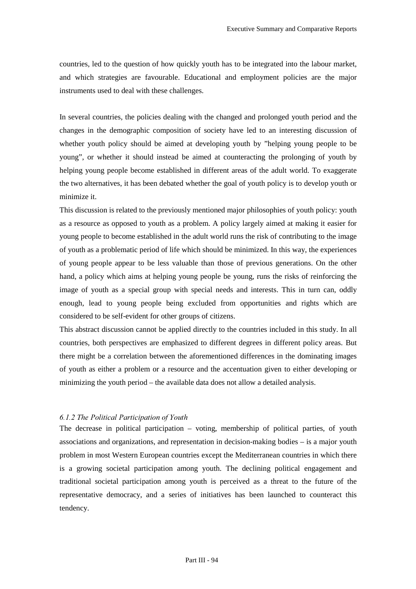countries, led to the question of how quickly youth has to be integrated into the labour market, and which strategies are favourable. Educational and employment policies are the major instruments used to deal with these challenges.

In several countries, the policies dealing with the changed and prolonged youth period and the changes in the demographic composition of society have led to an interesting discussion of whether youth policy should be aimed at developing youth by "helping young people to be young", or whether it should instead be aimed at counteracting the prolonging of youth by helping young people become established in different areas of the adult world. To exaggerate the two alternatives, it has been debated whether the goal of youth policy is to develop youth or minimize it.

This discussion is related to the previously mentioned major philosophies of youth policy: youth as a resource as opposed to youth as a problem. A policy largely aimed at making it easier for young people to become established in the adult world runs the risk of contributing to the image of youth as a problematic period of life which should be minimized. In this way, the experiences of young people appear to be less valuable than those of previous generations. On the other hand, a policy which aims at helping young people be young, runs the risks of reinforcing the image of youth as a special group with special needs and interests. This in turn can, oddly enough, lead to young people being excluded from opportunities and rights which are considered to be self-evident for other groups of citizens.

This abstract discussion cannot be applied directly to the countries included in this study. In all countries, both perspectives are emphasized to different degrees in different policy areas. But there might be a correlation between the aforementioned differences in the dominating images of youth as either a problem or a resource and the accentuation given to either developing or minimizing the youth period – the available data does not allow a detailed analysis.

## *6.1.2 The Political Participation of Youth*

The decrease in political participation – voting, membership of political parties, of youth associations and organizations, and representation in decision-making bodies – is a major youth problem in most Western European countries except the Mediterranean countries in which there is a growing societal participation among youth. The declining political engagement and traditional societal participation among youth is perceived as a threat to the future of the representative democracy, and a series of initiatives has been launched to counteract this tendency.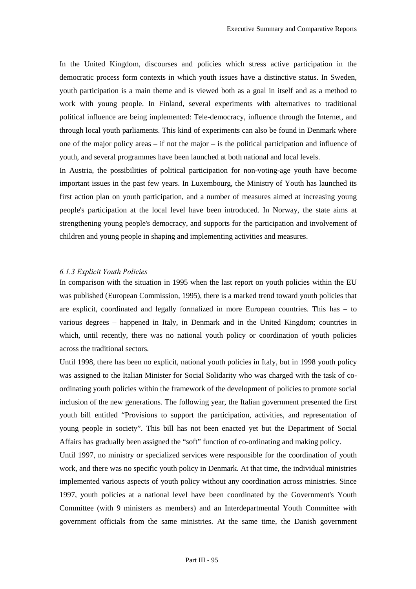In the United Kingdom, discourses and policies which stress active participation in the democratic process form contexts in which youth issues have a distinctive status. In Sweden, youth participation is a main theme and is viewed both as a goal in itself and as a method to work with young people. In Finland, several experiments with alternatives to traditional political influence are being implemented: Tele-democracy, influence through the Internet, and through local youth parliaments. This kind of experiments can also be found in Denmark where one of the major policy areas – if not the major – is the political participation and influence of youth, and several programmes have been launched at both national and local levels.

In Austria, the possibilities of political participation for non-voting-age youth have become important issues in the past few years. In Luxembourg, the Ministry of Youth has launched its first action plan on youth participation, and a number of measures aimed at increasing young people's participation at the local level have been introduced. In Norway, the state aims at strengthening young people's democracy, and supports for the participation and involvement of children and young people in shaping and implementing activities and measures.

#### **6.1.3 Explicit Youth Policies**

In comparison with the situation in 1995 when the last report on youth policies within the EU was published (European Commission, 1995), there is a marked trend toward youth policies that are explicit, coordinated and legally formalized in more European countries. This has – to various degrees – happened in Italy, in Denmark and in the United Kingdom; countries in which, until recently, there was no national youth policy or coordination of youth policies across the traditional sectors.

Until 1998, there has been no explicit, national youth policies in Italy, but in 1998 youth policy was assigned to the Italian Minister for Social Solidarity who was charged with the task of coordinating youth policies within the framework of the development of policies to promote social inclusion of the new generations. The following year, the Italian government presented the first youth bill entitled "Provisions to support the participation, activities, and representation of young people in society". This bill has not been enacted yet but the Department of Social Affairs has gradually been assigned the "soft" function of co-ordinating and making policy.

Until 1997, no ministry or specialized services were responsible for the coordination of youth work, and there was no specific youth policy in Denmark. At that time, the individual ministries implemented various aspects of youth policy without any coordination across ministries. Since 1997, youth policies at a national level have been coordinated by the Government's Youth Committee (with 9 ministers as members) and an Interdepartmental Youth Committee with government officials from the same ministries. At the same time, the Danish government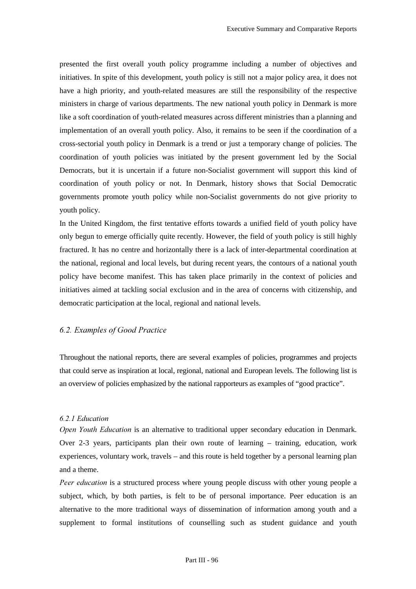presented the first overall youth policy programme including a number of objectives and initiatives. In spite of this development, youth policy is still not a major policy area, it does not have a high priority, and youth-related measures are still the responsibility of the respective ministers in charge of various departments. The new national youth policy in Denmark is more like a soft coordination of youth-related measures across different ministries than a planning and implementation of an overall youth policy. Also, it remains to be seen if the coordination of a cross-sectorial youth policy in Denmark is a trend or just a temporary change of policies. The coordination of youth policies was initiated by the present government led by the Social Democrats, but it is uncertain if a future non-Socialist government will support this kind of coordination of youth policy or not. In Denmark, history shows that Social Democratic governments promote youth policy while non-Socialist governments do not give priority to youth policy.

In the United Kingdom, the first tentative efforts towards a unified field of youth policy have only begun to emerge officially quite recently. However, the field of youth policy is still highly fractured. It has no centre and horizontally there is a lack of inter-departmental coordination at the national, regional and local levels, but during recent years, the contours of a national youth policy have become manifest. This has taken place primarily in the context of policies and initiatives aimed at tackling social exclusion and in the area of concerns with citizenship, and democratic participation at the local, regional and national levels.

# **6.2. Examples of Good Practice**

Throughout the national reports, there are several examples of policies, programmes and projects that could serve as inspiration at local, regional, national and European levels. The following list is an overview of policies emphasized by the national rapporteurs as examples of "good practice".

## 6.2.1 Education

*Open Youth Education* is an alternative to traditional upper secondary education in Denmark. Over 2-3 years, participants plan their own route of learning – training, education, work experiences, voluntary work, travels – and this route is held together by a personal learning plan and a theme.

*Peer education* is a structured process where young people discuss with other young people a subject, which, by both parties, is felt to be of personal importance. Peer education is an alternative to the more traditional ways of dissemination of information among youth and a supplement to formal institutions of counselling such as student guidance and youth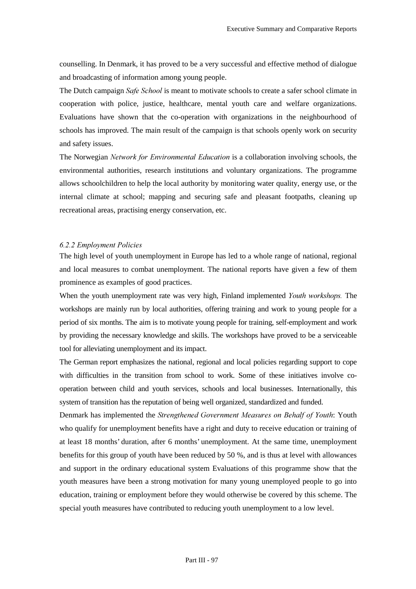counselling. In Denmark, it has proved to be a very successful and effective method of dialogue and broadcasting of information among young people.

The Dutch campaign *Safe School* is meant to motivate schools to create a safer school climate in cooperation with police, justice, healthcare, mental youth care and welfare organizations. Evaluations have shown that the co-operation with organizations in the neighbourhood of schools has improved. The main result of the campaign is that schools openly work on security and safety issues.

The Norwegian *Network for Environmental Education* is a collaboration involving schools, the environmental authorities, research institutions and voluntary organizations. The programme allows schoolchildren to help the local authority by monitoring water quality, energy use, or the internal climate at school; mapping and securing safe and pleasant footpaths, cleaning up recreational areas, practising energy conservation, etc.

#### 6.2.2 Employment Policies

The high level of youth unemployment in Europe has led to a whole range of national, regional and local measures to combat unemployment. The national reports have given a few of them prominence as examples of good practices.

When the youth unemployment rate was very high, Finland implemented *Youth workshops*. The workshops are mainly run by local authorities, offering training and work to young people for a period of six months. The aim is to motivate young people for training, self-employment and work by providing the necessary knowledge and skills. The workshops have proved to be a serviceable tool for alleviating unemployment and its impact.

The German report emphasizes the national, regional and local policies regarding support to cope with difficulties in the transition from school to work. Some of these initiatives involve cooperation between child and youth services, schools and local businesses. Internationally, this system of transition has the reputation of being well organized, standardized and funded.

Denmark has implemented the *Strengthened Government Measures on Behalf of Youth*: Youth who qualify for unemployment benefits have a right and duty to receive education or training of at least 18 months' duration, after 6 months' unemployment. At the same time, unemployment benefits for this group of youth have been reduced by 50 %, and is thus at level with allowances and support in the ordinary educational system Evaluations of this programme show that the youth measures have been a strong motivation for many young unemployed people to go into education, training or employment before they would otherwise be covered by this scheme. The special youth measures have contributed to reducing youth unemployment to a low level.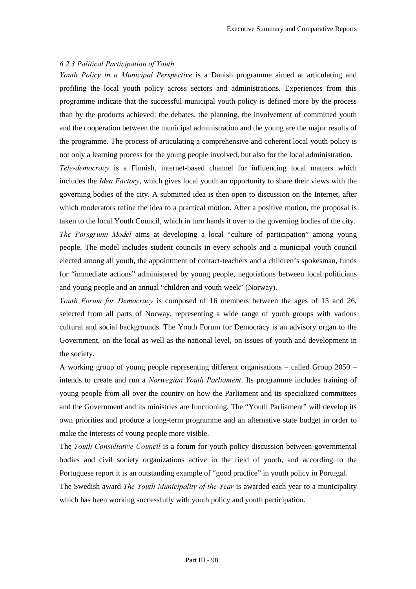### **6.2.3 Political Participation of Youth**

*Youth Policy in a Municipal Perspective* is a Danish programme aimed at articulating and profiling the local youth policy across sectors and administrations. Experiences from this programme indicate that the successful municipal youth policy is defined more by the process than by the products achieved: the debates, the planning, the involvement of committed youth and the cooperation between the municipal administration and the young are the major results of the programme. The process of articulating a comprehensive and coherent local youth policy is not only a learning process for the young people involved, but also for the local administration.

*Tele-democracy* is a Finnish, internet-based channel for influencing local matters which includes the *Idea Factory*, which gives local youth an opportunity to share their views with the governing bodies of the city. A submitted idea is then open to discussion on the Internet, after which moderators refine the idea to a practical motion. After a positive motion, the proposal is taken to the local Youth Council, which in turn hands it over to the governing bodies of the city.

*The Porsgrunn Model* aims at developing a local "culture of participation" among young people. The model includes student councils in every schools and a municipal youth council elected among all youth, the appointment of contact-teachers and a children's spokesman, funds for "immediate actions" administered by young people, negotiations between local politicians and young people and an annual "children and youth week" (Norway).

*Youth Forum for Democracy* is composed of 16 members between the ages of 15 and 26, selected from all parts of Norway, representing a wide range of youth groups with various cultural and social backgrounds. The Youth Forum for Democracy is an advisory organ to the Government, on the local as well as the national level, on issues of youth and development in the society.

A working group of young people representing different organisations – called Group 2050 – intends to create and run a *Norwegian Youth Parliament*. Its programme includes training of young people from all over the country on how the Parliament and its specialized committees and the Government and its ministries are functioning. The "Youth Parliament" will develop its own priorities and produce a long-term programme and an alternative state budget in order to make the interests of young people more visible.

The *Youth Consultative Council* is a forum for youth policy discussion between governmental bodies and civil society organizations active in the field of youth, and according to the Portuguese report it is an outstanding example of "good practice" in youth policy in Portugal.

The Swedish award *The Youth Municipality of the Year* is awarded each year to a municipality which has been working successfully with youth policy and youth participation.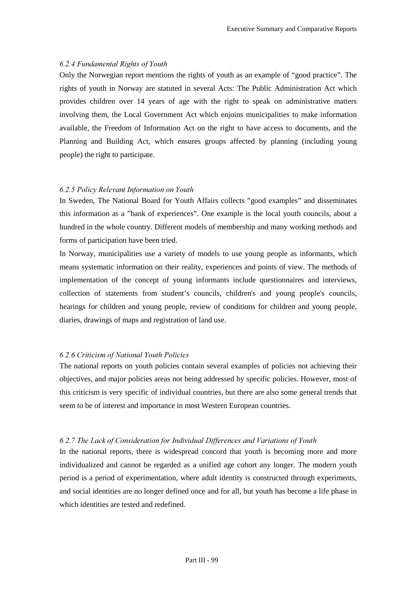### 6.2.4 Fundamental Rights of Youth

Only the Norwegian report mentions the rights of youth as an example of "good practice". The rights of youth in Norway are statuted in several Acts: The Public Administration Act which provides children over 14 years of age with the right to speak on administrative matters involving them, the Local Government Act which enjoins municipalities to make information available, the Freedom of Information Act on the right to have access to documents, and the Planning and Building Act, which ensures groups affected by planning (including young people) the right to participate.

### 6.2.5 Policy Relevant Information on Youth

In Sweden, The National Board for Youth Affairs collects "good examples" and disseminates this information as a "bank of experiences". One example is the local youth councils, about a hundred in the whole country. Different models of membership and many working methods and forms of participation have been tried.

In Norway, municipalities use a variety of models to use young people as informants, which means systematic information on their reality, experiences and points of view. The methods of implementation of the concept of young informants include questionnaires and interviews, collection of statements from student's councils, children's and young people's councils, hearings for children and young people, review of conditions for children and young people, diaries, drawings of maps and registration of land use.

## **6.2.6 Criticism of National Youth Policies**

The national reports on youth policies contain several examples of policies not achieving their objectives, and major policies areas not being addressed by specific policies. However, most of this criticism is very specific of individual countries, but there are also some general trends that seem to be of interest and importance in most Western European countries.

#### 6.2.7 The Lack of Consideration for Individual Differences and Variations of Youth

In the national reports, there is widespread concord that youth is becoming more and more individualized and cannot be regarded as a unified age cohort any longer. The modern youth period is a period of experimentation, where adult identity is constructed through experiments, and social identities are no longer defined once and for all, but youth has become a life phase in which identities are tested and redefined.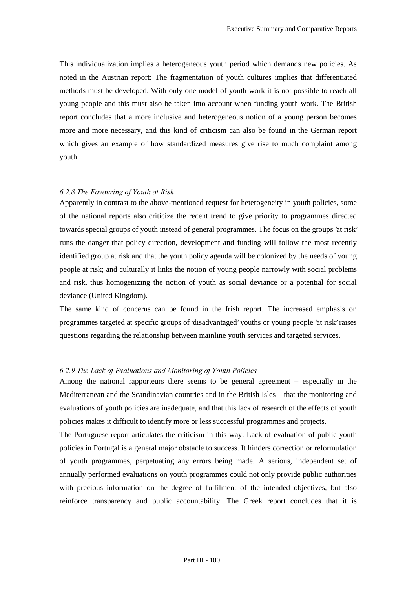This individualization implies a heterogeneous youth period which demands new policies. As noted in the Austrian report: The fragmentation of youth cultures implies that differentiated methods must be developed. With only one model of youth work it is not possible to reach all young people and this must also be taken into account when funding youth work. The British report concludes that a more inclusive and heterogeneous notion of a young person becomes more and more necessary, and this kind of criticism can also be found in the German report which gives an example of how standardized measures give rise to much complaint among youth.

#### 6.2.8 The Favouring of Youth at Risk

Apparently in contrast to the above-mentioned request for heterogeneity in youth policies, some of the national reports also criticize the recent trend to give priority to programmes directed towards special groups of youth instead of general programmes. The focus on the groups 'at risk' runs the danger that policy direction, development and funding will follow the most recently identified group at risk and that the youth policy agenda will be colonized by the needs of young people at risk; and culturally it links the notion of young people narrowly with social problems and risk, thus homogenizing the notion of youth as social deviance or a potential for social deviance (United Kingdom).

The same kind of concerns can be found in the Irish report. The increased emphasis on programmes targeted at specific groups of 'disadvantaged' youths or young people 'at risk' raises questions regarding the relationship between mainline youth services and targeted services.

#### 6.2.9 The Lack of Evaluations and Monitoring of Youth Policies

Among the national rapporteurs there seems to be general agreement – especially in the Mediterranean and the Scandinavian countries and in the British Isles – that the monitoring and evaluations of youth policies are inadequate, and that this lack of research of the effects of youth policies makes it difficult to identify more or less successful programmes and projects.

The Portuguese report articulates the criticism in this way: Lack of evaluation of public youth policies in Portugal is a general major obstacle to success. It hinders correction or reformulation of youth programmes, perpetuating any errors being made. A serious, independent set of annually performed evaluations on youth programmes could not only provide public authorities with precious information on the degree of fulfilment of the intended objectives, but also reinforce transparency and public accountability. The Greek report concludes that it is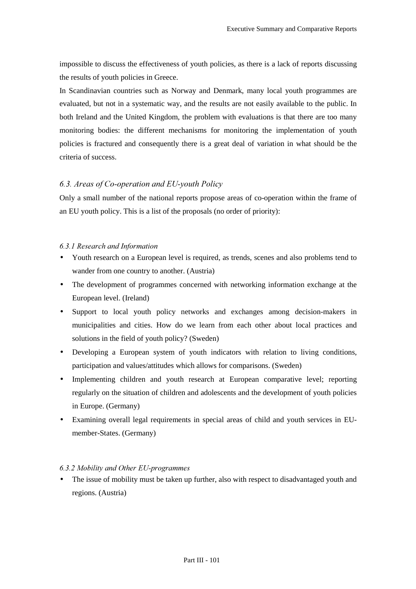impossible to discuss the effectiveness of youth policies, as there is a lack of reports discussing the results of youth policies in Greece.

In Scandinavian countries such as Norway and Denmark, many local youth programmes are evaluated, but not in a systematic way, and the results are not easily available to the public. In both Ireland and the United Kingdom, the problem with evaluations is that there are too many monitoring bodies: the different mechanisms for monitoring the implementation of youth policies is fractured and consequently there is a great deal of variation in what should be the criteria of success.

## 6.3. Areas of Co-operation and EU-youth Policy

Only a small number of the national reports propose areas of co-operation within the frame of an EU youth policy. This is a list of the proposals (no order of priority):

#### 6.3.1 Research and Information

- Youth research on a European level is required, as trends, scenes and also problems tend to wander from one country to another. (Austria)
- The development of programmes concerned with networking information exchange at the European level. (Ireland)
- Support to local youth policy networks and exchanges among decision-makers in municipalities and cities. How do we learn from each other about local practices and solutions in the field of youth policy? (Sweden)
- Developing a European system of youth indicators with relation to living conditions, participation and values/attitudes which allows for comparisons. (Sweden)
- Implementing children and youth research at European comparative level; reporting regularly on the situation of children and adolescents and the development of youth policies in Europe. (Germany)
- Examining overall legal requirements in special areas of child and youth services in EUmember-States. (Germany)

#### 6.3.2 Mobility and Other EU-programmes

The issue of mobility must be taken up further, also with respect to disadvantaged youth and regions. (Austria)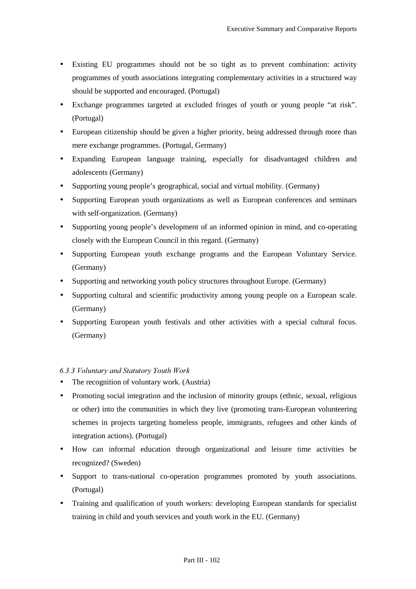- Existing EU programmes should not be so tight as to prevent combination: activity programmes of youth associations integrating complementary activities in a structured way should be supported and encouraged. (Portugal)
- Exchange programmes targeted at excluded fringes of youth or young people "at risk". (Portugal)
- European citizenship should be given a higher priority, being addressed through more than mere exchange programmes. (Portugal, Germany)
- Expanding European language training, especially for disadvantaged children and adolescents (Germany)
- Supporting young people's geographical, social and virtual mobility. (Germany)
- Supporting European youth organizations as well as European conferences and seminars with self-organization. (Germany)
- Supporting young people's development of an informed opinion in mind, and co-operating closely with the European Council in this regard. (Germany)
- Supporting European youth exchange programs and the European Voluntary Service. (Germany)
- Supporting and networking youth policy structures throughout Europe. (Germany)
- Supporting cultural and scientific productivity among young people on a European scale. (Germany)
- Supporting European youth festivals and other activities with a special cultural focus. (Germany)

# 6.3.3 Voluntary and Statutory Youth Work

- The recognition of voluntary work. (Austria)
- Promoting social integration and the inclusion of minority groups (ethnic, sexual, religious or other) into the communities in which they live (promoting trans-European volunteering schemes in projects targeting homeless people, immigrants, refugees and other kinds of integration actions). (Portugal)
- How can informal education through organizational and leisure time activities be recognized? (Sweden)
- Support to trans-national co-operation programmes promoted by youth associations. (Portugal)
- Training and qualification of youth workers: developing European standards for specialist training in child and youth services and youth work in the EU. (Germany)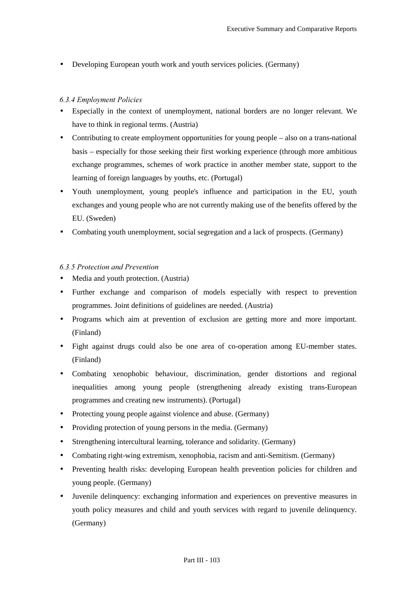• Developing European youth work and youth services policies. (Germany)

## 6.3.4 Employment Policies

- Especially in the context of unemployment, national borders are no longer relevant. We have to think in regional terms. (Austria)
- Contributing to create employment opportunities for young people also on a trans-national basis – especially for those seeking their first working experience (through more ambitious exchange programmes, schemes of work practice in another member state, support to the learning of foreign languages by youths, etc. (Portugal)
- Youth unemployment, young people's influence and participation in the EU, youth exchanges and young people who are not currently making use of the benefits offered by the EU. (Sweden)
- Combating youth unemployment, social segregation and a lack of prospects. (Germany)

## 6.3.5 Protection and Prevention

- Media and youth protection. (Austria)
- Further exchange and comparison of models especially with respect to prevention programmes. Joint definitions of guidelines are needed. (Austria)
- Programs which aim at prevention of exclusion are getting more and more important. (Finland)
- Fight against drugs could also be one area of co-operation among EU-member states. (Finland)
- Combating xenophobic behaviour, discrimination, gender distortions and regional inequalities among young people (strengthening already existing trans-European programmes and creating new instruments). (Portugal)
- Protecting young people against violence and abuse. (Germany)
- Providing protection of young persons in the media. (Germany)
- Strengthening intercultural learning, tolerance and solidarity. (Germany)
- Combating right-wing extremism, xenophobia, racism and anti-Semitism. (Germany)
- Preventing health risks: developing European health prevention policies for children and young people. (Germany)
- Juvenile delinquency: exchanging information and experiences on preventive measures in youth policy measures and child and youth services with regard to juvenile delinquency. (Germany)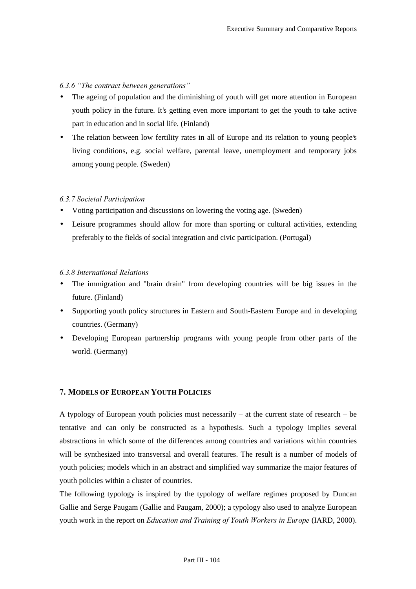#### *b.3.6 "The contract between generations"*

- The ageing of population and the diminishing of youth will get more attention in European youth policy in the future. It's getting even more important to get the youth to take active part in education and in social life. (Finland)
- The relation between low fertility rates in all of Europe and its relation to young people's living conditions, e.g. social welfare, parental leave, unemployment and temporary jobs among young people. (Sweden)

#### **6.3.7 Societal Participation**

- Voting participation and discussions on lowering the voting age. (Sweden)
- Leisure programmes should allow for more than sporting or cultural activities, extending preferably to the fields of social integration and civic participation. (Portugal)

#### 6.3.8 International Relations

- The immigration and "brain drain" from developing countries will be big issues in the future. (Finland)
- Supporting youth policy structures in Eastern and South-Eastern Europe and in developing countries. (Germany)
- Developing European partnership programs with young people from other parts of the world. (Germany)

#### 7. MODELS OF EUROPEAN YOUTH POLICIES

A typology of European youth policies must necessarily – at the current state of research – be tentative and can only be constructed as a hypothesis. Such a typology implies several abstractions in which some of the differences among countries and variations within countries will be synthesized into transversal and overall features. The result is a number of models of youth policies; models which in an abstract and simplified way summarize the major features of youth policies within a cluster of countries.

The following typology is inspired by the typology of welfare regimes proposed by Duncan Gallie and Serge Paugam (Gallie and Paugam, 2000); a typology also used to analyze European youth work in the report on *Education and Training of Youth Workers in Europe* (IARD, 2000).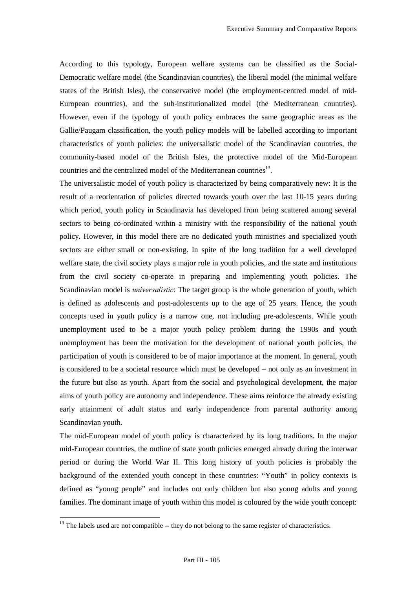According to this typology, European welfare systems can be classified as the Social-Democratic welfare model (the Scandinavian countries), the liberal model (the minimal welfare states of the British Isles), the conservative model (the employment-centred model of mid-European countries), and the sub-institutionalized model (the Mediterranean countries). However, even if the typology of youth policy embraces the same geographic areas as the Gallie/Paugam classification, the youth policy models will be labelled according to important characteristics of youth policies: the universalistic model of the Scandinavian countries, the community-based model of the British Isles, the protective model of the Mid-European countries and the centralized model of the Mediterranean countries<sup>13</sup>.

The universalistic model of youth policy is characterized by being comparatively new: It is the result of a reorientation of policies directed towards youth over the last 10-15 years during which period, youth policy in Scandinavia has developed from being scattered among several sectors to being co-ordinated within a ministry with the responsibility of the national youth policy. However, in this model there are no dedicated youth ministries and specialized youth sectors are either small or non-existing. In spite of the long tradition for a well developed welfare state, the civil society plays a major role in youth policies, and the state and institutions from the civil society co-operate in preparing and implementing youth policies. The Scandinavian model is *universalistic*: The target group is the whole generation of youth, which is defined as adolescents and post-adolescents up to the age of 25 years. Hence, the youth concepts used in youth policy is a narrow one, not including pre-adolescents. While youth unemployment used to be a major youth policy problem during the 1990s and youth unemployment has been the motivation for the development of national youth policies, the participation of youth is considered to be of major importance at the moment. In general, youth is considered to be a societal resource which must be developed – not only as an investment in the future but also as youth. Apart from the social and psychological development, the major aims of youth policy are autonomy and independence. These aims reinforce the already existing early attainment of adult status and early independence from parental authority among Scandinavian youth.

The mid-European model of youth policy is characterized by its long traditions. In the major mid-European countries, the outline of state youth policies emerged already during the interwar period or during the World War II. This long history of youth policies is probably the background of the extended youth concept in these countries: "Youth" in policy contexts is defined as "young people" and includes not only children but also young adults and young families. The dominant image of youth within this model is coloured by the wide youth concept:

 $\overline{a}$ 

 $13$  The labels used are not compatible  $-$  they do not belong to the same register of characteristics.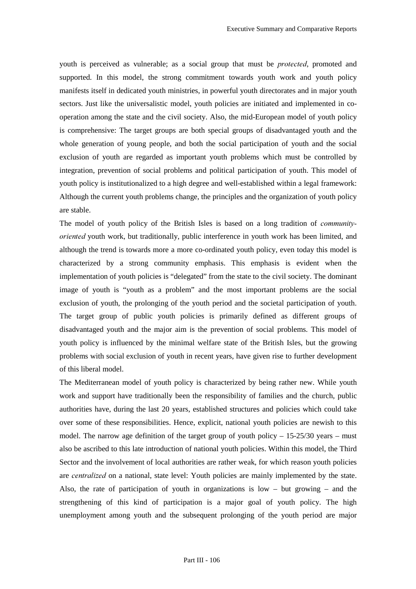youth is perceived as vulnerable; as a social group that must be *protected*, promoted and supported. In this model, the strong commitment towards youth work and youth policy manifests itself in dedicated youth ministries, in powerful youth directorates and in major youth sectors. Just like the universalistic model, youth policies are initiated and implemented in cooperation among the state and the civil society. Also, the mid-European model of youth policy is comprehensive: The target groups are both special groups of disadvantaged youth and the whole generation of young people, and both the social participation of youth and the social exclusion of youth are regarded as important youth problems which must be controlled by integration, prevention of social problems and political participation of youth. This model of youth policy is institutionalized to a high degree and well-established within a legal framework: Although the current youth problems change, the principles and the organization of youth policy are stable.

The model of youth policy of the British Isles is based on a long tradition of *communitycoriented* youth work, but traditionally, public interference in youth work has been limited, and although the trend is towards more a more co-ordinated youth policy, even today this model is characterized by a strong community emphasis. This emphasis is evident when the implementation of youth policies is "delegated" from the state to the civil society. The dominant image of youth is "youth as a problem" and the most important problems are the social exclusion of youth, the prolonging of the youth period and the societal participation of youth. The target group of public youth policies is primarily defined as different groups of disadvantaged youth and the major aim is the prevention of social problems. This model of youth policy is influenced by the minimal welfare state of the British Isles, but the growing problems with social exclusion of youth in recent years, have given rise to further development of this liberal model.

The Mediterranean model of youth policy is characterized by being rather new. While youth work and support have traditionally been the responsibility of families and the church, public authorities have, during the last 20 years, established structures and policies which could take over some of these responsibilities. Hence, explicit, national youth policies are newish to this model. The narrow age definition of the target group of youth policy  $-15-25/30$  years – must also be ascribed to this late introduction of national youth policies. Within this model, the Third Sector and the involvement of local authorities are rather weak, for which reason youth policies are *centralized* on a national, state level: Youth policies are mainly implemented by the state. Also, the rate of participation of youth in organizations is  $low - but growing - and the$ strengthening of this kind of participation is a major goal of youth policy. The high unemployment among youth and the subsequent prolonging of the youth period are major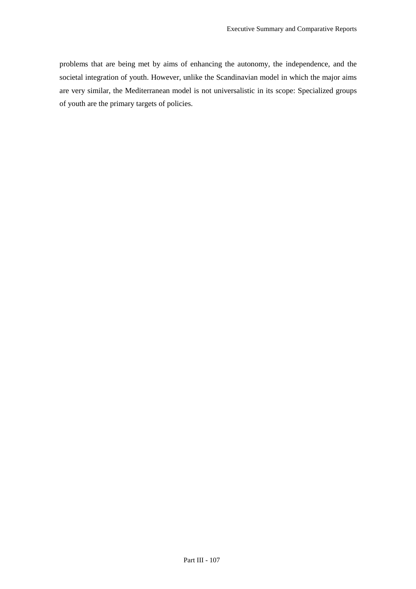problems that are being met by aims of enhancing the autonomy, the independence, and the societal integration of youth. However, unlike the Scandinavian model in which the major aims are very similar, the Mediterranean model is not universalistic in its scope: Specialized groups of youth are the primary targets of policies.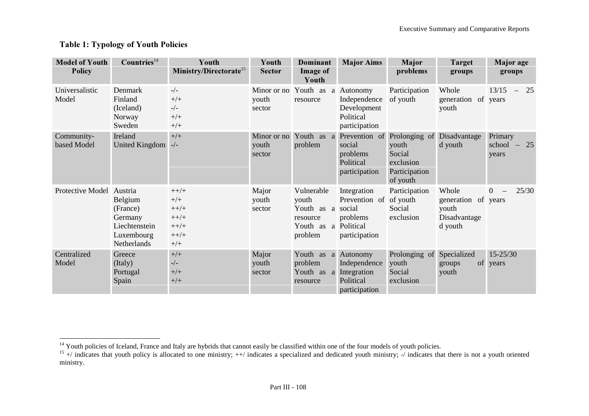# Table 1: Typology of Youth Policies

| <b>Model of Youth</b><br><b>Policy</b> | Countries <sup>14</sup>                                                                 | Youth<br>Ministry/Directorate <sup>15</sup>                      | Youth<br><b>Sector</b>                  | <b>Dominant</b><br><b>Image of</b><br>Youth                                 | <b>Major Aims</b>                                                                 | Major<br>problems                                                                                   | <b>Target</b><br>groups                                          | <b>Major</b> age<br>groups                          |
|----------------------------------------|-----------------------------------------------------------------------------------------|------------------------------------------------------------------|-----------------------------------------|-----------------------------------------------------------------------------|-----------------------------------------------------------------------------------|-----------------------------------------------------------------------------------------------------|------------------------------------------------------------------|-----------------------------------------------------|
| Universalistic<br>Model                | Denmark<br>Finland<br>(Iceland)<br>Norway<br>Sweden                                     | $-/-$<br>$+/+$<br>$-/-$<br>$+/+$<br>$+/+$                        | Minor or no Youth as<br>youth<br>sector | resource                                                                    | a Autonomy<br>Independence<br>Development<br>Political<br>participation           | Participation<br>of youth                                                                           | Whole<br>generation<br>youth                                     | 13/15<br>25<br>$\overline{\phantom{m}}$<br>of years |
| Community-<br>based Model              | Ireland<br>United Kingdom -/-                                                           | $+/+$                                                            | Minor or no<br>youth<br>sector          | problem                                                                     | social<br>problems<br>Political<br>participation                                  | Youth as a Prevention of Prolonging of<br>youth<br>Social<br>exclusion<br>Participation<br>of youth | Disadvantage<br>d youth                                          | Primary<br>school<br>$-25$<br>years                 |
| Protective Model                       | Austria<br>Belgium<br>(France)<br>Germany<br>Liechtenstein<br>Luxembourg<br>Netherlands | $++/+$<br>$+/+$<br>$++/+$<br>$++/+$<br>$++/+$<br>$++/+$<br>$+/+$ | Major<br>youth<br>sector                | Vulnerable<br>youth<br>Youth as a social<br>resource<br>Youth as<br>problem | Integration<br>Prevention of of youth<br>problems<br>a Political<br>participation | Participation<br>Social<br>exclusion                                                                | Whole<br>generation of years<br>youth<br>Disadvantage<br>d youth | $\overline{0}$<br>25/30                             |
| Centralized<br>Model                   | Greece<br>(Italy)<br>Portugal<br>Spain                                                  | $+/+$<br>$-/-$<br>$+/+$<br>$+/+$                                 | Major<br>youth<br>sector                | Youth as a<br>problem<br>Youth as a Integration<br>resource                 | Autonomy<br>Independence<br>Political<br>participation                            | Prolonging of<br>youth<br>Social<br>exclusion                                                       | Specialized<br>groups<br>youth                                   | $15 - 25/30$<br>of years                            |

<sup>&</sup>lt;sup>14</sup> Youth policies of Iceland, France and Italy are hybrids that cannot easily be classified within one of the four models of youth policies.

 $15 +$ / indicates that youth policy is allocated to one ministry;  $++/$  indicates a specialized and dedicated youth ministry;  $-/$  indicates that there is not a youth oriented ministry.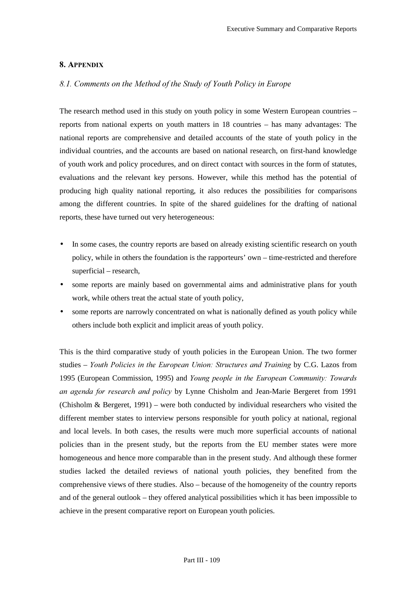#### 8. APPENDIX

### 8.1. Comments on the Method of the Study of Youth Policy in Europe

The research method used in this study on youth policy in some Western European countries – reports from national experts on youth matters in 18 countries – has many advantages: The national reports are comprehensive and detailed accounts of the state of youth policy in the individual countries, and the accounts are based on national research, on first-hand knowledge of youth work and policy procedures, and on direct contact with sources in the form of statutes, evaluations and the relevant key persons. However, while this method has the potential of producing high quality national reporting, it also reduces the possibilities for comparisons among the different countries. In spite of the shared guidelines for the drafting of national reports, these have turned out very heterogeneous:

- In some cases, the country reports are based on already existing scientific research on youth policy, while in others the foundation is the rapporteurs' own – time-restricted and therefore superficial – research,
- some reports are mainly based on governmental aims and administrative plans for youth work, while others treat the actual state of youth policy,
- some reports are narrowly concentrated on what is nationally defined as youth policy while others include both explicit and implicit areas of youth policy.

This is the third comparative study of youth policies in the European Union. The two former studies – *Youth Policies in the European Union: Structures and Training* by C.G. Lazos from 1995 (European Commission, 1995) and *Young people in the European Community: Towards an agenda for research and policy* by Lynne Chisholm and Jean-Marie Bergeret from 1991 (Chisholm & Bergeret, 1991) – were both conducted by individual researchers who visited the different member states to interview persons responsible for youth policy at national, regional and local levels. In both cases, the results were much more superficial accounts of national policies than in the present study, but the reports from the EU member states were more homogeneous and hence more comparable than in the present study. And although these former studies lacked the detailed reviews of national youth policies, they benefited from the comprehensive views of there studies. Also – because of the homogeneity of the country reports and of the general outlook – they offered analytical possibilities which it has been impossible to achieve in the present comparative report on European youth policies.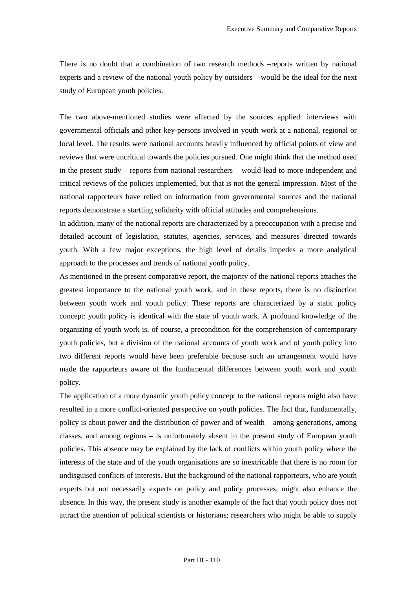There is no doubt that a combination of two research methods –reports written by national experts and a review of the national youth policy by outsiders – would be the ideal for the next study of European youth policies.

The two above-mentioned studies were affected by the sources applied: interviews with governmental officials and other key-persons involved in youth work at a national, regional or local level. The results were national accounts heavily influenced by official points of view and reviews that were uncritical towards the policies pursued. One might think that the method used in the present study – reports from national researchers – would lead to more independent and critical reviews of the policies implemented, but that is not the general impression. Most of the national rapporteurs have relied on information from governmental sources and the national reports demonstrate a startling solidarity with official attitudes and comprehensions.

In addition, many of the national reports are characterized by a preoccupation with a precise and detailed account of legislation, statutes, agencies, services, and measures directed towards youth. With a few major exceptions, the high level of details impedes a more analytical approach to the processes and trends of national youth policy.

As mentioned in the present comparative report, the majority of the national reports attaches the greatest importance to the national youth work, and in these reports, there is no distinction between youth work and youth policy. These reports are characterized by a static policy concept: youth policy is identical with the state of youth work. A profound knowledge of the organizing of youth work is, of course, a precondition for the comprehension of contemporary youth policies, but a division of the national accounts of youth work and of youth policy into two different reports would have been preferable because such an arrangement would have made the rapporteurs aware of the fundamental differences between youth work and youth policy.

The application of a more dynamic youth policy concept to the national reports might also have resulted in a more conflict-oriented perspective on youth policies. The fact that, fundamentally, policy is about power and the distribution of power and of wealth – among generations, among classes, and among regions – is unfortunately absent in the present study of European youth policies. This absence may be explained by the lack of conflicts within youth policy where the interests of the state and of the youth organisations are so inextricable that there is no room for undisguised conflicts of interests. But the background of the national rapporteurs, who are youth experts but not necessarily experts on policy and policy processes, might also enhance the absence. In this way, the present study is another example of the fact that youth policy does not attract the attention of political scientists or historians; researchers who might be able to supply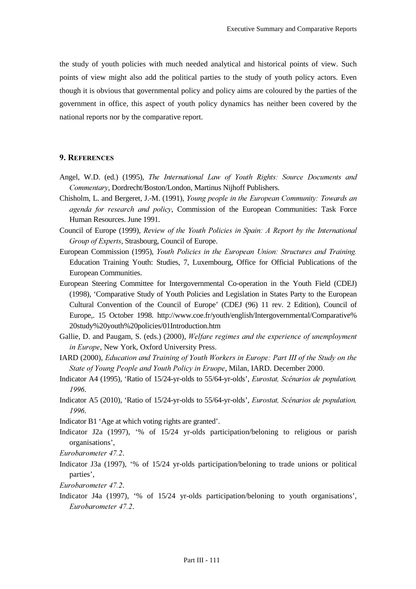the study of youth policies with much needed analytical and historical points of view. Such points of view might also add the political parties to the study of youth policy actors. Even though it is obvious that governmental policy and policy aims are coloured by the parties of the government in office, this aspect of youth policy dynamics has neither been covered by the national reports nor by the comparative report.

#### 9. REFERENCES

- Angel, W.D. (ed.) (1995), *The International Law of Youth Rights: Source Documents and Commentary*, Dordrecht/Boston/London, Martinus Nijhoff Publishers.
- Chisholm, L. and Bergeret, J.-M. (1991), *Young people in the European Community: Towards an agenda for research and policy*, Commission of the European Communities: Task Force Human Resources. June 1991.
- Council of Europe (1999), *Review of the Youth Policies in Spain: A Report by the International Group of Experts, Strasbourg, Council of Europe.*
- European Commission (1995), *Youth Policies in the European Union: Structures and Training.* Education Training Youth: Studies, 7, Luxembourg, Office for Official Publications of the European Communities.
- European Steering Committee for Intergovernmental Co-operation in the Youth Field (CDEJ) (1998), 'Comparative Study of Youth Policies and Legislation in States Party to the European Cultural Convention of the Council of Europe' (CDEJ (96) 11 rev. 2 Edition), Council of Europe,. 15 October 1998. http://www.coe.fr/youth/english/Intergovernmental/Comparative% 20study%20youth%20policies/01Introduction.htm
- Gallie, D. and Paugam, S. (eds.) (2000), *Welfare regimes and the experience of unemployment in Europe*, New York, Oxford University Press.
- IARD (2000), *Education and Training of Youth Workers in Europe: Part III of the Study on the* State of Young People and Youth Policy in Eruope, Milan, IARD. December 2000.
- Indicator A4 (1995), 'Ratio of 15/24-yr-olds to 55/64-yr-olds', *Eurostat, Scénarios de population*, 1996.
- Indicator A5 (2010), 'Ratio of 15/24-yr-olds to 55/64-yr-olds', *Eurostat, Scénarios de population*, 1996
- Indicator B1 'Age at which voting rights are granted'.
- Indicator J2a (1997), '% of 15/24 yr-olds participation/beloning to religious or parish organisations',
- *Eurobarometer 47.2.*
- Indicator J3a (1997), '% of 15/24 yr-olds participation/beloning to trade unions or political parties',
- *Eurobarometer 47.2.*
- Indicator J4a (1997), '% of 15/24 yr-olds participation/beloning to youth organisations', *Eurobarometer 47.2.*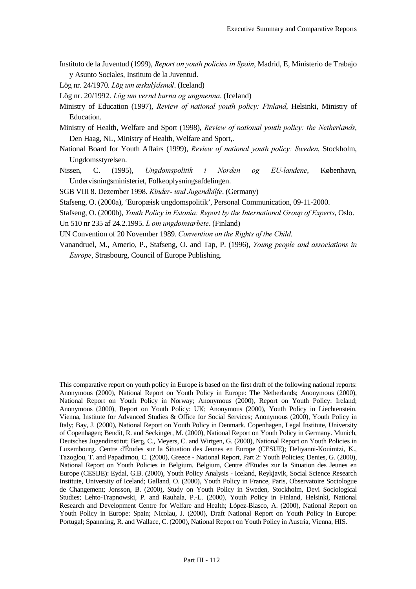- Instituto de la Juventud (1999), *Report on youth policies in Spain*, Madrid, E, Ministerio de Trabajo y Asunto Sociales, Instituto de la Juventud.
- Lög nr. 24/1970. *Lög um æskulýdsmál*. (Iceland)
- Lög nr. 20/1992. *Lög um vernd barna og ungmenna*. (Iceland)
- Ministry of Education (1997), *Review of national youth policy: Finland*, Helsinki, Ministry of Education.
- Ministry of Health, Welfare and Sport (1998), *Review of national vouth policy; the Netherlands*, Den Haag, NL, Ministry of Health, Welfare and Sport,.
- National Board for Youth Affairs (1999), *Review of national youth policy: Sweden*, Stockholm, Ungdomsstyrelsen.
- Nissen, C. (1995), *Ungdomspolitik i Norden og EU-landene*, København, Undervisningsministeriet, Folkeoplysningsafdelingen.

SGB VIII 8. Dezember 1998. *Kinder- und Jugendhilfe*. (Germany)

- Stafseng, O. (2000a), 'Europæisk ungdomspolitik', Personal Communication, 09-11-2000.
- Stafseng, O. (2000b), *Youth Policy in Estonia: Report by the International Group of Experts*, Oslo.
- Un 510 nr 235 af 24.2.1995. *L om ungdomsarbete*. (Finland)
- UN Convention of 20 November 1989. *Convention on the Rights of the Child.*
- Vanandruel, M., Amerio, P., Stafseng, O. and Tap, P. (1996), *Young people and associations in Europe*, Strasbourg, Council of Europe Publishing.

This comparative report on youth policy in Europe is based on the first draft of the following national reports: Anonymous (2000), National Report on Youth Policy in Europe: The Netherlands; Anonymous (2000), National Report on Youth Policy in Norway; Anonymous (2000), Report on Youth Policy: Ireland; Anonymous (2000), Report on Youth Policy: UK; Anonymous (2000), Youth Policy in Liechtenstein. Vienna, Institute for Advanced Studies & Office for Social Services; Anonymous (2000), Youth Policy in Italy; Bay, J. (2000), National Report on Youth Policy in Denmark. Copenhagen, Legal Institute, University of Copenhagen; Bendit, R. and Seckinger, M. (2000), National Report on Youth Policy in Germany. Munich, Deutsches Jugendinstitut; Berg, C., Meyers, C. and Wirtgen, G. (2000), National Report on Youth Policies in Luxembourg. Centre d'Études sur la Situation des Jeunes en Europe (CESIJE); Deliyanni-Kouimtzi, K., Tazoglou, T. and Papadimou, C. (2000), Greece - National Report, Part 2: Youth Policies; Denies, G. (2000), National Report on Youth Policies in Belgium. Belgium, Centre d'Etudes zur la Situation des Jeunes en Europe (CESIJE): Eydal, G.B. (2000), Youth Policy Analysis - Iceland, Reykjavik, Social Science Research Institute, University of Iceland; Galland, O. (2000), Youth Policy in France, Paris, Observatoire Sociologue de Changement; Jonsson, B. (2000), Study on Youth Policy in Sweden, Stockholm, Devi Sociological Studies; Lehto-Trapnowski, P. and Rauhala, P.-L. (2000), Youth Policy in Finland, Helsinki, National Research and Development Centre for Welfare and Health; López-Blasco, A. (2000), National Report on Youth Policy in Europe: Spain; Nicolau, J. (2000), Draft National Report on Youth Policy in Europe: Portugal; Spannring, R. and Wallace, C. (2000), National Report on Youth Policy in Austria, Vienna, HIS.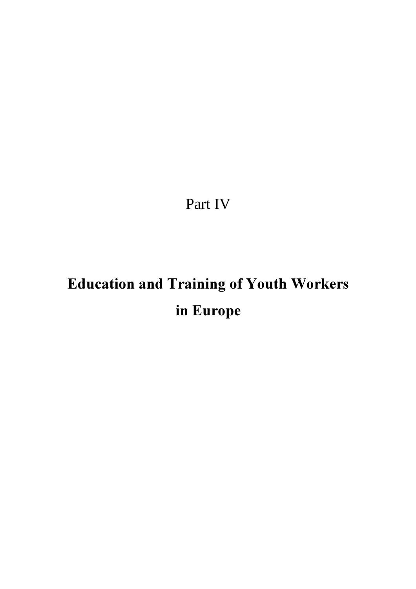Part IV

# Education and Training of Youth Workers in Europe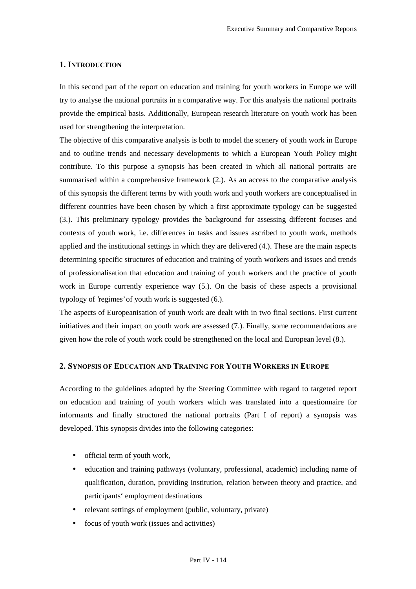#### 1. INTRODUCTION

In this second part of the report on education and training for youth workers in Europe we will try to analyse the national portraits in a comparative way. For this analysis the national portraits provide the empirical basis. Additionally, European research literature on youth work has been used for strengthening the interpretation.

The objective of this comparative analysis is both to model the scenery of youth work in Europe and to outline trends and necessary developments to which a European Youth Policy might contribute. To this purpose a synopsis has been created in which all national portraits are summarised within a comprehensive framework (2.). As an access to the comparative analysis of this synopsis the different terms by with youth work and youth workers are conceptualised in different countries have been chosen by which a first approximate typology can be suggested (3.). This preliminary typology provides the background for assessing different focuses and contexts of youth work, i.e. differences in tasks and issues ascribed to youth work, methods applied and the institutional settings in which they are delivered (4.). These are the main aspects determining specific structures of education and training of youth workers and issues and trends of professionalisation that education and training of youth workers and the practice of youth work in Europe currently experience way (5.). On the basis of these aspects a provisional typology of 'regimes' of youth work is suggested (6.).

The aspects of Europeanisation of youth work are dealt with in two final sections. First current initiatives and their impact on youth work are assessed (7.). Finally, some recommendations are given how the role of youth work could be strengthened on the local and European level (8.).

# 2. SYNOPSIS OF EDUCATION AND TRAINING FOR YOUTH WORKERS IN EUROPE

According to the guidelines adopted by the Steering Committee with regard to targeted report on education and training of youth workers which was translated into a questionnaire for informants and finally structured the national portraits (Part I of report) a synopsis was developed. This synopsis divides into the following categories:

- official term of youth work,
- education and training pathways (voluntary, professional, academic) including name of qualification, duration, providing institution, relation between theory and practice, and participants' employment destinations
- relevant settings of employment (public, voluntary, private)
- focus of youth work (issues and activities)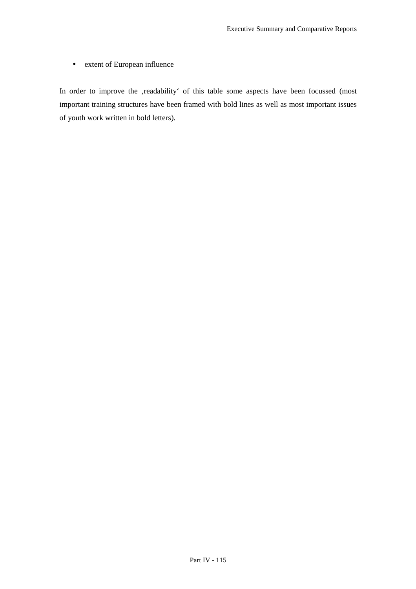• extent of European influence

In order to improve the ,readability' of this table some aspects have been focussed (most important training structures have been framed with bold lines as well as most important issues of youth work written in bold letters).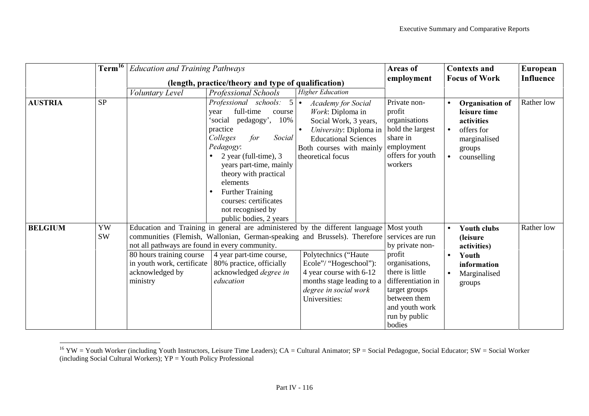|                | $\mathrm{Term}^{16}$ $\parallel$ |                                                                                                                                         | <b>Education and Training Pathways</b><br>(length, practice/theory and type of qualification)                                                                                                                                                                                                                                                                                         |                                                                                                                                                                                  | Areas of<br>employment                                                                                                                                                                 | <b>Contexts and</b><br><b>Focus of Work</b>                                                                                | European<br>Influence |
|----------------|----------------------------------|-----------------------------------------------------------------------------------------------------------------------------------------|---------------------------------------------------------------------------------------------------------------------------------------------------------------------------------------------------------------------------------------------------------------------------------------------------------------------------------------------------------------------------------------|----------------------------------------------------------------------------------------------------------------------------------------------------------------------------------|----------------------------------------------------------------------------------------------------------------------------------------------------------------------------------------|----------------------------------------------------------------------------------------------------------------------------|-----------------------|
|                |                                  |                                                                                                                                         |                                                                                                                                                                                                                                                                                                                                                                                       | <b>Higher Education</b>                                                                                                                                                          |                                                                                                                                                                                        |                                                                                                                            |                       |
| <b>AUSTRIA</b> | <b>SP</b>                        | Voluntary Level<br>$\bullet$                                                                                                            | Professional Schools<br>Professional schools: $5 \cdot$<br>full-time<br>course<br>year<br>10%<br>'social<br>pedagogy',<br>practice<br>Social<br>Colleges<br>for<br>Pedagogy:<br>2 year (full-time), 3<br>$\bullet$<br>years part-time, mainly<br>theory with practical<br>elements<br><b>Further Training</b><br>courses: certificates<br>not recognised by<br>public bodies, 2 years | <b>Academy for Social</b><br>Work: Diploma in<br>Social Work, 3 years,<br>University: Diploma in<br><b>Educational Sciences</b><br>Both courses with mainly<br>theoretical focus | Private non-<br>profit<br>organisations<br>hold the largest<br>share in<br>employment<br>offers for youth<br>workers                                                                   | Organisation of<br>leisure time<br>activities<br>offers for<br>marginalised<br>groups<br>counselling                       | Rather low            |
| <b>BELGIUM</b> | YW<br><b>SW</b>                  | not all pathways are found in every community.<br>80 hours training course<br>in youth work, certificate<br>acknowledged by<br>ministry | Education and Training in general are administered by the different language Most youth<br>communities (Flemish, Wallonian, German-speaking and Brussels). Therefore<br>4 year part-time course,<br>80% practice, officially<br>acknowledged degree in<br>education                                                                                                                   | Polytechnics ("Haute<br>Ecole"/ "Hogeschool"):<br>4 year course with 6-12<br>months stage leading to a<br>degree in social work<br>Universities:                                 | services are run<br>by private non-<br>profit<br>organisations,<br>there is little<br>differentiation in<br>target groups<br>between them<br>and youth work<br>run by public<br>bodies | <b>Youth clubs</b><br>$\bullet$<br>(leisure)<br>activities)<br>Youth<br>$\bullet$<br>information<br>Marginalised<br>groups | Rather low            |

<sup>&</sup>lt;sup>16</sup> YW = Youth Worker (including Youth Instructors, Leisure Time Leaders); CA = Cultural Animator; SP = Social Pedagogue, Social Educator; SW = Social Worker (including Social Cultural Workers); YP = Youth Policy Professional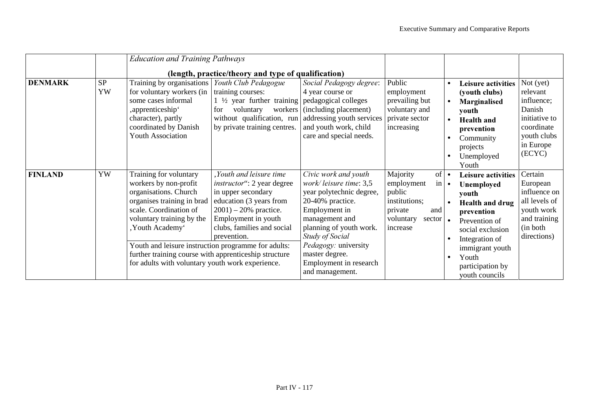|                |          | <b>Education and Training Pathways</b>                                                                                                                                                                                                                                                                                                                | (length, practice/theory and type of qualification)                                                                                                                                                           |                                                                                                                                                                                                                                                                               |                                                                                                                                                      |                                                  |                                                                                                                                                                                                                   |                                                                                                                      |
|----------------|----------|-------------------------------------------------------------------------------------------------------------------------------------------------------------------------------------------------------------------------------------------------------------------------------------------------------------------------------------------------------|---------------------------------------------------------------------------------------------------------------------------------------------------------------------------------------------------------------|-------------------------------------------------------------------------------------------------------------------------------------------------------------------------------------------------------------------------------------------------------------------------------|------------------------------------------------------------------------------------------------------------------------------------------------------|--------------------------------------------------|-------------------------------------------------------------------------------------------------------------------------------------------------------------------------------------------------------------------|----------------------------------------------------------------------------------------------------------------------|
| <b>DENMARK</b> | SP<br>YW | Training by organisations<br>for voluntary workers (in<br>some cases informal<br>, apprenticeship <sup>*</sup><br>character), partly<br>coordinated by Danish<br><b>Youth Association</b>                                                                                                                                                             | Youth Club Pedagogue<br>training courses:<br>1 $\frac{1}{2}$ year further training pedagogical colleges<br>voluntary<br>workers<br>for<br>without qualification, run<br>by private training centres.          | Social Pedagogy degree:<br>4 year course or<br>(including placement)<br>addressing youth services<br>and youth work, child<br>care and special needs.                                                                                                                         | Public<br>employment<br>prevailing but<br>voluntary and<br>private sector<br>increasing                                                              | $\bullet$<br>$\bullet$<br>$\bullet$<br>$\bullet$ | <b>Leisure activities</b><br>(youth clubs)<br>Marginalised<br>youth<br><b>Health</b> and<br>prevention<br>Community<br>projects<br>Unemployed<br>Youth                                                            | Not $(yet)$<br>relevant<br>influence;<br>Danish<br>initiative to<br>coordinate<br>youth clubs<br>in Europe<br>(ECYC) |
| <b>FINLAND</b> | YW       | Training for voluntary<br>workers by non-profit<br>organisations. Church<br>organises training in brad<br>scale. Coordination of<br>voluntary training by the<br>, Youth Academy'<br>Youth and leisure instruction programme for adults:<br>further training course with apprenticeship structure<br>for adults with voluntary youth work experience. | Youth and leisure time<br><i>instructor</i> ": 2 year degree<br>in upper secondary<br>education (3 years from<br>$2001$ ) – 20% practice.<br>Employment in youth<br>clubs, families and social<br>prevention. | Civic work and youth<br>work/leisure time: 3,5<br>year polytechnic degree,<br>20-40% practice.<br>Employment in<br>management and<br>planning of youth work.<br><b>Study of Social</b><br>Pedagogy: university<br>master degree.<br>Employment in research<br>and management. | Majority<br>$of \bullet$<br>$\left  \text{in} \right $<br>employment<br>public<br>institutions;<br>private<br>and<br>voluntary<br>sector<br>increase | $\bullet$<br>$\bullet$<br>$\bullet$              | <b>Leisure activities</b><br>Unemployed<br>youth<br><b>Health and drug</b><br>prevention<br>Prevention of<br>social exclusion<br>Integration of<br>immigrant youth<br>Youth<br>participation by<br>youth councils | Certain<br>European<br>influence on<br>all levels of<br>youth work<br>and training<br>(in both)<br>directions)       |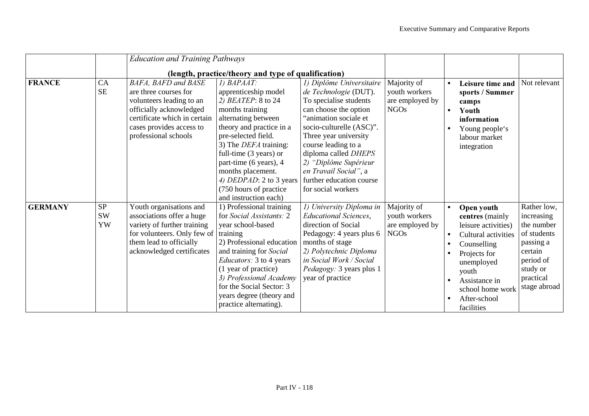|                |                              | <b>Education and Training Pathways</b>                                                                                                                                                         |                                                                                                                                                                                                                                                                                                                                                        |                                                                                                                                                                                                                                                                                                                                       |                                                                |                                                                                                                                                                                                      |                                                                                                                                      |
|----------------|------------------------------|------------------------------------------------------------------------------------------------------------------------------------------------------------------------------------------------|--------------------------------------------------------------------------------------------------------------------------------------------------------------------------------------------------------------------------------------------------------------------------------------------------------------------------------------------------------|---------------------------------------------------------------------------------------------------------------------------------------------------------------------------------------------------------------------------------------------------------------------------------------------------------------------------------------|----------------------------------------------------------------|------------------------------------------------------------------------------------------------------------------------------------------------------------------------------------------------------|--------------------------------------------------------------------------------------------------------------------------------------|
|                |                              |                                                                                                                                                                                                | (length, practice/theory and type of qualification)                                                                                                                                                                                                                                                                                                    |                                                                                                                                                                                                                                                                                                                                       |                                                                |                                                                                                                                                                                                      |                                                                                                                                      |
| <b>FRANCE</b>  | CA<br><b>SE</b>              | <b>BAFA, BAFD and BASE</b><br>are three courses for<br>volunteers leading to an<br>officially acknowledged<br>certificate which in certain<br>cases provides access to<br>professional schools | 1) BAPAAT:<br>apprenticeship model<br>2) BEATEP: 8 to 24<br>months training<br>alternating between<br>theory and practice in a<br>pre-selected field.<br>3) The <i>DEFA</i> training:<br>full-time $(3 \text{ years})$ or<br>part-time (6 years), 4<br>months placement.<br>4) DEDPAD: 2 to 3 years<br>(750 hours of practice<br>and instruction each) | 1) Diplôme Universitaire<br>de Technologie (DUT).<br>To specialise students<br>can choose the option<br>"animation sociale et<br>socio-culturelle (ASC)".<br>Three year university<br>course leading to a<br>diploma called DHEPS<br>2) "Diplôme Supérieur<br>en Travail Social", a<br>further education course<br>for social workers | Majority of<br>youth workers<br>are employed by<br><b>NGOs</b> | Leisure time and<br>sports / Summer<br>camps<br>Youth<br>information<br>Young people's<br>labour market<br>integration                                                                               | Not relevant                                                                                                                         |
| <b>GERMANY</b> | <b>SP</b><br><b>SW</b><br>YW | Youth organisations and<br>associations offer a huge<br>variety of further training<br>for volunteers. Only few of<br>them lead to officially<br>acknowledged certificates                     | 1) Professional training<br>for Social Assistants: 2<br>year school-based<br>training<br>2) Professional education<br>and training for Social<br><i>Educators:</i> 3 to 4 years<br>(1 year of practice)<br>3) Professional Academy<br>for the Social Sector: 3<br>years degree (theory and<br>practice alternating).                                   | 1) University Diploma in<br><b>Educational Sciences,</b><br>direction of Social<br>Pedagogy: 4 years plus 6<br>months of stage<br>2) Polytechnic Diploma<br>in Social Work / Social<br>Pedagogy: 3 years plus 1<br>year of practice                                                                                                   | Majority of<br>youth workers<br>are employed by<br><b>NGOs</b> | Open youth<br>centres (mainly<br>leisure activities)<br>Cultural activities<br>Counselling<br>Projects for<br>unemployed<br>youth<br>Assistance in<br>school home work<br>After-school<br>facilities | Rather low,<br>increasing<br>the number<br>of students<br>passing a<br>certain<br>period of<br>study or<br>practical<br>stage abroad |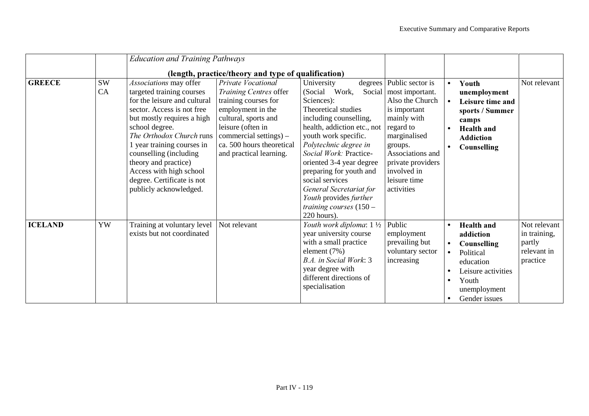|                |                 | <b>Education and Training Pathways</b>                                                                                                                                                                                                                                                                                                                           |                                                                                                                                                                                                                          |                                                                                                                                                                                                                                                                                                                                                                                              |                                                                                                                                                                                                                             |                                                  |                                                                                                                                                |                                                                   |
|----------------|-----------------|------------------------------------------------------------------------------------------------------------------------------------------------------------------------------------------------------------------------------------------------------------------------------------------------------------------------------------------------------------------|--------------------------------------------------------------------------------------------------------------------------------------------------------------------------------------------------------------------------|----------------------------------------------------------------------------------------------------------------------------------------------------------------------------------------------------------------------------------------------------------------------------------------------------------------------------------------------------------------------------------------------|-----------------------------------------------------------------------------------------------------------------------------------------------------------------------------------------------------------------------------|--------------------------------------------------|------------------------------------------------------------------------------------------------------------------------------------------------|-------------------------------------------------------------------|
|                |                 |                                                                                                                                                                                                                                                                                                                                                                  | (length, practice/theory and type of qualification)                                                                                                                                                                      |                                                                                                                                                                                                                                                                                                                                                                                              |                                                                                                                                                                                                                             |                                                  |                                                                                                                                                |                                                                   |
| <b>GREECE</b>  | <b>SW</b><br>CA | Associations may offer<br>targeted training courses<br>for the leisure and cultural<br>sector. Access is not free<br>but mostly requires a high<br>school degree.<br>The Orthodox Church runs<br>1 year training courses in<br>counselling (including<br>theory and practice)<br>Access with high school<br>degree. Certificate is not<br>publicly acknowledged. | Private Vocational<br>Training Centres offer<br>training courses for<br>employment in the<br>cultural, sports and<br>leisure (often in<br>commercial settings) –<br>ca. 500 hours theoretical<br>and practical learning. | University<br>(Social<br>Work,<br>Social<br>Sciences):<br>Theoretical studies<br>including counselling,<br>health, addiction etc., not<br>youth work specific.<br>Polytechnic degree in<br>Social Work: Practice-<br>oriented 3-4 year degree<br>preparing for youth and<br>social services<br>General Secretariat for<br>Youth provides further<br>training courses $(150 -$<br>220 hours). | degrees Public sector is<br>most important.<br>Also the Church<br>is important<br>mainly with<br>regard to<br>marginalised<br>groups.<br>Associations and<br>private providers<br>involved in<br>leisure time<br>activities | $\bullet$                                        | Youth<br>unemployment<br>Leisure time and<br>sports / Summer<br>camps<br><b>Health</b> and<br><b>Addiction</b><br><b>Counselling</b>           | Not relevant                                                      |
| <b>ICELAND</b> | YW              | Training at voluntary level<br>exists but not coordinated                                                                                                                                                                                                                                                                                                        | Not relevant                                                                                                                                                                                                             | Youth work diploma: 1 1/2<br>year university course<br>with a small practice<br>element $(7%)$<br>B.A. in Social Work: 3<br>year degree with<br>different directions of<br>specialisation                                                                                                                                                                                                    | Public<br>employment<br>prevailing but<br>voluntary sector<br>increasing                                                                                                                                                    | $\bullet$<br>$\bullet$<br>$\bullet$<br>$\bullet$ | <b>Health</b> and<br>addiction<br><b>Counselling</b><br>Political<br>education<br>Leisure activities<br>Youth<br>unemployment<br>Gender issues | Not relevant<br>in training,<br>partly<br>relevant in<br>practice |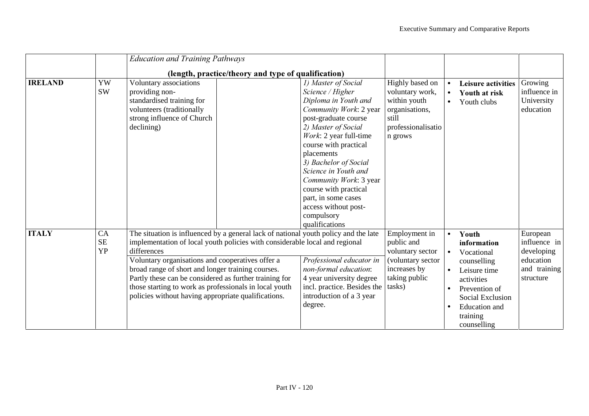|                |                              | <b>Education and Training Pathways</b>                                                                                                                                                                                                                                                                                                                                                                                                                                |                                                                                                                                                                                                                                                                                                                                                                                              |                                                                                                                 |                        |                                                                                                                                                                         |                                                                                  |
|----------------|------------------------------|-----------------------------------------------------------------------------------------------------------------------------------------------------------------------------------------------------------------------------------------------------------------------------------------------------------------------------------------------------------------------------------------------------------------------------------------------------------------------|----------------------------------------------------------------------------------------------------------------------------------------------------------------------------------------------------------------------------------------------------------------------------------------------------------------------------------------------------------------------------------------------|-----------------------------------------------------------------------------------------------------------------|------------------------|-------------------------------------------------------------------------------------------------------------------------------------------------------------------------|----------------------------------------------------------------------------------|
|                |                              | (length, practice/theory and type of qualification)                                                                                                                                                                                                                                                                                                                                                                                                                   |                                                                                                                                                                                                                                                                                                                                                                                              |                                                                                                                 |                        |                                                                                                                                                                         |                                                                                  |
| <b>IRELAND</b> | YW<br><b>SW</b>              | Voluntary associations<br>providing non-<br>standardised training for<br>volunteers (traditionally<br>strong influence of Church<br>declining)                                                                                                                                                                                                                                                                                                                        | 1) Master of Social<br>Science / Higher<br>Diploma in Youth and<br>Community Work: 2 year<br>post-graduate course<br>2) Master of Social<br>Work: 2 year full-time<br>course with practical<br>placements<br>3) Bachelor of Social<br>Science in Youth and<br>Community Work: 3 year<br>course with practical<br>part, in some cases<br>access without post-<br>compulsory<br>qualifications | Highly based on<br>voluntary work,<br>within youth<br>organisations,<br>still<br>professionalisatio<br>n grows  | $\bullet$<br>$\bullet$ | <b>Leisure activities</b><br>Youth at risk<br>Youth clubs                                                                                                               | Growing<br>influence in<br>University<br>education                               |
| <b>ITALY</b>   | CA<br><b>SE</b><br><b>YP</b> | The situation is influenced by a general lack of national youth policy and the late<br>implementation of local youth policies with considerable local and regional<br>differences<br>Voluntary organisations and cooperatives offer a<br>broad range of short and longer training courses.<br>Partly these can be considered as further training for<br>those starting to work as professionals in local youth<br>policies without having appropriate qualifications. | Professional educator in<br>non-formal education:<br>4 year university degree<br>incl. practice. Besides the<br>introduction of a 3 year<br>degree.                                                                                                                                                                                                                                          | Employment in<br>public and<br>voluntary sector<br>(voluntary sector<br>increases by<br>taking public<br>tasks) | $\bullet$<br>$\bullet$ | Youth<br>information<br>Vocational<br>counselling<br>Leisure time<br>activities<br>Prevention of<br>Social Exclusion<br><b>Education</b> and<br>training<br>counselling | European<br>influence in<br>developing<br>education<br>and training<br>structure |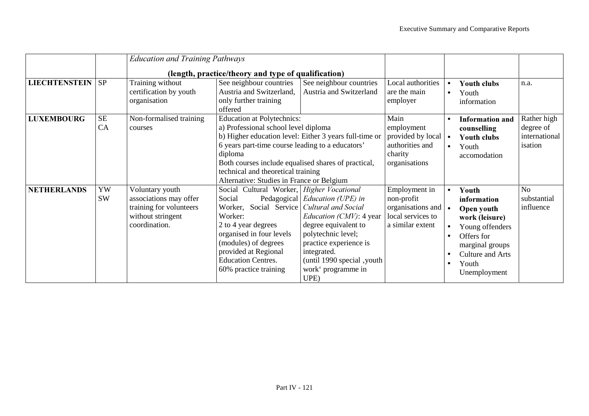|                      |                 | <b>Education and Training Pathways</b>                                                                     |                                                                                                                                                                                                                                                                                                                                              |                                                                                                                                                                                                                             |                                                                                                                 |                                     |                                                                                                                                                       |                                                      |
|----------------------|-----------------|------------------------------------------------------------------------------------------------------------|----------------------------------------------------------------------------------------------------------------------------------------------------------------------------------------------------------------------------------------------------------------------------------------------------------------------------------------------|-----------------------------------------------------------------------------------------------------------------------------------------------------------------------------------------------------------------------------|-----------------------------------------------------------------------------------------------------------------|-------------------------------------|-------------------------------------------------------------------------------------------------------------------------------------------------------|------------------------------------------------------|
|                      |                 |                                                                                                            | (length, practice/theory and type of qualification)                                                                                                                                                                                                                                                                                          |                                                                                                                                                                                                                             |                                                                                                                 |                                     |                                                                                                                                                       |                                                      |
| <b>LIECHTENSTEIN</b> | <b>SP</b>       | Training without<br>certification by youth<br>organisation                                                 | See neighbour countries<br>Austria and Switzerland,<br>only further training<br>offered                                                                                                                                                                                                                                                      | See neighbour countries<br>Austria and Switzerland                                                                                                                                                                          | Local authorities<br>are the main<br>employer                                                                   | $\bullet$<br>$\bullet$              | <b>Youth clubs</b><br>Youth<br>information                                                                                                            | n.a.                                                 |
| <b>LUXEMBOURG</b>    | <b>SE</b><br>CA | Non-formalised training<br>courses                                                                         | <b>Education at Polytechnics:</b><br>a) Professional school level diploma<br>b) Higher education level: Either 3 years full-time or<br>6 years part-time course leading to a educators'<br>diploma<br>Both courses include equalised shares of practical,<br>technical and theoretical training<br>Alternative: Studies in France or Belgium |                                                                                                                                                                                                                             | Main<br>employment<br>provided by local $\bullet$<br>authorities and<br>charity<br>organisations                | $\bullet$                           | <b>Information and</b><br>counselling<br><b>Youth clubs</b><br>Youth<br>accomodation                                                                  | Rather high<br>degree of<br>international<br>isation |
| <b>NETHERLANDS</b>   | YW<br>SW        | Voluntary youth<br>associations may offer<br>training for volunteers<br>without stringent<br>coordination. | Social Cultural Worker, Higher Vocational<br>Social<br>Worker, Social Service <i>Cultural and Social</i><br>Worker:<br>2 to 4 year degrees<br>organised in four levels<br>(modules) of degrees<br>provided at Regional<br><b>Education Centres.</b><br>60% practice training                                                                 | Pedagogical <i>Education (UPE)</i> in<br><i>Education (CMV)</i> : 4 year<br>degree equivalent to<br>polytechnic level;<br>practice experience is<br>integrated.<br>(until 1990 special, youth<br>work' programme in<br>UPE) | Employment in<br>non-profit<br>organisations and $\vert \bullet \vert$<br>local services to<br>a similar extent | $\bullet$<br>$\bullet$<br>$\bullet$ | Youth<br>information<br>Open youth<br>work (leisure)<br>Young offenders<br>Offers for<br>marginal groups<br>Culture and Arts<br>Youth<br>Unemployment | N <sub>o</sub><br>substantial<br>influence           |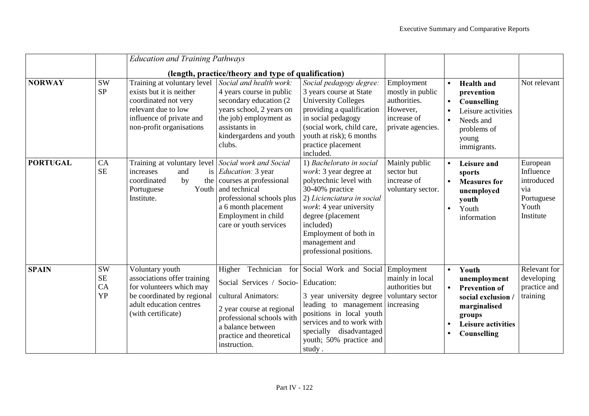|                 |                                           | <b>Education and Training Pathways</b>                                                                                                                         |                                                                                                                                                                                                                                                   |                                                                                                                                                                                                                                                                  |                                                                                                |                                     |                                                                                                                                           |                                                                                |
|-----------------|-------------------------------------------|----------------------------------------------------------------------------------------------------------------------------------------------------------------|---------------------------------------------------------------------------------------------------------------------------------------------------------------------------------------------------------------------------------------------------|------------------------------------------------------------------------------------------------------------------------------------------------------------------------------------------------------------------------------------------------------------------|------------------------------------------------------------------------------------------------|-------------------------------------|-------------------------------------------------------------------------------------------------------------------------------------------|--------------------------------------------------------------------------------|
| <b>NORWAY</b>   | <b>SW</b><br><b>SP</b>                    | Training at voluntary level<br>exists but it is neither<br>coordinated not very<br>relevant due to low<br>influence of private and<br>non-profit organisations | (length, practice/theory and type of qualification)<br>Social and health work:<br>4 years course in public<br>secondary education (2)<br>years school, 2 years on<br>the job) employment as<br>assistants in<br>kindergardens and youth<br>clubs. | Social pedagogy degree:<br>3 years course at State<br><b>University Colleges</b><br>providing a qualification<br>in social pedagogy<br>(social work, child care,<br>youth at risk); 6 months<br>practice placement<br>included.                                  | Employment<br>mostly in public<br>authorities.<br>However,<br>increase of<br>private agencies. | $\bullet$<br>$\bullet$<br>$\bullet$ | <b>Health</b> and<br>prevention<br>Counselling<br>Leisure activities<br>Needs and<br>problems of<br>young<br>immigrants.                  | Not relevant                                                                   |
| <b>PORTUGAL</b> | CA<br><b>SE</b>                           | Training at voluntary level Social work and Social<br>increases<br>and<br><i>is</i><br>coordinated<br>by<br>the<br>Portuguese<br>Youth<br>Institute.           | Education: 3 year<br>courses at professional<br>and technical<br>professional schools plus<br>a 6 month placement<br>Employment in child<br>care or youth services                                                                                | 1) Bachelorato in social<br>work: 3 year degree at<br>polytechnic level with<br>30-40% practice<br>2) Licienciatura in social<br>work: 4 year university<br>degree (placement<br>included)<br>Employment of both in<br>management and<br>professional positions. | Mainly public<br>sector but<br>increase of<br>voluntary sector.                                | $\bullet$<br>$\bullet$              | Leisure and<br>sports<br><b>Measures for</b><br>unemployed<br>youth<br>Youth<br>information                                               | European<br>Influence<br>introduced<br>via<br>Portuguese<br>Youth<br>Institute |
| <b>SPAIN</b>    | <b>SW</b><br><b>SE</b><br>CA<br><b>YP</b> | Voluntary youth<br>associations offer training<br>for volunteers which may<br>be coordinated by regional<br>adult education centres<br>(with certificate)      | Technician<br>Higher<br>for<br>Social Services / Socio-<br>cultural Animators:<br>2 year course at regional<br>professional schools with<br>a balance between<br>practice and theoretical<br>instruction.                                         | Social Work and Social Employment<br>Education:<br>3 year university degree<br>leading to management increasing<br>positions in local youth<br>services and to work with<br>specially disadvantaged<br>youth; 50% practice and<br>study.                         | mainly in local<br>authorities but<br>voluntary sector                                         | $\bullet$                           | Youth<br>unemployment<br><b>Prevention of</b><br>social exclusion /<br>marginalised<br>groups<br><b>Leisure activities</b><br>Counselling | Relevant for<br>developing<br>practice and<br>training                         |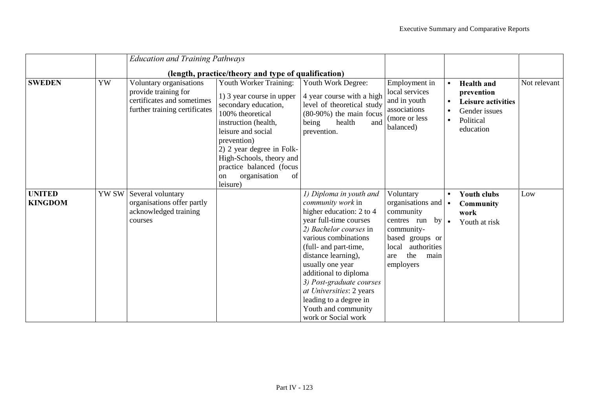|                                 |       | <b>Education and Training Pathways</b>                                                                         |                                                                                                                                                                                                                                                                                                      |                                                                                                                                                                                                                                                                                                                                                                                          |                                                                                                                                                                                     |                                     |                                                                                                  |              |
|---------------------------------|-------|----------------------------------------------------------------------------------------------------------------|------------------------------------------------------------------------------------------------------------------------------------------------------------------------------------------------------------------------------------------------------------------------------------------------------|------------------------------------------------------------------------------------------------------------------------------------------------------------------------------------------------------------------------------------------------------------------------------------------------------------------------------------------------------------------------------------------|-------------------------------------------------------------------------------------------------------------------------------------------------------------------------------------|-------------------------------------|--------------------------------------------------------------------------------------------------|--------------|
|                                 |       |                                                                                                                | (length, practice/theory and type of qualification)                                                                                                                                                                                                                                                  |                                                                                                                                                                                                                                                                                                                                                                                          |                                                                                                                                                                                     |                                     |                                                                                                  |              |
| <b>SWEDEN</b>                   | YW    | Voluntary organisations<br>provide training for<br>certificates and sometimes<br>further training certificates | Youth Worker Training:<br>1) 3 year course in upper<br>secondary education,<br>100% theoretical<br>instruction (health,<br>leisure and social<br>prevention)<br>2) 2 year degree in Folk-<br>High-Schools, theory and<br>practice balanced (focus<br>organisation<br>of<br><sub>on</sub><br>leisure) | Youth Work Degree:<br>4 year course with a high<br>level of theoretical study<br>$(80-90%)$ the main focus<br>health<br>being<br>and<br>prevention.                                                                                                                                                                                                                                      | Employment in<br>local services<br>and in youth<br>associations<br>(more or less)<br>balanced)                                                                                      | $\bullet$<br>$\bullet$<br>$\bullet$ | <b>Health</b> and<br>prevention<br>Leisure activities<br>Gender issues<br>Political<br>education | Not relevant |
| <b>UNITED</b><br><b>KINGDOM</b> | YW SW | Several voluntary<br>organisations offer partly<br>acknowledged training<br>courses                            |                                                                                                                                                                                                                                                                                                      | 1) Diploma in youth and<br><i>community work</i> in<br>higher education: 2 to 4<br>year full-time courses<br>2) Bachelor courses in<br>various combinations<br>(full- and part-time,<br>distance learning),<br>usually one year<br>additional to diploma<br>3) Post-graduate courses<br>at Universities: 2 years<br>leading to a degree in<br>Youth and community<br>work or Social work | Voluntary<br>organisations and $\bullet$<br>community<br>centres run<br>by <sub>l</sub><br>community-<br>based groups or<br>authorities<br>local<br>the<br>main<br>are<br>employers | $\bullet$<br>$\bullet$              | <b>Youth clubs</b><br><b>Community</b><br>work<br>Youth at risk                                  | Low          |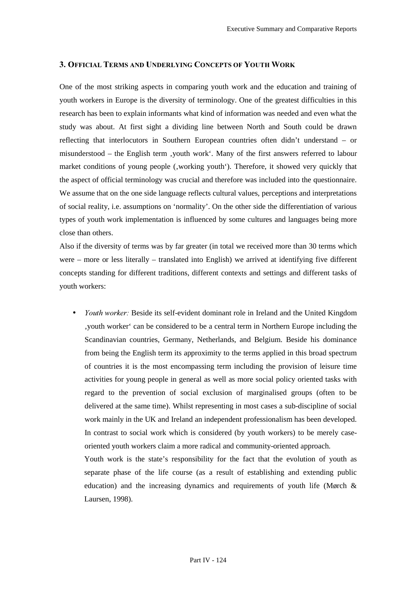#### 3. OFFICIAL TERMS AND UNDERLYING CONCEPTS OF YOUTH WORK

One of the most striking aspects in comparing youth work and the education and training of youth workers in Europe is the diversity of terminology. One of the greatest difficulties in this research has been to explain informants what kind of information was needed and even what the study was about. At first sight a dividing line between North and South could be drawn reflecting that interlocutors in Southern European countries often didn't understand – or misunderstood – the English term 'youth work'. Many of the first answers referred to labour market conditions of young people (, working youth). Therefore, it showed very quickly that the aspect of official terminology was crucial and therefore was included into the questionnaire. We assume that on the one side language reflects cultural values, perceptions and interpretations of social reality, i.e. assumptions on 'normality'. On the other side the differentiation of various types of youth work implementation is influenced by some cultures and languages being more close than others.

Also if the diversity of terms was by far greater (in total we received more than 30 terms which were – more or less literally – translated into English) we arrived at identifying five different concepts standing for different traditions, different contexts and settings and different tasks of youth workers:

• *Youth worker:* Beside its self-evident dominant role in Ireland and the United Kingdom 'youth worker' can be considered to be a central term in Northern Europe including the Scandinavian countries, Germany, Netherlands, and Belgium. Beside his dominance from being the English term its approximity to the terms applied in this broad spectrum of countries it is the most encompassing term including the provision of leisure time activities for young people in general as well as more social policy oriented tasks with regard to the prevention of social exclusion of marginalised groups (often to be delivered at the same time). Whilst representing in most cases a sub-discipline of social work mainly in the UK and Ireland an independent professionalism has been developed. In contrast to social work which is considered (by youth workers) to be merely caseoriented youth workers claim a more radical and community-oriented approach.

Youth work is the state's responsibility for the fact that the evolution of youth as separate phase of the life course (as a result of establishing and extending public education) and the increasing dynamics and requirements of youth life (Mørch & Laursen, 1998).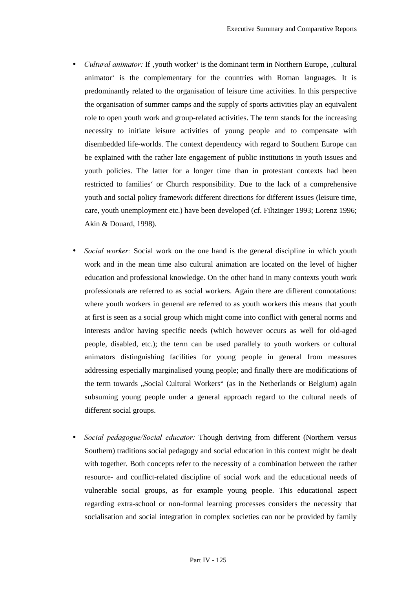- *Cultural animator:* If , youth worker' is the dominant term in Northern Europe, , cultural animator' is the complementary for the countries with Roman languages. It is predominantly related to the organisation of leisure time activities. In this perspective the organisation of summer camps and the supply of sports activities play an equivalent role to open youth work and group-related activities. The term stands for the increasing necessity to initiate leisure activities of young people and to compensate with disembedded life-worlds. The context dependency with regard to Southern Europe can be explained with the rather late engagement of public institutions in youth issues and youth policies. The latter for a longer time than in protestant contexts had been restricted to families' or Church responsibility. Due to the lack of a comprehensive youth and social policy framework different directions for different issues (leisure time, care, youth unemployment etc.) have been developed (cf. Filtzinger 1993; Lorenz 1996; Akin & Douard, 1998).
- *Social worker:* Social work on the one hand is the general discipline in which youth work and in the mean time also cultural animation are located on the level of higher education and professional knowledge. On the other hand in many contexts youth work professionals are referred to as social workers. Again there are different connotations: where youth workers in general are referred to as youth workers this means that youth at first is seen as a social group which might come into conflict with general norms and interests and/or having specific needs (which however occurs as well for old-aged people, disabled, etc.); the term can be used parallely to youth workers or cultural animators distinguishing facilities for young people in general from measures addressing especially marginalised young people; and finally there are modifications of the term towards "Social Cultural Workers" (as in the Netherlands or Belgium) again subsuming young people under a general approach regard to the cultural needs of different social groups.
- *Social pedagogue/Social educator:* Though deriving from different (Northern versus Southern) traditions social pedagogy and social education in this context might be dealt with together. Both concepts refer to the necessity of a combination between the rather resource- and conflict-related discipline of social work and the educational needs of vulnerable social groups, as for example young people. This educational aspect regarding extra-school or non-formal learning processes considers the necessity that socialisation and social integration in complex societies can nor be provided by family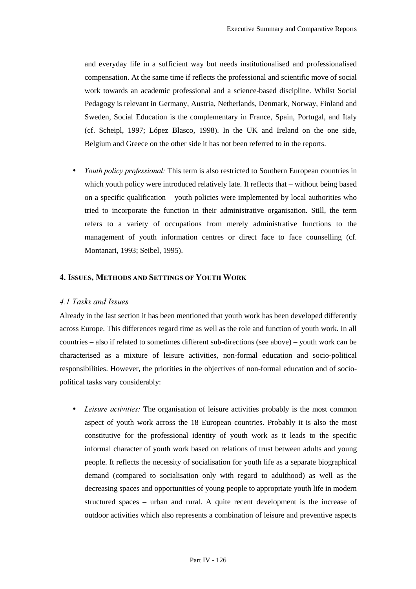and everyday life in a sufficient way but needs institutionalised and professionalised compensation. At the same time if reflects the professional and scientific move of social work towards an academic professional and a science-based discipline. Whilst Social Pedagogy is relevant in Germany, Austria, Netherlands, Denmark, Norway, Finland and Sweden, Social Education is the complementary in France, Spain, Portugal, and Italy (cf. Scheipl, 1997; López Blasco, 1998). In the UK and Ireland on the one side, Belgium and Greece on the other side it has not been referred to in the reports.

*Youth policy professional:* This term is also restricted to Southern European countries in which youth policy were introduced relatively late. It reflects that – without being based on a specific qualification – youth policies were implemented by local authorities who tried to incorporate the function in their administrative organisation. Still, the term refers to a variety of occupations from merely administrative functions to the management of youth information centres or direct face to face counselling (cf. Montanari, 1993; Seibel, 1995).

#### 4. ISSUES, METHODS AND SETTINGS OF YOUTH WORK

# *4.1 Tasks and Issues*

Already in the last section it has been mentioned that youth work has been developed differently across Europe. This differences regard time as well as the role and function of youth work. In all countries – also if related to sometimes different sub-directions (see above) – youth work can be characterised as a mixture of leisure activities, non-formal education and socio-political responsibilities. However, the priorities in the objectives of non-formal education and of sociopolitical tasks vary considerably:

• *Leisure activities:* The organisation of leisure activities probably is the most common aspect of youth work across the 18 European countries. Probably it is also the most constitutive for the professional identity of youth work as it leads to the specific informal character of youth work based on relations of trust between adults and young people. It reflects the necessity of socialisation for youth life as a separate biographical demand (compared to socialisation only with regard to adulthood) as well as the decreasing spaces and opportunities of young people to appropriate youth life in modern structured spaces – urban and rural. A quite recent development is the increase of outdoor activities which also represents a combination of leisure and preventive aspects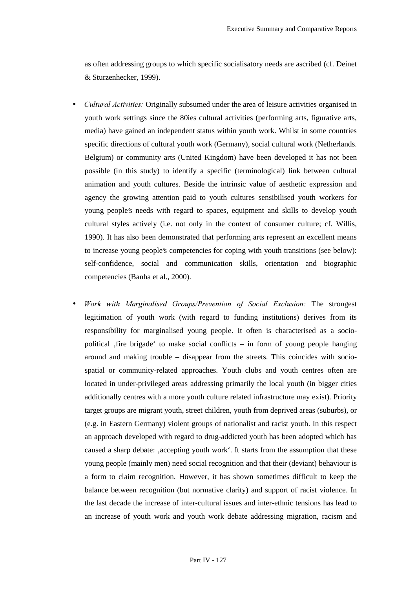as often addressing groups to which specific socialisatory needs are ascribed (cf. Deinet & Sturzenhecker, 1999).

- *Cultural Activities:* Originally subsumed under the area of leisure activities organised in youth work settings since the 80ies cultural activities (performing arts, figurative arts, media) have gained an independent status within youth work. Whilst in some countries specific directions of cultural youth work (Germany), social cultural work (Netherlands. Belgium) or community arts (United Kingdom) have been developed it has not been possible (in this study) to identify a specific (terminological) link between cultural animation and youth cultures. Beside the intrinsic value of aesthetic expression and agency the growing attention paid to youth cultures sensibilised youth workers for young people's needs with regard to spaces, equipment and skills to develop youth cultural styles actively (i.e. not only in the context of consumer culture; cf. Willis, 1990). It has also been demonstrated that performing arts represent an excellent means to increase young people's competencies for coping with youth transitions (see below): self-confidence, social and communication skills, orientation and biographic competencies (Banha et al., 2000).
- *Work with Marginalised Groups/Prevention of Social Exclusion:* The strongest legitimation of youth work (with regard to funding institutions) derives from its responsibility for marginalised young people. It often is characterised as a sociopolitical  $f$ fire brigade' to make social conflicts – in form of young people hanging around and making trouble – disappear from the streets. This coincides with sociospatial or community-related approaches. Youth clubs and youth centres often are located in under-privileged areas addressing primarily the local youth (in bigger cities additionally centres with a more youth culture related infrastructure may exist). Priority target groups are migrant youth, street children, youth from deprived areas (suburbs), or (e.g. in Eastern Germany) violent groups of nationalist and racist youth. In this respect an approach developed with regard to drug-addicted youth has been adopted which has caused a sharp debate: 'accepting youth work'. It starts from the assumption that these young people (mainly men) need social recognition and that their (deviant) behaviour is a form to claim recognition. However, it has shown sometimes difficult to keep the balance between recognition (but normative clarity) and support of racist violence. In the last decade the increase of inter-cultural issues and inter-ethnic tensions has lead to an increase of youth work and youth work debate addressing migration, racism and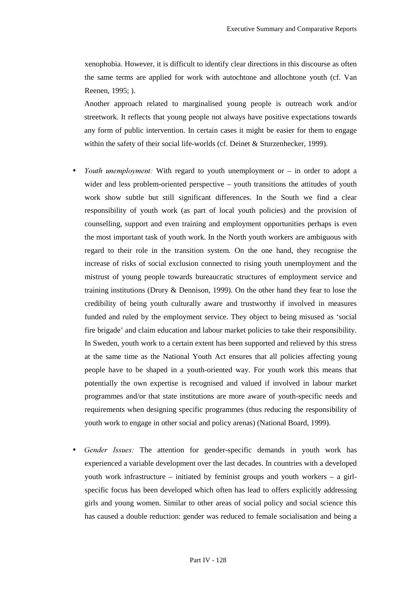xenophobia. However, it is difficult to identify clear directions in this discourse as often the same terms are applied for work with autochtone and allochtone youth (cf. Van Reenen, 1995; ).

Another approach related to marginalised young people is outreach work and/or streetwork. It reflects that young people not always have positive expectations towards any form of public intervention. In certain cases it might be easier for them to engage within the safety of their social life-worlds (cf. Deinet & Sturzenhecker, 1999).

- *Youth unemployment:* With regard to youth unemployment or in order to adopt a wider and less problem-oriented perspective – youth transitions the attitudes of youth work show subtle but still significant differences. In the South we find a clear responsibility of youth work (as part of local youth policies) and the provision of counselling, support and even training and employment opportunities perhaps is even the most important task of youth work. In the North youth workers are ambiguous with regard to their role in the transition system. On the one hand, they recognise the increase of risks of social exclusion connected to rising youth unemployment and the mistrust of young people towards bureaucratic structures of employment service and training institutions (Drury & Dennison, 1999). On the other hand they fear to lose the credibility of being youth culturally aware and trustworthy if involved in measures funded and ruled by the employment service. They object to being misused as 'social fire brigade' and claim education and labour market policies to take their responsibility. In Sweden, youth work to a certain extent has been supported and relieved by this stress at the same time as the National Youth Act ensures that all policies affecting young people have to be shaped in a youth-oriented way. For youth work this means that potentially the own expertise is recognised and valued if involved in labour market programmes and/or that state institutions are more aware of youth-specific needs and requirements when designing specific programmes (thus reducing the responsibility of youth work to engage in other social and policy arenas) (National Board, 1999).
- Gender Issues: The attention for gender-specific demands in youth work has experienced a variable development over the last decades. In countries with a developed youth work infrastructure – initiated by feminist groups and youth workers – a girlspecific focus has been developed which often has lead to offers explicitly addressing girls and young women. Similar to other areas of social policy and social science this has caused a double reduction: gender was reduced to female socialisation and being a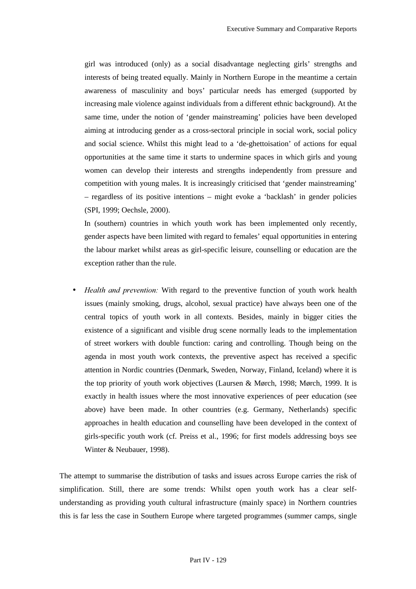girl was introduced (only) as a social disadvantage neglecting girls' strengths and interests of being treated equally. Mainly in Northern Europe in the meantime a certain awareness of masculinity and boys' particular needs has emerged (supported by increasing male violence against individuals from a different ethnic background). At the same time, under the notion of 'gender mainstreaming' policies have been developed aiming at introducing gender as a cross-sectoral principle in social work, social policy and social science. Whilst this might lead to a 'de-ghettoisation' of actions for equal opportunities at the same time it starts to undermine spaces in which girls and young women can develop their interests and strengths independently from pressure and competition with young males. It is increasingly criticised that 'gender mainstreaming' – regardless of its positive intentions – might evoke a 'backlash' in gender policies (SPI, 1999; Oechsle, 2000).

In (southern) countries in which youth work has been implemented only recently, gender aspects have been limited with regard to females' equal opportunities in entering the labour market whilst areas as girl-specific leisure, counselling or education are the exception rather than the rule.

*Health and prevention:* With regard to the preventive function of youth work health issues (mainly smoking, drugs, alcohol, sexual practice) have always been one of the central topics of youth work in all contexts. Besides, mainly in bigger cities the existence of a significant and visible drug scene normally leads to the implementation of street workers with double function: caring and controlling. Though being on the agenda in most youth work contexts, the preventive aspect has received a specific attention in Nordic countries (Denmark, Sweden, Norway, Finland, Iceland) where it is the top priority of youth work objectives (Laursen & Mørch, 1998; Mørch, 1999. It is exactly in health issues where the most innovative experiences of peer education (see above) have been made. In other countries (e.g. Germany, Netherlands) specific approaches in health education and counselling have been developed in the context of girls-specific youth work (cf. Preiss et al., 1996; for first models addressing boys see Winter & Neubauer, 1998).

The attempt to summarise the distribution of tasks and issues across Europe carries the risk of simplification. Still, there are some trends: Whilst open youth work has a clear selfunderstanding as providing youth cultural infrastructure (mainly space) in Northern countries this is far less the case in Southern Europe where targeted programmes (summer camps, single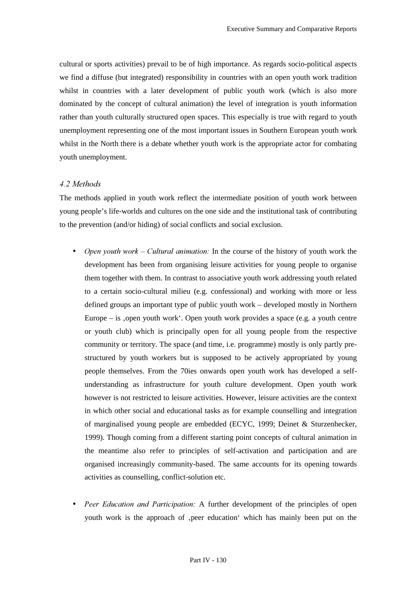cultural or sports activities) prevail to be of high importance. As regards socio-political aspects we find a diffuse (but integrated) responsibility in countries with an open youth work tradition whilst in countries with a later development of public youth work (which is also more dominated by the concept of cultural animation) the level of integration is youth information rather than youth culturally structured open spaces. This especially is true with regard to youth unemployment representing one of the most important issues in Southern European youth work whilst in the North there is a debate whether youth work is the appropriate actor for combating youth unemployment.

#### 4.2 Methods

The methods applied in youth work reflect the intermediate position of youth work between young people's life-worlds and cultures on the one side and the institutional task of contributing to the prevention (and/or hiding) of social conflicts and social exclusion.

- *Open youth work Cultural animation:* In the course of the history of youth work the development has been from organising leisure activities for young people to organise them together with them. In contrast to associative youth work addressing youth related to a certain socio-cultural milieu (e.g. confessional) and working with more or less defined groups an important type of public youth work – developed mostly in Northern Europe – is , open youth work'. Open youth work provides a space (e.g. a youth centre or youth club) which is principally open for all young people from the respective community or territory. The space (and time, i.e. programme) mostly is only partly prestructured by youth workers but is supposed to be actively appropriated by young people themselves. From the 70ies onwards open youth work has developed a selfunderstanding as infrastructure for youth culture development. Open youth work however is not restricted to leisure activities. However, leisure activities are the context in which other social and educational tasks as for example counselling and integration of marginalised young people are embedded (ECYC, 1999; Deinet & Sturzenhecker, 1999). Though coming from a different starting point concepts of cultural animation in the meantime also refer to principles of self-activation and participation and are organised increasingly community-based. The same accounts for its opening towards activities as counselling, conflict-solution etc.
- *Peer Education and Participation:* A further development of the principles of open youth work is the approach of , peer education' which has mainly been put on the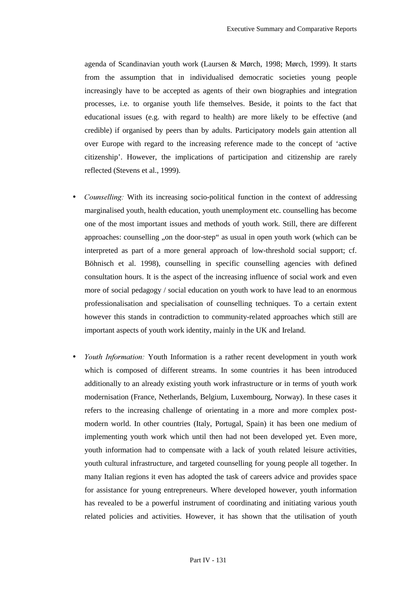agenda of Scandinavian youth work (Laursen & Mørch, 1998; Mørch, 1999). It starts from the assumption that in individualised democratic societies young people increasingly have to be accepted as agents of their own biographies and integration processes, i.e. to organise youth life themselves. Beside, it points to the fact that educational issues (e.g. with regard to health) are more likely to be effective (and credible) if organised by peers than by adults. Participatory models gain attention all over Europe with regard to the increasing reference made to the concept of 'active citizenship'. However, the implications of participation and citizenship are rarely reflected (Stevens et al., 1999).

- *Counselling:* With its increasing socio-political function in the context of addressing marginalised youth, health education, youth unemployment etc. counselling has become one of the most important issues and methods of youth work. Still, there are different approaches: counselling "on the door-step" as usual in open youth work (which can be interpreted as part of a more general approach of low-threshold social support; cf. Böhnisch et al. 1998), counselling in specific counselling agencies with defined consultation hours. It is the aspect of the increasing influence of social work and even more of social pedagogy / social education on youth work to have lead to an enormous professionalisation and specialisation of counselling techniques. To a certain extent however this stands in contradiction to community-related approaches which still are important aspects of youth work identity, mainly in the UK and Ireland.
- *Youth Information:* Youth Information is a rather recent development in youth work which is composed of different streams. In some countries it has been introduced additionally to an already existing youth work infrastructure or in terms of youth work modernisation (France, Netherlands, Belgium, Luxembourg, Norway). In these cases it refers to the increasing challenge of orientating in a more and more complex postmodern world. In other countries (Italy, Portugal, Spain) it has been one medium of implementing youth work which until then had not been developed yet. Even more, youth information had to compensate with a lack of youth related leisure activities, youth cultural infrastructure, and targeted counselling for young people all together. In many Italian regions it even has adopted the task of careers advice and provides space for assistance for young entrepreneurs. Where developed however, youth information has revealed to be a powerful instrument of coordinating and initiating various youth related policies and activities. However, it has shown that the utilisation of youth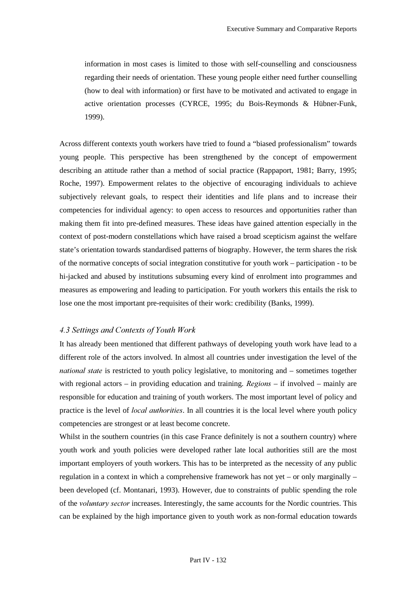information in most cases is limited to those with self-counselling and consciousness regarding their needs of orientation. These young people either need further counselling (how to deal with information) or first have to be motivated and activated to engage in active orientation processes (CYRCE, 1995; du Bois-Reymonds & Hübner-Funk, 1999).

Across different contexts youth workers have tried to found a "biased professionalism" towards young people. This perspective has been strengthened by the concept of empowerment describing an attitude rather than a method of social practice (Rappaport, 1981; Barry, 1995; Roche, 1997). Empowerment relates to the objective of encouraging individuals to achieve subjectively relevant goals, to respect their identities and life plans and to increase their competencies for individual agency: to open access to resources and opportunities rather than making them fit into pre-defined measures. These ideas have gained attention especially in the context of post-modern constellations which have raised a broad scepticism against the welfare state's orientation towards standardised patterns of biography. However, the term shares the risk of the normative concepts of social integration constitutive for youth work – participation - to be hi-jacked and abused by institutions subsuming every kind of enrolment into programmes and measures as empowering and leading to participation. For youth workers this entails the risk to lose one the most important pre-requisites of their work: credibility (Banks, 1999).

#### *4.3 Settings and Contexts of Youth Work*

It has already been mentioned that different pathways of developing youth work have lead to a different role of the actors involved. In almost all countries under investigation the level of the *national state* is restricted to youth policy legislative, to monitoring and – sometimes together with regional actors – in providing education and training.  $$ responsible for education and training of youth workers. The most important level of policy and practice is the level of *local authorities*. In all countries it is the local level where youth policy competencies are strongest or at least become concrete.

Whilst in the southern countries (in this case France definitely is not a southern country) where youth work and youth policies were developed rather late local authorities still are the most important employers of youth workers. This has to be interpreted as the necessity of any public regulation in a context in which a comprehensive framework has not yet – or only marginally – been developed (cf. Montanari, 1993). However, due to constraints of public spending the role of the *voluntary sector* increases. Interestingly, the same accounts for the Nordic countries. This can be explained by the high importance given to youth work as non-formal education towards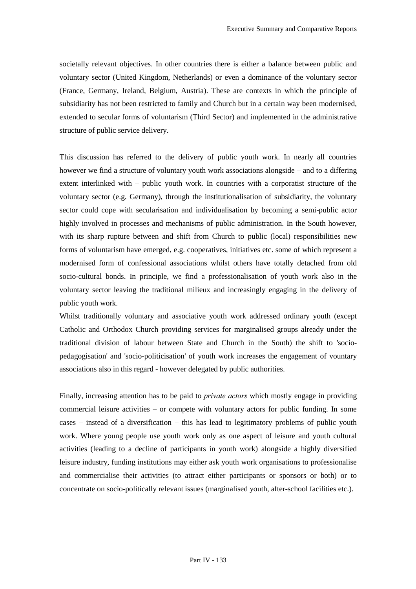societally relevant objectives. In other countries there is either a balance between public and voluntary sector (United Kingdom, Netherlands) or even a dominance of the voluntary sector (France, Germany, Ireland, Belgium, Austria). These are contexts in which the principle of subsidiarity has not been restricted to family and Church but in a certain way been modernised, extended to secular forms of voluntarism (Third Sector) and implemented in the administrative structure of public service delivery.

This discussion has referred to the delivery of public youth work. In nearly all countries however we find a structure of voluntary youth work associations alongside – and to a differing extent interlinked with – public youth work. In countries with a corporatist structure of the voluntary sector (e.g. Germany), through the institutionalisation of subsidiarity, the voluntary sector could cope with secularisation and individualisation by becoming a semi-public actor highly involved in processes and mechanisms of public administration. In the South however, with its sharp rupture between and shift from Church to public (local) responsibilities new forms of voluntarism have emerged, e.g. cooperatives, initiatives etc. some of which represent a modernised form of confessional associations whilst others have totally detached from old socio-cultural bonds. In principle, we find a professionalisation of youth work also in the voluntary sector leaving the traditional milieux and increasingly engaging in the delivery of public youth work.

Whilst traditionally voluntary and associative youth work addressed ordinary youth (except Catholic and Orthodox Church providing services for marginalised groups already under the traditional division of labour between State and Church in the South) the shift to 'sociopedagogisation' and 'socio-politicisation' of youth work increases the engagement of vountary associations also in this regard - however delegated by public authorities.

Finally, increasing attention has to be paid to *private actors* which mostly engage in providing commercial leisure activities – or compete with voluntary actors for public funding. In some cases – instead of a diversification – this has lead to legitimatory problems of public youth work. Where young people use youth work only as one aspect of leisure and youth cultural activities (leading to a decline of participants in youth work) alongside a highly diversified leisure industry, funding institutions may either ask youth work organisations to professionalise and commercialise their activities (to attract either participants or sponsors or both) or to concentrate on socio-politically relevant issues (marginalised youth, after-school facilities etc.).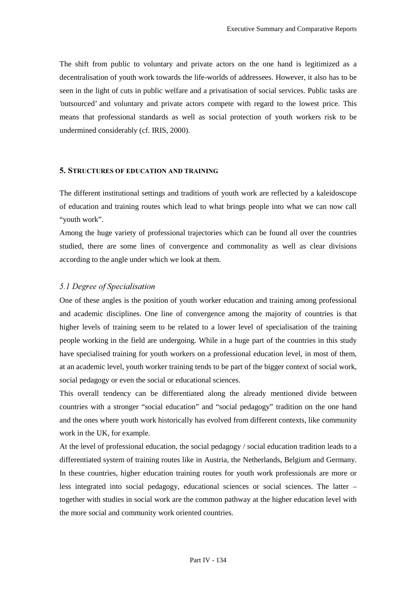The shift from public to voluntary and private actors on the one hand is legitimized as a decentralisation of youth work towards the life-worlds of addressees. However, it also has to be seen in the light of cuts in public welfare and a privatisation of social services. Public tasks are 'outsourced' and voluntary and private actors compete with regard to the lowest price. This means that professional standards as well as social protection of youth workers risk to be undermined considerably (cf. IRIS, 2000).

#### 5. STRUCTURES OF EDUCATION AND TRAINING

The different institutional settings and traditions of youth work are reflected by a kaleidoscope of education and training routes which lead to what brings people into what we can now call "youth work".

Among the huge variety of professional trajectories which can be found all over the countries studied, there are some lines of convergence and commonality as well as clear divisions according to the angle under which we look at them.

#### 5.1 Degree of Specialisation

One of these angles is the position of youth worker education and training among professional and academic disciplines. One line of convergence among the majority of countries is that higher levels of training seem to be related to a lower level of specialisation of the training people working in the field are undergoing. While in a huge part of the countries in this study have specialised training for youth workers on a professional education level, in most of them, at an academic level, youth worker training tends to be part of the bigger context of social work, social pedagogy or even the social or educational sciences.

This overall tendency can be differentiated along the already mentioned divide between countries with a stronger "social education" and "social pedagogy" tradition on the one hand and the ones where youth work historically has evolved from different contexts, like community work in the UK, for example.

At the level of professional education, the social pedagogy / social education tradition leads to a differentiated system of training routes like in Austria, the Netherlands, Belgium and Germany. In these countries, higher education training routes for youth work professionals are more or less integrated into social pedagogy, educational sciences or social sciences. The latter – together with studies in social work are the common pathway at the higher education level with the more social and community work oriented countries.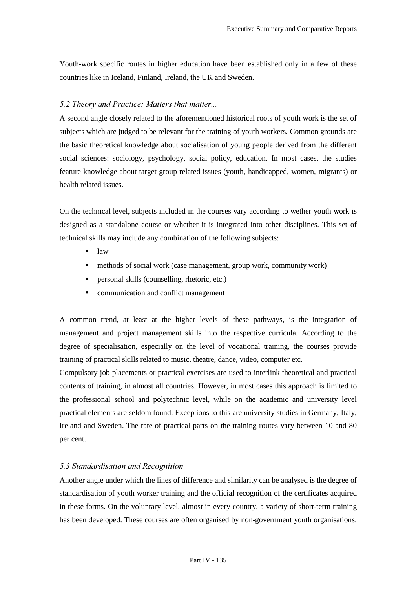Youth-work specific routes in higher education have been established only in a few of these countries like in Iceland, Finland, Ireland, the UK and Sweden.

#### *<i>5.2 Theory and Practice: Matters that matter...*

A second angle closely related to the aforementioned historical roots of youth work is the set of subjects which are judged to be relevant for the training of youth workers. Common grounds are the basic theoretical knowledge about socialisation of young people derived from the different social sciences: sociology, psychology, social policy, education. In most cases, the studies feature knowledge about target group related issues (youth, handicapped, women, migrants) or health related issues.

On the technical level, subjects included in the courses vary according to wether youth work is designed as a standalone course or whether it is integrated into other disciplines. This set of technical skills may include any combination of the following subjects:

- law
- methods of social work (case management, group work, community work)
- personal skills (counselling, rhetoric, etc.)
- communication and conflict management

A common trend, at least at the higher levels of these pathways, is the integration of management and project management skills into the respective curricula. According to the degree of specialisation, especially on the level of vocational training, the courses provide training of practical skills related to music, theatre, dance, video, computer etc.

Compulsory job placements or practical exercises are used to interlink theoretical and practical contents of training, in almost all countries. However, in most cases this approach is limited to the professional school and polytechnic level, while on the academic and university level practical elements are seldom found. Exceptions to this are university studies in Germany, Italy, Ireland and Sweden. The rate of practical parts on the training routes vary between 10 and 80 per cent.

#### **5.3 Standardisation and Recognition**

Another angle under which the lines of difference and similarity can be analysed is the degree of standardisation of youth worker training and the official recognition of the certificates acquired in these forms. On the voluntary level, almost in every country, a variety of short-term training has been developed. These courses are often organised by non-government youth organisations.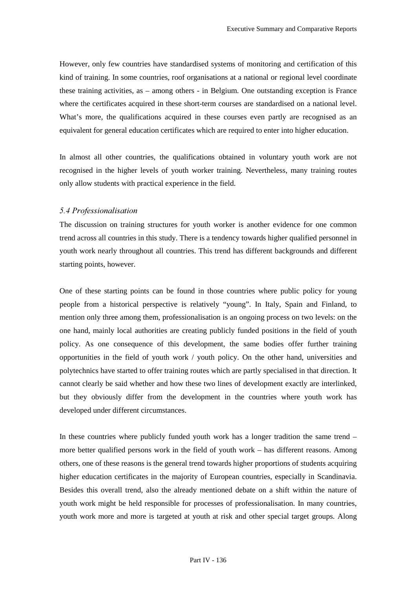However, only few countries have standardised systems of monitoring and certification of this kind of training. In some countries, roof organisations at a national or regional level coordinate these training activities, as – among others - in Belgium. One outstanding exception is France where the certificates acquired in these short-term courses are standardised on a national level. What's more, the qualifications acquired in these courses even partly are recognised as an equivalent for general education certificates which are required to enter into higher education.

In almost all other countries, the qualifications obtained in voluntary youth work are not recognised in the higher levels of youth worker training. Nevertheless, many training routes only allow students with practical experience in the field.

### 5.4 Professionalisation

The discussion on training structures for youth worker is another evidence for one common trend across all countries in this study. There is a tendency towards higher qualified personnel in youth work nearly throughout all countries. This trend has different backgrounds and different starting points, however.

One of these starting points can be found in those countries where public policy for young people from a historical perspective is relatively "young". In Italy, Spain and Finland, to mention only three among them, professionalisation is an ongoing process on two levels: on the one hand, mainly local authorities are creating publicly funded positions in the field of youth policy. As one consequence of this development, the same bodies offer further training opportunities in the field of youth work / youth policy. On the other hand, universities and polytechnics have started to offer training routes which are partly specialised in that direction. It cannot clearly be said whether and how these two lines of development exactly are interlinked, but they obviously differ from the development in the countries where youth work has developed under different circumstances.

In these countries where publicly funded youth work has a longer tradition the same trend – more better qualified persons work in the field of youth work – has different reasons. Among others, one of these reasons is the general trend towards higher proportions of students acquiring higher education certificates in the majority of European countries, especially in Scandinavia. Besides this overall trend, also the already mentioned debate on a shift within the nature of youth work might be held responsible for processes of professionalisation. In many countries, youth work more and more is targeted at youth at risk and other special target groups. Along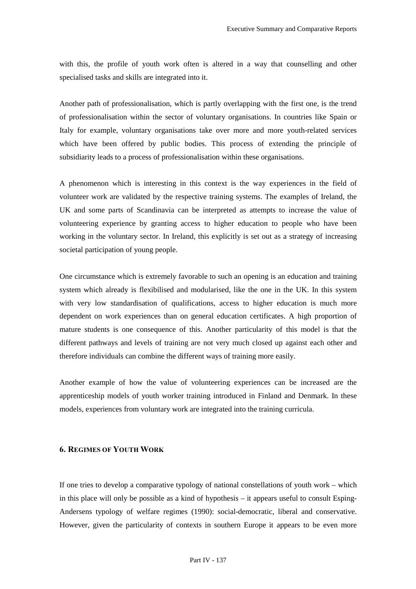with this, the profile of youth work often is altered in a way that counselling and other specialised tasks and skills are integrated into it.

Another path of professionalisation, which is partly overlapping with the first one, is the trend of professionalisation within the sector of voluntary organisations. In countries like Spain or Italy for example, voluntary organisations take over more and more youth-related services which have been offered by public bodies. This process of extending the principle of subsidiarity leads to a process of professionalisation within these organisations.

A phenomenon which is interesting in this context is the way experiences in the field of volunteer work are validated by the respective training systems. The examples of Ireland, the UK and some parts of Scandinavia can be interpreted as attempts to increase the value of volunteering experience by granting access to higher education to people who have been working in the voluntary sector. In Ireland, this explicitly is set out as a strategy of increasing societal participation of young people.

One circumstance which is extremely favorable to such an opening is an education and training system which already is flexibilised and modularised, like the one in the UK. In this system with very low standardisation of qualifications, access to higher education is much more dependent on work experiences than on general education certificates. A high proportion of mature students is one consequence of this. Another particularity of this model is that the different pathways and levels of training are not very much closed up against each other and therefore individuals can combine the different ways of training more easily.

Another example of how the value of volunteering experiences can be increased are the apprenticeship models of youth worker training introduced in Finland and Denmark. In these models, experiences from voluntary work are integrated into the training curricula.

## 6. REGIMES OF YOUTH WORK

If one tries to develop a comparative typology of national constellations of youth work – which in this place will only be possible as a kind of hypothesis – it appears useful to consult Esping-Andersens typology of welfare regimes (1990): social-democratic, liberal and conservative. However, given the particularity of contexts in southern Europe it appears to be even more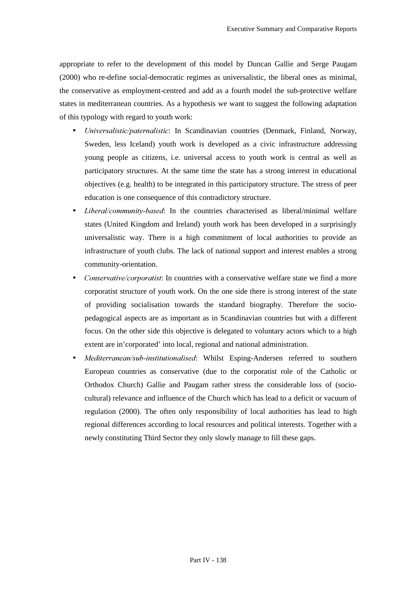appropriate to refer to the development of this model by Duncan Gallie and Serge Paugam (2000) who re-define social-democratic regimes as universalistic, the liberal ones as minimal, the conservative as employment-centred and add as a fourth model the sub-protective welfare states in mediterranean countries. As a hypothesis we want to suggest the following adaptation of this typology with regard to youth work:

- *Universalistic/paternalistic*: In Scandinavian countries (Denmark, Finland, Norway, Sweden, less Iceland) youth work is developed as a civic infrastructure addressing young people as citizens, i.e. universal access to youth work is central as well as participatory structures. At the same time the state has a strong interest in educational objectives (e.g. health) to be integrated in this participatory structure. The stress of peer education is one consequence of this contradictory structure.
- *Liberal/community-based*: In the countries characterised as liberal/minimal welfare states (United Kingdom and Ireland) youth work has been developed in a surprisingly universalistic way. There is a high commitment of local authorities to provide an infrastructure of youth clubs. The lack of national support and interest enables a strong community-orientation.
- *Conservative/corporatist*: In countries with a conservative welfare state we find a more corporatist structure of youth work. On the one side there is strong interest of the state of providing socialisation towards the standard biography. Therefore the sociopedagogical aspects are as important as in Scandinavian countries but with a different focus. On the other side this objective is delegated to voluntary actors which to a high extent are in'corporated' into local, regional and national administration.
- *Mediterranean/sub-institutionalised*: Whilst Esping-Andersen referred to southern European countries as conservative (due to the corporatist role of the Catholic or Orthodox Church) Gallie and Paugam rather stress the considerable loss of (sociocultural) relevance and influence of the Church which has lead to a deficit or vacuum of regulation (2000). The often only responsibility of local authorities has lead to high regional differences according to local resources and political interests. Together with a newly constituting Third Sector they only slowly manage to fill these gaps.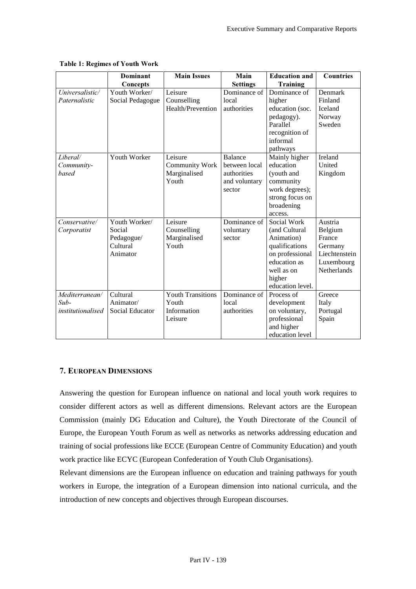|                          | <b>Dominant</b>  | <b>Main Issues</b>       | Main            | <b>Education and</b> | <b>Countries</b>   |
|--------------------------|------------------|--------------------------|-----------------|----------------------|--------------------|
|                          | Concepts         |                          | <b>Settings</b> | <b>Training</b>      |                    |
| Universalistic/          | Youth Worker/    | Leisure                  | Dominance of    | Dominance of         | Denmark            |
| Paternalistic            | Social Pedagogue | Counselling              | local           | higher               | Finland            |
|                          |                  | Health/Prevention        | authorities     | education (soc.      | Iceland            |
|                          |                  |                          |                 | pedagogy).           | Norway             |
|                          |                  |                          |                 | Parallel             | Sweden             |
|                          |                  |                          |                 | recognition of       |                    |
|                          |                  |                          |                 | informal             |                    |
|                          |                  |                          |                 | pathways             |                    |
| Liberal/                 | Youth Worker     | Leisure                  | <b>Balance</b>  | Mainly higher        | Ireland            |
| Community-               |                  | <b>Community Work</b>    | between local   | education            | United             |
| based                    |                  | Marginalised             | authorities     | (youth and           | Kingdom            |
|                          |                  | Youth                    | and voluntary   | community            |                    |
|                          |                  |                          | sector          | work degrees);       |                    |
|                          |                  |                          |                 | strong focus on      |                    |
|                          |                  |                          |                 | broadening           |                    |
|                          |                  |                          |                 | access.              |                    |
| Conservative/            | Youth Worker/    | Leisure                  | Dominance of    | Social Work          | Austria            |
| Corporatist              | Social           | Counselling              | voluntary       | (and Cultural        | Belgium            |
|                          | Pedagogue/       | Marginalised             | sector          | Animation)           | France             |
|                          | Cultural         | Youth                    |                 | qualifications       | Germany            |
|                          | Animator         |                          |                 | on professional      | Liechtenstein      |
|                          |                  |                          |                 | education as         | Luxembourg         |
|                          |                  |                          |                 | well as on           | <b>Netherlands</b> |
|                          |                  |                          |                 | higher               |                    |
|                          |                  |                          |                 | education level.     |                    |
| Mediterranean/           | Cultural         | <b>Youth Transitions</b> | Dominance of    | Process of           | Greece             |
| $Sub-$                   | Animator/        | Youth                    | local           | development          | Italy              |
| <i>institutionalised</i> | Social Educator  | Information              | authorities     | on voluntary,        | Portugal           |
|                          |                  | Leisure                  |                 | professional         | Spain              |
|                          |                  |                          |                 | and higher           |                    |
|                          |                  |                          |                 | education level      |                    |

## Table 1: Regimes of Youth Work

# 7. EUROPEAN DIMENSIONS

Answering the question for European influence on national and local youth work requires to consider different actors as well as different dimensions. Relevant actors are the European Commission (mainly DG Education and Culture), the Youth Directorate of the Council of Europe, the European Youth Forum as well as networks as networks addressing education and training of social professions like ECCE (European Centre of Community Education) and youth work practice like ECYC (European Confederation of Youth Club Organisations).

Relevant dimensions are the European influence on education and training pathways for youth workers in Europe, the integration of a European dimension into national curricula, and the introduction of new concepts and objectives through European discourses.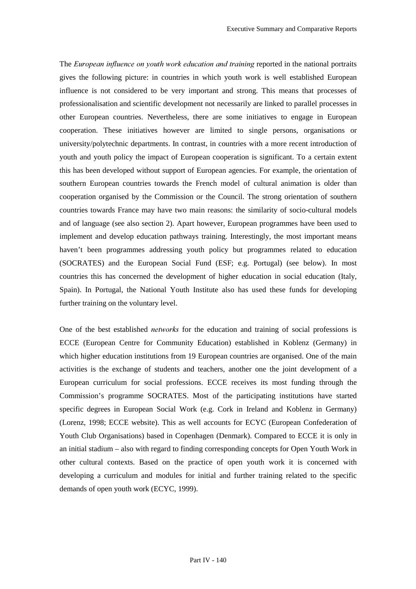The *European influence on youth work education and training* reported in the national portraits gives the following picture: in countries in which youth work is well established European influence is not considered to be very important and strong. This means that processes of professionalisation and scientific development not necessarily are linked to parallel processes in other European countries. Nevertheless, there are some initiatives to engage in European cooperation. These initiatives however are limited to single persons, organisations or university/polytechnic departments. In contrast, in countries with a more recent introduction of youth and youth policy the impact of European cooperation is significant. To a certain extent this has been developed without support of European agencies. For example, the orientation of southern European countries towards the French model of cultural animation is older than cooperation organised by the Commission or the Council. The strong orientation of southern countries towards France may have two main reasons: the similarity of socio-cultural models and of language (see also section 2). Apart however, European programmes have been used to implement and develop education pathways training. Interestingly, the most important means haven't been programmes addressing youth policy but programmes related to education (SOCRATES) and the European Social Fund (ESF; e.g. Portugal) (see below). In most countries this has concerned the development of higher education in social education (Italy, Spain). In Portugal, the National Youth Institute also has used these funds for developing further training on the voluntary level.

One of the best established *networks* for the education and training of social professions is ECCE (European Centre for Community Education) established in Koblenz (Germany) in which higher education institutions from 19 European countries are organised. One of the main activities is the exchange of students and teachers, another one the joint development of a European curriculum for social professions. ECCE receives its most funding through the Commission's programme SOCRATES. Most of the participating institutions have started specific degrees in European Social Work (e.g. Cork in Ireland and Koblenz in Germany) (Lorenz, 1998; ECCE website). This as well accounts for ECYC (European Confederation of Youth Club Organisations) based in Copenhagen (Denmark). Compared to ECCE it is only in an initial stadium – also with regard to finding corresponding concepts for Open Youth Work in other cultural contexts. Based on the practice of open youth work it is concerned with developing a curriculum and modules for initial and further training related to the specific demands of open youth work (ECYC, 1999).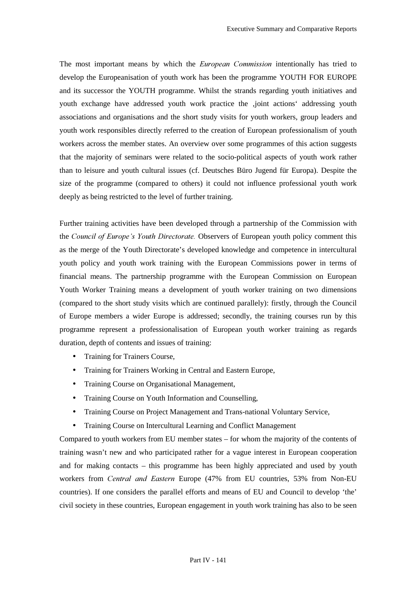The most important means by which the *European Commission* intentionally has tried to develop the Europeanisation of youth work has been the programme YOUTH FOR EUROPE and its successor the YOUTH programme. Whilst the strands regarding youth initiatives and youth exchange have addressed youth work practice the ,joint actions' addressing youth associations and organisations and the short study visits for youth workers, group leaders and youth work responsibles directly referred to the creation of European professionalism of youth workers across the member states. An overview over some programmes of this action suggests that the majority of seminars were related to the socio-political aspects of youth work rather than to leisure and youth cultural issues (cf. Deutsches Büro Jugend für Europa). Despite the size of the programme (compared to others) it could not influence professional youth work deeply as being restricted to the level of further training.

Further training activities have been developed through a partnership of the Commission with the *Council of Europe's Youth Directorate*. Observers of European youth policy comment this as the merge of the Youth Directorate's developed knowledge and competence in intercultural youth policy and youth work training with the European Commissions power in terms of financial means. The partnership programme with the European Commission on European Youth Worker Training means a development of youth worker training on two dimensions (compared to the short study visits which are continued parallely): firstly, through the Council of Europe members a wider Europe is addressed; secondly, the training courses run by this programme represent a professionalisation of European youth worker training as regards duration, depth of contents and issues of training:

- Training for Trainers Course,
- Training for Trainers Working in Central and Eastern Europe,
- Training Course on Organisational Management,
- Training Course on Youth Information and Counselling,
- Training Course on Project Management and Trans-national Voluntary Service,
- Training Course on Intercultural Learning and Conflict Management

Compared to youth workers from EU member states – for whom the majority of the contents of training wasn't new and who participated rather for a vague interest in European cooperation and for making contacts – this programme has been highly appreciated and used by youth workers from *Central and Eastern* Europe (47% from EU countries, 53% from Non-EU countries). If one considers the parallel efforts and means of EU and Council to develop 'the' civil society in these countries, European engagement in youth work training has also to be seen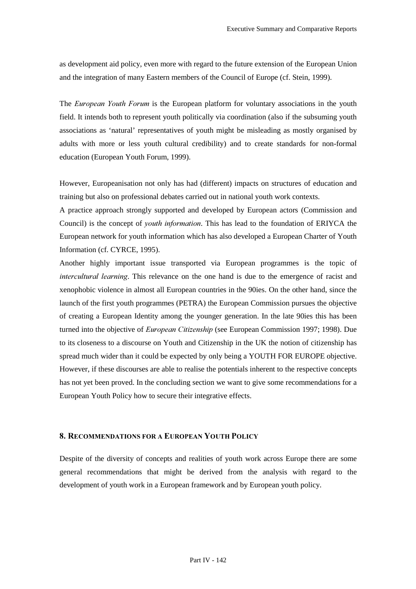as development aid policy, even more with regard to the future extension of the European Union and the integration of many Eastern members of the Council of Europe (cf. Stein, 1999).

The *European Youth Forum* is the European platform for voluntary associations in the youth field. It intends both to represent youth politically via coordination (also if the subsuming youth associations as 'natural' representatives of youth might be misleading as mostly organised by adults with more or less youth cultural credibility) and to create standards for non-formal education (European Youth Forum, 1999).

However, Europeanisation not only has had (different) impacts on structures of education and training but also on professional debates carried out in national youth work contexts.

A practice approach strongly supported and developed by European actors (Commission and Council) is the concept of *youth information*. This has lead to the foundation of ERIYCA the European network for youth information which has also developed a European Charter of Youth Information (cf. CYRCE, 1995).

Another highly important issue transported via European programmes is the topic of *Intercultural learning*. This relevance on the one hand is due to the emergence of racist and xenophobic violence in almost all European countries in the 90ies. On the other hand, since the launch of the first youth programmes (PETRA) the European Commission pursues the objective of creating a European Identity among the younger generation. In the late 90ies this has been turned into the objective of *European Citizenship* (see European Commission 1997; 1998). Due to its closeness to a discourse on Youth and Citizenship in the UK the notion of citizenship has spread much wider than it could be expected by only being a YOUTH FOR EUROPE objective. However, if these discourses are able to realise the potentials inherent to the respective concepts has not yet been proved. In the concluding section we want to give some recommendations for a European Youth Policy how to secure their integrative effects.

## 8. RECOMMENDATIONS FOR A EUROPEAN YOUTH POLICY

Despite of the diversity of concepts and realities of youth work across Europe there are some general recommendations that might be derived from the analysis with regard to the development of youth work in a European framework and by European youth policy.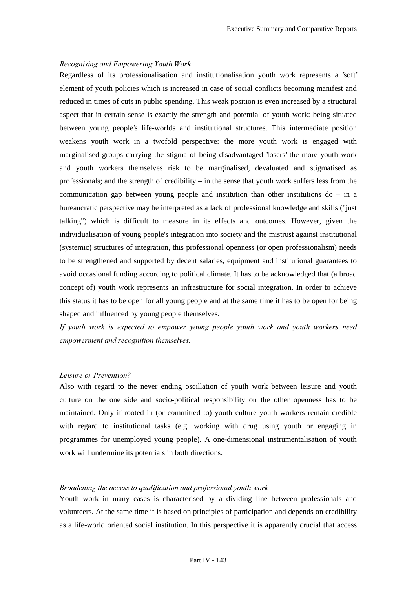#### $Recognising$  and Empowering Youth Work

Regardless of its professionalisation and institutionalisation youth work represents a 'soft' element of youth policies which is increased in case of social conflicts becoming manifest and reduced in times of cuts in public spending. This weak position is even increased by a structural aspect that in certain sense is exactly the strength and potential of youth work: being situated between young people's life-worlds and institutional structures. This intermediate position weakens youth work in a twofold perspective: the more youth work is engaged with marginalised groups carrying the stigma of being disadvantaged 'losers' the more youth work and youth workers themselves risk to be marginalised, devaluated and stigmatised as professionals; and the strength of credibility – in the sense that youth work suffers less from the communication gap between young people and institution than other institutions do – in a bureaucratic perspective may be interpreted as a lack of professional knowledge and skills ("just talking") which is difficult to measure in its effects and outcomes. However, given the individualisation of young people's integration into society and the mistrust against institutional (systemic) structures of integration, this professional openness (or open professionalism) needs to be strengthened and supported by decent salaries, equipment and institutional guarantees to avoid occasional funding according to political climate. It has to be acknowledged that (a broad concept of) youth work represents an infrastructure for social integration. In order to achieve this status it has to be open for all young people and at the same time it has to be open for being shaped and influenced by young people themselves.

*If youth work is expected to empower young people youth work and youth workers need empowerment and recognition themselves.* 

#### *Leisure or Prevention?*

Also with regard to the never ending oscillation of youth work between leisure and youth culture on the one side and socio-political responsibility on the other openness has to be maintained. Only if rooted in (or committed to) youth culture youth workers remain credible with regard to institutional tasks (e.g. working with drug using youth or engaging in programmes for unemployed young people). A one-dimensional instrumentalisation of youth work will undermine its potentials in both directions.

### *Broadening the access to qualification and professional youth work*

Youth work in many cases is characterised by a dividing line between professionals and volunteers. At the same time it is based on principles of participation and depends on credibility as a life-world oriented social institution. In this perspective it is apparently crucial that access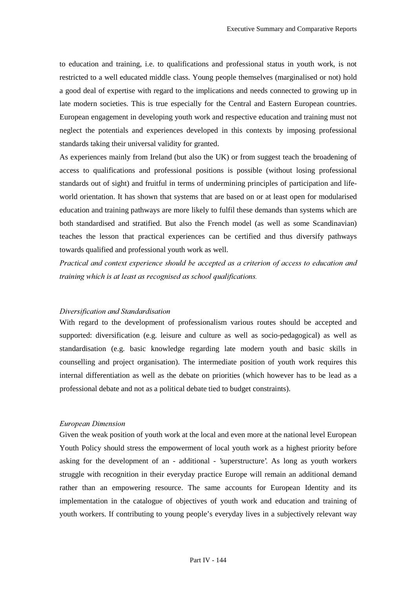to education and training, i.e. to qualifications and professional status in youth work, is not restricted to a well educated middle class. Young people themselves (marginalised or not) hold a good deal of expertise with regard to the implications and needs connected to growing up in late modern societies. This is true especially for the Central and Eastern European countries. European engagement in developing youth work and respective education and training must not neglect the potentials and experiences developed in this contexts by imposing professional standards taking their universal validity for granted.

As experiences mainly from Ireland (but also the UK) or from suggest teach the broadening of access to qualifications and professional positions is possible (without losing professional standards out of sight) and fruitful in terms of undermining principles of participation and lifeworld orientation. It has shown that systems that are based on or at least open for modularised education and training pathways are more likely to fulfil these demands than systems which are both standardised and stratified. But also the French model (as well as some Scandinavian) teaches the lesson that practical experiences can be certified and thus diversify pathways towards qualified and professional youth work as well.

Practical and context experience should be accepted as a criterion of access to education and *training which is at least as recognised as school qualifications.* 

#### $Diversification$  and Standardisation

With regard to the development of professionalism various routes should be accepted and supported: diversification (e.g. leisure and culture as well as socio-pedagogical) as well as standardisation (e.g. basic knowledge regarding late modern youth and basic skills in counselling and project organisation). The intermediate position of youth work requires this internal differentiation as well as the debate on priorities (which however has to be lead as a professional debate and not as a political debate tied to budget constraints).

#### $European$  *Dimension*

Given the weak position of youth work at the local and even more at the national level European Youth Policy should stress the empowerment of local youth work as a highest priority before asking for the development of an - additional - 'superstructure'. As long as youth workers struggle with recognition in their everyday practice Europe will remain an additional demand rather than an empowering resource. The same accounts for European Identity and its implementation in the catalogue of objectives of youth work and education and training of youth workers. If contributing to young people's everyday lives in a subjectively relevant way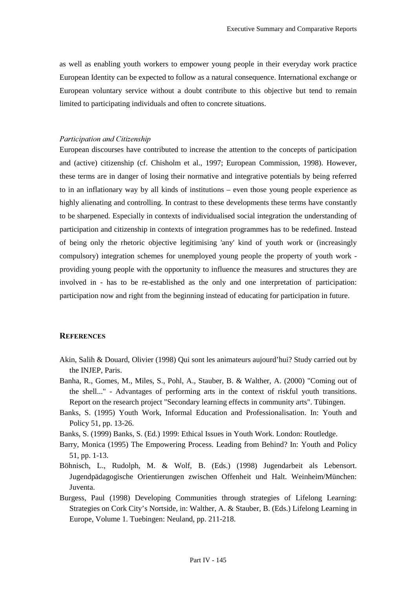as well as enabling youth workers to empower young people in their everyday work practice European Identity can be expected to follow as a natural consequence. International exchange or European voluntary service without a doubt contribute to this objective but tend to remain limited to participating individuals and often to concrete situations.

#### *Participation and Citizenship*

European discourses have contributed to increase the attention to the concepts of participation and (active) citizenship (cf. Chisholm et al., 1997; European Commission, 1998). However, these terms are in danger of losing their normative and integrative potentials by being referred to in an inflationary way by all kinds of institutions – even those young people experience as highly alienating and controlling. In contrast to these developments these terms have constantly to be sharpened. Especially in contexts of individualised social integration the understanding of participation and citizenship in contexts of integration programmes has to be redefined. Instead of being only the rhetoric objective legitimising 'any' kind of youth work or (increasingly compulsory) integration schemes for unemployed young people the property of youth work providing young people with the opportunity to influence the measures and structures they are involved in - has to be re-established as the only and one interpretation of participation: participation now and right from the beginning instead of educating for participation in future.

### **REFERENCES**

- Akin, Salih & Douard, Olivier (1998) Qui sont les animateurs aujourd'hui? Study carried out by the INJEP, Paris.
- Banha, R., Gomes, M., Miles, S., Pohl, A., Stauber, B. & Walther, A. (2000) "Coming out of the shell..." - Advantages of performing arts in the context of riskful youth transitions. Report on the research project "Secondary learning effects in community arts". Tübingen.
- Banks, S. (1995) Youth Work, Informal Education and Professionalisation. In: Youth and Policy 51, pp. 13-26.
- Banks, S. (1999) Banks, S. (Ed.) 1999: Ethical Issues in Youth Work. London: Routledge.
- Barry, Monica (1995) The Empowering Process. Leading from Behind? In: Youth and Policy 51, pp. 1-13.
- Böhnisch, L., Rudolph, M. & Wolf, B. (Eds.) (1998) Jugendarbeit als Lebensort. Jugendpädagogische Orientierungen zwischen Offenheit und Halt. Weinheim/München: Juventa.
- Burgess, Paul (1998) Developing Communities through strategies of Lifelong Learning: Strategies on Cork City's Nortside, in: Walther, A. & Stauber, B. (Eds.) Lifelong Learning in Europe, Volume 1. Tuebingen: Neuland, pp. 211-218.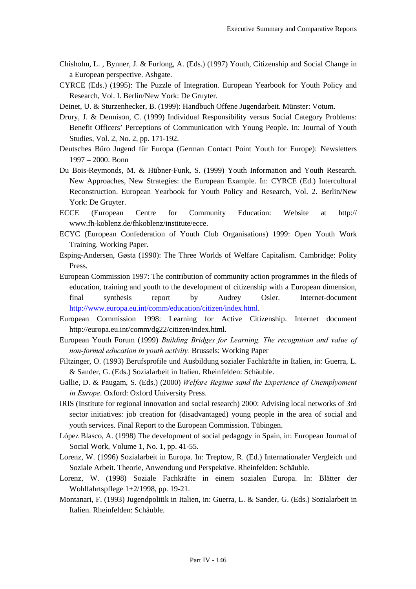- Chisholm, L. , Bynner, J. & Furlong, A. (Eds.) (1997) Youth, Citizenship and Social Change in a European perspective. Ashgate.
- CYRCE (Eds.) (1995): The Puzzle of Integration. European Yearbook for Youth Policy and Research, Vol. I. Berlin/New York: De Gruyter.
- Deinet, U. & Sturzenhecker, B. (1999): Handbuch Offene Jugendarbeit. Münster: Votum.
- Drury, J. & Dennison, C. (1999) Individual Responsibility versus Social Category Problems: Benefit Officers' Perceptions of Communication with Young People. In: Journal of Youth Studies, Vol. 2, No. 2, pp. 171-192.
- Deutsches Büro Jugend für Europa (German Contact Point Youth for Europe): Newsletters 1997 – 2000. Bonn
- Du Bois-Reymonds, M. & Hübner-Funk, S. (1999) Youth Information and Youth Research. New Approaches, New Strategies: the European Example. In: CYRCE (Ed.) Intercultural Reconstruction. European Yearbook for Youth Policy and Research, Vol. 2. Berlin/New York: De Gruyter.
- ECCE (European Centre for Community Education: Website at http:// www.fh-koblenz.de/fhkoblenz/institute/ecce.
- ECYC (European Confederation of Youth Club Organisations) 1999: Open Youth Work Training. Working Paper.
- Esping-Andersen, Gøsta (1990): The Three Worlds of Welfare Capitalism. Cambridge: Polity Press.
- European Commission 1997: The contribution of community action programmes in the fileds of education, training and youth to the development of citizenship with a European dimension, final synthesis report by Audrey Osler. Internet-document http://www.europa.eu.int/comm/education/citizen/index.html.
- European Commission 1998: Learning for Active Citizenship. Internet document http://europa.eu.int/comm/dg22/citizen/index.html.
- European Youth Forum (1999) *Building Bridges for Learning. The recognition and value of non-formal education in youth activity.* Brussels: Working Paper
- Filtzinger, O. (1993) Berufsprofile und Ausbildung sozialer Fachkräfte in Italien, in: Guerra, L. & Sander, G. (Eds.) Sozialarbeit in Italien. Rheinfelden: Schäuble.
- Gallie, D. & Paugam, S. (Eds.) (2000) *Welfare Regime sand the Experience of Unemplyoment in Europe*. Oxford: Oxford University Press.
- IRIS (Institute for regional innovation and social research) 2000: Advising local networks of 3rd sector initiatives: job creation for (disadvantaged) young people in the area of social and youth services. Final Report to the European Commission. Tübingen.
- López Blasco, A. (1998) The development of social pedagogy in Spain, in: European Journal of Social Work, Volume 1, No. 1, pp. 41-55.
- Lorenz, W. (1996) Sozialarbeit in Europa. In: Treptow, R. (Ed.) Internationaler Vergleich und Soziale Arbeit. Theorie, Anwendung und Perspektive. Rheinfelden: Schäuble.
- Lorenz, W. (1998) Soziale Fachkräfte in einem sozialen Europa. In: Blätter der Wohlfahrtspflege 1+2/1998, pp. 19-21.
- Montanari, F. (1993) Jugendpolitik in Italien, in: Guerra, L. & Sander, G. (Eds.) Sozialarbeit in Italien. Rheinfelden: Schäuble.